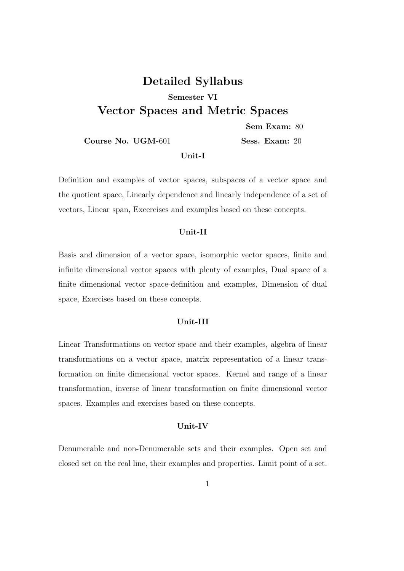# Detailed Syllabus Semester VI Vector Spaces and Metric Spaces

Sem Exam: 80

Course No. UGM-601 Sess. Exam: 20

# Unit-I

Definition and examples of vector spaces, subspaces of a vector space and the quotient space, Linearly dependence and linearly independence of a set of vectors, Linear span, Excercises and examples based on these concepts.

### Unit-II

Basis and dimension of a vector space, isomorphic vector spaces, finite and infinite dimensional vector spaces with plenty of examples, Dual space of a finite dimensional vector space-definition and examples, Dimension of dual space, Exercises based on these concepts.

### Unit-III

Linear Transformations on vector space and their examples, algebra of linear transformations on a vector space, matrix representation of a linear transformation on finite dimensional vector spaces. Kernel and range of a linear transformation, inverse of linear transformation on finite dimensional vector spaces. Examples and exercises based on these concepts.

# Unit-IV

Denumerable and non-Denumerable sets and their examples. Open set and closed set on the real line, their examples and properties. Limit point of a set.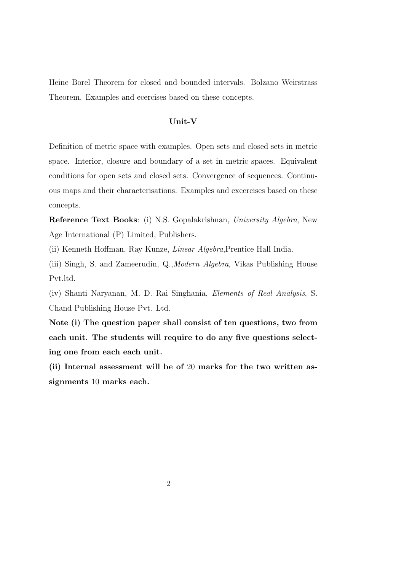Heine Borel Theorem for closed and bounded intervals. Bolzano Weirstrass Theorem. Examples and ecercises based on these concepts.

# Unit-V

Definition of metric space with examples. Open sets and closed sets in metric space. Interior, closure and boundary of a set in metric spaces. Equivalent conditions for open sets and closed sets. Convergence of sequences. Continuous maps and their characterisations. Examples and excercises based on these concepts.

Reference Text Books: (i) N.S. Gopalakrishnan, University Algebra, New Age International (P) Limited, Publishers.

(ii) Kenneth Hoffman, Ray Kunze, Linear Algebra,Prentice Hall India.

(iii) Singh, S. and Zameerudin, Q.,Modern Algebra, Vikas Publishing House Pvt.ltd.

(iv) Shanti Naryanan, M. D. Rai Singhania, Elements of Real Analysis, S. Chand Publishing House Pvt. Ltd.

Note (i) The question paper shall consist of ten questions, two from each unit. The students will require to do any five questions selecting one from each each unit.

(ii) Internal assessment will be of 20 marks for the two written assignments 10 marks each.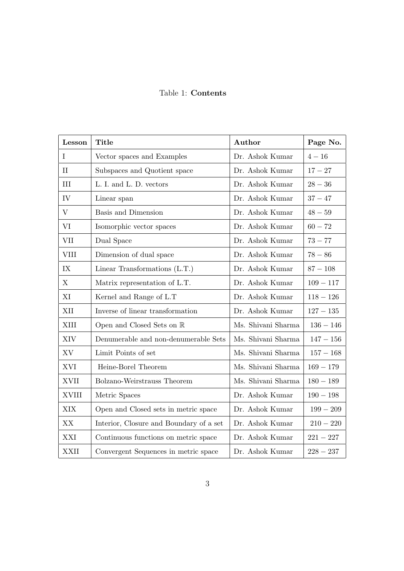Table 1: Contents

| Lesson       | <b>Title</b>                            | Author             | Page No.    |
|--------------|-----------------------------------------|--------------------|-------------|
| L            | Vector spaces and Examples              | Dr. Ashok Kumar    | $4 - 16$    |
| $\mathbf{I}$ | Subspaces and Quotient space            | Dr. Ashok Kumar    | $17 - 27$   |
| III          | L. I. and L. D. vectors                 | Dr. Ashok Kumar    | $28 - 36$   |
| IV           | Linear span                             | Dr. Ashok Kumar    | $37 - 47$   |
| $\rm V$      | Basis and Dimension                     | Dr. Ashok Kumar    | $48 - 59$   |
| VI           | Isomorphic vector spaces                | Dr. Ashok Kumar    | $60 - 72$   |
| <b>VII</b>   | Dual Space                              | Dr. Ashok Kumar    | $73 - 77$   |
| <b>VIII</b>  | Dimension of dual space                 | Dr. Ashok Kumar    | $78 - 86$   |
| IX           | Linear Transformations $(L.T.)$         | Dr. Ashok Kumar    | $87 - 108$  |
| X            | Matrix representation of L.T.           | Dr. Ashok Kumar    | $109 - 117$ |
| XI           | Kernel and Range of L.T                 | Dr. Ashok Kumar    | $118 - 126$ |
| XII          | Inverse of linear transformation        | Dr. Ashok Kumar    | $127 - 135$ |
| XIII         | Open and Closed Sets on R               | Ms. Shivani Sharma | $136 - 146$ |
| <b>XIV</b>   | Denumerable and non-denumerable Sets    | Ms. Shivani Sharma | $147-156\,$ |
| XV           | Limit Points of set                     | Ms. Shivani Sharma | $157 - 168$ |
| <b>XVI</b>   | Heine-Borel Theorem                     | Ms. Shivani Sharma | $169 - 179$ |
| <b>XVII</b>  | Bolzano-Weirstrauss Theorem             | Ms. Shivani Sharma | $180 - 189$ |
| <b>XVIII</b> | Metric Spaces                           | Dr. Ashok Kumar    | $190 - 198$ |
| XIX          | Open and Closed sets in metric space    | Dr. Ashok Kumar    | $199 - 209$ |
| XX           | Interior, Closure and Boundary of a set | Dr. Ashok Kumar    | $210 - 220$ |
| XXI          | Continuous functions on metric space    | Dr. Ashok Kumar    | $221 - 227$ |
| <b>XXII</b>  | Convergent Sequences in metric space    | Dr. Ashok Kumar    | $228 - 237$ |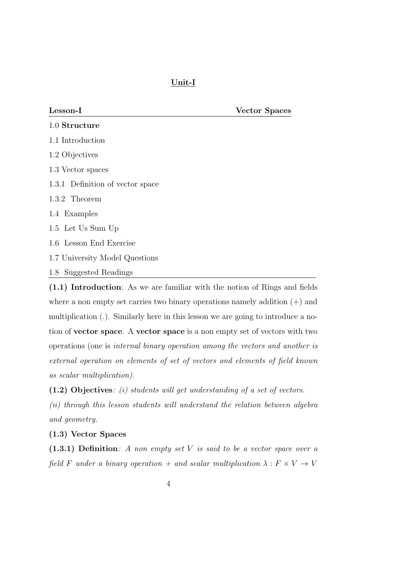Lesson-I Vector Spaces

| 1.0 Structure                    |
|----------------------------------|
| 1.1 Introduction                 |
| 1.2 Objectives                   |
| 1.3 Vector spaces                |
| 1.3.1 Definition of vector space |
| 1.3.2 Theorem                    |
| 1.4 Examples                     |
| 1.5 Let Us Sum Up                |
| 1.6 Lesson End Exercise          |
| 1.7 University Model Questions   |
| 1.8 Suggested Readings           |

(1.1) Introduction: As we are familiar with the notion of Rings and fields where a non empty set carries two binary operations namely addition  $(+)$  and multiplication (.). Similarly here in this lesson we are going to introduce a notion of vector space. A vector space is a non empty set of vectors with two operations (one is internal binary operation among the vectors and another is external operation on elements of set of vectors and elements of field known as scalar multiplication).

(1.2) Objectives: (i) students will get understanding of a set of vectors.

(ii) through this lesson students will understand the relation between algebra and geometry.

# (1.3) Vector Spaces

(1.3.1) Definition: A non empty set V is said to be a vector space over a field F under a binary operation + and scalar multiplication  $\lambda : F \times V \to V$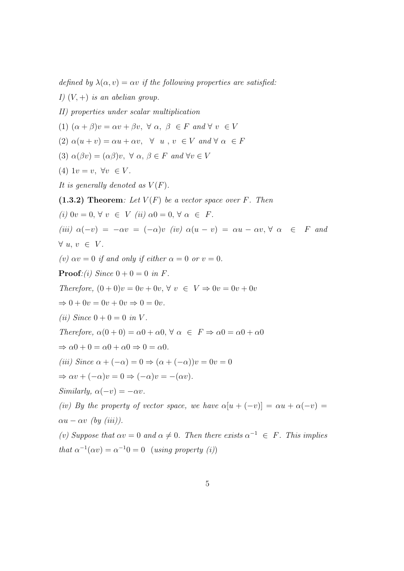defined by  $\lambda(\alpha, v) = \alpha v$  if the following properties are satisfied: I)  $(V,+)$  is an abelian group. II) properties under scalar multiplication (1)  $(\alpha + \beta)v = \alpha v + \beta v$ ,  $\forall \alpha, \beta \in F$  and  $\forall v \in V$ (2)  $\alpha(u + v) = \alpha u + \alpha v$ ,  $\forall u, v \in V$  and  $\forall \alpha \in F$ (3)  $\alpha(\beta v) = (\alpha \beta)v$ ,  $\forall \alpha, \beta \in F$  and  $\forall v \in V$ (4)  $1v = v$ ,  $\forall v \in V$ . It is generally denoted as  $V(F)$ .  $(1.3.2)$  Theorem: Let  $V(F)$  be a vector space over F. Then (i)  $0v = 0, \forall v \in V$  (ii)  $\alpha 0 = 0, \forall \alpha \in F$ . (iii)  $\alpha(-v) = -\alpha v = (-\alpha)v$  (iv)  $\alpha(u - v) = \alpha u - \alpha v, \forall \alpha \in F$  and  $\forall u, v \in V.$ (v)  $\alpha v = 0$  if and only if either  $\alpha = 0$  or  $v = 0$ . **Proof**:(i) Since  $0 + 0 = 0$  in F. Therefore,  $(0+0)v = 0v + 0v$ ,  $\forall v \in V \Rightarrow 0v = 0v + 0v$  $\Rightarrow 0 + 0v = 0v + 0v \Rightarrow 0 = 0v.$ (*ii*) Since  $0 + 0 = 0$  in V. Therefore,  $\alpha(0+0) = \alpha 0 + \alpha 0$ ,  $\forall \alpha \in F \Rightarrow \alpha 0 = \alpha 0 + \alpha 0$  $\Rightarrow \alpha 0 + 0 = \alpha 0 + \alpha 0 \Rightarrow 0 = \alpha 0.$ (iii) Since  $\alpha + (-\alpha) = 0 \Rightarrow (\alpha + (-\alpha))v = 0v = 0$  $\Rightarrow \alpha v + (-\alpha)v = 0 \Rightarrow (-\alpha)v = -(\alpha v).$ Similarly,  $\alpha(-v) = -\alpha v$ . (iv) By the property of vector space, we have  $\alpha[u + (-v)] = \alpha u + \alpha(-v)$  $\alpha u - \alpha v$  (by (iii)). (v) Suppose that  $\alpha v = 0$  and  $\alpha \neq 0$ . Then there exists  $\alpha^{-1} \in F$ . This implies that  $\alpha^{-1}(\alpha v) = \alpha^{-1}0 = 0$  (using property (i))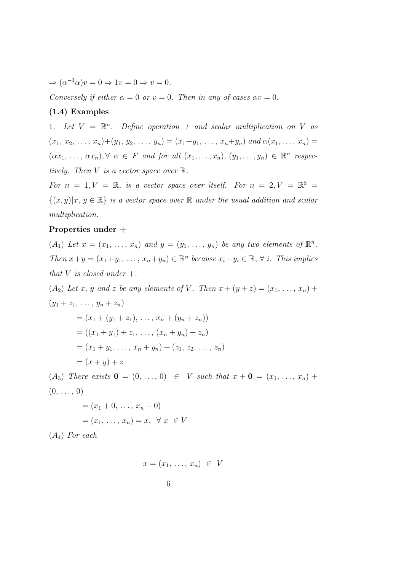$\Rightarrow (\alpha^{-1}\alpha)v = 0 \Rightarrow 1v = 0 \Rightarrow v = 0.$ 

Conversely if either  $\alpha = 0$  or  $v = 0$ . Then in any of cases  $\alpha v = 0$ .

### (1.4) Examples

1. Let  $V = \mathbb{R}^n$ . Define operation + and scalar multiplication on V as  $(x_1, x_2, \ldots, x_n)+(y_1, y_2, \ldots, y_n)=(x_1+y_1, \ldots, x_n+y_n)$  and  $\alpha(x_1, \ldots, x_n)=$  $(\alpha x_1, \ldots, \alpha x_n), \forall \alpha \in F$  and for all  $(x_1, \ldots, x_n), (y_1, \ldots, y_n) \in \mathbb{R}^n$  respectively. Then V is a vector space over  $\mathbb{R}$ .

For  $n = 1, V = \mathbb{R}$ , is a vector space over itself. For  $n = 2, V = \mathbb{R}^2$  $\{(x,y)|x, y \in \mathbb{R}\}\$ is a vector space over  $\mathbb R$  under the usual addition and scalar multiplication.

### Properties under +

 $(A_1)$  Let  $x = (x_1, \ldots, x_n)$  and  $y = (y_1, \ldots, y_n)$  be any two elements of  $\mathbb{R}^n$ . Then  $x+y=(x_1+y_1, \ldots, x_n+y_n) \in \mathbb{R}^n$  because  $x_i+y_i \in \mathbb{R}, \forall i$ . This implies that V is closed under  $+$ .

(A<sub>2</sub>) Let x, y and z be any elements of V. Then  $x + (y + z) = (x_1, \ldots, x_n) +$  $(y_1 + z_1, \ldots, y_n + z_n)$ 

$$
= (x_1 + (y_1 + z_1), \dots, x_n + (y_n + z_n))
$$
  
= ((x\_1 + y\_1) + z\_1, \dots, (x\_n + y\_n) + z\_n)  
= (x\_1 + y\_1, \dots, x\_n + y\_n) + (z\_1, z\_2, \dots, z\_n)  
= (x + y) + z

(A<sub>3</sub>) There exists  $\mathbf{0} = (0, \ldots, 0) \in V$  such that  $x + \mathbf{0} = (x_1, \ldots, x_n) +$  $(0, \ldots, 0)$ 

$$
= (x_1 + 0, \dots, x_n + 0)
$$
  
=  $(x_1, \dots, x_n) = x, \forall x \in V$ 

 $(A_4)$  For each

$$
x = (x_1, \ldots, x_n) \in V
$$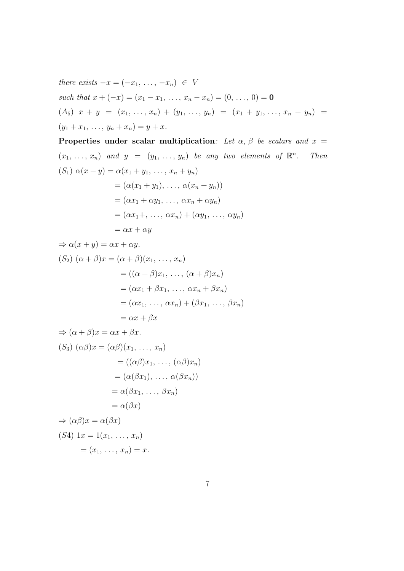there exists 
$$
-x = (-x_1, ..., -x_n) \in V
$$
  
such that  $x + (-x) = (x_1 - x_1, ..., x_n - x_n) = (0, ..., 0) = \mathbf{0}$   
 $(A_5) x + y = (x_1, ..., x_n) + (y_1, ..., y_n) = (x_1 + y_1, ..., x_n + y_n) = (y_1 + x_1, ..., y_n + x_n) = y + x.$ 

Properties under scalar multiplication: Let  $\alpha$ ,  $\beta$  be scalars and  $x =$  $(x_1, \ldots, x_n)$  and  $y = (y_1, \ldots, y_n)$  be any two elements of  $\mathbb{R}^n$ . Then (S<sub>1</sub>)  $\alpha(x + y) = \alpha(x_1 + y_1, \ldots, x_n + y_n)$  $=(\alpha(x_1+y_1), \ldots, \alpha(x_n+y_n))$  $=(\alpha x_1 + \alpha y_1, \ldots, \alpha x_n + \alpha y_n)$  $=(\alpha x_1 + , \ldots, \alpha x_n) + (\alpha y_1, \ldots, \alpha y_n)$  $=\alpha x + \alpha y$ 

$$
\Rightarrow \alpha(x + y) = \alpha x + \alpha y.
$$
  
(S<sub>2</sub>)  $(\alpha + \beta)x = (\alpha + \beta)(x_1, ..., x_n)$   

$$
= ((\alpha + \beta)x_1, ..., (\alpha + \beta)x_n)
$$
  

$$
= (\alpha x_1 + \beta x_1, ..., \alpha x_n + \beta x_n)
$$
  

$$
= (\alpha x_1, ..., \alpha x_n) + (\beta x_1, ..., \beta x_n)
$$
  

$$
= \alpha x + \beta x
$$

$$
\Rightarrow (\alpha + \beta)x = \alpha x + \beta x.
$$
  
\n(S<sub>3</sub>)  $(\alpha\beta)x = (\alpha\beta)(x_1, ..., x_n)$   
\n
$$
= ((\alpha\beta)x_1, ..., (\alpha\beta)x_n)
$$
  
\n
$$
= (\alpha(\beta x_1), ..., \alpha(\beta x_n))
$$
  
\n
$$
= \alpha(\beta x_1, ..., \beta x_n)
$$
  
\n
$$
= \alpha(\beta x)
$$
  
\n
$$
\Rightarrow (\alpha\beta)x = \alpha(\beta x)
$$
  
\n(S4)  $1x = 1(x_1, ..., x_n)$   
\n
$$
= (x_1, ..., x_n) = x.
$$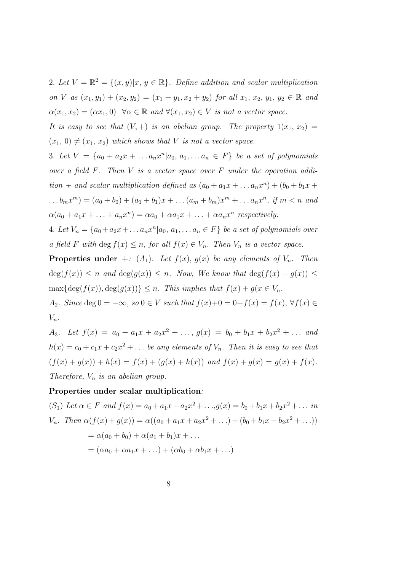2. Let  $V = \mathbb{R}^2 = \{(x, y) | x, y \in \mathbb{R} \}$ . Define addition and scalar multiplication on V as  $(x_1, y_1) + (x_2, y_2) = (x_1 + y_1, x_2 + y_2)$  for all  $x_1, x_2, y_1, y_2 \in \mathbb{R}$  and  $\alpha(x_1, x_2) = (\alpha x_1, 0) \ \ \forall \alpha \in \mathbb{R} \ and \ \forall (x_1, x_2) \in V \ is \ not \ a \ vector \ space.$ 

It is easy to see that  $(V,+)$  is an abelian group. The property  $1(x_1, x_2) =$  $(x_1, 0) \neq (x_1, x_2)$  which shows that V is not a vector space.

3. Let  $V = \{a_0 + a_2x + \ldots a_nx^n | a_0, a_1, \ldots a_n \in F\}$  be a set of polynomials over a field  $F$ . Then  $V$  is a vector space over  $F$  under the operation addition + and scalar multiplication defined as  $(a_0 + a_1x + ... a_nx^n) + (b_0 + b_1x + b_0x)$ ... $b_m x^m$  =  $(a_0 + b_0) + (a_1 + b_1)x + \dots + (a_m + b_m)x^m + \dots + a_n x^n$ , if  $m < n$  and  $\alpha(a_0 + a_1x + \ldots + a_nx^n) = \alpha a_0 + \alpha a_1x + \ldots + \alpha a_nx^n$  respectively.

4. Let  $V_n = \{a_0 + a_2x + \dots a_nx^n | a_0, a_1, \dots a_n \in F\}$  be a set of polynomials over a field F with deg  $f(x) \leq n$ , for all  $f(x) \in V_n$ . Then  $V_n$  is a vector space.

**Properties under** +: (A<sub>1</sub>). Let  $f(x)$ ,  $g(x)$  be any elements of  $V_n$ . Then  $deg(f(x)) \leq n$  and  $deg(g(x)) \leq n$ . Now, We know that  $deg(f(x) + g(x)) \leq$  $\max{\{\deg(f(x)), \deg(g(x))\}} \leq n$ . This implies that  $f(x) + g(x \in V_n)$ .

A<sub>2</sub>. Since deg  $0 = -\infty$ , so  $0 \in V$  such that  $f(x)+0 = 0+f(x) = f(x)$ ,  $\forall f(x) \in$  $V_n$ .

A<sub>3</sub>. Let  $f(x) = a_0 + a_1x + a_2x^2 + \ldots$ ,  $g(x) = b_0 + b_1x + b_2x^2 + \ldots$  and  $h(x) = c_0 + c_1x + c_2x^2 + \dots$  be any elements of  $V_n$ . Then it is easy to see that  $(f(x) + g(x)) + h(x) = f(x) + (g(x) + h(x))$  and  $f(x) + g(x) = g(x) + f(x)$ . Therefore,  $V_n$  is an abelian group.

### Properties under scalar multiplication:

$$
(S_1) Let \alpha \in F \ and \ f(x) = a_0 + a_1x + a_2x^2 + \dots, g(x) = b_0 + b_1x + b_2x^2 + \dots \ in
$$
  
\n
$$
V_n. \ Then \ \alpha(f(x) + g(x)) = \alpha((a_0 + a_1x + a_2x^2 + \dots) + (b_0 + b_1x + b_2x^2 + \dots))
$$
  
\n
$$
= \alpha(a_0 + b_0) + \alpha(a_1 + b_1)x + \dots
$$
  
\n
$$
= (\alpha a_0 + \alpha a_1x + \dots) + (\alpha b_0 + \alpha b_1x + \dots)
$$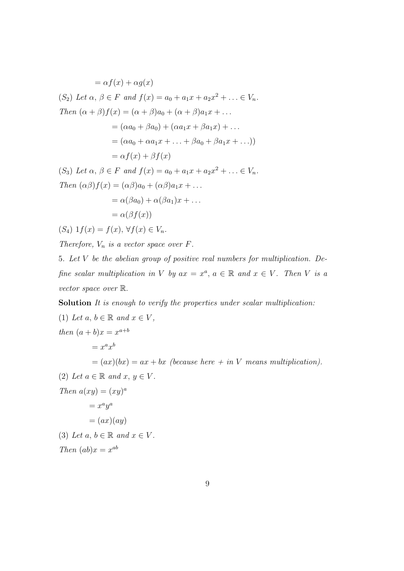$=\alpha f(x) + \alpha q(x)$ (S<sub>2</sub>) Let  $\alpha, \beta \in F$  and  $f(x) = a_0 + a_1x + a_2x^2 + ... \in V_n$ . Then  $(\alpha + \beta) f(x) = (\alpha + \beta) a_0 + (\alpha + \beta) a_1 x + \dots$  $= (\alpha a_0 + \beta a_0) + (\alpha a_1 x + \beta a_1 x) + \dots$  $= (\alpha a_0 + \alpha a_1 x + \ldots + \beta a_0 + \beta a_1 x + \ldots))$  $=\alpha f(x) + \beta f(x)$ (S<sub>3</sub>) Let  $\alpha, \beta \in F$  and  $f(x) = a_0 + a_1x + a_2x^2 + ... \in V_n$ . Then  $(\alpha\beta)f(x) = (\alpha\beta)a_0 + (\alpha\beta)a_1x + \dots$  $= \alpha(\beta a_0) + \alpha(\beta a_1)x + \ldots$  $= \alpha(\beta f(x))$ 

$$
(S_4) 1f(x) = f(x), \forall f(x) \in V_n.
$$

Therefore,  $V_n$  is a vector space over  $F$ .

5. Let V be the abelian group of positive real numbers for multiplication. Define scalar multiplication in V by  $ax = x^a$ ,  $a \in \mathbb{R}$  and  $x \in V$ . Then V is a vector space over R.

Solution It is enough to verify the properties under scalar multiplication:

\n- (1) Let 
$$
a, b \in \mathbb{R}
$$
 and  $x \in V$ , then  $(a + b)x = x^{a+b}$ \n $= x^ax^b$ \n $= (ax)(bx) = ax + bx$  (because here + in V means multiplication).
\n- (2) Let  $a \in \mathbb{R}$  and  $x, y \in V$ .
\n- Then  $a(xy) = (xy)^a$ \n $= x^ay^a$ \n $= (ax)(ay)$ \n
\n- (3) Let  $a, b \in \mathbb{R}$  and  $x \in V$ .
\n- Then  $(ab)x = x^{ab}$
\n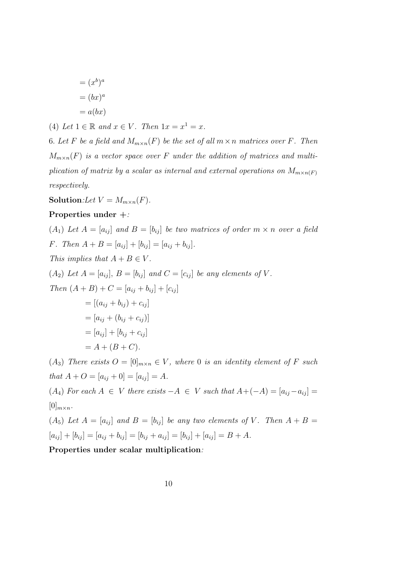$$
= (xb)a
$$

$$
= (bx)a
$$

$$
= a(bx)
$$

(4) Let  $1 \in \mathbb{R}$  and  $x \in V$ . Then  $1x = x^1 = x$ .

6. Let F be a field and  $M_{m \times n}(F)$  be the set of all  $m \times n$  matrices over F. Then  $M_{m \times n}(F)$  is a vector space over F under the addition of matrices and multiplication of matrix by a scalar as internal and external operations on  $M_{m \times n(F)}$ respectively.

Solution: Let  $V = M_{m \times n}(F)$ .

# Properties under +:

 $(A_1)$  Let  $A = [a_{ij}]$  and  $B = [b_{ij}]$  be two matrices of order  $m \times n$  over a field F. Then  $A + B = [a_{ij}] + [b_{ij}] = [a_{ij} + b_{ij}].$ This implies that  $A + B \in V$ .  $(A_2)$  Let  $A = [a_{ij}], B = [b_{ij}]$  and  $C = [c_{ij}]$  be any elements of V. Then  $(A + B) + C = [a_{ij} + b_{ij}] + [c_{ij}]$  $= [(a_{ij} + b_{ij}) + c_{ij}]$ 

$$
= [a_{ij} + (b_{ij} + c_{ij})]
$$
  
=  $[a_{ij}] + [b_{ij} + c_{ij}]$   
=  $A + (B + C)$ .

(A<sub>3</sub>) There exists  $O = [0]_{m \times n} \in V$ , where 0 is an identity element of F such that  $A + O = [a_{ij} + 0] = [a_{ij}] = A$ .

 $(A_4)$  For each  $A \in V$  there exists  $-A \in V$  such that  $A + (-A) = [a_{ij} - a_{ij}] =$  $[0]_{m \times n}$ .

 $(A_5)$  Let  $A = [a_{ij}]$  and  $B = [b_{ij}]$  be any two elements of V. Then  $A + B =$  $[a_{ij}] + [b_{ij}] = [a_{ij} + b_{ij}] = [b_{ij} + a_{ij}] = [b_{ij}] + [a_{ij}] = B + A.$ 

Properties under scalar multiplication: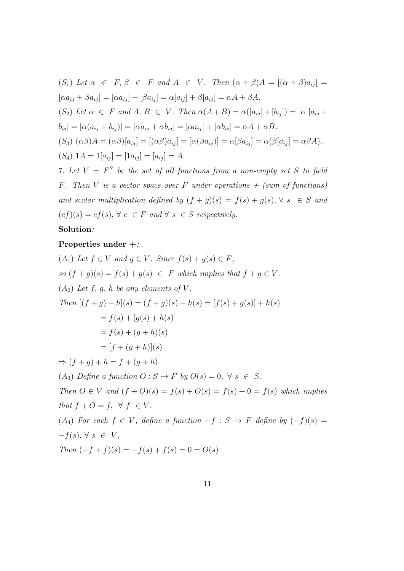\n- (S<sub>1</sub>) Let 
$$
\alpha \in F
$$
,  $\beta \in F$  and  $A \in V$ . Then  $(\alpha + \beta)A = [(\alpha + \beta)a_{ij}] = [\alpha a_{ij} + \beta a_{ij}] = [\alpha a_{ij}] + [\beta a_{ij}] = \alpha[a_{ij}] + \beta[a_{ij}] = \alpha A + \beta A$ .
\n- (S<sub>2</sub>) Let  $\alpha \in F$  and  $A, B \in V$ . Then  $\alpha(A + B) = \alpha([a_{ij}] + [b_{ij}]) = \alpha [a_{ij} + b_{ij}] = [\alpha(a_{ij} + b_{ij})] = [\alpha a_{ij} + \alpha b_{ij}] = [\alpha a_{ij}] + [\alpha b_{ij}] = \alpha A + \alpha B$ .
\n- (S<sub>3</sub>)  $(\alpha \beta)A = (\alpha \beta)[a_{ij}] = [(\alpha \beta)a_{ij}] = [\alpha(\beta a_{ij})] = \alpha[\beta a_{ij}] = \alpha(\beta[a_{ij}] = \alpha \beta A)$ .
\n- (S<sub>4</sub>)  $1A = 1[a_{ij}] = [1a_{ij}] = [a_{ij}] = A$ .
\n- 7. Let  $V = F^S$  be the set of all functions from a non-empty set  $S$  to field
\n

F. Then V is a vector space over F under operations  $+$  (sum of functions) and scalar multiplication defined by  $(f + g)(s) = f(s) + g(s), \forall s \in S$  and  $(cf)(s) = cf(s), \forall c \in F \text{ and } \forall s \in S \text{ respectively.}$ 

# Solution:

### Properties under +:

 $(A_1)$  Let  $f \in V$  and  $g \in V$ . Since  $f(s) + g(s) \in F$ , so  $(f+g)(s) = f(s) + g(s) \in F$  which implies that  $f + g \in V$ .  $(A_2)$  Let f, g, h be any elements of V. Then  $[(f+g)+h](s) = (f+g)(s) + h(s) = [f(s) + g(s)] + h(s)$  $= f(s) + [q(s) + h(s)]$  $= f(s) + (q+h)(s)$  $=[f+(q+h)](s)$  $\Rightarrow (f+g)+h=f+(g+h).$ (A<sub>3</sub>) Define a function  $O: S \to F$  by  $O(s) = 0, \forall s \in S$ . Then  $O \in V$  and  $(f + O)(s) = f(s) + O(s) = f(s) + 0 = f(s)$  which implies that  $f + O = f$ ,  $\forall f \in V$ . (A<sub>4</sub>) For each  $f \in V$ , define a function  $-f : S \rightarrow F$  define by  $(-f)(s) =$  $-f(s), \forall s \in V.$ Then  $(-f + f)(s) = -f(s) + f(s) = 0 = O(s)$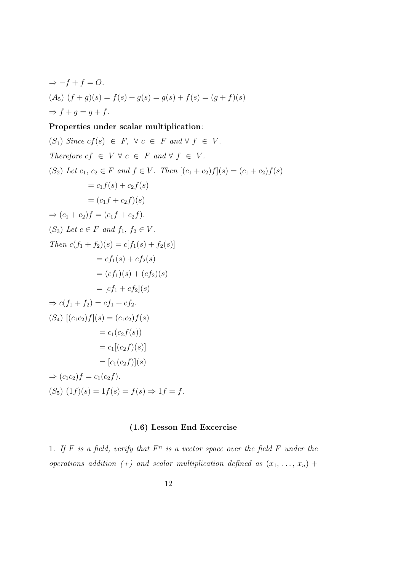⇒ 
$$
-f + f = O
$$
.  
\n(A<sub>5</sub>)  $(f + g)(s) = f(s) + g(s) = g(s) + f(s) = (g + f)(s)$   
\n⇒  $f + g = g + f$ .

# Properties under scalar multiplication:

$$
(S_1) \text{ Since } cf(s) \in F, \forall c \in F \text{ and } \forall f \in V.
$$
\n
$$
\text{Therefore } cf \in V \forall c \in F \text{ and } \forall f \in V.
$$
\n
$$
(S_2) \text{ Let } c_1, c_2 \in F \text{ and } f \in V. \text{ Then } [(c_1 + c_2)f](s) = (c_1 + c_2)f(s)
$$
\n
$$
= c_1f(s) + c_2f(s)
$$
\n
$$
= (c_1f + c_2f)(s)
$$
\n
$$
\Rightarrow (c_1 + c_2)f = (c_1f + c_2f).
$$
\n
$$
(S_3) \text{ Let } c \in F \text{ and } f_1, f_2 \in V.
$$
\n
$$
\text{Then } c(f_1 + f_2)(s) = c[f_1(s) + f_2(s)]
$$
\n
$$
= cf_1(s) + cf_2(s)
$$
\n
$$
= (cf_1)(s) + (cf_2)(s)
$$
\n
$$
= [cf_1 + cf_2].
$$
\n
$$
\Rightarrow c(f_1 + f_2) = cf_1 + cf_2.
$$
\n
$$
(S_4) [(c_1c_2)f](s) = (c_1c_2)f(s)
$$
\n
$$
= c_1(c_2f(s))
$$
\n
$$
= c_1(c_2f)(s)]
$$
\n
$$
= [c_1(c_2f)](s)
$$
\n
$$
\Rightarrow (c_1c_2)f = c_1(c_2f).
$$
\n
$$
(S_5) (1f)(s) = 1f(s) = f(s) \Rightarrow 1f = f.
$$

# (1.6) Lesson End Excercise

1. If F is a field, verify that  $F^n$  is a vector space over the field F under the operations addition (+) and scalar multiplication defined as  $(x_1, \ldots, x_n)$  +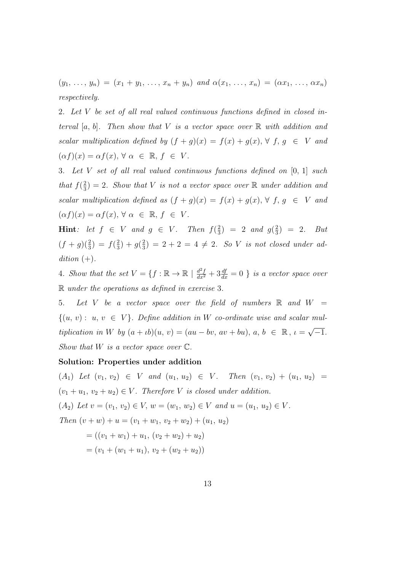$(y_1, \ldots, y_n) = (x_1 + y_1, \ldots, x_n + y_n)$  and  $\alpha(x_1, \ldots, x_n) = (\alpha x_1, \ldots, \alpha x_n)$ respectively.

2. Let V be set of all real valued continuous functions defined in closed interval  $[a, b]$ . Then show that V is a vector space over  $\mathbb R$  with addition and scalar multiplication defined by  $(f + g)(x) = f(x) + g(x), \forall f, g \in V$  and  $(\alpha f)(x) = \alpha f(x), \forall \alpha \in \mathbb{R}, f \in V.$ 

3. Let V set of all real valued continuous functions defined on [0, 1] such that  $f(\frac{2}{3})$  $\left(\frac{2}{3}\right) = 2$ . Show that V is not a vector space over R under addition and scalar multiplication defined as  $(f + g)(x) = f(x) + g(x), \forall f, g \in V$  and  $(\alpha f)(x) = \alpha f(x), \forall \alpha \in \mathbb{R}, f \in V.$ 

Hint: let  $f \in V$  and  $g \in V$ . Then  $f(\frac{2}{3})$  $\frac{2}{3}$ ) = 2 and  $g(\frac{2}{3})$  $(\frac{2}{3}) = 2.$  But  $(f+g)(\frac{2}{3}) = f(\frac{2}{3})$  $\frac{2}{3}$ ) +  $g(\frac{2}{3})$  $\frac{2}{3}$ ) = 2 + 2 = 4  $\neq$  2. So V is not closed under addition  $(+)$ .

4. Show that the set  $V = \{f : \mathbb{R} \to \mathbb{R} \mid \frac{d^2f}{dx^2} + 3\frac{df}{dx} = 0 \}$  is a vector space over R under the operations as defined in exercise 3.

5. Let V be a vector space over the field of numbers  $\mathbb R$  and  $W =$  $\{(u, v): u, v \in V\}$ . Define addition in W co-ordinate wise and scalar multiplication in W by  $(a + ib)(u, v) = (au - bv, av + bu), a, b \in \mathbb{R}, \iota = \sqrt{\frac{u}{u}}$  $\overline{-1}$ . Show that  $W$  is a vector space over  $\mathbb{C}$ .

### Solution: Properties under addition

 $(A_1)$  Let  $(v_1, v_2) \in V$  and  $(u_1, u_2) \in V$ . Then  $(v_1, v_2) + (u_1, u_2) =$  $(v_1 + u_1, v_2 + u_2) \in V$ . Therefore V is closed under addition.  $(A_2)$  Let  $v = (v_1, v_2) \in V$ ,  $w = (w_1, w_2) \in V$  and  $u = (u_1, u_2) \in V$ . Then  $(v + w) + u = (v_1 + w_1, v_2 + w_2) + (u_1, u_2)$  $= ((v_1 + w_1) + u_1, (v_2 + w_2) + u_2)$  $=(v_1 + (w_1 + u_1), v_2 + (w_2 + u_2))$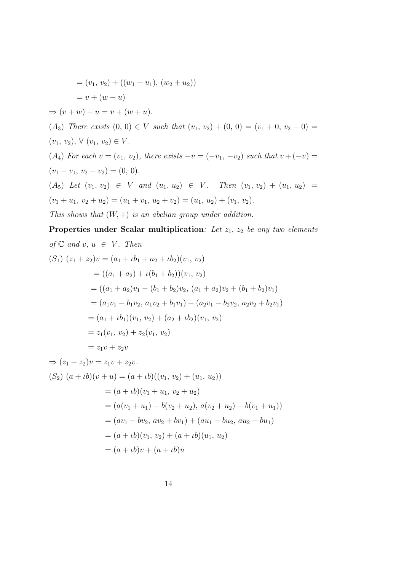$$
= (v_1, v_2) + ((w_1 + u_1), (w_2 + u_2))
$$
  
\n
$$
= v + (w + u)
$$
  
\n
$$
\Rightarrow (v + w) + u = v + (w + u).
$$
  
\n(A<sub>3</sub>) There exists (0, 0)  $\in V$  such that  $(v_1, v_2) + (0, 0) = (v_1 + 0, v_2 + 0) =$   
\n $(v_1, v_2), \forall (v_1, v_2) \in V.$   
\n(A<sub>4</sub>) For each  $v = (v_1, v_2)$ , there exists  $-v = (-v_1, -v_2)$  such that  $v + (-v) =$   
\n $(v_1 - v_1, v_2 - v_2) = (0, 0).$   
\n(A<sub>5</sub>) Let  $(v_1, v_2) \in V$  and  $(u_1, u_2) \in V$ . Then  $(v_1, v_2) + (u_1, u_2) =$   
\n $(v_1 + u_1, v_2 + u_2) = (u_1 + v_1, u_2 + v_2) = (u_1, u_2) + (v_1, v_2).$   
\nThis shows that  $(W, +)$  is an abelian group under addition.

Properties under Scalar multiplication: Let  $z_1$ ,  $z_2$  be any two elements of  $\mathbb C$  and  $v, u \in V$ . Then  $(S_1) (z_1 + z_2)v = (a_1 + \iota b_1 + a_2 + \iota b_2)(v_1, v_2)$  $= ((a_1 + a_2) + \iota(b_1 + b_2))(v_1, v_2)$  $= ((a_1 + a_2)v_1 - (b_1 + b_2)v_2, (a_1 + a_2)v_2 + (b_1 + b_2)v_1)$  $=(a_1v_1 - b_1v_2, a_1v_2 + b_1v_1) + (a_2v_1 - b_2v_2, a_2v_2 + b_2v_1)$  $=(a_1 + ib_1)(v_1, v_2) + (a_2 + ib_2)(v_1, v_2)$  $= z_1(v_1, v_2) + z_2(v_1, v_2)$  $= z_1v + z_2v$  $\Rightarrow (z_1 + z_2)v = z_1v + z_2v.$  $(S_2)$   $(a + \iota b)(v + u) = (a + \iota b)((v_1, v_2) + (u_1, u_2))$ 

$$
= (a + ib)(v_1 + u_1, v_2 + u_2)
$$
  
=  $(a(v_1 + u_1) - b(v_2 + u_2), a(v_2 + u_2) + b(v_1 + u_1))$   
=  $(av_1 - bv_2, av_2 + bv_1) + (au_1 - bu_2, au_2 + bu_1)$   
=  $(a + ib)(v_1, v_2) + (a + ib)(u_1, u_2)$   
=  $(a + ib)v + (a + ib)u$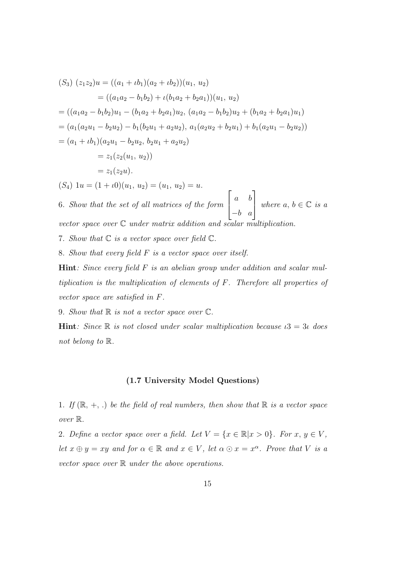$$
(S_3) (z_1 z_2)u = ((a_1 + ib_1)(a_2 + ib_2))(u_1, u_2)
$$
  
\n
$$
= ((a_1 a_2 - b_1 b_2) + \iota(b_1 a_2 + b_2 a_1))(u_1, u_2)
$$
  
\n
$$
= ((a_1 a_2 - b_1 b_2)u_1 - (b_1 a_2 + b_2 a_1)u_2, (a_1 a_2 - b_1 b_2)u_2 + (b_1 a_2 + b_2 a_1)u_1)
$$
  
\n
$$
= (a_1(a_2 u_1 - b_2 u_2) - b_1(b_2 u_1 + a_2 u_2), a_1(a_2 u_2 + b_2 u_1) + b_1(a_2 u_1 - b_2 u_2))
$$
  
\n
$$
= (a_1 + \iota b_1)(a_2 u_1 - b_2 u_2, b_2 u_1 + a_2 u_2)
$$
  
\n
$$
= z_1(z_2(u_1, u_2))
$$
  
\n
$$
= z_1(z_2 u).
$$
  
\n
$$
(S_4) 1u = (1 + \iota 0)(u_1, u_2) = (u_1, u_2) = u.
$$

6. Show that the set of all matrices of the form a b  $\begin{bmatrix} a & b \\ -b & a \end{bmatrix}$  where  $a, b \in \mathbb{C}$  is a vector space over  $\mathbb C$  under matrix addition and scalar multiplication.

7. Show that  $\mathbb C$  is a vector space over field  $\mathbb C$ .

8. Show that every field F is a vector space over itself.

**Hint**: Since every field  $F$  is an abelian group under addition and scalar multiplication is the multiplication of elements of F. Therefore all properties of vector space are satisfied in F.

9. Show that  $\mathbb R$  is not a vector space over  $\mathbb C$ .

**Hint**: Since  $\mathbb R$  is not closed under scalar multiplication because  $\iota$ 3 = 3*i* does not belong to R.

### (1.7 University Model Questions)

1. If  $(\mathbb{R}, +, \cdot)$  be the field of real numbers, then show that  $\mathbb{R}$  is a vector space over R.

2. Define a vector space over a field. Let  $V = \{x \in \mathbb{R} | x > 0\}$ . For  $x, y \in V$ , let  $x \oplus y = xy$  and for  $\alpha \in \mathbb{R}$  and  $x \in V$ , let  $\alpha \odot x = x^{\alpha}$ . Prove that V is a vector space over  $\mathbb R$  under the above operations.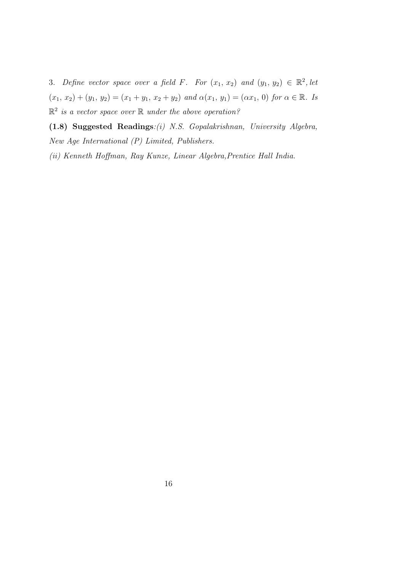3. Define vector space over a field F. For  $(x_1, x_2)$  and  $(y_1, y_2) \in \mathbb{R}^2$ , let  $(x_1, x_2) + (y_1, y_2) = (x_1 + y_1, x_2 + y_2)$  and  $\alpha(x_1, y_1) = (\alpha x_1, 0)$  for  $\alpha \in \mathbb{R}$ . Is  $\mathbb{R}^2$  is a vector space over  $\mathbb R$  under the above operation?

(1.8) Suggested Readings:(i) N.S. Gopalakrishnan, University Algebra, New Age International (P) Limited, Publishers.

(ii) Kenneth Hoffman, Ray Kunze, Linear Algebra,Prentice Hall India.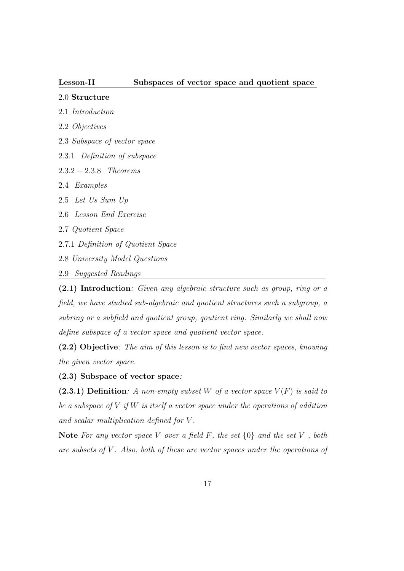# 2.0 Structure

- 2.1 Introduction
- 2.2 Objectives
- 2.3 Subspace of vector space
- 2.3.1 Definition of subspace
- 2.3.2 − 2.3.8 Theorems
- 2.4 Examples
- 2.5 Let Us Sum Up
- 2.6 Lesson End Exercise
- 2.7 Quotient Space
- 2.7.1 Definition of Quotient Space
- 2.8 University Model Questions
- 2.9 Suggested Readings

(2.1) Introduction: Given any algebraic structure such as group, ring or a field, we have studied sub-algebraic and quotient structures such a subgroup, a subring or a subfield and quotient group, qoutient ring. Similarly we shall now define subspace of a vector space and quotient vector space.

(2.2) Objective: The aim of this lesson is to find new vector spaces, knowing the given vector space.

(2.3) Subspace of vector space:

(2.3.1) Definition: A non-empty subset W of a vector space  $V(F)$  is said to be a subspace of  $V$  if  $W$  is itself a vector space under the operations of addition and scalar multiplication defined for V .

Note For any vector space V over a field F, the set  $\{0\}$  and the set V, both are subsets of  $V$ . Also, both of these are vector spaces under the operations of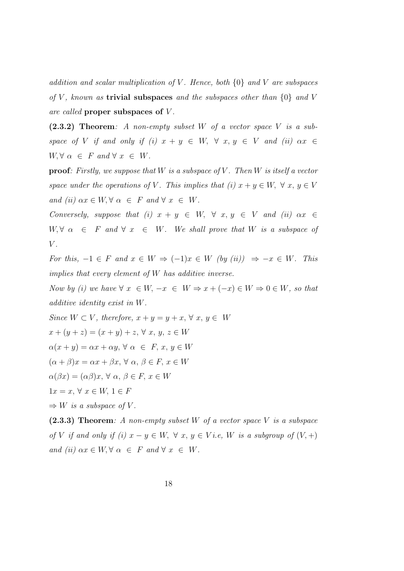addition and scalar multiplication of V. Hence, both  $\{0\}$  and V are subspaces of V, known as **trivial subspaces** and the subspaces other than  $\{0\}$  and V are called proper subspaces of V .

 $(2.3.2)$  Theorem: A non-empty subset W of a vector space V is a subspace of V if and only if (i)  $x + y \in W$ ,  $\forall x, y \in V$  and (ii)  $\alpha x \in$  $W, \forall \alpha \in F \text{ and } \forall x \in W.$ 

**proof:** Firstly, we suppose that W is a subspace of V. Then W is itself a vector space under the operations of V. This implies that (i)  $x + y \in W$ ,  $\forall x, y \in V$ and (ii)  $\alpha x \in W$ ,  $\forall \alpha \in F$  and  $\forall x \in W$ .

Conversely, suppose that (i)  $x + y \in W$ ,  $\forall x, y \in V$  and (ii)  $\alpha x \in$  $W, \forall \alpha \in F \text{ and } \forall x \in W$ . We shall prove that W is a subspace of  $V$ .

For this,  $-1 \in F$  and  $x \in W \Rightarrow (-1)x \in W$  (by (ii))  $\Rightarrow -x \in W$ . This implies that every element of W has additive inverse.

Now by (i) we have  $\forall x \in W, -x \in W \Rightarrow x + (-x) \in W \Rightarrow 0 \in W$ , so that additive identity exist in W.

Since  $W \subset V$ , therefore,  $x + y = y + x$ ,  $\forall x, y \in W$  $x + (y + z) = (x + y) + z, \forall x, y, z \in W$  $\alpha(x + y) = \alpha x + \alpha y, \forall \alpha \in F, x, y \in W$  $(\alpha + \beta)x = \alpha x + \beta x, \forall \alpha, \beta \in F, x \in W$  $\alpha(\beta x) = (\alpha \beta)x, \forall \alpha, \beta \in F, x \in W$  $1x = x, \forall x \in W, 1 \in F$  $\Rightarrow$  W is a subspace of V.  $(2.3.3)$  Theorem: A non-empty subset W of a vector space V is a subspace

of V if and only if (i)  $x - y \in W$ ,  $\forall x, y \in V$  i.e, W is a subgroup of  $(V,+)$ and (ii)  $\alpha x \in W$ ,  $\forall \alpha \in F$  and  $\forall x \in W$ .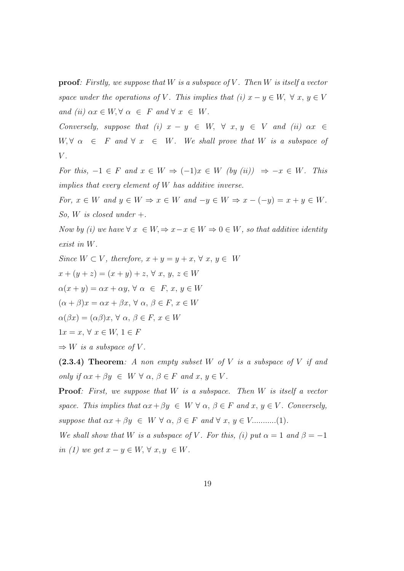**proof:** Firstly, we suppose that W is a subspace of V. Then W is itself a vector space under the operations of V. This implies that (i)  $x - y \in W$ ,  $\forall x, y \in V$ and (ii)  $\alpha x \in W$ ,  $\forall \alpha \in F$  and  $\forall x \in W$ .

Conversely, suppose that (i)  $x - y \in W$ ,  $\forall x, y \in V$  and (ii)  $\alpha x \in$  $W, \forall \alpha \in F \text{ and } \forall x \in W$ . We shall prove that W is a subspace of  $V$ .

For this,  $-1 \in F$  and  $x \in W \Rightarrow (-1)x \in W$  (by (ii))  $\Rightarrow -x \in W$ . This implies that every element of W has additive inverse.

For,  $x \in W$  and  $y \in W \Rightarrow x \in W$  and  $-y \in W \Rightarrow x - (-y) = x + y \in W$ . So, W is closed under  $+$ .

Now by (i) we have  $\forall x \in W, \Rightarrow x-x \in W \Rightarrow 0 \in W$ , so that additive identity exist in W.

Since 
$$
W \subset V
$$
, therefore,  $x + y = y + x$ ,  $\forall x, y \in W$   
\n $x + (y + z) = (x + y) + z$ ,  $\forall x, y, z \in W$   
\n $\alpha(x + y) = \alpha x + \alpha y$ ,  $\forall \alpha \in F$ ,  $x, y \in W$   
\n $( \alpha + \beta) x = \alpha x + \beta x$ ,  $\forall \alpha, \beta \in F$ ,  $x \in W$   
\n $\alpha(\beta x) = (\alpha \beta)x$ ,  $\forall \alpha, \beta \in F$ ,  $x \in W$   
\n $1x = x$ ,  $\forall x \in W$ ,  $1 \in F$   
\n $\Rightarrow W$  is a subspace of  $V$ .

 $(2.3.4)$  Theorem: A non empty subset W of V is a subspace of V if and only if  $\alpha x + \beta y \in W \ \forall \alpha, \beta \in F$  and  $x, y \in V$ .

**Proof:** First, we suppose that  $W$  is a subspace. Then  $W$  is itself a vector space. This implies that  $\alpha x + \beta y \in W \ \forall \alpha, \beta \in F$  and  $x, y \in V$ . Conversely, suppose that  $\alpha x + \beta y \in W \ \forall \alpha, \beta \in F \ and \ \forall \ x, y \in V$ ...........(1).

We shall show that W is a subspace of V. For this, (i) put  $\alpha = 1$  and  $\beta = -1$ in (1) we get  $x - y \in W$ ,  $\forall x, y \in W$ .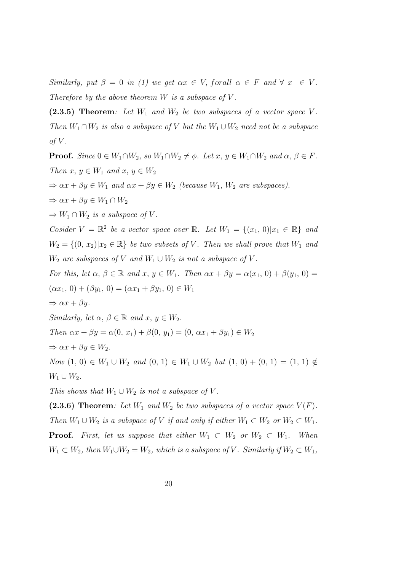Similarly, put  $\beta = 0$  in (1) we get  $\alpha x \in V$ , forall  $\alpha \in F$  and  $\forall x \in V$ . Therefore by the above theorem  $W$  is a subspace of  $V$ .

 $(2.3.5)$  Theorem: Let  $W_1$  and  $W_2$  be two subspaces of a vector space V. Then  $W_1 \cap W_2$  is also a subspace of V but the  $W_1 \cup W_2$  need not be a subspace of  $V$ .

**Proof.** Since  $0 \in W_1 \cap W_2$ , so  $W_1 \cap W_2 \neq \emptyset$ . Let  $x, y \in W_1 \cap W_2$  and  $\alpha, \beta \in F$ . Then  $x, y \in W_1$  and  $x, y \in W_2$  $\Rightarrow \alpha x + \beta y \in W_1$  and  $\alpha x + \beta y \in W_2$  (because  $W_1, W_2$  are subspaces).  $\Rightarrow \alpha x + \beta y \in W_1 \cap W_2$  $\Rightarrow$   $W_1 \cap W_2$  is a subspace of V. Cosider  $V = \mathbb{R}^2$  be a vector space over  $\mathbb{R}$ . Let  $W_1 = \{(x_1, 0)|x_1 \in \mathbb{R}\}$  and  $W_2 = \{(0, x_2)|x_2 \in \mathbb{R}\}\$ be two subsets of V. Then we shall prove that  $W_1$  and  $W_2$  are subspaces of V and  $W_1 \cup W_2$  is not a subspace of V. For this, let  $\alpha, \beta \in \mathbb{R}$  and  $x, y \in W_1$ . Then  $\alpha x + \beta y = \alpha(x_1, 0) + \beta(y_1, 0) =$  $(\alpha x_1, 0) + (\beta y_1, 0) = (\alpha x_1 + \beta y_1, 0) \in W_1$  $\Rightarrow \alpha x + \beta y.$ Similarly, let  $\alpha, \beta \in \mathbb{R}$  and  $x, y \in W_2$ . Then  $\alpha x + \beta y = \alpha(0, x_1) + \beta(0, y_1) = (0, \alpha x_1 + \beta y_1) \in W_2$  $\Rightarrow \alpha x + \beta y \in W_2.$ Now  $(1, 0)$  ∈  $W_1 \cup W_2$  and  $(0, 1)$  ∈  $W_1 \cup W_2$  but  $(1, 0) + (0, 1) = (1, 1) \notin$  $W_1 \cup W_2$ . This shows that  $W_1 \cup W_2$  is not a subspace of V.

(2.3.6) Theorem: Let  $W_1$  and  $W_2$  be two subspaces of a vector space  $V(F)$ . Then  $W_1 \cup W_2$  is a subspace of V if and only if either  $W_1 \subset W_2$  or  $W_2 \subset W_1$ . **Proof.** First, let us suppose that either  $W_1 \subset W_2$  or  $W_2 \subset W_1$ . When  $W_1 \subset W_2$ , then  $W_1 \cup W_2 = W_2$ , which is a subspace of V. Similarly if  $W_2 \subset W_1$ ,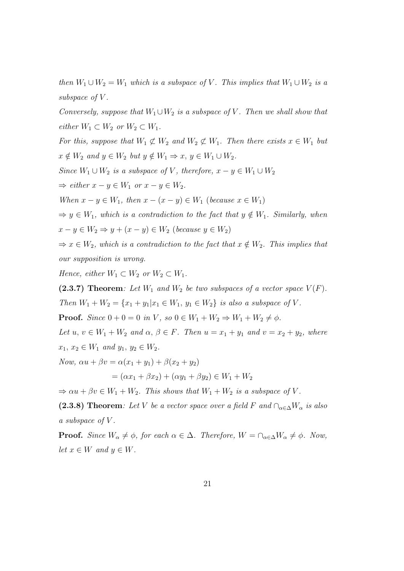then  $W_1 \cup W_2 = W_1$  which is a subspace of V. This implies that  $W_1 \cup W_2$  is a subspace of  $V$ .

Conversely, suppose that  $W_1 \cup W_2$  is a subspace of V. Then we shall show that either  $W_1 \subset W_2$  or  $W_2 \subset W_1$ .

For this, suppose that  $W_1 \not\subset W_2$  and  $W_2 \not\subset W_1$ . Then there exists  $x \in W_1$  but  $x \notin W_2$  and  $y \in W_2$  but  $y \notin W_1 \Rightarrow x, y \in W_1 \cup W_2$ .

Since  $W_1 \cup W_2$  is a subspace of V, therefore,  $x - y \in W_1 \cup W_2$ 

 $\Rightarrow$  either  $x - y \in W_1$  or  $x - y \in W_2$ .

When  $x - y \in W_1$ , then  $x - (x - y) \in W_1$  (because  $x \in W_1$ )

 $\Rightarrow y \in W_1$ , which is a contradiction to the fact that  $y \notin W_1$ . Similarly, when  $x - y \in W_2 \Rightarrow y + (x - y) \in W_2$  (because  $y \in W_2$ )

 $\Rightarrow x \in W_2$ , which is a contradiction to the fact that  $x \notin W_2$ . This implies that our supposition is wrong.

Hence, either  $W_1 \subset W_2$  or  $W_2 \subset W_1$ .

(2.3.7) Theorem: Let  $W_1$  and  $W_2$  be two subspaces of a vector space  $V(F)$ .

Then  $W_1 + W_2 = \{x_1 + y_1 | x_1 \in W_1, y_1 \in W_2\}$  is also a subspace of V.

**Proof.** Since  $0 + 0 = 0$  in V, so  $0 \in W_1 + W_2 \Rightarrow W_1 + W_2 \neq \emptyset$ .

Let  $u, v \in W_1 + W_2$  and  $\alpha, \beta \in F$ . Then  $u = x_1 + y_1$  and  $v = x_2 + y_2$ , where  $x_1, x_2 \in W_1$  and  $y_1, y_2 \in W_2$ .

Now,  $\alpha u + \beta v = \alpha(x_1 + y_1) + \beta(x_2 + y_2)$ 

$$
= (\alpha x_1 + \beta x_2) + (\alpha y_1 + \beta y_2) \in W_1 + W_2
$$

 $\Rightarrow \alpha u + \beta v \in W_1 + W_2$ . This shows that  $W_1 + W_2$  is a subspace of V.

(2.3.8) Theorem: Let V be a vector space over a field F and  $\bigcap_{\alpha \in \Delta} W_{\alpha}$  is also a subspace of V .

**Proof.** Since  $W_{\alpha} \neq \phi$ , for each  $\alpha \in \Delta$ . Therefore,  $W = \bigcap_{\alpha \in \Delta} W_{\alpha} \neq \phi$ . Now, let  $x \in W$  and  $y \in W$ .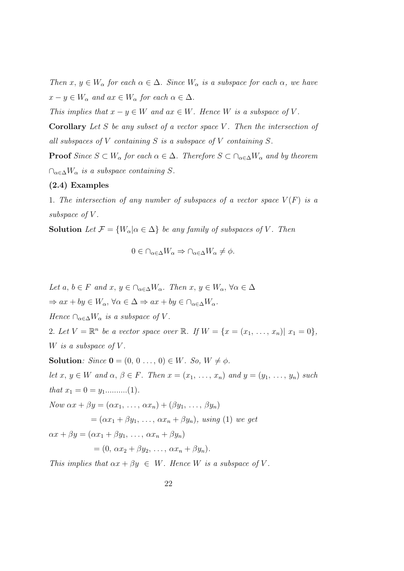Then  $x, y \in W_{\alpha}$  for each  $\alpha \in \Delta$ . Since  $W_{\alpha}$  is a subspace for each  $\alpha$ , we have  $x - y \in W_{\alpha}$  and  $ax \in W_{\alpha}$  for each  $\alpha \in \Delta$ .

This implies that  $x - y \in W$  and  $ax \in W$ . Hence W is a subspace of V.

**Corollary** Let S be any subset of a vector space V. Then the intersection of all subspaces of  $V$  containing  $S$  is a subspace of  $V$  containing  $S$ .

**Proof** Since  $S \subset W_\alpha$  for each  $\alpha \in \Delta$ . Therefore  $S \subset \bigcap_{\alpha \in \Delta} W_\alpha$  and by theorem  $\cap_{\alpha \in \Delta} W_{\alpha}$  is a subspace containing S.

# (2.4) Examples

1. The intersection of any number of subspaces of a vector space  $V(F)$  is a subspace of V.

**Solution** Let  $\mathcal{F} = \{W_{\alpha} | \alpha \in \Delta\}$  be any family of subspaces of V. Then

$$
0 \in \cap_{\alpha \in \Delta} W_{\alpha} \Rightarrow \cap_{\alpha \in \Delta} W_{\alpha} \neq \phi.
$$

Let  $a, b \in F$  and  $x, y \in \bigcap_{\alpha \in \Delta} W_{\alpha}$ . Then  $x, y \in W_{\alpha}$ ,  $\forall \alpha \in \Delta$  $\Rightarrow ax + by \in W_{\alpha}, \forall \alpha \in \Delta \Rightarrow ax + by \in \cap_{\alpha \in \Delta} W_{\alpha}.$ Hence  $\bigcap_{\alpha \in \Delta} W_{\alpha}$  is a subspace of V. 2. Let  $V = \mathbb{R}^n$  be a vector space over  $\mathbb{R}$ . If  $W = \{x = (x_1, ..., x_n) | x_1 = 0\},\$ W is a subspace of  $V$ . **Solution**:  $Since \mathbf{0} = (0, 0 \dots, 0) \in W$ . So,  $W \neq \emptyset$ . let  $x, y \in W$  and  $\alpha, \beta \in F$ . Then  $x = (x_1, \ldots, x_n)$  and  $y = (y_1, \ldots, y_n)$  such that x<sup>1</sup> = 0 = y1..........(1). Now  $\alpha x + \beta y = (\alpha x_1, \ldots, \alpha x_n) + (\beta y_1, \ldots, \beta y_n)$  $=(\alpha x_1 + \beta y_1, \ldots, \alpha x_n + \beta y_n),$  using (1) we get  $\alpha x + \beta y = (\alpha x_1 + \beta y_1, \ldots, \alpha x_n + \beta y_n)$  $=(0, \alpha x_2 + \beta y_2, \ldots, \alpha x_n + \beta y_n).$ This implies that  $\alpha x + \beta y \in W$ . Hence W is a subspace of V.

22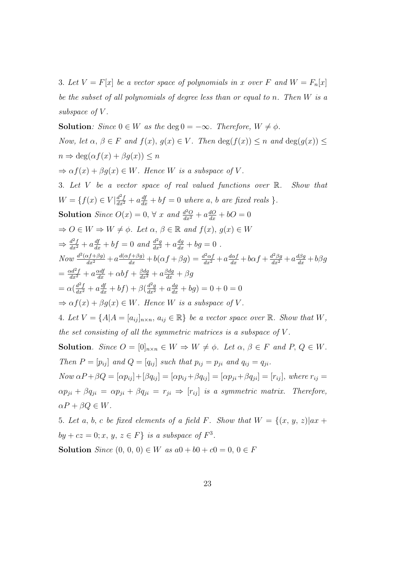3. Let  $V = F[x]$  be a vector space of polynomials in x over F and  $W = F_n[x]$ be the subset of all polynomials of degree less than or equal to n. Then W is a subspace of  $V$ .

**Solution**: Since  $0 \in W$  as the deg  $0 = -\infty$ . Therefore,  $W \neq \emptyset$ . Now, let  $\alpha, \beta \in F$  and  $f(x), g(x) \in V$ . Then  $\deg(f(x)) \leq n$  and  $\deg(g(x)) \leq$  $n \Rightarrow \deg(\alpha f(x) + \beta g(x)) \leq n$  $\Rightarrow \alpha f(x) + \beta g(x) \in W$ . Hence W is a subspace of V. 3. Let V be a vector space of real valued functions over  $\mathbb{R}$ . Show that  $W = \{f(x) \in V | \frac{d^2f}{dx^2} + a\frac{df}{dx} + bf = 0 \text{ where } a, b \text{ are fixed reals } \}.$ **Solution** Since  $O(x) = 0$ ,  $\forall x$  and  $\frac{d^2O}{dx^2} + a\frac{dO}{dx} + bO = 0$  $\Rightarrow$   $O \in W \Rightarrow W \neq \emptyset$ . Let  $\alpha, \beta \in \mathbb{R}$  and  $f(x), g(x) \in W$  $\Rightarrow \frac{d^2f}{dx^2} + a\frac{df}{dx} + bf = 0$  and  $\frac{d^2g}{dx^2} + a\frac{dg}{dx} + bg = 0$ . Now  $\frac{d^2(\alpha f+\beta g)}{dx^2}+a\frac{d(\alpha f+\beta g)}{dx}+b(\alpha f+\beta g)=\frac{d^2\alpha f}{dx^2}+a\frac{d\alpha f}{dx}+b\alpha f+\frac{d^2\beta g}{dx^2}+a\frac{d\beta g}{dx}+b\beta g$  $=\frac{\alpha d^2 f}{dx^2} + a\frac{\alpha df}{dx} + \alpha bf + \frac{\beta dg}{dx^2} + a\frac{\beta dg}{dx} + \beta g$  $= \alpha(\frac{d^2f}{dx^2} + a\frac{df}{dx} + bf) + \beta(\frac{d^2g}{dx^2} + a\frac{dg}{dx} + bg) = 0 + 0 = 0$  $\Rightarrow \alpha f(x) + \beta g(x) \in W$ . Hence W is a subspace of V. 4. Let  $V = \{A | A = [a_{ij}]_{n \times n}, a_{ij} \in \mathbb{R}\}$  be a vector space over  $\mathbb{R}$ . Show that  $W$ , the set consisting of all the symmetric matrices is a subspace of  $V$ . **Solution.** Since  $O = [0]_{n \times n} \in W \Rightarrow W \neq \emptyset$ . Let  $\alpha, \beta \in F$  and  $P, Q \in W$ . Then  $P = [p_{ij}]$  and  $Q = [q_{ij}]$  such that  $p_{ij} = p_{ji}$  and  $q_{ij} = q_{ji}$ .  $Now \alpha P + \beta Q = [\alpha p_{ij}] + [\beta q_{ij}] = [\alpha p_{ij} + \beta q_{ij}] = [\alpha p_{ji} + \beta q_{ji}] = [r_{ij}]$ , where  $r_{ij} =$  $\alpha p_{ji} + \beta q_{ji} = \alpha p_{ji} + \beta q_{ji} = r_{ji} \Rightarrow [r_{ij}]$  is a symmetric matrix. Therefore,  $\alpha P + \beta Q \in W$ . 5. Let a, b, c be fixed elements of a field F. Show that  $W = \{(x, y, z)|ax +$ 

by + cz = 0; x, y, z  $\in$  F} is a subspace of  $F^3$ .

Solution Since  $(0, 0, 0) \in W$  as  $a0 + b0 + c0 = 0, 0 \in F$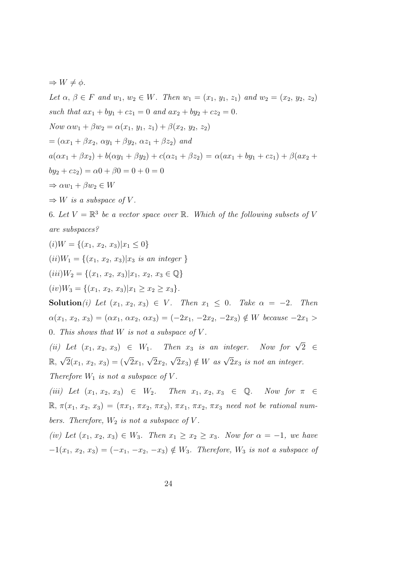$\Rightarrow$   $W \neq \phi$ . Let  $\alpha, \beta \in F$  and  $w_1, w_2 \in W$ . Then  $w_1 = (x_1, y_1, z_1)$  and  $w_2 = (x_2, y_2, z_2)$ such that  $ax_1 + by_1 + cz_1 = 0$  and  $ax_2 + by_2 + cz_2 = 0$ . Now  $\alpha w_1 + \beta w_2 = \alpha(x_1, y_1, z_1) + \beta(x_2, y_2, z_2)$  $=(\alpha x_1 + \beta x_2, \, \alpha y_1 + \beta y_2, \, \alpha z_1 + \beta z_2)$  and  $a(\alpha x_1 + \beta x_2) + b(\alpha y_1 + \beta y_2) + c(\alpha z_1 + \beta z_2) = \alpha(ax_1 + by_1 + cz_1) + \beta(ax_2 +$  $by_2 + cz_2 = \alpha 0 + \beta 0 = 0 + 0 = 0$  $\Rightarrow \alpha w_1 + \beta w_2 \in W$  $\Rightarrow$  W is a subspace of V. 6. Let  $V = \mathbb{R}^3$  be a vector space over  $\mathbb{R}$ . Which of the following subsets of V are subspaces?  $(i)W = \{(x_1, x_2, x_3)|x_1 \leq 0\}$  $(ii)W_1 = \{(x_1, x_2, x_3)|x_3 \text{ is an integer }\}$  $(iii)W_2 = \{(x_1, x_2, x_3)|x_1, x_2, x_3 \in \mathbb{Q}\}\$  $(iv)W_3 = \{(x_1, x_2, x_3)|x_1 \ge x_2 \ge x_3\}.$ Solution(i) Let  $(x_1, x_2, x_3) \in V$ . Then  $x_1 \leq 0$ . Take  $\alpha = -2$ . Then  $\alpha(x_1, x_2, x_3) = (\alpha x_1, \alpha x_2, \alpha x_3) = (-2x_1, -2x_2, -2x_3) \notin W$  because  $-2x_1 >$ 0. This shows that  $W$  is not a subspace of  $V$ . (ii) Let  $(x_1, x_2, x_3) \in W_1$ . Then  $x_3$  is an integer. Now for  $\sqrt{2} \in$  $\mathbb{R}, \sqrt{2}(x_1, x_2, x_3) = (\sqrt{2}x_1,$ √  $2x_2$  $\sqrt{2}x_3$ )  $\notin W$  as  $\sqrt{2}x_3$  is not an integer. Therefore  $W_1$  is not a subspace of V. (iii) Let  $(x_1, x_2, x_3) \in W_2$ . Then  $x_1, x_2, x_3 \in \mathbb{Q}$ . Now for  $\pi \in$  $\mathbb{R}, \pi(x_1, x_2, x_3) = (\pi x_1, \pi x_2, \pi x_3), \pi x_1, \pi x_2, \pi x_3$  need not be rational numbers. Therefore,  $W_2$  is not a subspace of V. (iv) Let  $(x_1, x_2, x_3) \in W_3$ . Then  $x_1 \ge x_2 \ge x_3$ . Now for  $\alpha = -1$ , we have  $-1(x_1, x_2, x_3) = (-x_1, -x_2, -x_3) \notin W_3$ . Therefore,  $W_3$  is not a subspace of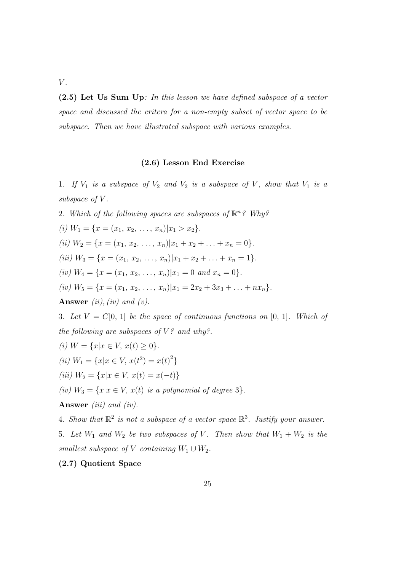$V$ .

(2.5) Let Us Sum Up: In this lesson we have defined subspace of a vector space and discussed the critera for a non-empty subset of vector space to be subspace. Then we have illustrated subspace with various examples.

# (2.6) Lesson End Exercise

1. If  $V_1$  is a subspace of  $V_2$  and  $V_2$  is a subspace of V, show that  $V_1$  is a subspace of V.

2. Which of the following spaces are subspaces of  $\mathbb{R}^n$ ? Why?

(i)  $W_1 = \{x = (x_1, x_2, \ldots, x_n)|x_1 > x_2\}.$ (ii)  $W_2 = \{x = (x_1, x_2, \ldots, x_n)|x_1 + x_2 + \ldots + x_n = 0\}.$ (iii)  $W_3 = \{x = (x_1, x_2, \ldots, x_n)|x_1 + x_2 + \ldots + x_n = 1\}.$ (iv)  $W_4 = \{x = (x_1, x_2, \ldots, x_n)|x_1 = 0 \text{ and } x_n = 0\}.$ (iv)  $W_5 = \{x = (x_1, x_2, \ldots, x_n)|x_1 = 2x_2 + 3x_3 + \ldots + nx_n\}.$ 

Answer (ii), (iv) and (v).

3. Let  $V = C[0, 1]$  be the space of continuous functions on  $[0, 1]$ . Which of the following are subspaces of  $V$ ? and why?.

(*i*) 
$$
W = \{x | x \in V, x(t) \ge 0\}.
$$

(*ii*) 
$$
W_1 = \{x | x \in V, x(t^2) = x(t)^2\}
$$

(iii)  $W_2 = \{x | x \in V, x(t) = x(-t)\}\$ 

(iv)  $W_3 = \{x | x \in V, x(t) \text{ is a polynomial of degree 3} \}.$ 

Answer *(iii)* and *(iv)*.

4. Show that  $\mathbb{R}^2$  is not a subspace of a vector space  $\mathbb{R}^3$ . Justify your answer. 5. Let  $W_1$  and  $W_2$  be two subspaces of V. Then show that  $W_1 + W_2$  is the smallest subspace of V containing  $W_1 \cup W_2$ .

# (2.7) Quotient Space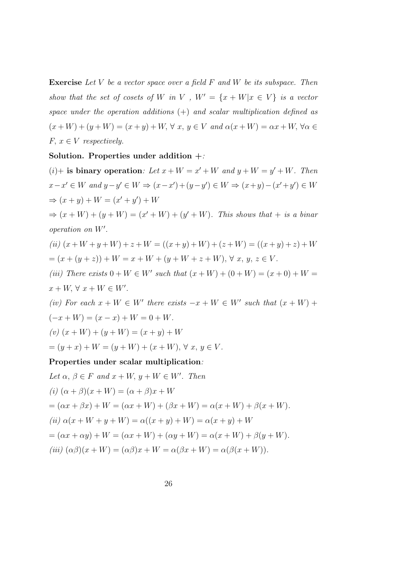**Exercise** Let V be a vector space over a field  $F$  and  $W$  be its subspace. Then show that the set of cosets of W in V,  $W' = \{x + W | x \in V\}$  is a vector space under the operation additions  $(+)$  and scalar multiplication defined as  $(x+W)+(y+W)=(x+y)+W, \forall x, y \in V$  and  $\alpha(x+W)=\alpha x+W, \forall \alpha \in V$  $F, x \in V$  respectively.

### Solution. Properties under addition  $+$ :

 $(i)$ + is binary operation: Let  $x + W = x' + W$  and  $y + W = y' + W$ . Then  $x-x' \in W$  and  $y-y' \in W \Rightarrow (x-x')+(y-y') \in W \Rightarrow (x+y)-(x'+y') \in W$  $\Rightarrow (x + y) + W = (x' + y') + W$  $\Rightarrow$   $(x+W)+(y+W) = (x'+W)+(y'+W)$ . This shows that + is a binar

operation on  $W'$ .

(*ii*) 
$$
(x+W+y+W) + z+W = ((x+y)+W) + (z+W) = ((x+y)+z) + W
$$
  
=  $(x+(y+z)) + W = x+W + (y+W+z+W), \forall x, y, z \in V.$ 

(iii) There exists  $0 + W \in W'$  such that  $(x + W) + (0 + W) = (x + 0) + W =$  $x + W$ ,  $\forall x + W \in W'$ .

(iv) For each  $x + W \in W'$  there exists  $-x + W \in W'$  such that  $(x + W)$  +  $(-x + W) = (x - x) + W = 0 + W$ .

(v)  $(x+W) + (y+W) = (x+y) + W$ 

 $=(y+x)+W=(y+W)+(x+W), \forall x, y \in V.$ 

# Properties under scalar multiplication:

Let  $\alpha, \beta \in F$  and  $x + W$ ,  $y + W \in W'$ . Then (i)  $(\alpha + \beta)(x + W) = (\alpha + \beta)x + W$ =  $(\alpha x + \beta x) + W = (\alpha x + W) + (\beta x + W) = \alpha(x + W) + \beta(x + W)$ . (ii)  $\alpha(x + W + y + W) = \alpha((x + y) + W) = \alpha(x + y) + W$ =  $(\alpha x + \alpha y) + W = (\alpha x + W) + (\alpha y + W) = \alpha (x + W) + \beta (y + W).$ (iii)  $(\alpha\beta)(x+W) = (\alpha\beta)x + W = \alpha(\beta x + W) = \alpha(\beta(x+W)).$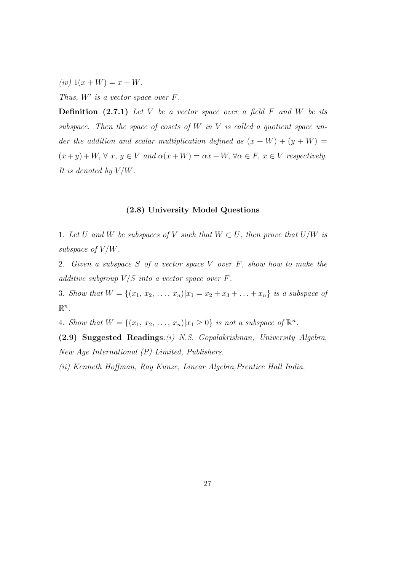(iv)  $1(x+W) = x+W$ .

Thus,  $W'$  is a vector space over  $F$ .

**Definition**  $(2.7.1)$  Let V be a vector space over a field F and W be its subspace. Then the space of cosets of W in V is called a quotient space under the addition and scalar multiplication defined as  $(x + W) + (y + W) =$  $(x + y) + W$ ,  $\forall x, y \in V$  and  $\alpha(x + W) = \alpha x + W$ ,  $\forall \alpha \in F$ ,  $x \in V$  respectively. It is denoted by V/W.

# (2.8) University Model Questions

1. Let U and W be subspaces of V such that  $W \subset U$ , then prove that  $U/W$  is subspace of V/W.

2. Given a subspace S of a vector space V over F, show how to make the additive subgroup  $V/S$  into a vector space over  $F$ .

3. Show that  $W = \{(x_1, x_2, \ldots, x_n)|x_1 = x_2 + x_3 + \ldots + x_n\}$  is a subspace of  $\mathbb{R}^n$ .

4. Show that  $W = \{(x_1, x_2, \ldots, x_n)|x_1 \geq 0\}$  is not a subspace of  $\mathbb{R}^n$ .

(2.9) Suggested Readings:(i) N.S. Gopalakrishnan, University Algebra, New Age International (P) Limited, Publishers.

(ii) Kenneth Hoffman, Ray Kunze, Linear Algebra,Prentice Hall India.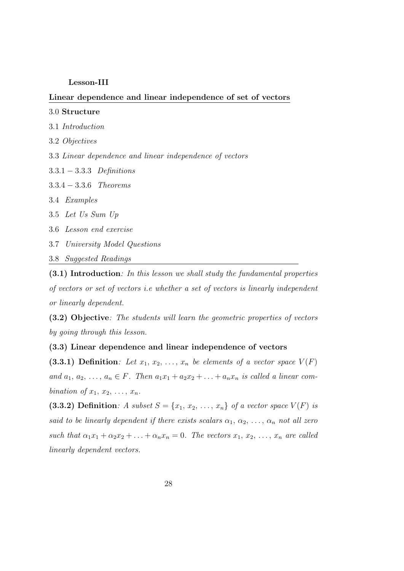### Lesson-III

### Linear dependence and linear independence of set of vectors

### 3.0 Structure

- 3.1 Introduction
- 3.2 Objectives

3.3 Linear dependence and linear independence of vectors

- 3.3.1 − 3.3.3 Definitions
- 3.3.4 − 3.3.6 Theorems
- 3.4 Examples
- 3.5 Let Us Sum Up
- 3.6 Lesson end exercise
- 3.7 University Model Questions
- 3.8 Suggested Readings

(3.1) Introduction: In this lesson we shall study the fundamental properties of vectors or set of vectors i.e whether a set of vectors is linearly independent or linearly dependent.

(3.2) Objective: The students will learn the geometric properties of vectors by going through this lesson.

# (3.3) Linear dependence and linear independence of vectors

(3.3.1) Definition: Let  $x_1, x_2, \ldots, x_n$  be elements of a vector space  $V(F)$ and  $a_1, a_2, \ldots, a_n \in F$ . Then  $a_1x_1 + a_2x_2 + \ldots + a_nx_n$  is called a linear combination of  $x_1, x_2, \ldots, x_n$ .

(3.3.2) Definition: A subset  $S = \{x_1, x_2, \ldots, x_n\}$  of a vector space  $V(F)$  is said to be linearly dependent if there exists scalars  $\alpha_1, \alpha_2, \ldots, \alpha_n$  not all zero such that  $\alpha_1x_1 + \alpha_2x_2 + \ldots + \alpha_nx_n = 0$ . The vectors  $x_1, x_2, \ldots, x_n$  are called linearly dependent vectors.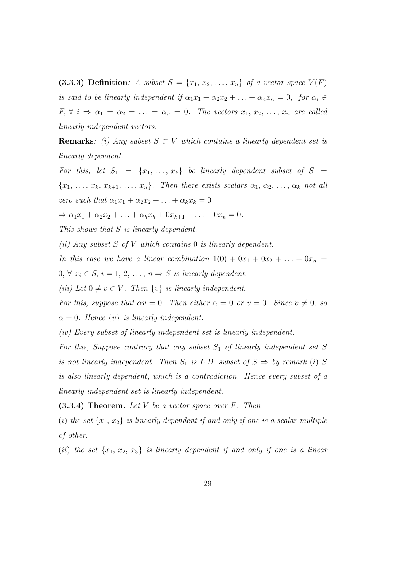(3.3.3) Definition: A subset  $S = \{x_1, x_2, \ldots, x_n\}$  of a vector space  $V(F)$ is said to be linearly independent if  $\alpha_1 x_1 + \alpha_2 x_2 + \ldots + \alpha_n x_n = 0$ , for  $\alpha_i \in$  $F, \forall i \Rightarrow \alpha_1 = \alpha_2 = \ldots = \alpha_n = 0$ . The vectors  $x_1, x_2, \ldots, x_n$  are called linearly independent vectors.

**Remarks:** (i) Any subset  $S \subset V$  which contains a linearly dependent set is linearly dependent.

For this, let  $S_1 = \{x_1, \ldots, x_k\}$  be linearly dependent subset of  $S =$  ${x_1, \ldots, x_k, x_{k+1}, \ldots, x_n}.$  Then there exists scalars  $\alpha_1, \alpha_2, \ldots, \alpha_k$  not all zero such that  $\alpha_1x_1 + \alpha_2x_2 + \ldots + \alpha_kx_k = 0$ 

 $\Rightarrow \alpha_1 x_1 + \alpha_2 x_2 + \ldots + \alpha_k x_k + 0 x_{k+1} + \ldots + 0 x_n = 0.$ 

This shows that S is linearly dependent.

(ii) Any subset  $S$  of  $V$  which contains  $0$  is linearly dependent.

In this case we have a linear combination  $1(0) + 0x_1 + 0x_2 + \ldots + 0x_n =$ 

 $0, \forall x_i \in S, i = 1, 2, \ldots, n \Rightarrow S$  is linearly dependent.

(iii) Let  $0 \neq v \in V$ . Then  $\{v\}$  is linearly independent.

For this, suppose that  $\alpha v = 0$ . Then either  $\alpha = 0$  or  $v = 0$ . Since  $v \neq 0$ , so  $\alpha = 0$ . Hence  $\{v\}$  is linearly independent.

(iv) Every subset of linearly independent set is linearly independent.

For this, Suppose contrary that any subset  $S_1$  of linearly independent set S is not linearly independent. Then  $S_1$  is L.D. subset of  $S \Rightarrow by$  remark (i) S is also linearly dependent, which is a contradiction. Hence every subset of a linearly independent set is linearly independent.

 $(3.3.4)$  Theorem: Let V be a vector space over F. Then

(i) the set  $\{x_1, x_2\}$  is linearly dependent if and only if one is a scalar multiple of other.

(ii) the set  $\{x_1, x_2, x_3\}$  is linearly dependent if and only if one is a linear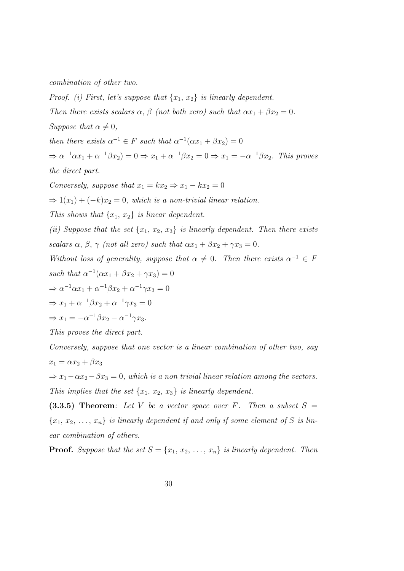combination of other two.

*Proof.* (i) First, let's suppose that  $\{x_1, x_2\}$  is linearly dependent. Then there exists scalars  $\alpha$ ,  $\beta$  (not both zero) such that  $\alpha x_1 + \beta x_2 = 0$ . Suppose that  $\alpha \neq 0$ , then there exists  $\alpha^{-1} \in F$  such that  $\alpha^{-1}(\alpha x_1 + \beta x_2) = 0$  $\Rightarrow \alpha^{-1} \alpha x_1 + \alpha^{-1} \beta x_2 = 0 \Rightarrow x_1 + \alpha^{-1} \beta x_2 = 0 \Rightarrow x_1 = -\alpha^{-1} \beta x_2$ . This proves the direct part. Conversely, suppose that  $x_1 = kx_2 \Rightarrow x_1 - kx_2 = 0$  $\Rightarrow$  1(x<sub>1</sub>) + (-k)x<sub>2</sub> = 0, which is a non-trivial linear relation. This shows that  $\{x_1, x_2\}$  is linear dependent. (ii) Suppose that the set  $\{x_1, x_2, x_3\}$  is linearly dependent. Then there exists scalars  $\alpha$ ,  $\beta$ ,  $\gamma$  (not all zero) such that  $\alpha x_1 + \beta x_2 + \gamma x_3 = 0$ . Without loss of generality, suppose that  $\alpha \neq 0$ . Then there exists  $\alpha^{-1} \in F$ such that  $\alpha^{-1}(\alpha x_1 + \beta x_2 + \gamma x_3) = 0$  $\Rightarrow \alpha^{-1}\alpha x_1 + \alpha^{-1}\beta x_2 + \alpha^{-1}\gamma x_3 = 0$  $\Rightarrow x_1 + \alpha^{-1}\beta x_2 + \alpha^{-1}\gamma x_3 = 0$  $\Rightarrow x_1 = -\alpha^{-1}\beta x_2 - \alpha^{-1}\gamma x_3.$ This proves the direct part. Conversely, suppose that one vector is a linear combination of other two, say

 $x_1 = \alpha x_2 + \beta x_3$ 

 $\Rightarrow x_1-\alpha x_2-\beta x_3=0$ , which is a non trivial linear relation among the vectors. This implies that the set  $\{x_1, x_2, x_3\}$  is linearly dependent.

(3.3.5) Theorem: Let V be a vector space over F. Then a subset  $S =$  ${x_1, x_2, \ldots, x_n}$  is linearly dependent if and only if some element of S is linear combination of others.

**Proof.** Suppose that the set  $S = \{x_1, x_2, \ldots, x_n\}$  is linearly dependent. Then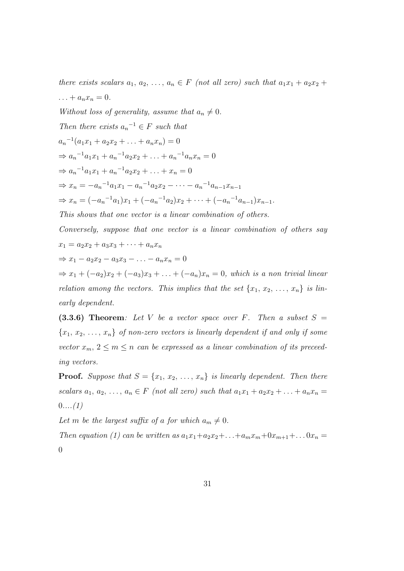there exists scalars  $a_1, a_2, \ldots, a_n \in F$  (not all zero) such that  $a_1x_1 + a_2x_2 +$  $\ldots + a_n x_n = 0.$ Without loss of generality, assume that  $a_n \neq 0$ . Then there exists  $a_n^{-1} \in F$  such that  $a_n^{-1}(a_1x_1 + a_2x_2 + \ldots + a_nx_n) = 0$  $\Rightarrow a_n^{-1}a_1x_1 + a_n^{-1}a_2x_2 + \ldots + a_n^{-1}a_nx_n = 0$  $\Rightarrow a_n^{-1}a_1x_1 + a_n^{-1}a_2x_2 + \ldots + x_n = 0$  $\Rightarrow x_n = -a_n^{-1}a_1x_1 - a_n^{-1}a_2x_2 - \cdots - a_n^{-1}a_{n-1}x_{n-1}$  $\Rightarrow x_n = (-a_n^{-1}a_1)x_1 + (-a_n^{-1}a_2)x_2 + \cdots + (-a_n^{-1}a_{n-1})x_{n-1}.$ This shows that one vector is a linear combination of others. Conversely, suppose that one vector is a linear combination of others say  $x_1 = a_2x_2 + a_3x_3 + \cdots + a_nx_n$  $\Rightarrow x_1 - a_2x_2 - a_3x_3 - \ldots - a_nx_n = 0$  $\Rightarrow x_1 + (-a_2)x_2 + (-a_3)x_3 + \ldots + (-a_n)x_n = 0$ , which is a non trivial linear

relation among the vectors. This implies that the set  $\{x_1, x_2, \ldots, x_n\}$  is linearly dependent.

(3.3.6) Theorem: Let V be a vector space over F. Then a subset  $S =$  ${x_1, x_2, \ldots, x_n}$  of non-zero vectors is linearly dependent if and only if some vector  $x_m$ ,  $2 \leq m \leq n$  can be expressed as a linear combination of its preceeding vectors.

**Proof.** Suppose that  $S = \{x_1, x_2, ..., x_n\}$  is linearly dependent. Then there scalars  $a_1, a_2, \ldots, a_n \in F$  (not all zero) such that  $a_1x_1 + a_2x_2 + \ldots + a_nx_n =$  $0... (1)$ 

Let m be the largest suffix of a for which  $a_m \neq 0$ .

Then equation (1) can be written as  $a_1x_1+a_2x_2+\ldots+a_mx_m+0x_{m+1}+\ldots$   $0x_n=$  $\theta$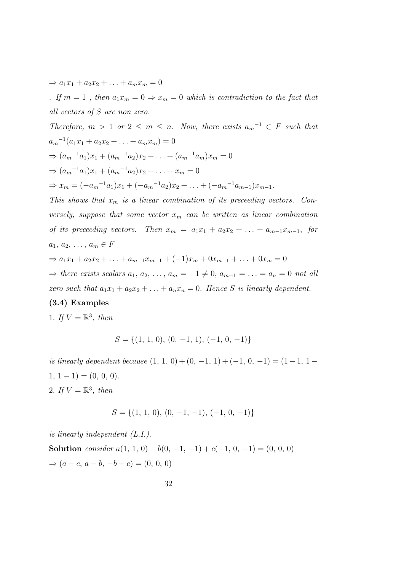$\Rightarrow a_1x_1 + a_2x_2 + \ldots + a_mx_m = 0$ 

. If  $m = 1$ , then  $a_1 x_m = 0 \Rightarrow x_m = 0$  which is contradiction to the fact that all vectors of S are non zero.

Therefore,  $m > 1$  or  $2 \le m \le n$ . Now, there exists  $a_m^{-1} \in F$  such that  $a_m^{-1}(a_1x_1 + a_2x_2 + \ldots + a_mx_m) = 0$  $\Rightarrow (a_m^{-1}a_1)x_1 + (a_m^{-1}a_2)x_2 + \ldots + (a_m^{-1}a_m)x_m = 0$  $\Rightarrow$   $(a_m^{-1}a_1)x_1 + (a_m^{-1}a_2)x_2 + \ldots + x_m = 0$  $\Rightarrow x_m = (-a_m^{-1}a_1)x_1 + (-a_m^{-1}a_2)x_2 + \ldots + (-a_m^{-1}a_{m-1})x_{m-1}.$ This shows that  $x_m$  is a linear combination of its preceeding vectors. Conversely, suppose that some vector  $x_m$  can be written as linear combination of its preceeding vectors. Then  $x_m = a_1x_1 + a_2x_2 + \ldots + a_{m-1}x_{m-1}$ , for  $a_1, a_2, \ldots, a_m \in F$ 

$$
\Rightarrow a_1x_1 + a_2x_2 + \dots + a_{m-1}x_{m-1} + (-1)x_m + 0x_{m+1} + \dots + 0x_m = 0
$$

 $\Rightarrow$  there exists scalars  $a_1, a_2, \ldots, a_m = -1 \neq 0, a_{m+1} = \ldots = a_n = 0$  not all zero such that  $a_1x_1 + a_2x_2 + \ldots + a_nx_n = 0$ . Hence S is linearly dependent.

# (3.4) Examples

1. If  $V = \mathbb{R}^3$ , then

$$
S = \{(1, 1, 0), (0, -1, 1), (-1, 0, -1)\}
$$

is linearly dependent because  $(1, 1, 0) + (0, -1, 1) + (-1, 0, -1) = (1 - 1, 1 1, 1 - 1) = (0, 0, 0).$ 2. If  $V = \mathbb{R}^3$ , then

$$
S = \{(1, 1, 0), (0, -1, -1), (-1, 0, -1)\}
$$

is linearly independent (L.I.).

Solution consider  $a(1, 1, 0) + b(0, -1, -1) + c(-1, 0, -1) = (0, 0, 0)$  $\Rightarrow$   $(a - c, a - b, -b - c) = (0, 0, 0)$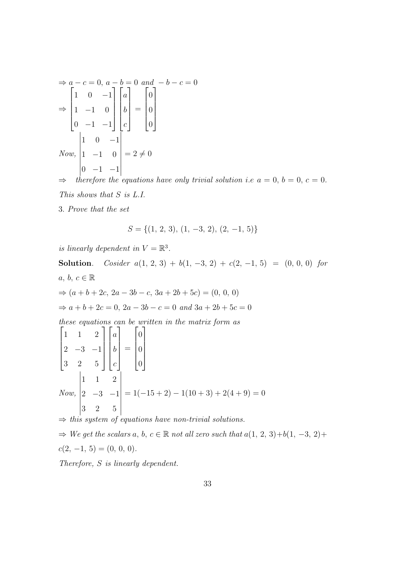$$
\Rightarrow a - c = 0, a - b = 0 \text{ and } -b - c = 0
$$
  
\n
$$
\Rightarrow \begin{bmatrix} 1 & 0 & -1 \\ 1 & -1 & 0 \\ 0 & -1 & -1 \end{bmatrix} \begin{bmatrix} a \\ b \\ c \end{bmatrix} = \begin{bmatrix} 0 \\ 0 \\ 0 \end{bmatrix}
$$
  
\nNow, 
$$
\begin{vmatrix} 1 & 0 & -1 \\ 1 & -1 & 0 \\ 0 & -1 & -1 \end{vmatrix} = 2 \neq 0
$$
  
\n
$$
\Rightarrow \text{therefore the equations have only trivial solution i.e } a = 0, b = 0, c = 0.
$$

This shows that S is L.I.

3. Prove that the set

$$
S = \{(1, 2, 3), (1, -3, 2), (2, -1, 5)\}
$$

is linearly dependent in  $V = \mathbb{R}^3$ .

Solution. Cosider  $a(1, 2, 3) + b(1, -3, 2) + c(2, -1, 5) = (0, 0, 0)$  for  $a, b, c \in \mathbb{R}$  $\Rightarrow (a+b+2c, 2a-3b-c, 3a+2b+5c) = (0, 0, 0)$  $\Rightarrow$  a + b + 2c = 0, 2a - 3b - c = 0 and 3a + 2b + 5c = 0 these equations can be written in the matrix form as  $\sqrt{ }$  1 1 2  $2 -3 -1$ 3 2 5 1  $\overline{\phantom{a}}$  $\sqrt{ }$  a b c 1 =  $\sqrt{ }$  0 0 0 1  $\overline{\phantom{a}}$ Now, 1 1 2  $2 -3 -1$ 3 2 5  $= 1(-15 + 2) - 1(10 + 3) + 2(4 + 9) = 0$ 

 $\Rightarrow$  this system of equations have non-trivial solutions.

 $\Rightarrow$  We get the scalars a, b,  $c \in \mathbb{R}$  not all zero such that  $a(1, 2, 3)+b(1, -3, 2)+b(1, -3, 3)$  $c(2, -1, 5) = (0, 0, 0).$ 

Therefore, S is linearly dependent.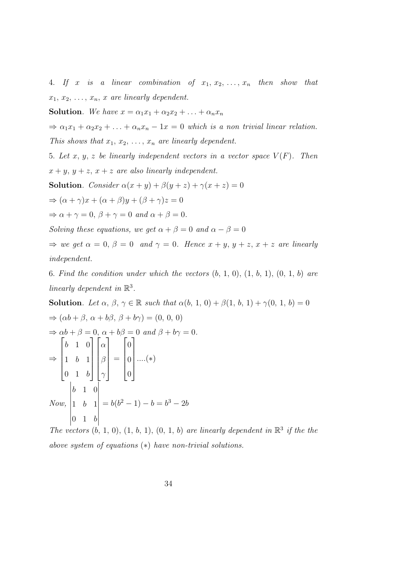4. If x is a linear combination of  $x_1, x_2, \ldots, x_n$  then show that  $x_1, x_2, \ldots, x_n, x$  are linearly dependent.

**Solution**. We have  $x = \alpha_1 x_1 + \alpha_2 x_2 + \ldots + \alpha_n x_n$ 

 $\Rightarrow \alpha_1 x_1 + \alpha_2 x_2 + \ldots + \alpha_n x_n - 1x = 0$  which is a non trivial linear relation.

This shows that  $x_1, x_2, \ldots, x_n$  are linearly dependent.

5. Let x, y, z be linearly independent vectors in a vector space  $V(F)$ . Then  $x + y$ ,  $y + z$ ,  $x + z$  are also linearly independent.

**Solution.** Consider  $\alpha(x + y) + \beta(y + z) + \gamma(x + z) = 0$ 

 $\Rightarrow (\alpha + \gamma)x + (\alpha + \beta)y + (\beta + \gamma)z = 0$ 

 $\Rightarrow \alpha + \gamma = 0, \ \beta + \gamma = 0 \ and \ \alpha + \beta = 0.$ 

Solving these equations, we get  $\alpha + \beta = 0$  and  $\alpha - \beta = 0$ 

 $\Rightarrow$  we get  $\alpha = 0$ ,  $\beta = 0$  and  $\gamma = 0$ . Hence  $x + y$ ,  $y + z$ ,  $x + z$  are linearly independent.

6. Find the condition under which the vectors  $(b, 1, 0), (1, b, 1), (0, 1, b)$  are linearly dependent in  $\mathbb{R}^3$ .

**Solution.** Let  $\alpha$ ,  $\beta$ ,  $\gamma \in \mathbb{R}$  such that  $\alpha(b, 1, 0) + \beta(1, b, 1) + \gamma(0, 1, b) = 0$  $\Rightarrow (\alpha b + \beta, \alpha + b\beta, \beta + b\gamma) = (0, 0, 0)$  $\Rightarrow \alpha b + \beta = 0, \ \alpha + b\beta = 0 \ \text{and} \ \beta + b\gamma = 0.$ ⇒  $\sqrt{ }$  $\begin{array}{c} \begin{array}{c} \begin{array}{c} \end{array} \\ \begin{array}{c} \end{array} \end{array} \end{array}$ b 1 0 1 b 1  $0 \quad 1 \quad b$ 1  $\begin{array}{c} \n\end{array}$  $\sqrt{ }$  $\begin{array}{c} \hline \end{array}$ α β  $\gamma$ 1  $\begin{array}{c} \n\vdots \\
\vdots \\
\vdots\n\end{array}$ =  $\sqrt{ }$  $\begin{array}{c} \begin{array}{c} \begin{array}{c} \end{array} \\ \begin{array}{c} \end{array} \end{array} \end{array}$ 0 0  $\overline{0}$ 1  $\begin{array}{c} \n\vdots \\
\vdots \\
\vdots\n\end{array}$ ....(∗) Now, b 1 0 1 b 1  $0 \quad 1 \quad b$   $= b(b<sup>2</sup> - 1) - b = b<sup>3</sup> - 2b$ 

The vectors  $(b, 1, 0), (1, b, 1), (0, 1, b)$  are linearly dependent in  $\mathbb{R}^3$  if the the above system of equations (∗) have non-trivial solutions.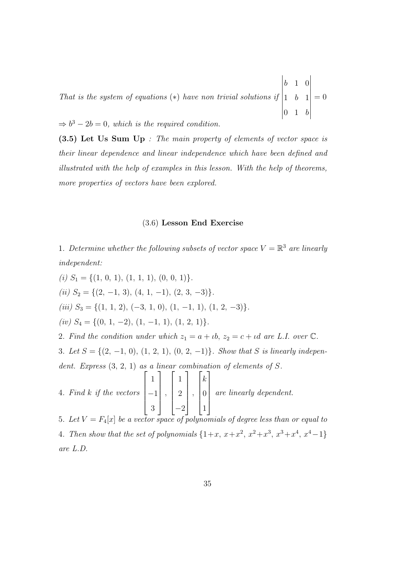That is the system of equations  $(*)$  have non trivial solutions if b 1 0 1 b 1  $0 \quad 1 \quad b$   $= 0$ 

 $\Rightarrow b^3 - 2b = 0$ , which is the required condition.

(3.5) Let Us Sum Up : The main property of elements of vector space is their linear dependence and linear independence which have been defined and illustrated with the help of examples in this lesson. With the help of theorems, more properties of vectors have been explored.

# (3.6) Lesson End Exercise

1. Determine whether the following subsets of vector space  $V = \mathbb{R}^3$  are linearly independent:

(i)  $S_1 = \{(1, 0, 1), (1, 1, 1), (0, 0, 1)\}.$ (ii)  $S_2 = \{(2, -1, 3), (4, 1, -1), (2, 3, -3)\}.$ (iii)  $S_3 = \{(1, 1, 2), (-3, 1, 0), (1, -1, 1), (1, 2, -3)\}.$ (iv)  $S_4 = \{(0, 1, -2), (1, -1, 1), (1, 2, 1)\}.$ 2. Find the condition under which  $z_1 = a + \iota b$ ,  $z_2 = c + \iota d$  are L.I. over  $\mathbb{C}$ . 3. Let  $S = \{(2, -1, 0), (1, 2, 1), (0, 2, -1)\}$ . Show that S is linearly independent. Express  $(3, 2, 1)$  as a linear combination of elements of S. 4. Find k if the vectors  $\sqrt{ }$  1 −1 3 1  $\begin{array}{c} \begin{array}{c} \begin{array}{c} \end{array} \\ \begin{array}{c} \end{array} \end{array} \end{array}$ ,  $\sqrt{ }$  $\begin{array}{c} \begin{array}{c} \begin{array}{c} \end{array} \\ \begin{array}{c} \end{array} \end{array} \end{array}$ 1 2 −2 1  $\begin{array}{c} \begin{array}{c} \begin{array}{c} \end{array} \\ \begin{array}{c} \end{array} \end{array} \end{array}$ ,  $\sqrt{ }$  k 0 1 1  $\begin{array}{c} \begin{array}{c} \begin{array}{c} \end{array} \\ \begin{array}{c} \end{array} \end{array} \end{array}$ are linearly dependent. 5. Let  $V = F_4[x]$  be a vector space of polynomials of degree less than or equal to 4. Then show that the set of polynomials  $\{1+x, x+x^2, x^2+x^3, x^3+x^4, x^4-1\}$ 

are L.D.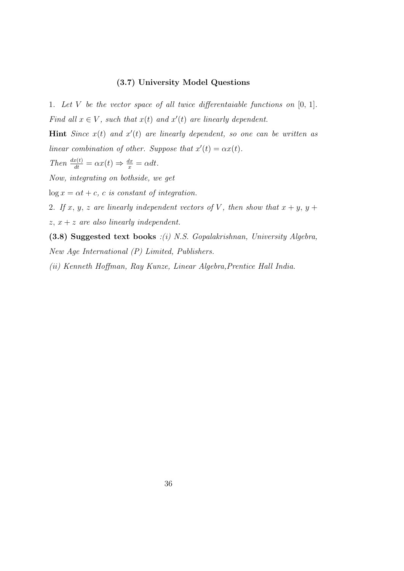# (3.7) University Model Questions

1. Let V be the vector space of all twice differentaiable functions on  $[0, 1]$ . Find all  $x \in V$ , such that  $x(t)$  and  $x'(t)$  are linearly dependent.

Hint Since  $x(t)$  and  $x'(t)$  are linearly dependent, so one can be written as linear combination of other. Suppose that  $x'(t) = \alpha x(t)$ .

Then 
$$
\frac{dx(t)}{dt} = \alpha x(t) \Rightarrow \frac{dx}{x} = \alpha dt
$$
.

Now, integrating on bothside, we get

 $\log x = \alpha t + c$ , c is constant of integration.

2. If x, y, z are linearly independent vectors of V, then show that  $x + y$ ,  $y +$  $z, x + z$  are also linearly independent.

(3.8) Suggested text books :(i) N.S. Gopalakrishnan, University Algebra, New Age International (P) Limited, Publishers.

(ii) Kenneth Hoffman, Ray Kunze, Linear Algebra,Prentice Hall India.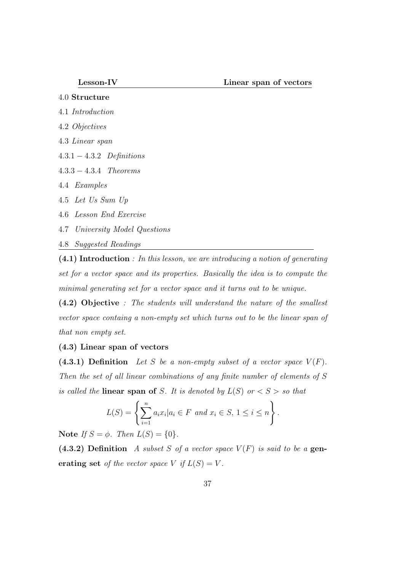- 4.0 Structure
- 4.1 Introduction
- 4.2 Objectives
- 4.3 Linear span
- 4.3.1 − 4.3.2 Definitions
- 4.3.3 − 4.3.4 Theorems
- 4.4 Examples
- 4.5 Let Us Sum Up
- 4.6 Lesson End Exercise
- 4.7 University Model Questions
- 4.8 Suggested Readings

(4.1) Introduction : In this lesson, we are introducing a notion of generating set for a vector space and its properties. Basically the idea is to compute the minimal generating set for a vector space and it turns out to be unique.

(4.2) Objective : The students will understand the nature of the smallest vector space containg a non-empty set which turns out to be the linear span of that non empty set.

# (4.3) Linear span of vectors

(4.3.1) Definition Let S be a non-empty subset of a vector space  $V(F)$ . Then the set of all linear combinations of any finite number of elements of S is called the **linear span of** S. It is denoted by  $L(S)$  or  $\lt S >$  so that

$$
L(S) = \left\{ \sum_{i=1}^{n} a_i x_i | a_i \in F \text{ and } x_i \in S, 1 \le i \le n \right\}.
$$

Note If  $S = \phi$ . Then  $L(S) = \{0\}$ .

(4.3.2) Definition A subset S of a vector space  $V(F)$  is said to be a generating set of the vector space V if  $L(S) = V$ .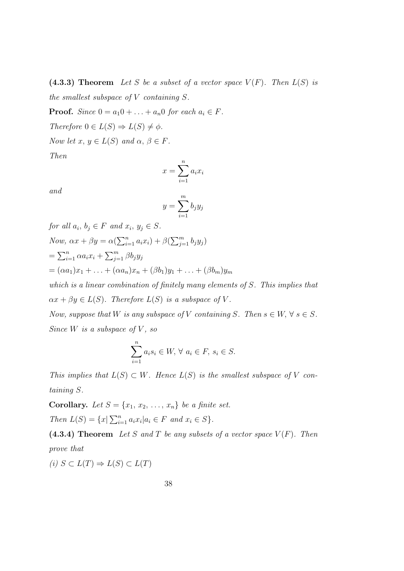(4.3.3) Theorem Let S be a subset of a vector space  $V(F)$ . Then  $L(S)$  is the smallest subspace of  $V$  containing  $S$ .

**Proof.** Since  $0 = a_1 0 + \ldots + a_n 0$  for each  $a_i \in F$ .

Therefore  $0 \in L(S) \Rightarrow L(S) \neq \phi$ .

Now let  $x, y \in L(S)$  and  $\alpha, \beta \in F$ .

Then

$$
x = \sum_{i=1}^{n} a_i x_i
$$

and

$$
y = \sum_{i=1}^{m} b_j y_j
$$

for all  $a_i, b_j \in F$  and  $x_i, y_j \in S$ . Now,  $\alpha x + \beta y = \alpha(\sum_{i=1}^n a_i x_i) + \beta(\sum_{j=1}^m b_j y_j)$  $=\sum_{i=1}^n \alpha a_i x_i + \sum_{j=1}^m \beta b_j y_j$  $=(\alpha a_1)x_1 + \ldots + (\alpha a_n)x_n + (\beta b_1)y_1 + \ldots + (\beta b_m)y_m$ which is a linear combination of finitely many elements of S. This implies that  $\alpha x + \beta y \in L(S)$ . Therefore  $L(S)$  is a subspace of V. Now, suppose that W is any subspace of V containing S. Then  $s \in W$ ,  $\forall s \in S$ . Since  $W$  is a subspace of  $V$ , so

$$
\sum_{i=1}^{n} a_i s_i \in W, \forall a_i \in F, s_i \in S.
$$

This implies that  $L(S) \subset W$ . Hence  $L(S)$  is the smallest subspace of V containing S.

**Corollary.** Let  $S = \{x_1, x_2, \ldots, x_n\}$  be a finite set. Then  $L(S) = \{x | \sum_{i=1}^{n} a_i x_i | a_i \in F \text{ and } x_i \in S \}.$ 

(4.3.4) Theorem Let S and T be any subsets of a vector space  $V(F)$ . Then prove that

(i)  $S \subset L(T) \Rightarrow L(S) \subset L(T)$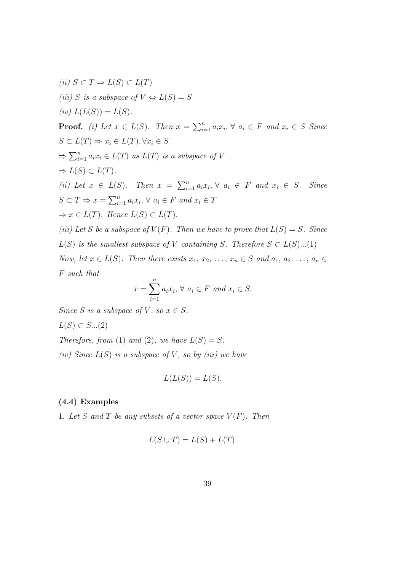(ii)  $S \subset T \Rightarrow L(S) \subset L(T)$ (iii) S is a subspace of  $V \Leftrightarrow L(S) = S$ (iv)  $L(L(S)) = L(S)$ . **Proof.** (i) Let  $x \in L(S)$ . Then  $x = \sum_{i=1}^{n} a_i x_i$ ,  $\forall a_i \in F$  and  $x_i \in S$  Since  $S \subset L(T) \Rightarrow x_i \in L(T), \forall x_i \in S$  $\Rightarrow \sum_{i=1}^{n} a_i x_i \in L(T)$  as  $L(T)$  is a subspace of V  $\Rightarrow$   $L(S) \subset L(T)$ . (ii) Let  $x \in L(S)$ . Then  $x = \sum_{i=1}^n a_i x_i, \forall a_i \in F$  and  $x_i \in S$ . Since  $S \subset T \Rightarrow x = \sum_{i=1}^n a_i x_i, \forall a_i \in F \text{ and } x_i \in T$  $\Rightarrow x \in L(T)$ . Hence  $L(S) \subset L(T)$ . (iii) Let S be a subspace of  $V(F)$ . Then we have to prove that  $L(S) = S$ . Since  $L(S)$  is the smallest subspace of V containing S. Therefore  $S \subset L(S)...(1)$ Now, let  $x \in L(S)$ . Then there exists  $x_1, x_2, \ldots, x_n \in S$  and  $a_1, a_2, \ldots, a_n \in S$ F such that

$$
x = \sum_{i=1}^{n} a_i x_i, \forall a_i \in F \text{ and } x_i \in S.
$$

Since S is a subspace of V, so  $x \in S$ .

$$
L(S) \subset S...(2)
$$

Therefore, from (1) and (2), we have  $L(S) = S$ .

(iv) Since  $L(S)$  is a subspace of V, so by (iii) we have

$$
L(L(S)) = L(S).
$$

## (4.4) Examples

1. Let S and T be any subsets of a vector space  $V(F)$ . Then

$$
L(S \cup T) = L(S) + L(T).
$$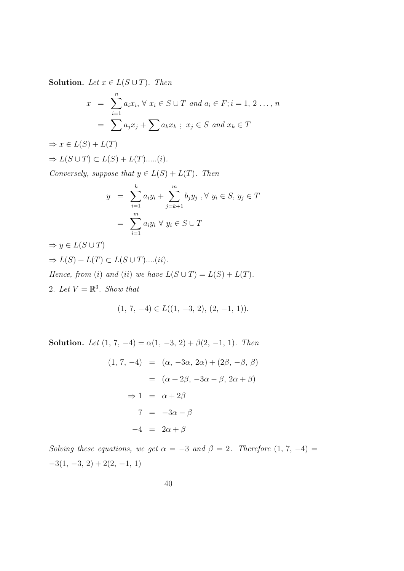**Solution.** Let  $x \in L(S \cup T)$ . Then

$$
x = \sum_{i=1}^{n} a_i x_i, \forall x_i \in S \cup T \text{ and } a_i \in F; i = 1, 2 ..., n
$$
  
= 
$$
\sum a_j x_j + \sum a_k x_k; x_j \in S \text{ and } x_k \in T
$$

 $\Rightarrow$   $x \in L(S) + L(T)$  $\Rightarrow L(S \cup T) \subset L(S) + L(T)$ .....(*i*).

Conversely, suppose that  $y \in L(S) + L(T)$ . Then

$$
y = \sum_{i=1}^{k} a_i y_i + \sum_{j=k+1}^{m} b_j y_j, \forall y_i \in S, y_j \in T
$$
  
= 
$$
\sum_{i=1}^{m} a_i y_i \forall y_i \in S \cup T
$$

 $\Rightarrow y \in L(S \cup T)$  $\Rightarrow$   $L(S) + L(T) \subset L(S \cup T)$ ....(ii). Hence, from (i) and (ii) we have  $L(S \cup T) = L(S) + L(T)$ . 2. Let  $V = \mathbb{R}^3$ . Show that

$$
(1, 7, -4) \in L((1, -3, 2), (2, -1, 1)).
$$

Solution. Let  $(1, 7, -4) = \alpha(1, -3, 2) + \beta(2, -1, 1)$ . Then

$$
(1, 7, -4) = (\alpha, -3\alpha, 2\alpha) + (2\beta, -\beta, \beta)
$$

$$
= (\alpha + 2\beta, -3\alpha - \beta, 2\alpha + \beta)
$$

$$
\Rightarrow 1 = \alpha + 2\beta
$$

$$
7 = -3\alpha - \beta
$$

$$
-4 = 2\alpha + \beta
$$

Solving these equations, we get  $\alpha = -3$  and  $\beta = 2$ . Therefore  $(1, 7, -4)$  $-3(1, -3, 2) + 2(2, -1, 1)$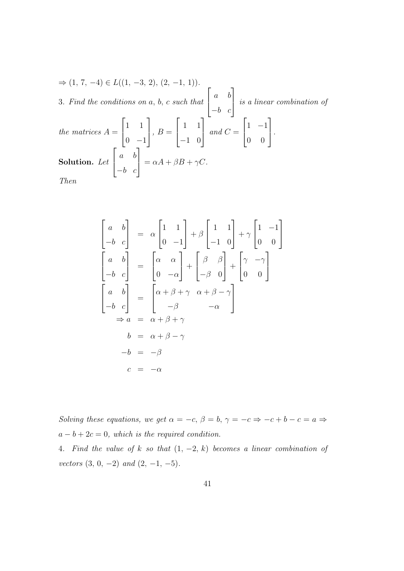$$
\Rightarrow (1, 7, -4) \in L((1, -3, 2), (2, -1, 1)).
$$
  
3. Find the conditions on a, b, c such that  $\begin{bmatrix} a & b \\ -b & c \end{bmatrix}$  is a linear combination of  
the matrices  $A = \begin{bmatrix} 1 & 1 \\ 0 & -1 \end{bmatrix}$ ,  $B = \begin{bmatrix} 1 & 1 \\ -1 & 0 \end{bmatrix}$  and  $C = \begin{bmatrix} 1 & -1 \\ 0 & 0 \end{bmatrix}$ .  
**Solution.** Let  $\begin{bmatrix} a & b \\ -b & c \end{bmatrix} = \alpha A + \beta B + \gamma C$ .  
*Then*

 $\sqrt{ }$  $\vert$ a b  $-b$  c 1  $\alpha = \alpha$  $\sqrt{ }$  $\overline{\phantom{a}}$ 1 1  $0 -1$ 1  $+ \beta$  $\sqrt{ }$  $\overline{\phantom{a}}$ 1 1 −1 0 1  $+ \gamma$  $\sqrt{ }$  $\overline{\phantom{a}}$ 1 −1 0 0 1  $\overline{1}$  $\sqrt{ }$  $\vert$ a b  $-b$  c 1  $\Big\} =$  $\sqrt{ }$  $\overline{\phantom{a}}$  $\alpha$   $\alpha$  $0 -\alpha$ 1  $+$  $\sqrt{ }$  $\overline{\phantom{a}}$ β β  $-\beta$  0 1  $| +$  $\sqrt{ }$  $\overline{\phantom{a}}$  $\gamma$  -γ 0 0 1  $\overline{1}$  $\sqrt{ }$  $\overline{1}$ a b  $-b$  c 1  $\Big\} =$  $\sqrt{ }$  $\overline{\phantom{a}}$  $\alpha + \beta + \gamma$   $\alpha + \beta - \gamma$  $-\beta$   $-\alpha$ ן.  $\overline{ }$  $\Rightarrow a = \alpha + \beta + \gamma$  $b = \alpha + \beta - \gamma$  $-b = -\beta$  $c = -\alpha$ 

Solving these equations, we get  $\alpha = -c, \beta = b, \gamma = -c \Rightarrow -c + b - c = a \Rightarrow$  $a - b + 2c = 0$ , which is the required condition.

4. Find the value of k so that  $(1, -2, k)$  becomes a linear combination of vectors  $(3, 0, -2)$  and  $(2, -1, -5)$ .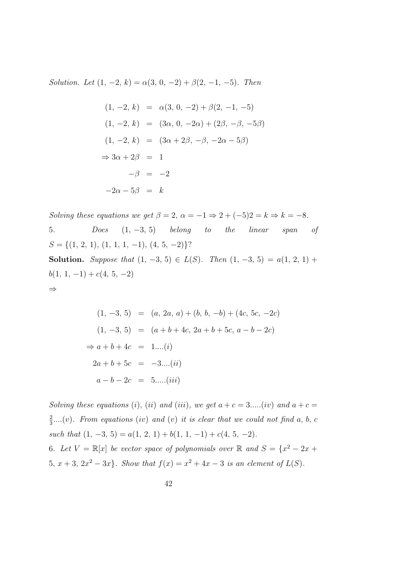Solution. Let  $(1, -2, k) = \alpha(3, 0, -2) + \beta(2, -1, -5)$ . Then

$$
(1, -2, k) = \alpha(3, 0, -2) + \beta(2, -1, -5)
$$
  
\n
$$
(1, -2, k) = (3\alpha, 0, -2\alpha) + (2\beta, -\beta, -5\beta)
$$
  
\n
$$
(1, -2, k) = (3\alpha + 2\beta, -\beta, -2\alpha - 5\beta)
$$
  
\n
$$
\Rightarrow 3\alpha + 2\beta = 1
$$
  
\n
$$
-\beta = -2
$$
  
\n
$$
-2\alpha - 5\beta = k
$$

Solving these equations we get  $\beta = 2$ ,  $\alpha = -1 \Rightarrow 2 + (-5)2 = k \Rightarrow k = -8$ . 5. Does  $(1, -3, 5)$  belong to the linear span of  $S = \{(1, 2, 1), (1, 1, 1, -1), (4, 5, -2)\}$ ? Solution. Suppose that  $(1, -3, 5) \in L(S)$ . Then  $(1, -3, 5) = a(1, 2, 1) + a(1, -3, 5) = a(1, 2, 1)$  $b(1, 1, -1) + c(4, 5, -2)$ ⇒

$$
(1, -3, 5) = (a, 2a, a) + (b, b, -b) + (4c, 5c, -2c)
$$
  

$$
(1, -3, 5) = (a + b + 4c, 2a + b + 5c, a - b - 2c)
$$
  

$$
\Rightarrow a + b + 4c = 1....(i)
$$
  

$$
2a + b + 5c = -3....(ii)
$$
  

$$
a - b - 2c = 5.....(iii)
$$

Solving these equations (i), (ii) and (iii), we get  $a + c = 3$ .....(iv) and  $a + c =$ 2  $\frac{2}{3}$ ....(v). From equations (iv) and (v) it is clear that we could not find a, b, c such that  $(1, -3, 5) = a(1, 2, 1) + b(1, 1, -1) + c(4, 5, -2)$ . 6. Let  $V = \mathbb{R}[x]$  be vector space of polynomials over  $\mathbb{R}$  and  $S = \{x^2 - 2x +$ 5,  $x + 3$ ,  $2x^2 - 3x$ . Show that  $f(x) = x^2 + 4x - 3$  is an element of  $L(S)$ .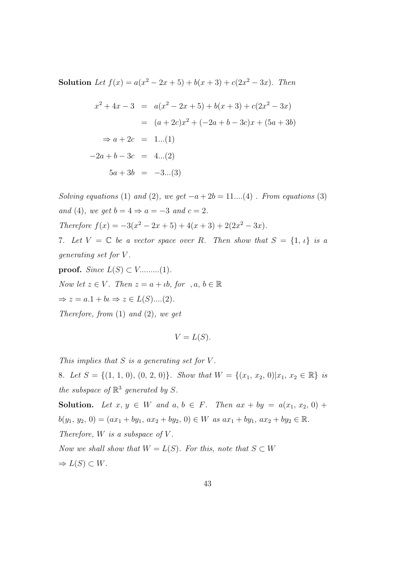Solution Let  $f(x) = a(x^2 - 2x + 5) + b(x + 3) + c(2x^2 - 3x)$ . Then

$$
x^{2} + 4x - 3 = a(x^{2} - 2x + 5) + b(x + 3) + c(2x^{2} - 3x)
$$
  
=  $(a + 2c)x^{2} + (-2a + b - 3c)x + (5a + 3b)$   
 $\Rightarrow a + 2c = 1...(1)$   
 $-2a + b - 3c = 4...(2)$   
 $5a + 3b = -3...(3)$ 

Solving equations (1) and (2), we get  $-a+2b = 11...(4)$ . From equations (3) and (4), we get  $b = 4 \Rightarrow a = -3$  and  $c = 2$ . Therefore  $f(x) = -3(x^2 - 2x + 5) + 4(x + 3) + 2(2x^2 - 3x)$ . 7. Let  $V = \mathbb{C}$  be a vector space over R. Then show that  $S = \{1, \iota\}$  is a generating set for V .

proof. Since  $L(S) \subset V$ .........(1). Now let  $z \in V$ . Then  $z = a + \iota b$ , for ,  $a, b \in \mathbb{R}$  $\Rightarrow z = a.1 + bi \Rightarrow z \in L(S)$ ....(2). Therefore, from  $(1)$  and  $(2)$ , we get

$$
V = L(S).
$$

This implies that  $S$  is a generating set for  $V$ .

8. Let  $S = \{(1, 1, 0), (0, 2, 0)\}\$ . Show that  $W = \{(x_1, x_2, 0)|x_1, x_2 \in \mathbb{R}\}\$ is the subspace of  $\mathbb{R}^3$  generated by S.

Solution. Let  $x, y \in W$  and  $a, b \in F$ . Then  $ax + by = a(x_1, x_2, 0) +$  $b(y_1, y_2, 0) = (ax_1 + by_1, ax_2 + by_2, 0) \in W$  as  $ax_1 + by_1, ax_2 + by_2 \in \mathbb{R}$ . Therefore,  $W$  is a subspace of  $V$ . Now we shall show that  $W = L(S)$ . For this, note that  $S \subset W$  $\Rightarrow$   $L(S) \subset W$ .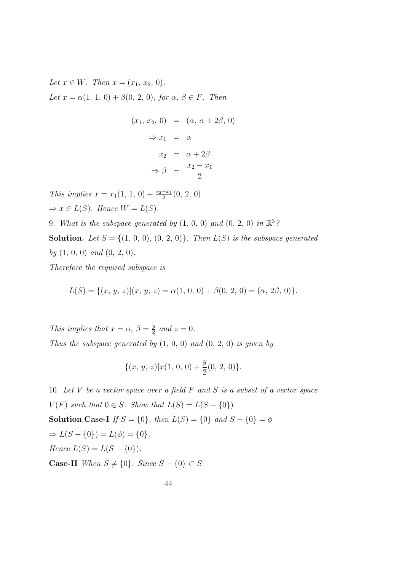Let  $x \in W$ . Then  $x = (x_1, x_2, 0)$ . Let  $x = \alpha(1, 1, 0) + \beta(0, 2, 0)$ , for  $\alpha, \beta \in F$ . Then

$$
(x_1, x_2, 0) = (\alpha, \alpha + 2\beta, 0)
$$
  
\n
$$
\Rightarrow x_1 = \alpha
$$
  
\n
$$
x_2 = \alpha + 2\beta
$$
  
\n
$$
\Rightarrow \beta = \frac{x_2 - x_1}{2}
$$

This implies  $x = x_1(1, 1, 0) + \frac{x_2 - x_1}{2}(0, 2, 0)$  $\Rightarrow x \in L(S)$ . Hence  $W = L(S)$ .

9. What is the subspace generated by  $(1, 0, 0)$  and  $(0, 2, 0)$  in  $\mathbb{R}^3$ ? **Solution.** Let  $S = \{(1, 0, 0), (0, 2, 0)\}$ . Then  $L(S)$  is the subspace generated by  $(1, 0, 0)$  and  $(0, 2, 0)$ .

Therefore the required subspace is

$$
L(S) = \{(x, y, z) | (x, y, z) = \alpha(1, 0, 0) + \beta(0, 2, 0) = (\alpha, 2\beta, 0)\}.
$$

This implies that  $x = \alpha$ ,  $\beta = \frac{y}{2}$  $\frac{y}{2}$  and  $z=0$ . Thus the subspace generated by  $(1, 0, 0)$  and  $(0, 2, 0)$  is given by

$$
\{(x, y, z)|x(1, 0, 0) + \frac{y}{2}(0, 2, 0)\}.
$$

10. Let  $V$  be a vector space over a field  $F$  and  $S$  is a subset of a vector space  $V(F)$  such that  $0 \in S$ . Show that  $L(S) = L(S - \{0\}).$ **Solution.Case-I** If  $S = \{0\}$ , then  $L(S) = \{0\}$  and  $S - \{0\} = \phi$  $\Rightarrow L(S - \{0\}) = L(\phi) = \{0\}.$ Hence  $L(S) = L(S - \{0\}).$ **Case-II** When  $S \neq \{0\}$ . Since  $S - \{0\} \subset S$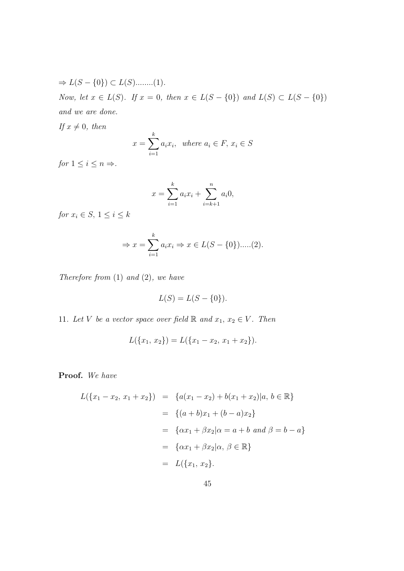$$
\Rightarrow L(S - \{0\}) \subset L(S) \quad (1).
$$
\nNow, let  $x \in L(S)$ . If  $x = 0$ , then  $x \in L(S - \{0\})$  and  $L(S) \subset L(S - \{0\})$  and we are done.

If  $x \neq 0$ , then

$$
x = \sum_{i=1}^{k} a_i x_i, \text{ where } a_i \in F, x_i \in S
$$

for  $1 \leq i \leq n \Rightarrow$ .

$$
x = \sum_{i=1}^{k} a_i x_i + \sum_{i=k+1}^{n} a_i 0,
$$

for  $x_i \in S$ ,  $1 \leq i \leq k$ 

$$
\Rightarrow x = \sum_{i=1}^{k} a_i x_i \Rightarrow x \in L(S - \{0\}) \dots (2).
$$

Therefore from  $(1)$  and  $(2)$ , we have

$$
L(S) = L(S - \{0\}).
$$

11. Let V be a vector space over field  $\mathbb R$  and  $x_1, x_2 \in V$ . Then

$$
L(\lbrace x_1, x_2 \rbrace) = L(\lbrace x_1 - x_2, x_1 + x_2 \rbrace).
$$

Proof. We have

$$
L(\{x_1 - x_2, x_1 + x_2\}) = \{a(x_1 - x_2) + b(x_1 + x_2)|a, b \in \mathbb{R}\}
$$
  
=  $\{(a+b)x_1 + (b-a)x_2\}$   
=  $\{\alpha x_1 + \beta x_2 | \alpha = a + b \text{ and } \beta = b - a\}$   
=  $\{\alpha x_1 + \beta x_2 | \alpha, \beta \in \mathbb{R}\}$   
=  $L(\{x_1, x_2\}).$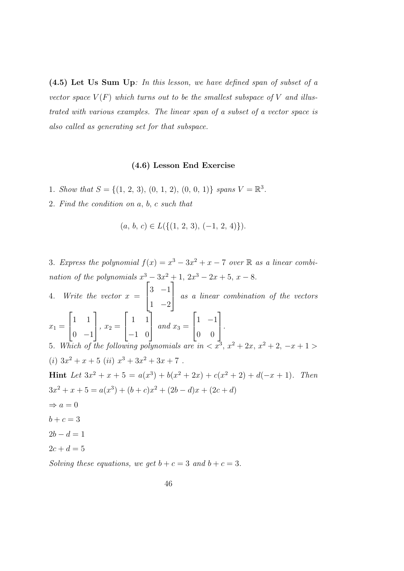(4.5) Let Us Sum Up: In this lesson, we have defined span of subset of a vector space  $V(F)$  which turns out to be the smallest subspace of V and illustrated with various examples. The linear span of a subset of a vector space is also called as generating set for that subspace.

#### (4.6) Lesson End Exercise

- 1. Show that  $S = \{(1, 2, 3), (0, 1, 2), (0, 0, 1)\}$  spans  $V = \mathbb{R}^3$ .
- 2. Find the condition on a, b, c such that

$$
(a, b, c) \in L(\{(1, 2, 3), (-1, 2, 4)\}).
$$

3. Express the polynomial  $f(x) = x^3 - 3x^2 + x - 7$  over  $\mathbb R$  as a linear combination of the polynomials  $x^3 - 3x^2 + 1$ ,  $2x^3 - 2x + 5$ ,  $x - 8$ .  $\sqrt{ }$ 1

4. Write the vector  $x =$  $\overline{\phantom{a}}$ 3 −1  $1 -2$  as a linear combination of the vectors  $\begin{bmatrix} 1 & 1 \end{bmatrix}$   $\begin{bmatrix} 1 & 1 \end{bmatrix}$   $\begin{bmatrix} 1 & -1 \end{bmatrix}$ 

$$
x_1 = \begin{bmatrix} 1 & 1 \\ 0 & -1 \end{bmatrix}, x_2 = \begin{bmatrix} 1 & 1 \\ -1 & 0 \end{bmatrix} \text{ and } x_3 = \begin{bmatrix} 1 & -1 \\ 0 & 0 \end{bmatrix}.
$$
  
5 Which of the following polynomials are in  $\langle x^3 \rangle$ 

5. Which of the following polynomials are in  $\langle x^3, x^2 + 2x, x^2 + 2, -x + 1 \rangle$ (i)  $3x^2 + x + 5$  (ii)  $x^3 + 3x^2 + 3x + 7$ . Hint Let  $3x^2 + x + 5 = a(x^3) + b(x^2 + 2x) + c(x^2 + 2) + d(-x + 1)$ . Then

$$
3x^{2} + x + 5 = a(x^{3}) + (b + c)x^{2} + (2b - d)x + (2c + d)
$$

- $\Rightarrow$  a = 0
- $b + c = 3$
- $2b d = 1$
- $2c + d = 5$

Solving these equations, we get  $b + c = 3$  and  $b + c = 3$ .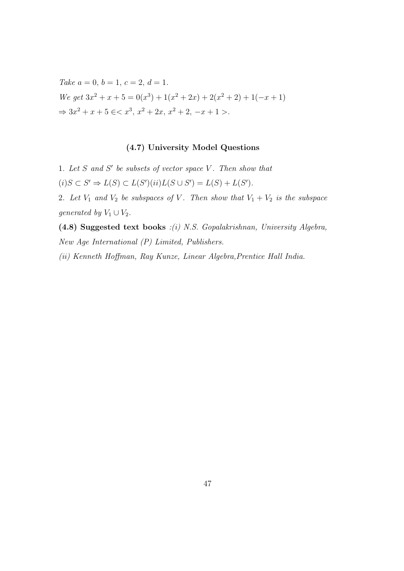Take  $a = 0, b = 1, c = 2, d = 1$ . We get  $3x^2 + x + 5 = 0(x^3) + 1(x^2 + 2x) + 2(x^2 + 2) + 1(-x + 1)$  $\Rightarrow 3x^2 + x + 5 \le x^3, x^2 + 2x, x^2 + 2, -x + 1 >$ .

# (4.7) University Model Questions

1. Let  $S$  and  $S'$  be subsets of vector space  $V$ . Then show that  $(i)S \subset S' \Rightarrow L(S) \subset L(S')(ii)L(S \cup S') = L(S) + L(S').$ 

2. Let  $V_1$  and  $V_2$  be subspaces of V. Then show that  $V_1 + V_2$  is the subspace generated by  $V_1 \cup V_2$ .

(4.8) Suggested text books :(i) N.S. Gopalakrishnan, University Algebra, New Age International (P) Limited, Publishers.

(ii) Kenneth Hoffman, Ray Kunze, Linear Algebra,Prentice Hall India.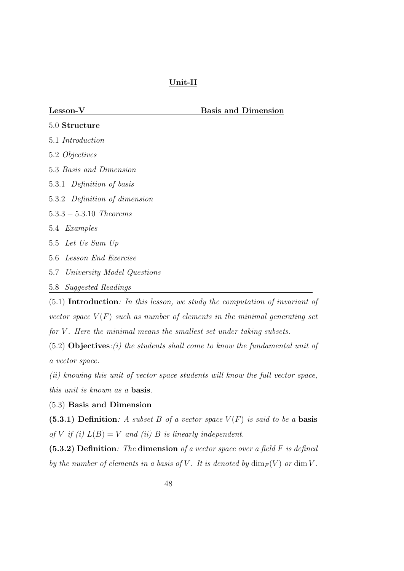# Unit-II

Lesson-V Basis and Dimension

| $5.0$ Structure                |
|--------------------------------|
| 5.1 <i>Introduction</i>        |
| 5.2 Objectives                 |
| 5.3 Basis and Dimension        |
| 5.3.1 Definition of basis      |
| 5.3.2 Definition of dimension  |
| $5.3.3 - 5.3.10$ Theorems      |
| 5.4 <i>Examples</i>            |
| 5.5 Let Us Sum Up              |
| 5.6 Lesson End Exercise        |
| 5.7 University Model Questions |
| 5.8 Suggested Readings         |
|                                |

(5.1) Introduction: In this lesson, we study the computation of invariant of vector space  $V(F)$  such as number of elements in the minimal generating set for  $V$ . Here the minimal means the smallest set under taking subsets.

 $(5.2)$  Objectives: $(i)$  the students shall come to know the fundamental unit of a vector space.

(ii) knowing this unit of vector space students will know the full vector space, this unit is known as a basis.

# (5.3) Basis and Dimension

(5.3.1) Definition: A subset B of a vector space  $V(F)$  is said to be a basis of V if (i)  $L(B) = V$  and (ii) B is linearly independent.

 $(5.3.2)$  Definition: The dimension of a vector space over a field F is defined by the number of elements in a basis of V. It is denoted by  $\dim_F(V)$  or  $\dim V$ .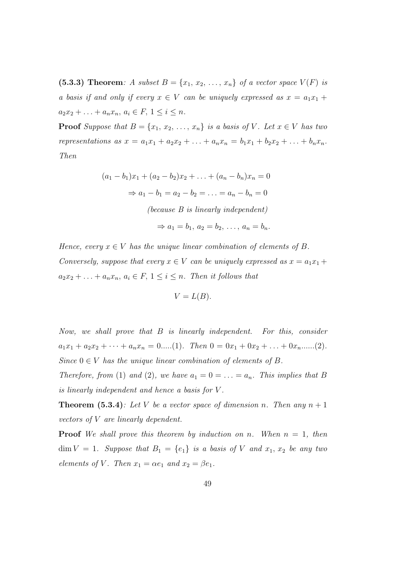(5.3.3) Theorem: A subset  $B = \{x_1, x_2, \ldots, x_n\}$  of a vector space  $V(F)$  is a basis if and only if every  $x \in V$  can be uniquely expressed as  $x = a_1x_1 +$  $a_2x_2 + \ldots + a_nx_n, a_i \in F, 1 \leq i \leq n.$ 

**Proof** Suppose that  $B = \{x_1, x_2, \ldots, x_n\}$  is a basis of V. Let  $x \in V$  has two representations as  $x = a_1x_1 + a_2x_2 + \ldots + a_nx_n = b_1x_1 + b_2x_2 + \ldots + b_nx_n$ . Then

$$
(a_1 - b_1)x_1 + (a_2 - b_2)x_2 + \dots + (a_n - b_n)x_n = 0
$$
  
\n
$$
\Rightarrow a_1 - b_1 = a_2 - b_2 = \dots = a_n - b_n = 0
$$
  
\n(*because B is linearly independent*)  
\n
$$
\Rightarrow a_1 = b_1, a_2 = b_2, \dots, a_n = b_n.
$$

Hence, every  $x \in V$  has the unique linear combination of elements of B. Conversely, suppose that every  $x \in V$  can be uniquely expressed as  $x = a_1x_1 +$  $a_2x_2 + \ldots + a_nx_n, a_i \in F, 1 \leq i \leq n$ . Then it follows that

$$
V=L(B).
$$

Now, we shall prove that B is linearly independent. For this, consider  $a_1x_1 + a_2x_2 + \cdots + a_nx_n = 0 \dots (1)$ . Then  $0 = 0x_1 + 0x_2 + \dots + 0x_n \dots (2)$ . Since  $0 \in V$  has the unique linear combination of elements of B.

Therefore, from (1) and (2), we have  $a_1 = 0 = \ldots = a_n$ . This implies that B is linearly independent and hence a basis for V .

**Theorem (5.3.4)**: Let V be a vector space of dimension n. Then any  $n + 1$ vectors of V are linearly dependent.

**Proof** We shall prove this theorem by induction on n. When  $n = 1$ , then  $\dim V = 1$ . Suppose that  $B_1 = \{e_1\}$  is a basis of V and  $x_1, x_2$  be any two elements of V. Then  $x_1 = \alpha e_1$  and  $x_2 = \beta e_1$ .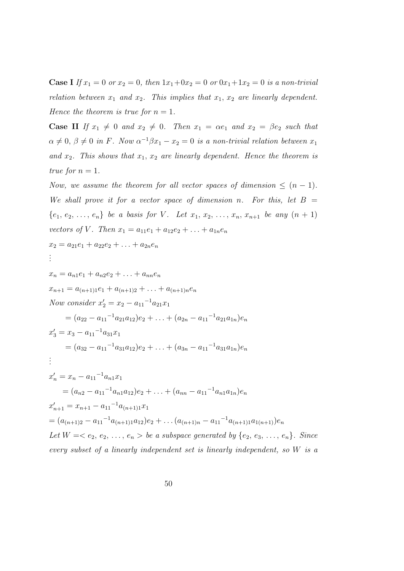**Case I** If  $x_1 = 0$  or  $x_2 = 0$ , then  $1x_1+0x_2 = 0$  or  $0x_1+1x_2 = 0$  is a non-trivial relation between  $x_1$  and  $x_2$ . This implies that  $x_1, x_2$  are linearly dependent. Hence the theorem is true for  $n = 1$ .

**Case II** If  $x_1 \neq 0$  and  $x_2 \neq 0$ . Then  $x_1 = \alpha e_1$  and  $x_2 = \beta e_2$  such that  $\alpha \neq 0, \beta \neq 0$  in F. Now  $\alpha^{-1}\beta x_1 - x_2 = 0$  is a non-trivial relation between  $x_1$ and  $x_2$ . This shows that  $x_1, x_2$  are linearly dependent. Hence the theorem is true for  $n=1$ .

Now, we assume the theorem for all vector spaces of dimension  $\leq (n-1)$ . We shall prove it for a vector space of dimension n. For this, let  $B =$  $\{e_1, e_2, \ldots, e_n\}$  be a basis for V. Let  $x_1, x_2, \ldots, x_n, x_{n+1}$  be any  $(n + 1)$ vectors of V. Then  $x_1 = a_{11}e_1 + a_{12}e_2 + \ldots + a_{1n}e_n$ 

$$
x_2 = a_{21}e_1 + a_{22}e_2 + \ldots + a_{2n}e_n
$$
  
...

$$
x_n = a_{n1}e_1 + a_{n2}e_2 + \ldots + a_{nn}e_n
$$
  
\n
$$
x_{n+1} = a_{(n+1)1}e_1 + a_{(n+1)2} + \ldots + a_{(n+1)n}e_n
$$
  
\nNow consider  $x'_2 = x_2 - a_{11}^{-1}a_{21}x_1$   
\n
$$
= (a_{22} - a_{11}^{-1}a_{21}a_{12})e_2 + \ldots + (a_{2n} - a_{11}^{-1}a_{21}a_{1n})e_n
$$
  
\n
$$
x'_3 = x_3 - a_{11}^{-1}a_{31}x_1
$$
  
\n
$$
= (a_{32} - a_{11}^{-1}a_{31}a_{12})e_2 + \ldots + (a_{3n} - a_{11}^{-1}a_{31}a_{1n})e_n
$$
  
\n
$$
\vdots
$$
  
\n
$$
x'_n = x_n - a_{11}^{-1}a_{n1}x_1
$$
  
\n
$$
= (a_{n2} - a_{11}^{-1}a_{n1}a_{12})e_2 + \ldots + (a_{nn} - a_{11}^{-1}a_{n1}a_{1n})e_n
$$
  
\n
$$
x'_{n+1} = x_{n+1} - a_{11}^{-1}a_{(n+1)1}x_1
$$
  
\n
$$
= (a_{(n+1)2} - a_{11}^{-1}a_{(n+1)1}a_{12})e_2 + \ldots + (a_{(n+1)n} - a_{11}^{-1}a_{(n+1)1}a_{1(n+1)})e_n
$$
  
\nLet  $W = \langle e_2, e_2, \ldots, e_n \rangle$  be a subspace generated by  $\{e_2, e_3, \ldots, e_n\}$ . Since  
\nevery subset of a linearly independent set is linearly independent, so W is a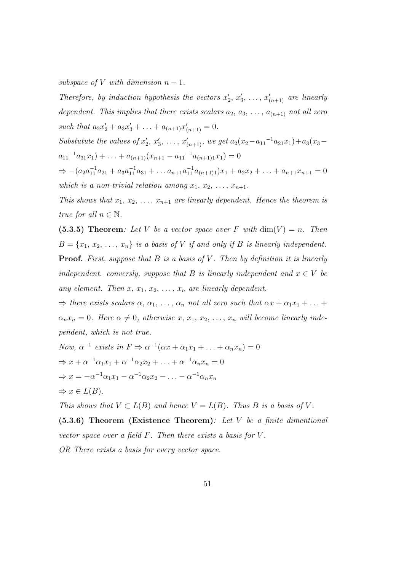subspace of V with dimension  $n-1$ .

Therefore, by induction hypothesis the vectors  $x'_2, x'_3, \ldots, x'_{(n+1)}$  are linearly dependent. This implies that there exists scalars  $a_2, a_3, \ldots, a_{(n+1)}$  not all zero such that  $a_2x'_2 + a_3x'_3 + \ldots + a_{(n+1)}x'_{(n+1)} = 0.$ 

Substutute the values of  $x'_2, x'_3, \ldots, x'_{(n+1)}$ , we get  $a_2(x_2-a_{11}-a_{21}x_1)+a_3(x_3-a_{11}x_2)$  $a_{11}^{-1}a_{31}x_1)+\ldots+a_{(n+1)}(x_{n+1}-a_{11}^{-1}a_{(n+1)1}x_1)=0$ 

 $\Rightarrow -(a_2a_{11}^{-1}a_{21}+a_3a_{11}^{-1}a_{31}+\ldots a_{n+1}a_{11}^{-1}a_{(n+1)1})x_1+a_2x_2+\ldots+a_{n+1}x_{n+1}=0$ which is a non-trivial relation among  $x_1, x_2, \ldots, x_{n+1}$ .

This shows that  $x_1, x_2, \ldots, x_{n+1}$  are linearly dependent. Hence the theorem is true for all  $n \in \mathbb{N}$ .

(5.3.5) Theorem: Let V be a vector space over F with  $\dim(V) = n$ . Then  $B = \{x_1, x_2, \ldots, x_n\}$  is a basis of V if and only if B is linearly independent. **Proof.** First, suppose that  $B$  is a basis of  $V$ . Then by definition it is linearly independent. conversly, suppose that B is linearly independent and  $x \in V$  be any element. Then  $x, x_1, x_2, \ldots, x_n$  are linearly dependent.

 $\Rightarrow$  there exists scalars  $\alpha, \alpha_1, \ldots, \alpha_n$  not all zero such that  $\alpha x + \alpha_1 x_1 + \ldots$  $\alpha_n x_n = 0$ . Here  $\alpha \neq 0$ , otherwise  $x, x_1, x_2, \ldots, x_n$  will become linearly independent, which is not true.

Now, 
$$
\alpha^{-1}
$$
 exists in  $F \Rightarrow \alpha^{-1}(\alpha x + \alpha_1 x_1 + ... + \alpha_n x_n) = 0$   
\n $\Rightarrow x + \alpha^{-1} \alpha_1 x_1 + \alpha^{-1} \alpha_2 x_2 + ... + \alpha^{-1} \alpha_n x_n = 0$   
\n $\Rightarrow x = -\alpha^{-1} \alpha_1 x_1 - \alpha^{-1} \alpha_2 x_2 - ... - \alpha^{-1} \alpha_n x_n$   
\n $\Rightarrow x \in L(B)$ .

This shows that  $V \subset L(B)$  and hence  $V = L(B)$ . Thus B is a basis of V.

(5.3.6) Theorem (Existence Theorem): Let V be a finite dimentional vector space over a field  $F$ . Then there exists a basis for  $V$ .

OR There exists a basis for every vector space.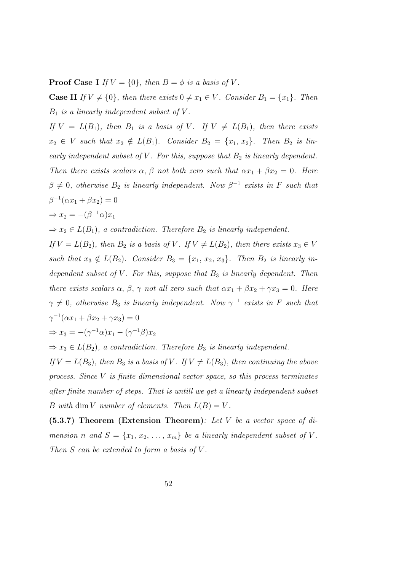**Proof Case I** If  $V = \{0\}$ , then  $B = \phi$  is a basis of V.

**Case II** If  $V \neq \{0\}$ , then there exists  $0 \neq x_1 \in V$ . Consider  $B_1 = \{x_1\}$ . Then  $B_1$  is a linearly independent subset of V.

If  $V = L(B_1)$ , then  $B_1$  is a basis of V. If  $V \neq L(B_1)$ , then there exists  $x_2 \in V$  such that  $x_2 \notin L(B_1)$ . Consider  $B_2 = \{x_1, x_2\}$ . Then  $B_2$  is linearly independent subset of  $V$ . For this, suppose that  $B_2$  is linearly dependent. Then there exists scalars  $\alpha$ ,  $\beta$  not both zero such that  $\alpha x_1 + \beta x_2 = 0$ . Here  $\beta \neq 0$ , otherwise  $B_2$  is linearly independent. Now  $\beta^{-1}$  exists in F such that  $\beta^{-1}(\alpha x_1 + \beta x_2) = 0$ 

$$
\Rightarrow x_2 = -(\beta^{-1}\alpha)x_1
$$

 $\Rightarrow x_2 \in L(B_1)$ , a contradiction. Therefore  $B_2$  is linearly independent.

If  $V = L(B_2)$ , then  $B_2$  is a basis of V. If  $V \neq L(B_2)$ , then there exists  $x_3 \in V$ such that  $x_3 \notin L(B_2)$ . Consider  $B_3 = \{x_1, x_2, x_3\}$ . Then  $B_2$  is linearly independent subset of  $V$ . For this, suppose that  $B_3$  is linearly dependent. Then there exists scalars  $\alpha$ ,  $\beta$ ,  $\gamma$  not all zero such that  $\alpha x_1 + \beta x_2 + \gamma x_3 = 0$ . Here  $\gamma \neq 0$ , otherwise  $B_3$  is linearly independent. Now  $\gamma^{-1}$  exists in F such that  $\gamma^{-1}(\alpha x_1 + \beta x_2 + \gamma x_3) = 0$ 

$$
\Rightarrow x_3 = -(\gamma^{-1}\alpha)x_1 - (\gamma^{-1}\beta)x_2
$$

 $\Rightarrow x_3 \in L(B_2)$ , a contradiction. Therefore  $B_3$  is linearly independent.

If  $V = L(B_3)$ , then  $B_3$  is a basis of V. If  $V \neq L(B_3)$ , then continuing the above process. Since V is finite dimensional vector space, so this process terminates after finite number of steps. That is untill we get a linearly independent subset B with dim V number of elements. Then  $L(B) = V$ .

(5.3.7) Theorem (Extension Theorem): Let V be a vector space of dimension n and  $S = \{x_1, x_2, \ldots, x_m\}$  be a linearly independent subset of V. Then  $S$  can be extended to form a basis of  $V$ .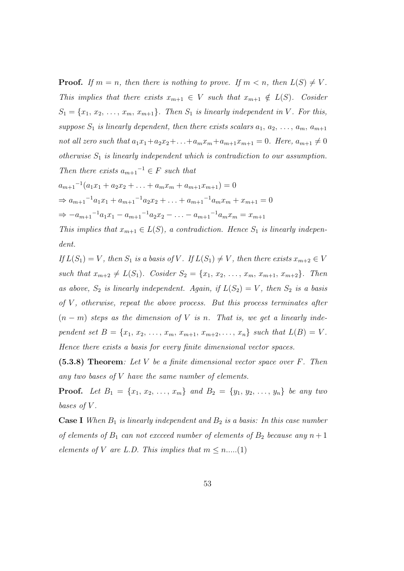**Proof.** If  $m = n$ , then there is nothing to prove. If  $m < n$ , then  $L(S) \neq V$ . This implies that there exists  $x_{m+1} \in V$  such that  $x_{m+1} \notin L(S)$ . Cosider  $S_1 = \{x_1, x_2, \ldots, x_m, x_{m+1}\}.$  Then  $S_1$  is linearly independent in V. For this, suppose  $S_1$  is linearly dependent, then there exists scalars  $a_1, a_2, \ldots, a_m, a_{m+1}$ not all zero such that  $a_1x_1+a_2x_2+\ldots+a_mx_m+a_{m+1}x_{m+1}=0$ . Here,  $a_{m+1}\neq 0$ otherwise  $S_1$  is linearly independent which is contradiction to our assumption. Then there exists  $a_{m+1}^{-1} \in F$  such that

$$
a_{m+1}^{-1}(a_1x_1 + a_2x_2 + \dots + a_mx_m + a_{m+1}x_{m+1}) = 0
$$
  
\n
$$
\Rightarrow a_{m+1}^{-1}a_1x_1 + a_{m+1}^{-1}a_2x_2 + \dots + a_{m+1}^{-1}a_mx_m + x_{m+1} = 0
$$
  
\n
$$
\Rightarrow -a_{m+1}^{-1}a_1x_1 - a_{m+1}^{-1}a_2x_2 - \dots - a_{m+1}^{-1}a_mx_m = x_{m+1}
$$

This implies that  $x_{m+1} \in L(S)$ , a contradiction. Hence  $S_1$  is linearly independent.

If  $L(S_1) = V$ , then  $S_1$  is a basis of V. If  $L(S_1) \neq V$ , then there exists  $x_{m+2} \in V$ such that  $x_{m+2} \neq L(S_1)$ . Cosider  $S_2 = \{x_1, x_2, \ldots, x_m, x_{m+1}, x_{m+2}\}$ . Then as above,  $S_2$  is linearly independent. Again, if  $L(S_2) = V$ , then  $S_2$  is a basis of  $V$ , otherwise, repeat the above process. But this process terminates after  $(n - m)$  steps as the dimension of V is n. That is, we get a linearly independent set  $B = \{x_1, x_2, \ldots, x_m, x_{m+1}, x_{m+2}, \ldots, x_n\}$  such that  $L(B) = V$ . Hence there exists a basis for every finite dimensional vector spaces.

 $(5.3.8)$  Theorem: Let V be a finite dimensional vector space over F. Then any two bases of V have the same number of elements.

**Proof.** Let  $B_1 = \{x_1, x_2, ..., x_m\}$  and  $B_2 = \{y_1, y_2, ..., y_n\}$  be any two bases of V.

**Case I** When  $B_1$  is linearly independent and  $B_2$  is a basis: In this case number of elements of  $B_1$  can not excceed number of elements of  $B_2$  because any  $n+1$ elements of V are L.D. This implies that  $m \leq n$ .....(1)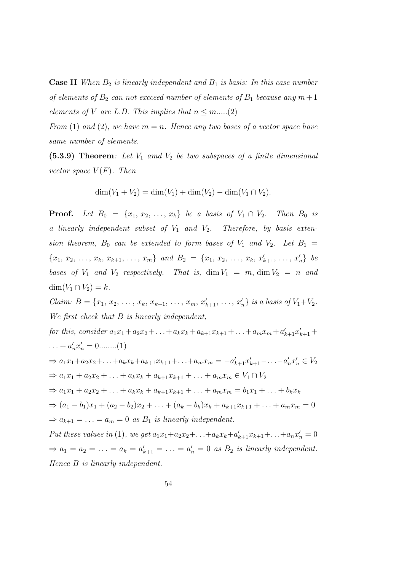**Case II** When  $B_2$  is linearly independent and  $B_1$  is basis: In this case number of elements of  $B_2$  can not excceed number of elements of  $B_1$  because any  $m+1$ elements of V are L.D. This implies that  $n \leq m$ .....(2)

From (1) and (2), we have  $m = n$ . Hence any two bases of a vector space have same number of elements.

 $(5.3.9)$  Theorem: Let  $V_1$  amd  $V_2$  be two subspaces of a finite dimensional vector space  $V(F)$ . Then

$$
\dim(V_1 + V_2) = \dim(V_1) + \dim(V_2) - \dim(V_1 \cap V_2).
$$

**Proof.** Let  $B_0 = \{x_1, x_2, ..., x_k\}$  be a basis of  $V_1 \cap V_2$ . Then  $B_0$  is a linearly independent subset of  $V_1$  and  $V_2$ . Therefore, by basis extension theorem,  $B_0$  can be extended to form bases of  $V_1$  and  $V_2$ . Let  $B_1$  =  ${x_1, x_2, \ldots, x_k, x_{k+1}, \ldots, x_m}$  and  $B_2 = {x_1, x_2, \ldots, x_k, x'_{k+1}, \ldots, x'_n}$  be bases of  $V_1$  and  $V_2$  respectively. That is,  $\dim V_1 = m$ ,  $\dim V_2 = n$  and  $\dim(V_1 \cap V_2) = k.$ 

*Claim:*  $B = \{x_1, x_2, \ldots, x_k, x_{k+1}, \ldots, x_m, x'_{k+1}, \ldots, x'_n\}$  is a basis of  $V_1 + V_2$ . We first check that  $B$  is linearly independent,

for this, consider  $a_1x_1 + a_2x_2 + ... + a_kx_k + a_{k+1}x_{k+1} + ... + a_mx_m + a'_{k+1}x'_{k+1} + ...$  $\dots + a'_n x'_n = 0 \dots (1)$  $\Rightarrow a_1x_1+a_2x_2+\ldots+a_kx_k+a_{k+1}x_{k+1}+\ldots+a_mx_m=-a'_{k+1}x'_{k+1}-\ldots-a'_nx'_n \in V_2$  $\Rightarrow a_1x_1 + a_2x_2 + \ldots + a_kx_k + a_{k+1}x_{k+1} + \ldots + a_mx_m \in V_1 \cap V_2$  $\Rightarrow a_1x_1 + a_2x_2 + \ldots + a_kx_k + a_{k+1}x_{k+1} + \ldots + a_mx_m = b_1x_1 + \ldots + b_kx_k$  $\Rightarrow (a_1 - b_1)x_1 + (a_2 - b_2)x_2 + \ldots + (a_k - b_k)x_k + a_{k+1}x_{k+1} + \ldots + a_mx_m = 0$  $\Rightarrow a_{k+1} = \ldots = a_m = 0$  as  $B_1$  is linearly independent. Put these values in (1), we get  $a_1x_1+a_2x_2+\ldots+a_kx_k+a'_{k+1}x_{k+1}+\ldots+a_nx'_n=0$  $\Rightarrow a_1 = a_2 = \ldots = a_k = a'_{k+1} = \ldots = a'_n = 0$  as  $B_2$  is linearly independent. Hence B is linearly independent.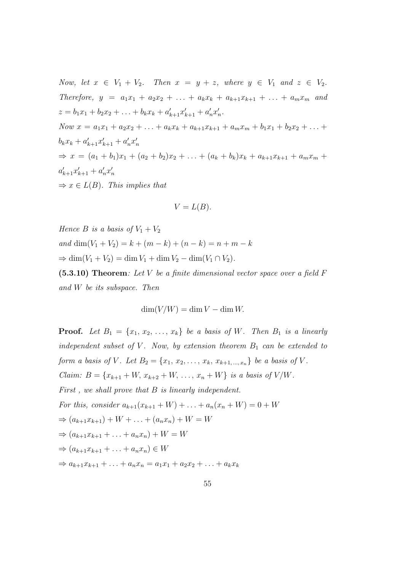Now, let  $x \in V_1 + V_2$ . Then  $x = y + z$ , where  $y \in V_1$  and  $z \in V_2$ . Therefore,  $y = a_1x_1 + a_2x_2 + \ldots + a_kx_k + a_{k+1}x_{k+1} + \ldots + a_mx_m$  and  $z = b_1x_1 + b_2x_2 + \ldots + b_kx_k + a'_{k+1}x'_{k+1} + a'_nx'_n.$ Now  $x = a_1x_1 + a_2x_2 + \ldots + a_kx_k + a_{k+1}x_{k+1} + a_mx_m + b_1x_1 + b_2x_2 + \ldots + b_kx_k$  $b_k x_k + a'_{k+1} x'_{k+1} + a'_n x'_n$  $\Rightarrow x = (a_1 + b_1)x_1 + (a_2 + b_2)x_2 + \ldots + (a_k + b_k)x_k + a_{k+1}x_{k+1} + a_mx_m +$  $a'_{k+1}x'_{k+1} + a'_{n}x'_{n}$  $\Rightarrow x \in L(B)$ . This implies that

$$
V=L(B).
$$

Hence B is a basis of  $V_1 + V_2$ and dim(V<sub>1</sub> + V<sub>2</sub>) = k + (m – k) + (n – k) = n + m – k  $\Rightarrow$  dim( $V_1 + V_2$ ) = dim  $V_1 +$  dim  $V_2 -$  dim( $V_1 \cap V_2$ ).

 $(5.3.10)$  Theorem: Let V be a finite dimensional vector space over a field F and W be its subspace. Then

$$
\dim(V/W) = \dim V - \dim W.
$$

**Proof.** Let  $B_1 = \{x_1, x_2, \ldots, x_k\}$  be a basis of W. Then  $B_1$  is a linearly independent subset of V. Now, by extension theorem  $B_1$  can be extended to form a basis of V. Let  $B_2 = \{x_1, x_2, \ldots, x_k, x_{k+1,\ldots,x_n}\}$  be a basis of V. *Claim:*  $B = \{x_{k+1} + W, x_{k+2} + W, \ldots, x_n + W\}$  is a basis of  $V/W$ . First, we shall prove that B is linearly independent. For this, consider  $a_{k+1}(x_{k+1} + W) + \ldots + a_n(x_n + W) = 0 + W$  $\Rightarrow$   $(a_{k+1}x_{k+1}) + W + \ldots + (a_nx_n) + W = W$  $\Rightarrow$   $(a_{k+1}x_{k+1} + ... + a_nx_n) + W = W$  $\Rightarrow (a_{k+1}x_{k+1} + \ldots + a_nx_n) \in W$  $\Rightarrow a_{k+1}x_{k+1} + \ldots + a_nx_n = a_1x_1 + a_2x_2 + \ldots + a_kx_k$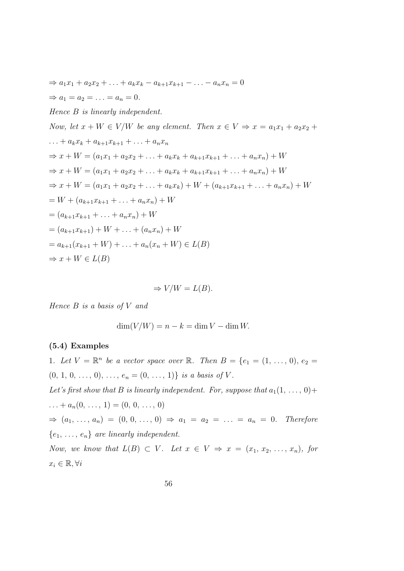$$
\Rightarrow a_1x_1 + a_2x_2 + \dots + a_kx_k - a_{k+1}x_{k+1} - \dots - a_nx_n = 0
$$
  
\n
$$
\Rightarrow a_1 = a_2 = \dots = a_n = 0.
$$
  
\nHence B is linearly independent.  
\nNow, let  $x + W \in V/W$  be any element. Then  $x \in V \Rightarrow x = a_1x_1 + a_2x_2 + \dots + a_kx_k + a_{k+1}x_{k+1} + \dots + a_nx_n$   
\n
$$
\Rightarrow x + W = (a_1x_1 + a_2x_2 + \dots + a_kx_k + a_{k+1}x_{k+1} + \dots + a_nx_n) + W
$$
  
\n
$$
\Rightarrow x + W = (a_1x_1 + a_2x_2 + \dots + a_kx_k + a_{k+1}x_{k+1} + \dots + a_nx_n) + W
$$
  
\n
$$
\Rightarrow x + W = (a_1x_1 + a_2x_2 + \dots + a_kx_k) + W + (a_{k+1}x_{k+1} + \dots + a_nx_n) + W
$$
  
\n
$$
= W + (a_{k+1}x_{k+1} + \dots + a_nx_n) + W
$$
  
\n
$$
= (a_{k+1}x_{k+1} + \dots + a_nx_n) + W
$$
  
\n
$$
= (a_{k+1}x_{k+1}) + W + \dots + (a_nx_n) + W
$$
  
\n
$$
= a_{k+1}(x_{k+1} + W) + \dots + a_n(x_n + W) \in L(B)
$$
  
\n
$$
\Rightarrow x + W \in L(B)
$$

$$
\Rightarrow V/W = L(B).
$$

Hence  $B$  is a basis of  $V$  and

$$
\dim(V/W) = n - k = \dim V - \dim W.
$$

### (5.4) Examples

1. Let  $V = \mathbb{R}^n$  be a vector space over  $\mathbb{R}$ . Then  $B = \{e_1 = (1, \ldots, 0), e_2 = 1\}$  $(0, 1, 0, \ldots, 0), \ldots, e_n = (0, \ldots, 1)$  is a basis of V. Let's first show that B is linearly independent. For, suppose that  $a_1(1, \ldots, 0)$ +  $\ldots + a_n(0, \ldots, 1) = (0, 0, \ldots, 0)$  $\Rightarrow$   $(a_1, \ldots, a_n) = (0, 0, \ldots, 0) \Rightarrow a_1 = a_2 = \ldots = a_n = 0$ . Therefore  ${e_1, \ldots, e_n}$  are linearly independent. Now, we know that  $L(B) \subset V$ . Let  $x \in V \Rightarrow x = (x_1, x_2, \ldots, x_n)$ , for  $x_i \in \mathbb{R}, \forall i$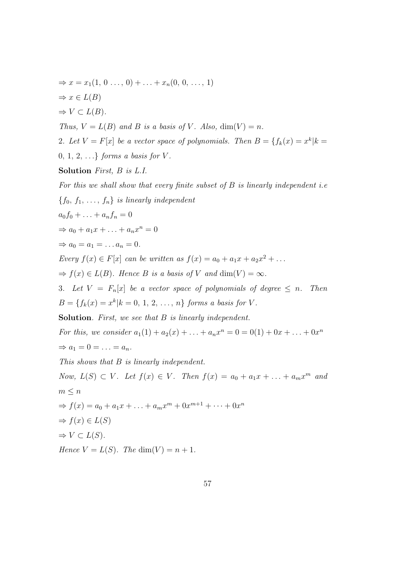$$
\Rightarrow x = x_1(1, 0, ..., 0) + ... + x_n(0, 0, ..., 1)
$$
  
\n
$$
\Rightarrow x \in L(B)
$$
  
\n
$$
\Rightarrow V \subset L(B).
$$
  
\nThus,  $V = L(B)$  and B is a basis of V. Also, dim $(V) = n$ .  
\n2. Let  $V = F[x]$  be a vector space of polynomials. Then  $B = \{f_k(x) = x^k | k = 0, 1, 2, ... \}$  forms a basis for V.  
\nSolution First, B is L.I.  
\nFor this we shall show that every finite subset of B is linearly independent i.e  
\n $\{f_0, f_1, ..., f_n\}$  is linearly independent  
\n $a_0f_0 + ... + a_nf_n = 0$   
\n $\Rightarrow a_0 + a_1x + ... + a_nx^n = 0$   
\n $\Rightarrow a_0 = a_1 = ... a_n = 0$ .  
\nEvery  $f(x) \in F[x]$  can be written as  $f(x) = a_0 + a_1x + a_2x^2 + ...$   
\n $\Rightarrow f(x) \in L(B)$ . Hence B is a basis of V and dim $(V) = \infty$ .  
\n3. Let  $V = F_n[x]$  be a vector space of polynomials of degree  $\leq n$ . Then  
\n $B = \{f_k(x) = x^k | k = 0, 1, 2, ..., n\}$  forms a basis for V.

Solution. First, we see that B is linearly independent.

For this, we consider  $a_1(1) + a_2(x) + \ldots + a_n x^n = 0 = 0(1) + 0x + \ldots + 0x^n$  $\Rightarrow a_1 = 0 = \ldots = a_n.$ 

This shows that B is linearly independent.

Now,  $L(S) \subset V$ . Let  $f(x) \in V$ . Then  $f(x) = a_0 + a_1x + \ldots + a_mx^m$  and  $m \leq n$  $\Rightarrow$   $f(x) = a_0 + a_1x + \ldots + a_mx^m + 0x^{m+1} + \cdots + 0x^n$  $\Rightarrow$   $f(x) \in L(S)$  $\Rightarrow V \subset L(S)$ . Hence  $V = L(S)$ . The dim(V) = n + 1.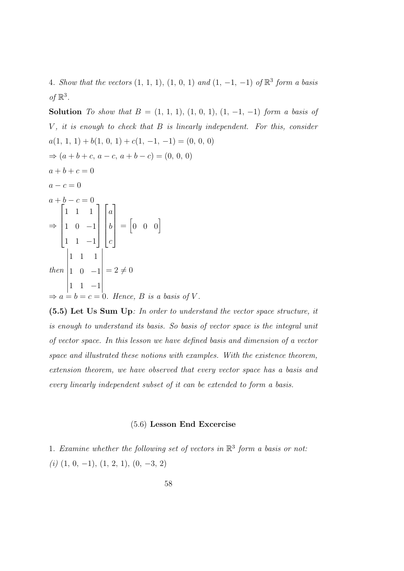4. Show that the vectors  $(1, 1, 1), (1, 0, 1)$  and  $(1, -1, -1)$  of  $\mathbb{R}^3$  form a basis of  $\mathbb{R}^3$ .

Solution To show that  $B = (1, 1, 1), (1, 0, 1), (1, -1, -1)$  form a basis of  $V$ , it is enough to check that  $B$  is linearly independent. For this, consider  $a(1, 1, 1) + b(1, 0, 1) + c(1, -1, -1) = (0, 0, 0)$  $\Rightarrow$   $(a + b + c, a - c, a + b - c) = (0, 0, 0)$  $a + b + c = 0$  $a - c = 0$  $a + b - c = 0$ ⇒  $\sqrt{ }$  $\begin{array}{c} \begin{array}{c} \begin{array}{c} \end{array} \\ \begin{array}{c} \end{array} \end{array} \end{array}$ 1 1 1 1 0 −1 1 1 −1 1  $\begin{array}{c} \n\downarrow \\
\downarrow\n\end{array}$  $\sqrt{ }$  $\begin{array}{c} \begin{array}{c} \begin{array}{c} \end{array} \\ \begin{array}{c} \end{array} \end{array} \end{array}$ a b c 1  $\begin{array}{c} \n \downarrow \\ \n \downarrow \n \end{array}$  $= \begin{bmatrix} 0 & 0 & 0 \end{bmatrix}$ then  $\begin{vmatrix} 1 & 1 & -1 \\ \Rightarrow a = b = c = 0. \text{ Hence, } B \text{ is a basis of } V. \end{vmatrix}$ 1 1 1 1 0 −1  $= 2 \neq 0$ 

(5.5) Let Us Sum Up: In order to understand the vector space structure, it is enough to understand its basis. So basis of vector space is the integral unit of vector space. In this lesson we have defined basis and dimension of a vector space and illustrated these notions with examples. With the existence theorem, extension theorem, we have observed that every vector space has a basis and every linearly independent subset of it can be extended to form a basis.

#### (5.6) Lesson End Excercise

1. Examine whether the following set of vectors in  $\mathbb{R}^3$  form a basis or not:  $(i)$   $(1, 0, -1), (1, 2, 1), (0, -3, 2)$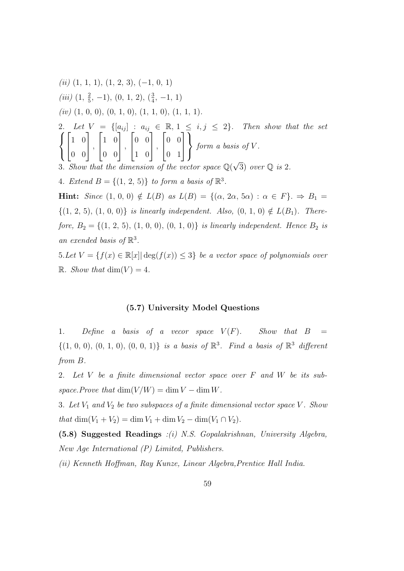(ii) 
$$
(1, 1, 1), (1, 2, 3), (-1, 0, 1)
$$
  
\n(iii)  $(1, \frac{2}{5}, -1), (0, 1, 2), (\frac{3}{4}, -1, 1)$   
\n(iv)  $(1, 0, 0), (0, 1, 0), (1, 1, 0), (1, 1, 1)$ .  
\n2. Let  $V = \{[a_{ij}] : a_{ij} \in \mathbb{R}, 1 \le i, j \le 2\}$ . Then show that the set  
\n $\begin{cases}\n1 & 0 \\
0 & 0\n\end{cases}$ ,  $\begin{bmatrix}\n1 & 0 \\
0 & 0\n\end{bmatrix}$ ,  $\begin{bmatrix}\n0 & 0 \\
0 & 0\n\end{bmatrix}$ ,  $\begin{bmatrix}\n0 & 0 \\
0 & 1\n\end{bmatrix}$  form a basis of V.  
\n3. Show that the dimension of the vector space  $\mathbb{Q}(\sqrt{3})$  over  $\mathbb{Q}$  is 2.  
\n4. Extend  $B = \{(1, 2, 5)\}$  to form a basis of  $\mathbb{R}^3$ .  
\nHint: Since  $(1, 0, 0) \notin L(B)$  as  $L(B) = \{(\alpha, 2\alpha, 5\alpha) : \alpha \in F\}$ .  $\Rightarrow B_1 = \{(1, 2, 5), (1, 0, 0)\}$  is linearly independent. Also,  $(0, 1, 0) \notin L(B_1)$ . There-  
\nfore  $B_2 = \{(1, 2, 5), (1, 0, 0), (0, 1, 0)\}$  is linearly independent. Hence  $B_2$  is  
\nan extended basis of  $\mathbb{R}^3$ .  
\n5. Let  $V = \{f(x) \in \mathbb{R}[x] | \deg(f(x)) \le 3\}$  be a vector space of polynomials over

R. Show that  $\dim(V) = 4$ .

#### (5.7) University Model Questions

1. Define a basis of a vecor space  $V(F)$ . Show that  $B =$  $\{(1, 0, 0), (0, 1, 0), (0, 0, 1)\}\$ is a basis of  $\mathbb{R}^3$ . Find a basis of  $\mathbb{R}^3$  different from B.

2. Let V be a finite dimensional vector space over F and W be its subspace. Prove that  $\dim(V/W) = \dim V - \dim W$ .

3. Let  $V_1$  and  $V_2$  be two subspaces of a finite dimensional vector space V. Show that  $\dim(V_1 + V_2) = \dim V_1 + \dim V_2 - \dim(V_1 \cap V_2)$ .

(5.8) Suggested Readings :(i) N.S. Gopalakrishnan, University Algebra, New Age International (P) Limited, Publishers.

(ii) Kenneth Hoffman, Ray Kunze, Linear Algebra,Prentice Hall India.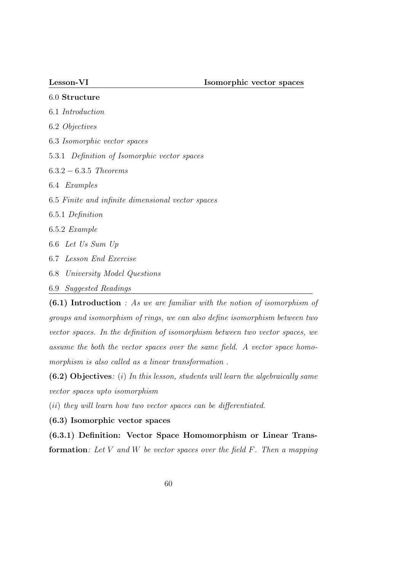| 6.0 Structure                                     |
|---------------------------------------------------|
| 6.1 <i>Introduction</i>                           |
| 6.2 <i>Objectives</i>                             |
| 6.3 <i>Isomorphic vector spaces</i>               |
| 5.3.1 Definition of Isomorphic vector spaces      |
| $6.3.2 - 6.3.5$ Theorems                          |
| 6.4 <i>Examples</i>                               |
| 6.5 Finite and infinite dimensional vector spaces |
| 6.5.1 Definition                                  |
| $6.5.2$ Example                                   |
| 6.6 Let Us Sum Up                                 |
| 6.7 Lesson End Exercise                           |
| 6.8 University Model Questions                    |
| 6.9 Suggested Readings                            |

(6.1) Introduction : As we are familiar with the notion of isomorphism of groups and isomorphism of rings, we can also define isomorphism between two vector spaces. In the definition of isomorphism between two vector spaces, we assume the both the vector spaces over the same field. A vector space homomorphism is also called as a linear transformation .

 $(6.2)$  Objectives: (i) In this lesson, students will learn the algebraically same vector spaces upto isomorphism

(ii) they will learn how two vector spaces can be differentiated.

(6.3) Isomorphic vector spaces

(6.3.1) Definition: Vector Space Homomorphism or Linear Trans**formation:** Let V and W be vector spaces over the field  $F$ . Then a mapping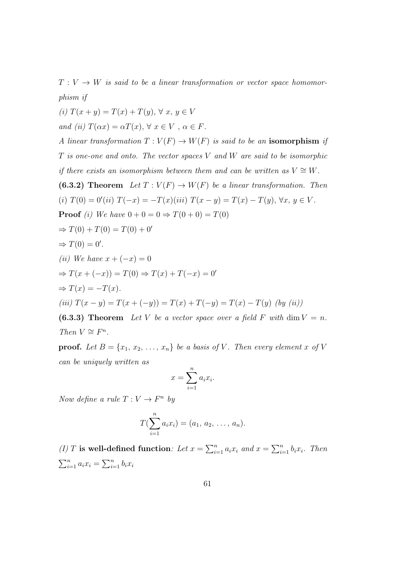$T: V \to W$  is said to be a linear transformation or vector space homomorphism if

(i)  $T(x + y) = T(x) + T(y), \forall x, y \in V$ and (ii)  $T(\alpha x) = \alpha T(x), \forall x \in V, \alpha \in F$ .

A linear transformation  $T: V(F) \to W(F)$  is said to be an isomorphism if  $T$  is one-one and onto. The vector spaces  $V$  and  $W$  are said to be isomorphic if there exists an isomorphism between them and can be written as  $V \cong W$ . (6.3.2) Theorem Let  $T: V(F) \to W(F)$  be a linear transformation. Then (i)  $T(0) = 0'(ii) T(-x) = -T(x)(iii) T(x - y) = T(x) - T(y), \forall x, y \in V.$ **Proof** (i) We have  $0 + 0 = 0 \Rightarrow T(0 + 0) = T(0)$  $\Rightarrow T(0) + T(0) = T(0) + 0'$  $\Rightarrow$   $T(0) = 0'.$ (*ii*) We have  $x + (-x) = 0$  $\Rightarrow T(x + (-x)) = T(0) \Rightarrow T(x) + T(-x) = 0'$  $\Rightarrow$   $T(x) = -T(x)$ . (iii)  $T(x - y) = T(x + (-y)) = T(x) + T(-y) = T(x) - T(y)$  (by (ii)) (6.3.3) Theorem Let V be a vector space over a field F with dim  $V = n$ . Then  $V \cong F^n$ .

**proof.** Let  $B = \{x_1, x_2, \ldots, x_n\}$  be a basis of V. Then every element x of V can be uniquely written as

$$
x = \sum_{i=1}^{n} a_i x_i.
$$

Now define a rule  $T: V \to F^n$  by

$$
T(\sum_{i=1}^n a_i x_i) = (a_1, a_2, \ldots, a_n).
$$

(I) T is well-defined function: Let  $x = \sum_{i=1}^{n} a_i x_i$  and  $x = \sum_{i=1}^{n} b_i x_i$ . Then  $\sum_{i=1}^{n} a_i x_i = \sum_{i=1}^{n} b_i x_i$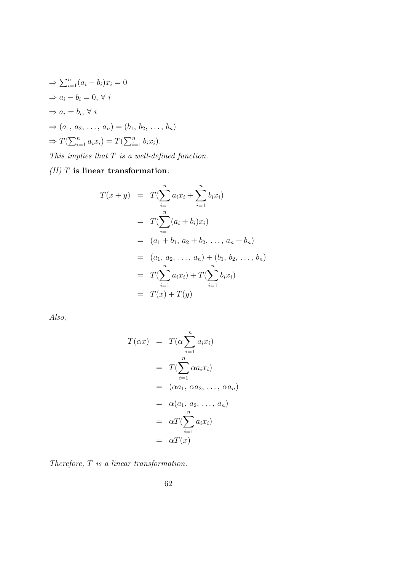$$
\Rightarrow \sum_{i=1}^{n} (a_i - b_i)x_i = 0
$$
  
\n
$$
\Rightarrow a_i - b_i = 0, \forall i
$$
  
\n
$$
\Rightarrow a_i = b_i, \forall i
$$
  
\n
$$
\Rightarrow (a_1, a_2, \dots, a_n) = (b_1, b_2, \dots, b_n)
$$
  
\n
$$
\Rightarrow T(\sum_{i=1}^{n} a_i x_i) = T(\sum_{i=1}^{n} b_i x_i).
$$
  
\nThis implies that T is a well-defined function.

 $\left( II\right)$   $T$  is linear transformation:

$$
T(x + y) = T(\sum_{i=1}^{n} a_i x_i + \sum_{i=1}^{n} b_i x_i)
$$
  
=  $T(\sum_{i=1}^{n} (a_i + b_i) x_i)$   
=  $(a_1 + b_1, a_2 + b_2, ..., a_n + b_n)$   
=  $(a_1, a_2, ..., a_n) + (b_1, b_2, ..., b_n)$   
=  $T(\sum_{i=1}^{n} a_i x_i) + T(\sum_{i=1}^{n} b_i x_i)$   
=  $T(x) + T(y)$ 

Also,

$$
T(\alpha x) = T(\alpha \sum_{i=1}^{n} a_i x_i)
$$
  
= 
$$
T(\sum_{i=1}^{n} \alpha a_i x_i)
$$
  
= 
$$
(\alpha a_1, \alpha a_2, ..., \alpha a_n)
$$
  
= 
$$
\alpha(a_1, a_2, ..., a_n)
$$
  
= 
$$
\alpha T(\sum_{i=1}^{n} a_i x_i)
$$
  
= 
$$
\alpha T(x)
$$

Therefore, T is a linear transformation.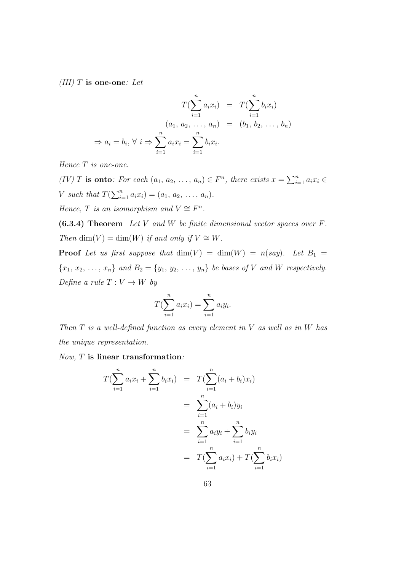(III) T is one-one: Let

$$
T(\sum_{i=1}^{n} a_i x_i) = T(\sum_{i=1}^{n} b_i x_i)
$$
  
\n
$$
(a_1, a_2, \dots, a_n) = (b_1, b_2, \dots, b_n)
$$
  
\n
$$
\Rightarrow a_i = b_i, \forall i \Rightarrow \sum_{i=1}^{n} a_i x_i = \sum_{i=1}^{n} b_i x_i.
$$

Hence T is one-one.

(IV) T is onto: For each  $(a_1, a_2, \ldots, a_n) \in F^n$ , there exists  $x = \sum_{i=1}^n a_i x_i \in$ *V* such that  $T(\sum_{i=1}^{n} a_i x_i) = (a_1, a_2, ..., a_n)$ . Hence, T is an isomorphism and  $V \cong F^n$ .

 $(6.3.4)$  Theorem Let V and W be finite dimensional vector spaces over F. Then dim(V) = dim(W) if and only if  $V \cong W$ .

**Proof** Let us first suppose that  $\dim(V) = \dim(W) = n(say)$ . Let  $B_1 =$  ${x_1, x_2, \ldots, x_n}$  and  $B_2 = {y_1, y_2, \ldots, y_n}$  be bases of V and W respectively. Define a rule  $T: V \to W$  by

$$
T(\sum_{i=1}^{n} a_i x_i) = \sum_{i=1}^{n} a_i y_i.
$$

Then  $T$  is a well-defined function as every element in  $V$  as well as in  $W$  has the unique representation.

Now, T is linear transformation:

$$
T(\sum_{i=1}^{n} a_i x_i + \sum_{i=1}^{n} b_i x_i) = T(\sum_{i=1}^{n} (a_i + b_i) x_i)
$$
  
= 
$$
\sum_{i=1}^{n} (a_i + b_i) y_i
$$
  
= 
$$
\sum_{i=1}^{n} a_i y_i + \sum_{i=1}^{n} b_i y_i
$$
  
= 
$$
T(\sum_{i=1}^{n} a_i x_i) + T(\sum_{i=1}^{n} b_i x_i)
$$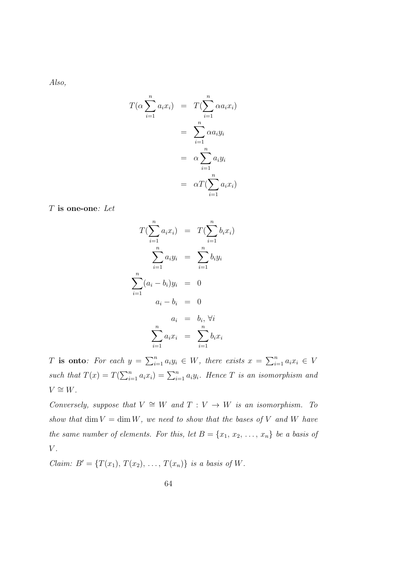Also,

$$
T(\alpha \sum_{i=1}^{n} a_i x_i) = T(\sum_{i=1}^{n} \alpha a_i x_i)
$$
  
= 
$$
\sum_{i=1}^{n} \alpha a_i y_i
$$
  
= 
$$
\alpha \sum_{i=1}^{n} a_i y_i
$$
  
= 
$$
\alpha T(\sum_{i=1}^{n} a_i x_i)
$$

T is one-one: Let

$$
T(\sum_{i=1}^{n} a_i x_i) = T(\sum_{i=1}^{n} b_i x_i)
$$

$$
\sum_{i=1}^{n} a_i y_i = \sum_{i=1}^{n} b_i y_i
$$

$$
\sum_{i=1}^{n} (a_i - b_i) y_i = 0
$$

$$
a_i - b_i = 0
$$

$$
a_i = b_i, \forall i
$$

$$
\sum_{i=1}^{n} a_i x_i = \sum_{i=1}^{n} b_i x_i
$$

T is onto: For each  $y = \sum_{i=1}^n a_i y_i \in W$ , there exists  $x = \sum_{i=1}^n a_i x_i \in V$ such that  $T(x) = T(\sum_{i=1}^{n} a_i x_i) = \sum_{i=1}^{n} a_i y_i$ . Hence T is an isomorphism and  $V \cong W$ .

Conversely, suppose that  $V \cong W$  and  $T : V \to W$  is an isomorphism. To show that dim  $V = \dim W$ , we need to show that the bases of V and W have the same number of elements. For this, let  $B = \{x_1, x_2, \ldots, x_n\}$  be a basis of  $V$ .

*Claim:*  $B' = {T(x_1), T(x_2), ..., T(x_n)}$  is a basis of W.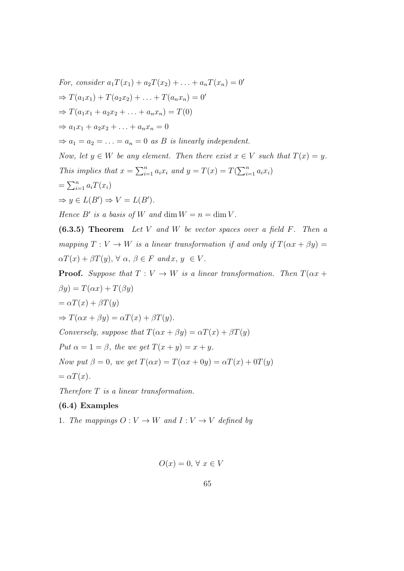For, consider 
$$
a_1T(x_1) + a_2T(x_2) + \ldots + a_nT(x_n) = 0'
$$
  
\n $\Rightarrow T(a_1x_1) + T(a_2x_2) + \ldots + T(a_nx_n) = 0'$   
\n $\Rightarrow T(a_1x_1 + a_2x_2 + \ldots + a_nx_n) = T(0)$   
\n $\Rightarrow a_1x_1 + a_2x_2 + \ldots + a_nx_n = 0$   
\n $\Rightarrow a_1 = a_2 = \ldots = a_n = 0$  as *B* is linearly independent.  
\nNow, let  $y \in W$  be any element. Then there exist  $x \in V$  such that  $T(x) = y$ .  
\nThis implies that  $x = \sum_{i=1}^n a_i x_i$  and  $y = T(x) = T(\sum_{i=1}^n a_i x_i)$   
\n $= \sum_{i=1}^n a_i T(x_i)$   
\n $\Rightarrow y \in L(B') \Rightarrow V = L(B').$   
\nHence *B'* is a basis of *W* and dim  $W = n = \dim V$ .

 $(6.3.5)$  Theorem Let V and W be vector spaces over a field F. Then a mapping  $T: V \to W$  is a linear transformation if and only if  $T(\alpha x + \beta y) =$  $\alpha T(x) + \beta T(y), \forall \alpha, \beta \in F \text{ and } x, y \in V.$ 

**Proof.** Suppose that 
$$
T : V \to W
$$
 is a linear transformation. Then  $T(\alpha x + \beta y) = T(\alpha x) + T(\beta y)$   
\n $= \alpha T(x) + \beta T(y)$   
\n $\Rightarrow T(\alpha x + \beta y) = \alpha T(x) + \beta T(y).$   
\nConversely, suppose that  $T(\alpha x + \beta y) = \alpha T(x) + \beta T(y)$   
\nPut  $\alpha = 1 = \beta$ , the we get  $T(x + y) = x + y$ .  
\nNow put  $\beta = 0$ , we get  $T(\alpha x) = T(\alpha x + 0y) = \alpha T(x) + 0T(y)$   
\n $= \alpha T(x).$ 

Therefore  $T$  is a linear transformation.

# (6.4) Examples

1. The mappings  $O: V \to W$  and  $I: V \to V$  defined by

$$
O(x) = 0, \forall x \in V
$$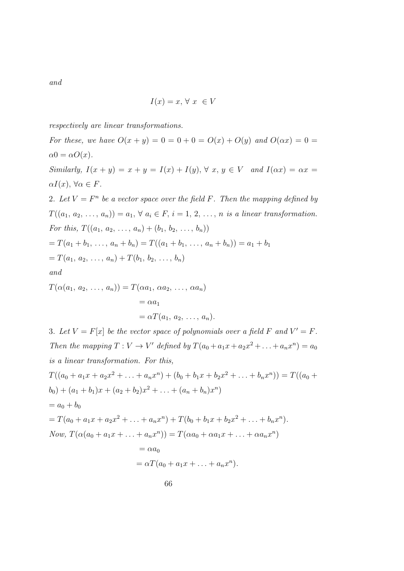and

$$
I(x) = x, \forall x \in V
$$

respectively are linear transformations.

For these, we have  $O(x + y) = 0 = 0 + 0 = O(x) + O(y)$  and  $O(\alpha x) = 0 = 0$  $\alpha 0 = \alpha O(x)$ . Similarly,  $I(x + y) = x + y = I(x) + I(y)$ ,  $\forall x, y \in V$  and  $I(\alpha x) = \alpha x =$  $\alpha I(x), \,\forall \alpha \in F.$ 2. Let  $V = F^n$  be a vector space over the field F. Then the mapping defined by  $T((a_1, a_2, \ldots, a_n)) = a_1, \forall a_i \in F, i = 1, 2, \ldots, n$  is a linear transformation. For this,  $T((a_1, a_2, \ldots, a_n) + (b_1, b_2, \ldots, b_n))$  $= T(a_1 + b_1, \ldots, a_n + b_n) = T((a_1 + b_1, \ldots, a_n + b_n)) = a_1 + b_1$  $=T(a_1, a_2, \ldots, a_n) + T(b_1, b_2, \ldots, b_n)$ and  $T(\alpha(a_1, a_2, \ldots, a_n)) = T(\alpha a_1, \alpha a_2, \ldots, \alpha a_n)$  $= \alpha a_1$  $= \alpha T(a_1, a_2, \ldots, a_n).$ 3. Let  $V = F[x]$  be the vector space of polynomials over a field F and  $V' = F$ . Then the mapping  $T: V \to V'$  defined by  $T(a_0 + a_1x + a_2x^2 + ... + a_nx^n) = a_0$ 

is a linear transformation. For this,

$$
T((a_0 + a_1x + a_2x^2 + \dots + a_nx^n) + (b_0 + b_1x + b_2x^2 + \dots + b_nx^n)) = T((a_0 + b_0) + (a_1 + b_1)x + (a_2 + b_2)x^2 + \dots + (a_n + b_n)x^n)
$$
  
=  $a_0 + b_0$   
=  $T(a_0 + a_1x + a_2x^2 + \dots + a_nx^n) + T(b_0 + b_1x + b_2x^2 + \dots + b_nx^n).$   
Now,  $T(\alpha(a_0 + a_1x + \dots + a_nx^n)) = T(\alpha a_0 + \alpha a_1x + \dots + \alpha a_nx^n)$   
=  $\alpha a_0$   
=  $\alpha T(a_0 + a_1x + \dots + a_nx^n).$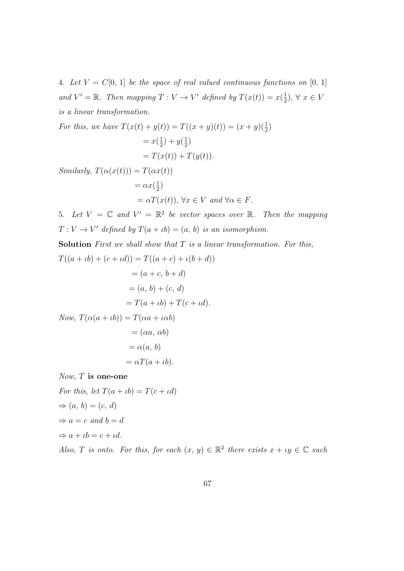4. Let  $V = C[0, 1]$  be the space of real valued continuous functions on [0, 1] and  $V' = \mathbb{R}$ . Then mapping  $T: V \to V'$  defined by  $T(x(t)) = x(\frac{1}{2})$  $(\frac{1}{2}), \forall x \in V$ is a linear transformation.

For this, we have 
$$
T(x(t) + y(t)) = T((x + y)(t)) = (x + y)(\frac{1}{2})
$$
  
=  $x(\frac{1}{2}) + y(\frac{1}{2})$   
=  $T(x(t)) + T(y(t))$ .

Similarly,  $T(\alpha(x(t))) = T(\alpha x(t))$  $=\alpha x(\frac{1}{2})$  $\frac{1}{2})$ 

$$
= \alpha T(x(t)), \forall x \in V \text{ and } \forall \alpha \in F.
$$

5. Let  $V = \mathbb{C}$  and  $V' = \mathbb{R}^2$  be vector spaces over  $\mathbb{R}$ . Then the mapping  $T: V \to V'$  defined by  $T(a + \iota b) = (a, b)$  is an isomorphism.

Solution First we shall show that  $T$  is a linear transformation. For this,  $T((a + \iota b) + (c + \iota d)) = T((a + c) + \iota (b + d))$ 

$$
((a + ib) + (c + ta)) = T((a + c) + l(b + a))
$$

$$
= (a + c, b + d)
$$

$$
= (a, b) + (c, d)
$$

$$
= T(a + tb) + T(c + td).
$$
  
Now, 
$$
T(\alpha(a + tb)) = T(\alpha a + t \alpha b)
$$

Now,  $T(\alpha(a + \iota b)) = T(\alpha a + \iota \alpha b)$  $= (\alpha a, \alpha b)$  $= \alpha(a, b)$ 

$$
= \alpha T(a + \iota b).
$$

Now, T is one-one

For this, let  $T(a + \iota b) = T(c + \iota d)$  $\Rightarrow$   $(a, b) = (c, d)$  $\Rightarrow a = c$  and  $b = d$  $\Rightarrow$   $a + \iota b = c + \iota d$ .

Also, T is onto. For this, for each  $(x, y) \in \mathbb{R}^2$  there exists  $x + iy \in \mathbb{C}$  such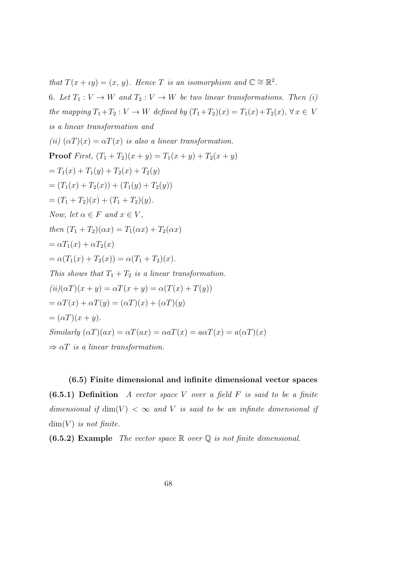that  $T(x + \iota y) = (x, y)$ . Hence T is an isomorphism and  $\mathbb{C} \cong \mathbb{R}^2$ .

6. Let  $T_1: V \to W$  and  $T_2: V \to W$  be two linear transformations. Then (i) the mapping  $T_1+T_2: V \to W$  defined by  $(T_1+T_2)(x) = T_1(x)+T_2(x), \forall x \in V$ is a linear transformation and (ii)  $(\alpha T)(x) = \alpha T(x)$  is also a linear transformation. **Proof** First,  $(T_1 + T_2)(x + y) = T_1(x + y) + T_2(x + y)$  $=T_1(x) + T_1(y) + T_2(x) + T_2(y)$  $=(T_1(x) + T_2(x)) + (T_1(y) + T_2(y))$  $=(T_1+T_2)(x)+(T_1+T_2)(y).$ Now, let  $\alpha \in F$  and  $x \in V$ . then  $(T_1 + T_2)(\alpha x) = T_1(\alpha x) + T_2(\alpha x)$  $=\alpha T_1(x)+\alpha T_2(x)$  $=\alpha(T_1(x) + T_2(x)) = \alpha(T_1 + T_2)(x).$ This shows that  $T_1 + T_2$  is a linear transformation.  $(ii)(\alpha T)(x + y) = \alpha T(x + y) = \alpha (T(x) + T(y))$  $=\alpha T(x) + \alpha T(y) = (\alpha T)(x) + (\alpha T)(y)$  $= (\alpha T)(x + y).$ Similarly  $(\alpha T)(ax) = \alpha T(ax) = \alpha aT(x) = a\alpha T(x) = a(\alpha T)(x)$  $\Rightarrow \alpha T$  is a linear transformation.

(6.5) Finite dimensional and infinite dimensional vector spaces  $(6.5.1)$  Definition A vector space V over a field F is said to be a finite dimensional if  $\dim(V) < \infty$  and V is said to be an infinite dimensional if  $\dim(V)$  is not finite.

**(6.5.2)** Example The vector space  $\mathbb{R}$  over  $\mathbb{Q}$  is not finite dimensional.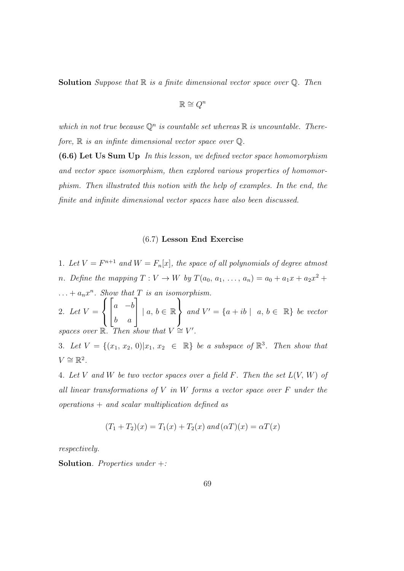**Solution** Suppose that  $\mathbb{R}$  is a finite dimensional vector space over  $\mathbb{Q}$ . Then

$$
\mathbb{R} \cong Q^n
$$

which in not true because  $\mathbb{Q}^n$  is countable set whereas  $\mathbb R$  is uncountable. Therefore,  $\mathbb R$  is an infinite dimensional vector space over  $\mathbb Q$ .

(6.6) Let Us Sum Up In this lesson, we defined vector space homomorphism and vector space isomorphism, then explored various properties of homomorphism. Then illustrated this notion with the help of examples. In the end, the finite and infinite dimensional vector spaces have also been discussed.

#### (6.7) Lesson End Exercise

1. Let  $V = F^{n+1}$  and  $W = F_n[x]$ , the space of all polynomials of degree atmost n. Define the mapping  $T: V \to W$  by  $T(a_0, a_1, \ldots, a_n) = a_0 + a_1x + a_2x^2 +$  $\dots + a_n x^n$ . Show that T is an isomorphism.

2. Let  $V =$  $\sqrt{ }$  $\int$  $\mathcal{L}$  $\sqrt{ }$  $\overline{\phantom{a}}$  $a - b$ b a ן.  $\Big| \ \mid a, b \in \mathbb{R}$  $\mathcal{L}$  $\mathcal{L}$  $\int$ and  $V' = \{a + ib \mid a, b \in \mathbb{R}\}\$ be vector spaces over  $\mathbb{R}$ . Then show that  $V \cong V'$ .

3. Let  $V = \{(x_1, x_2, 0)|x_1, x_2 \in \mathbb{R}\}$  be a subspace of  $\mathbb{R}^3$ . Then show that  $V \cong \mathbb{R}^2$ .

4. Let V and W be two vector spaces over a field F. Then the set  $L(V, W)$  of all linear transformations of  $V$  in  $W$  forms a vector space over  $F$  under the  $operations + and scalar multiplication defined as$ 

$$
(T_1 + T_2)(x) = T_1(x) + T_2(x) \text{ and } (\alpha T)(x) = \alpha T(x)
$$

respectively.

**Solution**. Properties under  $+$ :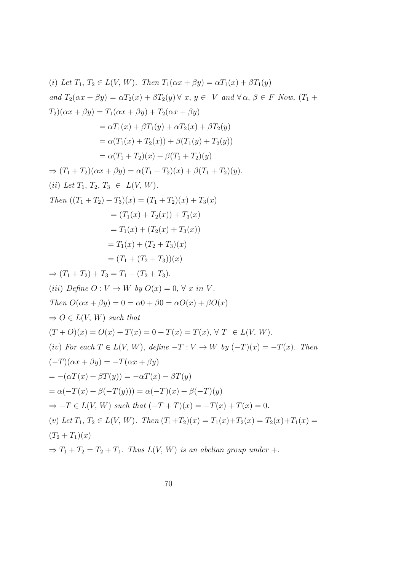(i) Let T<sub>1</sub>, T<sub>2</sub> ∈ L(V, W). Then T<sub>1</sub>(
$$
\alpha x + \beta y
$$
) =  $\alpha$ T<sub>1</sub>(x) +  $\beta$ T<sub>1</sub>(y)  
and T<sub>2</sub>( $\alpha x + \beta y$ ) =  $\alpha$ T<sub>2</sub>(x) +  $\beta$ T<sub>2</sub>(y) ∀ x, y ∈ V and ∀α, β ∈ F Now, (T<sub>1</sub> +  
T<sub>2</sub>)( $\alpha x + \beta y$ ) = T<sub>1</sub>( $\alpha x + \beta y$ ) + T<sub>2</sub>( $\alpha x + \beta y$ )  
=  $\alpha$ T<sub>1</sub>(x) +  $\beta$ T<sub>1</sub>(y) +  $\alpha$ T<sub>2</sub>(x) +  $\beta$ T<sub>2</sub>(y)  
=  $\alpha$ (T<sub>1</sub> + T<sub>2</sub>)(x) +  $\beta$ (T<sub>1</sub> + T<sub>2</sub>)(y)  
=  $\alpha$ (T<sub>1</sub> + T<sub>2</sub>)(x) +  $\beta$ (T<sub>1</sub> + T<sub>2</sub>)(y)  
=  $\alpha$ (T<sub>1</sub> + T<sub>2</sub>)(x) +  $\beta$ (T<sub>1</sub> + T<sub>2</sub>)(y).  
(ii) Let T<sub>1</sub>, T<sub>2</sub>, T<sub>3</sub> ∈ L(V, W).  
Then ((T<sub>1</sub> + T<sub>2</sub>) + T<sub>3</sub>)(x) = (T<sub>1</sub> + T<sub>2</sub>)(x) + T<sub>3</sub>(x)  
= (T<sub>1</sub>(x) + T<sub>2</sub>(x)) + T<sub>3</sub>(x)  
= T<sub>1</sub>(x) + (T<sub>2</sub>(x) + T<sub>3</sub>(x))  
= T<sub>1</sub>(x) + (T<sub>2</sub> + T<sub>3</sub>)(x)  
= (T<sub>1</sub> + (T<sub>2</sub> + T<sub>3</sub>)(x)  
= (T<sub>1</sub> + (T<sub>2</sub> + T<sub>3</sub>))(x)  
= (T<sub>1</sub> + (T<sub>2</sub> +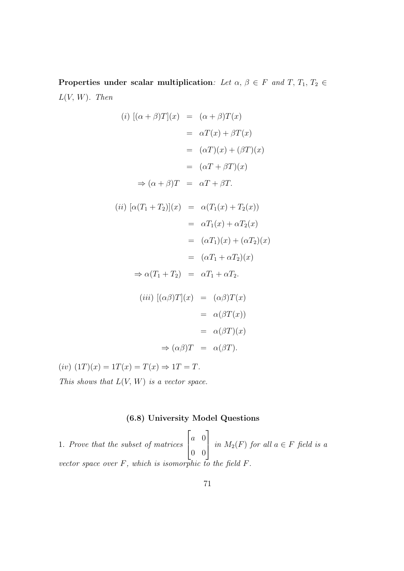Properties under scalar multiplication: Let  $\alpha, \beta \in F$  and  $T, T_1, T_2 \in$  $L(V, W)$ . Then

$$
(i) [( \alpha + \beta)T](x) = (\alpha + \beta)T(x)
$$
  
\n
$$
= \alpha T(x) + \beta T(x)
$$
  
\n
$$
= (\alpha T)(x) + (\beta T)(x)
$$
  
\n
$$
= (\alpha T + \beta T)(x)
$$
  
\n
$$
\Rightarrow (\alpha + \beta)T = \alpha T + \beta T.
$$
  
\n
$$
(ii) [\alpha (T_1 + T_2)](x) = \alpha (T_1(x) + T_2(x))
$$
  
\n
$$
= \alpha T_1(x) + \alpha T_2(x)
$$
  
\n
$$
= (\alpha T_1) (x) + (\alpha T_2) (x)
$$
  
\n
$$
\Rightarrow \alpha (T_1 + T_2) = \alpha T_1 + \alpha T_2.
$$
  
\n
$$
(iii) [(\alpha \beta)T](x) = (\alpha \beta)T(x)
$$
  
\n
$$
= \alpha (\beta T)(x)
$$
  
\n
$$
\Rightarrow (\alpha \beta)T = \alpha (\beta T).
$$

 $(iv)$   $(1T)(x) = 1T(x) = T(x) \Rightarrow 1T = T$ . This shows that  $L(V, W)$  is a vector space.

# (6.8) University Model Questions

1. Prove that the subset of matrices  $\sqrt{ }$  $\overline{\phantom{a}}$ a 0 0 0 1  $\left| \text{in } M_2(F) \text{ for all } a \in F \text{ field is a} \right|$ vector space over  $F$ , which is isomorphic to the field  $F$ .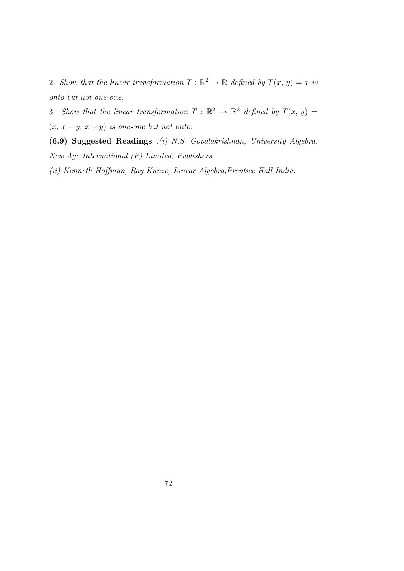2. Show that the linear transformation  $T : \mathbb{R}^2 \to \mathbb{R}$  defined by  $T(x, y) = x$  is onto but not one-one.

3. Show that the linear transformation  $T : \mathbb{R}^2 \to \mathbb{R}^3$  defined by  $T(x, y) =$  $(x, x - y, x + y)$  is one-one but not onto.

(6.9) Suggested Readings :(i) N.S. Gopalakrishnan, University Algebra, New Age International (P) Limited, Publishers.

(ii) Kenneth Hoffman, Ray Kunze, Linear Algebra,Prentice Hall India.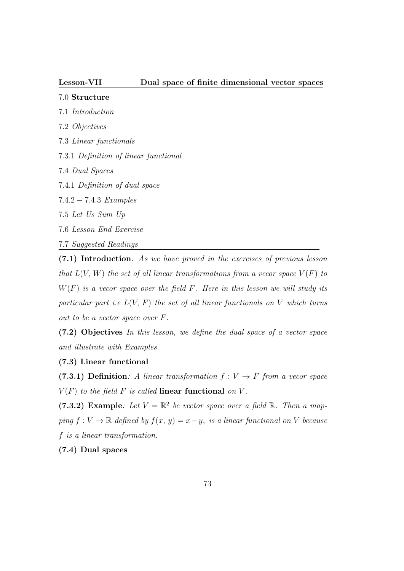# 7.0 Structure

- 7.1 Introduction
- 7.2 Objectives
- 7.3 Linear functionals
- 7.3.1 Definition of linear functional
- 7.4 Dual Spaces
- 7.4.1 Definition of dual space
- 7.4.2 − 7.4.3 Examples
- 7.5 Let Us Sum Up
- 7.6 Lesson End Exercise
- 7.7 Suggested Readings

(7.1) Introduction: As we have proved in the exercises of previous lesson that  $L(V, W)$  the set of all linear transformations from a vecor space  $V(F)$  to  $W(F)$  is a vecor space over the field F. Here in this lesson we will study its particular part *i.e.*  $L(V, F)$  the set of all linear functionals on V which turns out to be a vector space over F.

(7.2) Objectives In this lesson, we define the dual space of a vector space and illustrate with Examples.

# (7.3) Linear functional

(7.3.1) Definition: A linear transformation  $f: V \to F$  from a vecor space  $V(F)$  to the field F is called linear functional on V.

(7.3.2) Example: Let  $V = \mathbb{R}^2$  be vector space over a field  $\mathbb{R}$ . Then a mapping  $f: V \to \mathbb{R}$  defined by  $f(x, y) = x - y$ , is a linear functional on V because f is a linear transformation.

(7.4) Dual spaces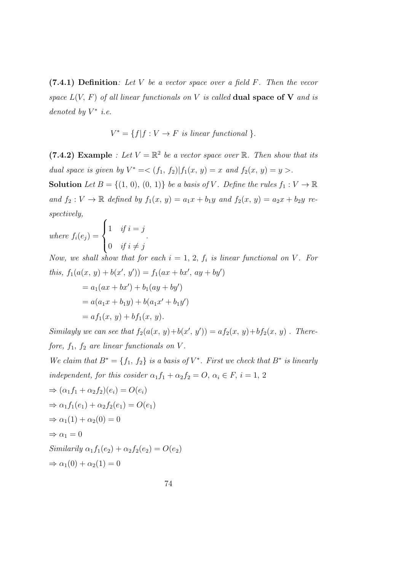$(7.4.1)$  Definition: Let V be a vector space over a field F. Then the vecor space  $L(V, F)$  of all linear functionals on V is called **dual space of V** and is denoted by  $V^*$  i.e.

$$
V^* = \{f | f : V \to F \text{ is linear functional } \}.
$$

(7.4.2) Example : Let  $V = \mathbb{R}^2$  be a vector space over  $\mathbb{R}$ . Then show that its dual space is given by  $V^* = \langle (f_1, f_2) | f_1(x, y) = x \text{ and } f_2(x, y) = y \rangle$ . **Solution** Let  $B = \{(1, 0), (0, 1)\}$  be a basis of V. Define the rules  $f_1 : V \to \mathbb{R}$ and  $f_2 : V \to \mathbb{R}$  defined by  $f_1(x, y) = a_1x + b_1y$  and  $f_2(x, y) = a_2x + b_2y$  respectively,

where  $f_i(e_j) =$  $\sqrt{ }$  $\int$  $\overline{\mathcal{L}}$ 1 if  $i = j$ 0 if  $i \neq j$ .

Now, we shall show that for each  $i = 1, 2, f_i$  is linear functional on V. For this,  $f_1(a(x, y) + b(x', y')) = f_1(ax + bx', ay + by')$ 

$$
= a_1(ax + bx') + b_1(ay + by')
$$
  
=  $a(a_1x + b_1y) + b(a_1x' + b_1y')$   
=  $af_1(x, y) + bf_1(x, y)$ .

Similayly we can see that  $f_2(a(x, y)+b(x', y')) = af_2(x, y)+bf_2(x, y)$ . Therefore,  $f_1$ ,  $f_2$  are linear functionals on V.

We claim that  $B^* = \{f_1, f_2\}$  is a basis of  $V^*$ . First we check that  $B^*$  is linearly independent, for this cosider  $\alpha_1 f_1 + \alpha_2 f_2 = O, \alpha_i \in F, i = 1, 2$ 

$$
\Rightarrow (\alpha_1 f_1 + \alpha_2 f_2)(e_i) = O(e_i)
$$
  
\n
$$
\Rightarrow \alpha_1 f_1(e_1) + \alpha_2 f_2(e_1) = O(e_1)
$$
  
\n
$$
\Rightarrow \alpha_1 (1) + \alpha_2 (0) = 0
$$
  
\n
$$
\Rightarrow \alpha_1 = 0
$$
  
\nSimilarly  $\alpha_1 f_1(e_2) + \alpha_2 f_2(e_2) = O(e_2)$   
\n
$$
\Rightarrow \alpha_1 (0) + \alpha_2 (1) = 0
$$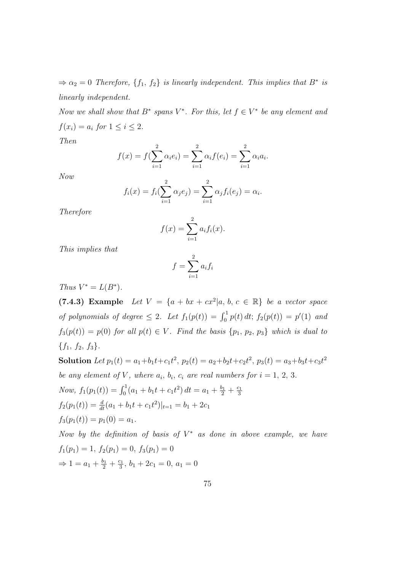$\Rightarrow \alpha_2 = 0$  Therefore,  $\{f_1, f_2\}$  is linearly independent. This implies that  $B^*$  is linearly independent.

Now we shall show that  $B^*$  spans  $V^*$ . For this, let  $f \in V^*$  be any element and  $f(x_i) = a_i$  for  $1 \leq i \leq 2$ .

Then

$$
f(x) = f(\sum_{i=1}^{2} \alpha_i e_i) = \sum_{i=1}^{2} \alpha_i f(e_i) = \sum_{i=1}^{2} \alpha_i a_i.
$$

Now

$$
f_i(x) = f_i(\sum_{i=1}^2 \alpha_i e_i) = \sum_{i=1}^2 \alpha_i f_i(e_i) = \alpha_i.
$$

Therefore

$$
f(x) = \sum_{i=1}^{2} a_i f_i(x).
$$

This implies that

$$
f = \sum_{i=1}^{2} a_i f_i
$$

Thus  $V^* = L(B^*)$ .

(7.4.3) Example Let  $V = \{a + bx + cx^2 | a, b, c \in \mathbb{R}\}$  be a vector space of polynomials of degree  $\leq 2$ . Let  $f_1(p(t)) = \int_0^1 p(t) dt$ ;  $f_2(p(t)) = p'(1)$  and  $f_3(p(t)) = p(0)$  for all  $p(t) \in V$ . Find the basis  $\{p_1, p_2, p_3\}$  which is dual to  ${f_1, f_2, f_3}.$ 

Solution Let  $p_1(t) = a_1 + b_1t + c_1t^2$ ,  $p_2(t) = a_2 + b_2t + c_2t^2$ ,  $p_3(t) = a_3 + b_3t + c_3t^2$ be any element of V, where  $a_i$ ,  $b_i$ ,  $c_i$  are real numbers for  $i = 1, 2, 3$ . Now,  $f_1(p_1(t)) = \int_0^1 (a_1 + b_1t + c_1t^2) dt = a_1 + \frac{b_1}{2} + \frac{c_1}{3}$ 3  $f_2(p_1(t)) = \frac{d}{dt}(a_1 + b_1t + c_1t^2)|_{t=1} = b_1 + 2c_1$  $f_3(p_1(t)) = p_1(0) = a_1.$ 

Now by the definition of basis of  $V^*$  as done in above example, we have  $f_1(p_1) = 1, f_2(p_1) = 0, f_3(p_1) = 0$  $\Rightarrow 1 = a_1 + \frac{b_1}{2} + \frac{c_1}{3}$  $\frac{c_1}{3}$ ,  $b_1 + 2c_1 = 0$ ,  $a_1 = 0$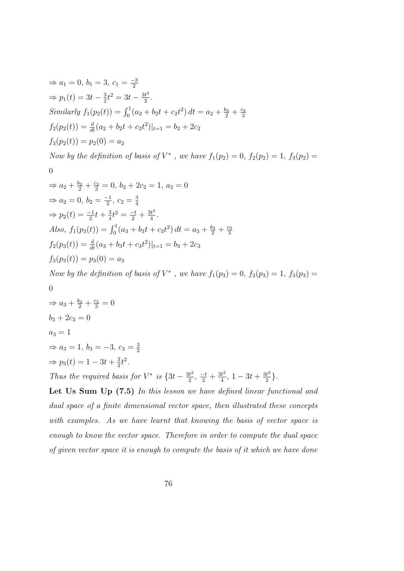$$
\Rightarrow a_1 = 0, b_1 = 3, c_1 = \frac{-3}{2}
$$
  
\n
$$
\Rightarrow p_1(t) = 3t - \frac{3}{2}t^2 = 3t - \frac{3t^2}{2}.
$$
  
\nSimilarly  $f_1(p_2(t)) = \int_0^1 (a_2 + b_2t + c_2t^2) dt = a_2 + \frac{b_2}{2} + \frac{c_2}{3}$   
\n $f_2(p_2(t)) = \frac{d}{dt}(a_2 + b_2t + c_2t^2)|_{t=1} = b_2 + 2c_2$   
\n $f_3(p_2(t)) = p_2(0) = a_2$ 

Now by the definition of basis of  $V^*$ , we have  $f_1(p_2) = 0$ ,  $f_2(p_2) = 1$ ,  $f_3(p_2) =$ 

$$
\theta
$$

$$
\Rightarrow a_2 + \frac{b_2}{2} + \frac{c_2}{3} = 0, \ b_2 + 2c_2 = 1, \ a_2 = 0
$$
  

$$
\Rightarrow a_2 = 0, \ b_2 = \frac{-1}{2}, \ c_2 = \frac{3}{4}
$$
  

$$
\Rightarrow p_2(t) = \frac{-1}{2}t + \frac{3}{4}t^2 = \frac{-t}{2} + \frac{3t^2}{4}.
$$
  
Also,  $f_1(p_3(t)) = \int_0^1 (a_3 + b_3t + c_3t^2) dt = a_3 + \frac{b_3}{2} + \frac{c_3}{3}$   
 $f_2(p_3(t)) = \frac{d}{dt}(a_3 + b_3t + c_3t^2)|_{t=1} = b_3 + 2c_3$   
 $f_3(p_3(t)) = p_3(0) = a_3$ 

Now by the definition of basis of  $V^*$ , we have  $f_1(p_3) = 0$ ,  $f_2(p_3) = 1$ ,  $f_3(p_3) =$ 

$$
0 \\
$$

$$
\Rightarrow a_3 + \frac{b_3}{2} + \frac{c_3}{3} = 0
$$
  
\n
$$
b_3 + 2c_3 = 0
$$
  
\n
$$
a_3 = 1
$$
  
\n
$$
\Rightarrow a_3 = 1, b_3 = -3, c_3 = \frac{3}{2}
$$
  
\n
$$
\Rightarrow p_3(t) = 1 - 3t + \frac{3}{2}t^2.
$$

Thus the required basis for  $V^*$  is  $\{3t - \frac{3t^2}{2}\}$  $\frac{it^2}{2}, \frac{-t}{2} + \frac{3t^2}{4}$  $\frac{3t^2}{4}$ , 1 – 3t +  $\frac{3t^2}{2}$  $\frac{3t^2}{2}\}$ .

2

Let Us Sum Up (7.5) In this lesson we have defined linear functional and dual space of a finite dimensional vector space, then illustrated these concepts with examples. As we have learnt that knowing the basis of vector space is enough to know the vector space. Therefore in order to compute the dual space of given vector space it is enough to compute the basis of it which we have done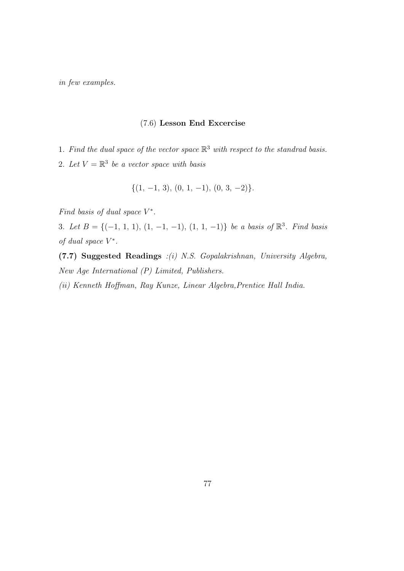in few examples.

# (7.6) Lesson End Excercise

- 1. Find the dual space of the vector space  $\mathbb{R}^3$  with respect to the standrad basis.
- 2. Let  $V = \mathbb{R}^3$  be a vector space with basis

$$
\{(1, -1, 3), (0, 1, -1), (0, 3, -2)\}.
$$

Find basis of dual space  $V^*$ .

3. Let  $B = \{(-1, 1, 1), (1, -1, -1), (1, 1, -1)\}$  be a basis of  $\mathbb{R}^3$ . Find basis of dual space  $V^*$ .

(7.7) Suggested Readings :(i) N.S. Gopalakrishnan, University Algebra, New Age International (P) Limited, Publishers.

(ii) Kenneth Hoffman, Ray Kunze, Linear Algebra,Prentice Hall India.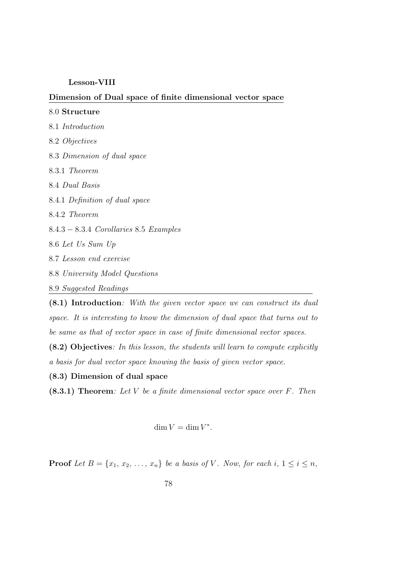## Lesson-VIII

# Dimension of Dual space of finite dimensional vector space

# 8.0 Structure 8.1 Introduction 8.2 Objectives 8.3 Dimension of dual space 8.3.1 Theorem 8.4 Dual Basis 8.4.1 Definition of dual space 8.4.2 Theorem 8.4.3 − 8.3.4 Corollaries 8.5 Examples 8.6 Let Us Sum Up 8.7 Lesson end exercise 8.8 University Model Questions 8.9 Suggested Readings

(8.1) Introduction: With the given vector space we can construct its dual space. It is interesting to know the dimension of dual space that turns out to be same as that of vector space in case of finite dimensional vector spaces.

(8.2) Objectives: In this lesson, the students will learn to compute explicitly a basis for dual vector space knowing the basis of given vector space.

(8.3) Dimension of dual space

 $(8.3.1)$  Theorem: Let V be a finite dimensional vector space over F. Then

$$
\dim V = \dim V^*.
$$

**Proof** Let  $B = \{x_1, x_2, \ldots, x_n\}$  be a basis of V. Now, for each i,  $1 \leq i \leq n$ ,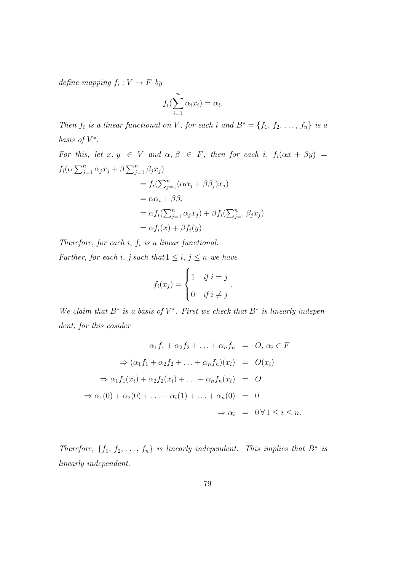define mapping  $f_i: V \to F$  by

$$
f_i(\sum_{i=1}^n \alpha_i x_i) = \alpha_i.
$$

Then  $f_i$  is a linear functional on V, for each i and  $B^* = \{f_1, f_2, \ldots, f_n\}$  is a basis of  $V^*$ .

For this, let 
$$
x, y \in V
$$
 and  $\alpha, \beta \in F$ , then for each  $i$ ,  $f_i(\alpha x + \beta y) =$   
\n
$$
f_i(\alpha \sum_{j=1}^n \alpha_j x_j + \beta \sum_{j=1}^n \beta_j x_j)
$$
\n
$$
= f_i(\sum_{j=1}^n (\alpha \alpha_j + \beta \beta_j) x_j)
$$
\n
$$
= \alpha \alpha_i + \beta \beta_i
$$
\n
$$
= \alpha f_i(\sum_{j=1}^n \alpha_j x_j) + \beta f_i(\sum_{j=1}^n \beta_j x_j)
$$
\n
$$
= \alpha f_i(x) + \beta f_i(y).
$$

Therefore, for each  $i, f_i$  is a linear functional.

Further, for each i, j such that  $1 \leq i, j \leq n$  we have

$$
f_i(x_j) = \begin{cases} 1 & \text{if } i = j \\ 0 & \text{if } i \neq j \end{cases}.
$$

We claim that  $B^*$  is a basis of  $V^*$ . First we check that  $B^*$  is linearly independent, for this cosider

$$
\alpha_1 f_1 + \alpha_2 f_2 + \ldots + \alpha_n f_n = O, \, \alpha_i \in F
$$

$$
\Rightarrow (\alpha_1 f_1 + \alpha_2 f_2 + \ldots + \alpha_n f_n)(x_i) = O(x_i)
$$

$$
\Rightarrow \alpha_1 f_1(x_i) + \alpha_2 f_2(x_i) + \ldots + \alpha_n f_n(x_i) = O
$$

$$
\Rightarrow \alpha_1(0) + \alpha_2(0) + \ldots + \alpha_i(1) + \ldots + \alpha_n(0) = 0
$$

$$
\Rightarrow \alpha_i = 0 \,\forall 1 \leq i \leq n.
$$

Therefore,  $\{f_1, f_2, \ldots, f_n\}$  is linearly independent. This implies that  $B^*$  is linearly independent.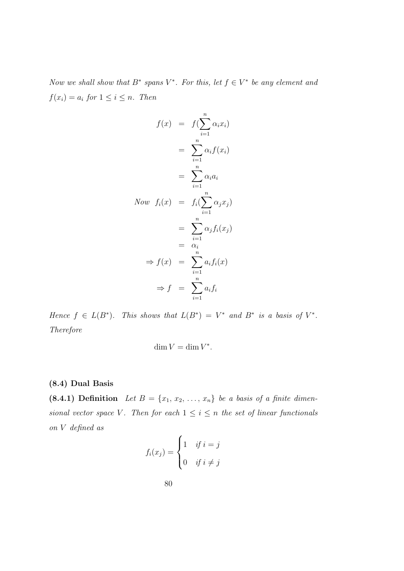Now we shall show that  $B^*$  spans  $V^*$ . For this, let  $f \in V^*$  be any element and  $f(x_i) = a_i$  for  $1 \leq i \leq n$ . Then

$$
f(x) = f(\sum_{i=1}^{n} \alpha_i x_i)
$$
  
\n
$$
= \sum_{i=1}^{n} \alpha_i f(x_i)
$$
  
\n
$$
= \sum_{i=1}^{n} \alpha_i a_i
$$
  
\nNow  $f_i(x) = f_i(\sum_{i=1}^{n} \alpha_j x_j)$   
\n
$$
= \sum_{i=1}^{n} \alpha_j f_i(x_j)
$$
  
\n
$$
= \alpha_i
$$
  
\n
$$
\Rightarrow f(x) = \sum_{i=1}^{n} a_i f_i(x)
$$
  
\n
$$
\Rightarrow f = \sum_{i=1}^{n} a_i f_i
$$

Hence  $f \in L(B^*)$ . This shows that  $L(B^*) = V^*$  and  $B^*$  is a basis of  $V^*$ . Therefore

$$
\dim V = \dim V^*.
$$

# (8.4) Dual Basis

(8.4.1) Definition Let  $B = \{x_1, x_2, \ldots, x_n\}$  be a basis of a finite dimensional vector space V. Then for each  $1 \leq i \leq n$  the set of linear functionals on V defined as

$$
f_i(x_j) = \begin{cases} 1 & \text{if } i = j \\ 0 & \text{if } i \neq j \end{cases}
$$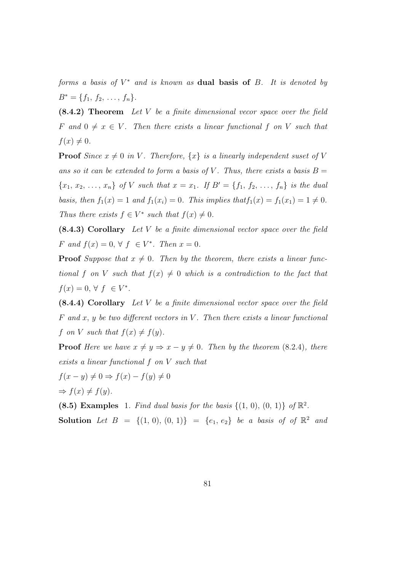forms a basis of  $V^*$  and is known as **dual basis of**  $B$ . It is denoted by  $B^* = \{f_1, f_2, \ldots, f_n\}.$ 

(8.4.2) Theorem Let V be a finite dimensional vecor space over the field F and  $0 \neq x \in V$ . Then there exists a linear functional f on V such that  $f(x) \neq 0.$ 

**Proof** Since  $x \neq 0$  in V. Therefore,  $\{x\}$  is a linearly independent suset of V ans so it can be extended to form a basis of V. Thus, there exists a basis  $B =$  ${x_1, x_2, ..., x_n}$  of V such that  $x = x_1$ . If  $B' = {f_1, f_2, ..., f_n}$  is the dual basis, then  $f_1(x) = 1$  and  $f_1(x_i) = 0$ . This implies that  $f_1(x) = f_1(x_1) = 1 \neq 0$ . Thus there exists  $f \in V^*$  such that  $f(x) \neq 0$ .

(8.4.3) Corollary Let V be a finite dimensional vector space over the field F and  $f(x) = 0, \forall f \in V^*$ . Then  $x = 0$ .

**Proof** Suppose that  $x \neq 0$ . Then by the theorem, there exists a linear functional f on V such that  $f(x) \neq 0$  which is a contradiction to the fact that  $f(x) = 0, \forall f \in V^*$ .

 $(8.4.4)$  Corollary Let V be a finite dimensional vector space over the field F and x, y be two different vectors in V. Then there exists a linear functional f on V such that  $f(x) \neq f(y)$ .

**Proof** Here we have  $x \neq y \Rightarrow x - y \neq 0$ . Then by the theorem (8.2.4), there exists a linear functional f on V such that

$$
f(x - y) \neq 0 \Rightarrow f(x) - f(y) \neq 0
$$

$$
\Rightarrow f(x) \neq f(y).
$$

(8.5) Examples 1. Find dual basis for the basis  $\{(1, 0), (0, 1)\}\;$  of  $\mathbb{R}^2$ .

**Solution** Let  $B = \{(1, 0), (0, 1)\} = \{e_1, e_2\}$  be a basis of of  $\mathbb{R}^2$  and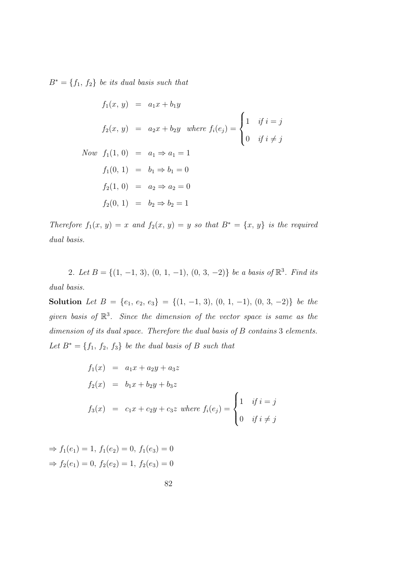$B^* = \{f_1, f_2\}$  be its dual basis such that

$$
f_1(x, y) = a_1x + b_1y
$$
  
\n
$$
f_2(x, y) = a_2x + b_2y \text{ where } f_i(e_j) = \begin{cases} 1 & \text{if } i = j \\ 0 & \text{if } i \neq j \end{cases}
$$
  
\nNow  $f_1(1, 0) = a_1 \Rightarrow a_1 = 1$   
\n
$$
f_1(0, 1) = b_1 \Rightarrow b_1 = 0
$$
  
\n
$$
f_2(1, 0) = a_2 \Rightarrow a_2 = 0
$$
  
\n
$$
f_2(0, 1) = b_2 \Rightarrow b_2 = 1
$$

Therefore  $f_1(x, y) = x$  and  $f_2(x, y) = y$  so that  $B^* = \{x, y\}$  is the required dual basis.

2. Let  $B = \{(1, -1, 3), (0, 1, -1), (0, 3, -2)\}\$ be a basis of  $\mathbb{R}^3$ . Find its dual basis.

Solution Let  $B = \{e_1, e_2, e_3\} = \{(1, -1, 3), (0, 1, -1), (0, 3, -2)\}$  be the given basis of  $\mathbb{R}^3$ . Since the dimension of the vector space is same as the dimension of its dual space. Therefore the dual basis of B contains 3 elements. Let  $B^* = \{f_1, f_2, f_3\}$  be the dual basis of B such that

$$
f_1(x) = a_1x + a_2y + a_3z
$$
  
\n
$$
f_2(x) = b_1x + b_2y + b_3z
$$
  
\n
$$
f_3(x) = c_1x + c_2y + c_3z \text{ where } f_i(e_j) = \begin{cases} 1 & \text{if } i = j \\ 0 & \text{if } i \neq j \end{cases}
$$

$$
\Rightarrow f_1(e_1) = 1, f_1(e_2) = 0, f_1(e_3) = 0
$$
  

$$
\Rightarrow f_2(e_1) = 0, f_2(e_2) = 1, f_2(e_3) = 0
$$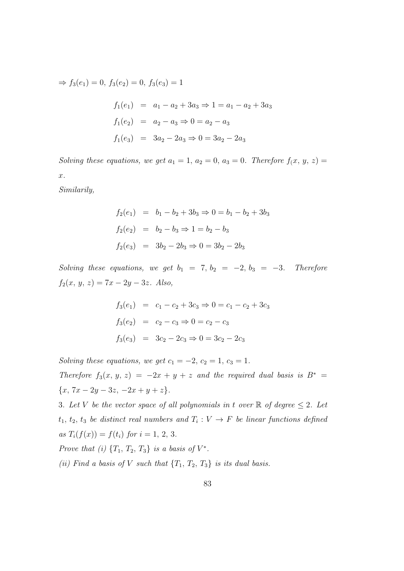$$
\Rightarrow f_3(e_1) = 0, f_3(e_2) = 0, f_3(e_3) = 1
$$
  

$$
f_1(e_1) = a_1 - a_2 + 3a_3 \Rightarrow 1 = a_1 - a_2 + 3a_3
$$
  

$$
f_1(e_2) = a_2 - a_3 \Rightarrow 0 = a_2 - a_3
$$
  

$$
f_1(e_3) = 3a_2 - 2a_3 \Rightarrow 0 = 3a_2 - 2a_3
$$

Solving these equations, we get  $a_1 = 1$ ,  $a_2 = 0$ ,  $a_3 = 0$ . Therefore  $f(x, y, z) =$ x.

Similarily,

$$
f_2(e_1) = b_1 - b_2 + 3b_3 \Rightarrow 0 = b_1 - b_2 + 3b_3
$$
  

$$
f_2(e_2) = b_2 - b_3 \Rightarrow 1 = b_2 - b_3
$$
  

$$
f_2(e_3) = 3b_2 - 2b_3 \Rightarrow 0 = 3b_2 - 2b_3
$$

Solving these equations, we get  $b_1 = 7, b_2 = -2, b_3 = -3$ . Therefore  $f_2(x, y, z) = 7x - 2y - 3z$ . Also,

$$
f_3(e_1) = c_1 - c_2 + 3c_3 \Rightarrow 0 = c_1 - c_2 + 3c_3
$$
  

$$
f_3(e_2) = c_2 - c_3 \Rightarrow 0 = c_2 - c_3
$$
  

$$
f_3(e_3) = 3c_2 - 2c_3 \Rightarrow 0 = 3c_2 - 2c_3
$$

Solving these equations, we get  $c_1 = -2$ ,  $c_2 = 1$ ,  $c_3 = 1$ . Therefore  $f_3(x, y, z) = -2x + y + z$  and the required dual basis is  $B^* =$  ${x, 7x - 2y - 3z, -2x + y + z}.$ 

3. Let V be the vector space of all polynomials in t over  $\mathbb R$  of degree  $\leq 2$ . Let  $t_1, t_2, t_3$  be distinct real numbers and  $T_i: V \to F$  be linear functions defined as  $T_i(f(x)) = f(t_i)$  for  $i = 1, 2, 3$ .

Prove that (i)  $\{T_1, T_2, T_3\}$  is a basis of  $V^*$ .

(ii) Find a basis of V such that  $\{T_1, T_2, T_3\}$  is its dual basis.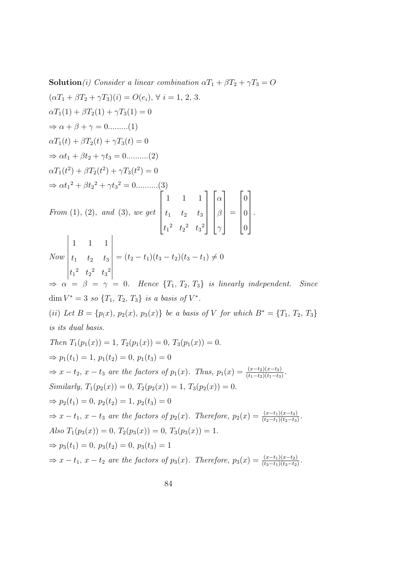**Solution**(i) Consider a linear combination  $\alpha T_1 + \beta T_2 + \gamma T_3 = O$ 

$$
(\alpha T_1 + \beta T_2 + \gamma T_3)(i) = O(e_i), \forall i = 1, 2, 3.
$$
  
\n
$$
\alpha T_1(1) + \beta T_2(1) + \gamma T_3(1) = 0
$$
  
\n
$$
\Rightarrow \alpha + \beta + \gamma = 0 \dots \dots \dots (1)
$$
  
\n
$$
\alpha T_1(t) + \beta T_2(t) + \gamma T_3(t) = 0
$$
  
\n
$$
\Rightarrow \alpha t_1 + \beta t_2 + \gamma t_3 = 0 \dots \dots \dots (2)
$$
  
\n
$$
\alpha T_1(t^2) + \beta T_2(t^2) + \gamma T_3(t^2) = 0
$$
  
\n
$$
\Rightarrow \alpha t_1^2 + \beta t_2^2 + \gamma t_3^2 = 0 \dots \dots \dots (3)
$$
  
\nFrom (1), (2), and (3), we get 
$$
\begin{bmatrix} 1 & 1 & 1 \\ t_1 & t_2 & t_3 \\ t_1^2 & t_2^2 & t_3^2 \end{bmatrix} \begin{bmatrix} \alpha \\ \beta \\ \gamma \end{bmatrix} = \begin{bmatrix} 0 \\ 0 \\ 0 \end{bmatrix}.
$$
  
\n
$$
\begin{vmatrix} 1 & 1 & 1 \\ t_1 & t_2 & t_3 \\ t_1^2 & t_2^2 & t_3^2 \end{vmatrix} = (t_2 - t_1)(t_3 - t_2)(t_3 - t_1) \neq 0
$$
  
\n
$$
\begin{vmatrix} 1 & 1 & 1 \\ t_1^2 & t_2^2 & t_3^2 \end{vmatrix} = (t_2 - t_1)(t_3 - t_2)(t_3 - t_1) \neq 0
$$
  
\n
$$
\Rightarrow \alpha = \beta = \gamma = 0. \text{ Hence } \{T_1, T_2, T_3\} \text{ is linearly independent. Since}
$$
  
\n
$$
\dim V^* = 3 \text{ so } \{T_1, T_2, T_3\} \text{ is a basis of } V^*.
$$
  
\n
$$
(ii) Let B = \{p(x), p_2(x), p_3(x)\} \text{ be a basis of } V \text{ for which } B^* = \{T_1, T_2, T_3\}
$$
  
\nis its dual basis.  
\nThen  $T_1(p_1(x)) =$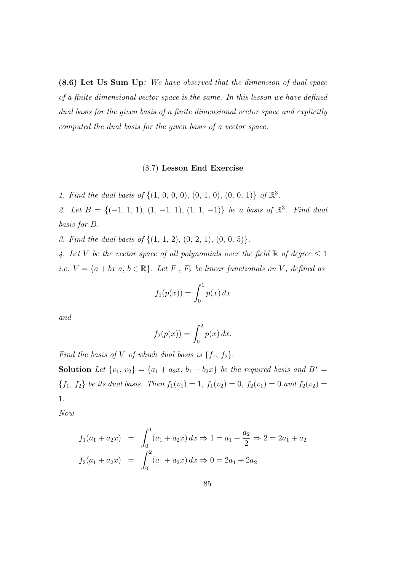(8.6) Let Us Sum Up: We have observed that the dimension of dual space of a finite dimensional vector space is the same. In this lesson we have defined dual basis for the given basis of a finite dimensional vector space and explicitly computed the dual basis for the given basis of a vector space.

# (8.7) Lesson End Exercise

1. Find the dual basis of  $\{(1, 0, 0, 0), (0, 1, 0), (0, 0, 1)\}\;$  of  $\mathbb{R}^3$ .

2. Let  $B = \{(-1, 1, 1), (1, -1, 1), (1, 1, -1)\}$  be a basis of  $\mathbb{R}^3$ . Find dual basis for B.

3. Find the dual basis of  $\{(1, 1, 2), (0, 2, 1), (0, 0, 5)\}.$ 

4. Let V be the vector space of all polynomials over the field  $\mathbb R$  of degree  $\leq 1$ i.e.  $V = \{a + bx | a, b \in \mathbb{R}\}$ . Let  $F_1, F_2$  be linear functionals on V, defined as

$$
f_1(p(x)) = \int_0^1 p(x) dx
$$

and

$$
f_2(p(x)) = \int_0^2 p(x) dx.
$$

Find the basis of V of which dual basis is  $\{f_1, f_2\}$ .

Solution Let  $\{v_1, v_2\} = \{a_1 + a_2x, b_1 + b_2x\}$  be the required basis and  $B^* =$  ${f_1, f_2}$  be its dual basis. Then  $f_1(v_1) = 1$ ,  $f_1(v_2) = 0$ ,  $f_2(v_1) = 0$  and  $f_2(v_2) = 0$ 1.

Now

$$
f_1(a_1 + a_2x) = \int_0^1 (a_1 + a_2x) dx \Rightarrow 1 = a_1 + \frac{a_2}{2} \Rightarrow 2 = 2a_1 + a_2
$$
  

$$
f_2(a_1 + a_2x) = \int_0^2 (a_1 + a_2x) dx \Rightarrow 0 = 2a_1 + 2a_2
$$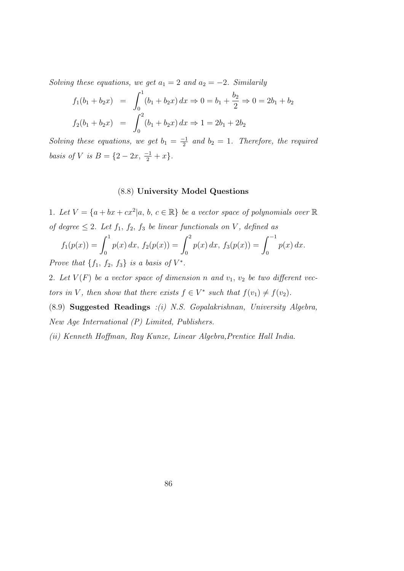Solving these equations, we get  $a_1 = 2$  and  $a_2 = -2$ . Similarily

$$
f_1(b_1 + b_2x) = \int_0^1 (b_1 + b_2x) dx \Rightarrow 0 = b_1 + \frac{b_2}{2} \Rightarrow 0 = 2b_1 + b_2
$$
  

$$
f_2(b_1 + b_2x) = \int_0^2 (b_1 + b_2x) dx \Rightarrow 1 = 2b_1 + 2b_2
$$

Solving these equations, we get  $b_1 = \frac{-1}{2}$  $\frac{1}{2}$  and  $b_2 = 1$ . Therefore, the required basis of V is  $B = \{2 - 2x, \frac{-1}{2} + x\}.$ 

# (8.8) University Model Questions

1. Let  $V = \{a + bx + cx^2 | a, b, c \in \mathbb{R}\}\$ be a vector space of polynomials over  $\mathbb{R}$ of degree  $\leq 2$ . Let  $f_1, f_2, f_3$  be linear functionals on V, defined as

$$
f_1(p(x)) = \int_0^1 p(x) dx, \ f_2(p(x)) = \int_0^2 p(x) dx, \ f_3(p(x)) = \int_0^{-1} p(x) dx.
$$

Prove that  $\{f_1, f_2, f_3\}$  is a basis of  $V^*$ .

2. Let  $V(F)$  be a vector space of dimension n and  $v_1, v_2$  be two different vectors in V, then show that there exists  $f \in V^*$  such that  $f(v_1) \neq f(v_2)$ .

(8.9) Suggested Readings :(i) N.S. Gopalakrishnan, University Algebra, New Age International (P) Limited, Publishers.

(ii) Kenneth Hoffman, Ray Kunze, Linear Algebra,Prentice Hall India.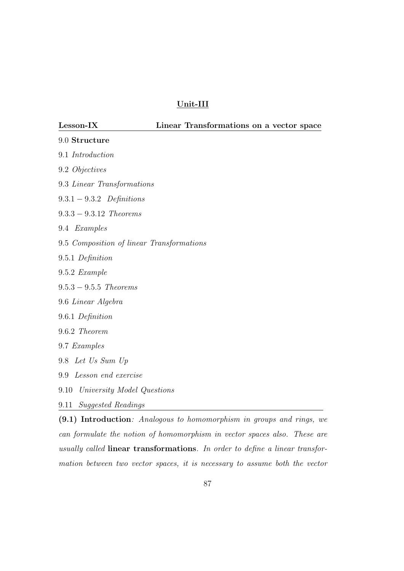# Unit-III

| Lesson-IX                                                             | Linear Transformations on a vector space |
|-----------------------------------------------------------------------|------------------------------------------|
| 9.0 Structure                                                         |                                          |
| 9.1 Introduction                                                      |                                          |
| 9.2 Objectives                                                        |                                          |
| 9.3 Linear Transformations                                            |                                          |
| $9.3.1 - 9.3.2$ Definitions                                           |                                          |
| $9.3.3 - 9.3.12$ Theorems                                             |                                          |
| 9.4 Examples                                                          |                                          |
| 9.5 Composition of linear Transformations                             |                                          |
| 9.5.1 Definition                                                      |                                          |
| $9.5.2$ Example                                                       |                                          |
| $9.5.3 - 9.5.5$ Theorems                                              |                                          |
| 9.6 Linear Algebra                                                    |                                          |
| 9.6.1 Definition                                                      |                                          |
| 9.6.2 Theorem                                                         |                                          |
| 9.7 Examples                                                          |                                          |
| 9.8 Let Us Sum Up                                                     |                                          |
| Lesson end exercise<br>9.9                                            |                                          |
| University Model Questions<br>9.10                                    |                                          |
| Suggested Readings<br>9.11                                            |                                          |
| (9.1) Introduction: Analogous to homomorphism in groups and rings, we |                                          |

can formulate the notion of homomorphism in vector spaces also. These are usually called linear transformations. In order to define a linear transformation between two vector spaces, it is necessary to assume both the vector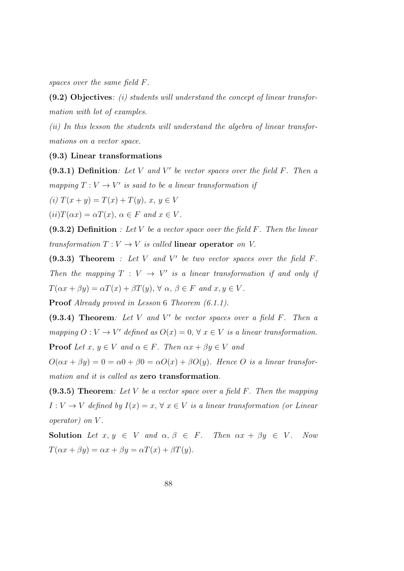spaces over the same field F.

 $(9.2)$  Objectives: *(i)* students will understand the concept of linear transformation with lot of examples.

(ii) In this lesson the students will understand the algebra of linear transformations on a vector space.

# (9.3) Linear transformations

 $(9.3.1)$  Definition: Let V and V' be vector spaces over the field F. Then a mapping  $T: V \to V'$  is said to be a linear transformation if

(i)  $T(x + y) = T(x) + T(y), x, y \in V$ 

 $(ii) T(\alpha x) = \alpha T(x), \ \alpha \in F \ and \ x \in V.$ 

 $(9.3.2)$  Definition : Let V be a vector space over the field F. Then the linear transformation  $T: V \to V$  is called linear operator on V.

 $(9.3.3)$  Theorem : Let V and V' be two vector spaces over the field F. Then the mapping  $T: V \rightarrow V'$  is a linear transformation if and only if  $T(\alpha x + \beta y) = \alpha T(x) + \beta T(y), \forall \alpha, \beta \in F \text{ and } x, y \in V.$ 

Proof Already proved in Lesson 6 Theorem  $(6.1.1)$ .

 $(9.3.4)$  Theorem: Let V and V' be vector spaces over a field F. Then a mapping  $O: V \to V'$  defined as  $O(x) = 0, \forall x \in V$  is a linear transformation. **Proof** Let  $x, y \in V$  and  $\alpha \in F$ . Then  $\alpha x + \beta y \in V$  and

 $O(\alpha x + \beta y) = 0 = \alpha 0 + \beta 0 = \alpha O(x) + \beta O(y)$ . Hence O is a linear transformation and it is called as zero transformation.

 $(9.3.5)$  Theorem: Let V be a vector space over a field F. Then the mapping  $I: V \to V$  defined by  $I(x) = x, \forall x \in V$  is a linear transformation (or Linear operator) on V .

Solution Let  $x, y \in V$  and  $\alpha, \beta \in F$ . Then  $\alpha x + \beta y \in V$ . Now  $T(\alpha x + \beta y) = \alpha x + \beta y = \alpha T(x) + \beta T(y).$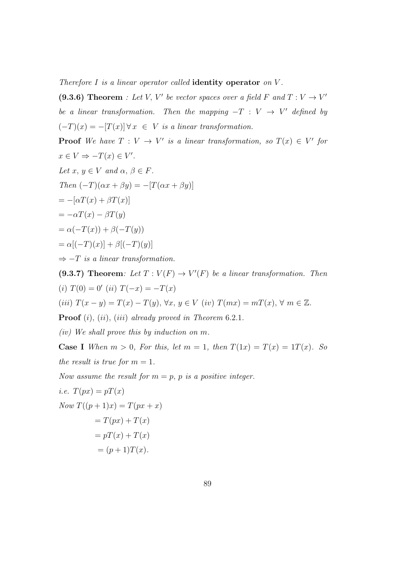Therefore  $I$  is a linear operator called **identity operator** on  $V$ .

(9.3.6) Theorem : Let V, V' be vector spaces over a field F and  $T: V \to V'$ be a linear transformation. Then the mapping  $-T : V \rightarrow V'$  defined by  $(-T)(x) = -[T(x)] \forall x \in V$  is a linear transformation.

**Proof** We have  $T: V \to V'$  is a linear transformation, so  $T(x) \in V'$  for  $x \in V \Rightarrow -T(x) \in V'.$ Let  $x, y \in V$  and  $\alpha, \beta \in F$ . Then  $(-T)(\alpha x + \beta y) = -[T(\alpha x + \beta y)]$  $=-[\alpha T(x) + \beta T(x)]$  $=-\alpha T(x) - \beta T(y)$  $=\alpha(-T(x))+\beta(-T(y))$  $= \alpha[(-T)(x)] + \beta[(-T)(y)]$  $\Rightarrow$  -T is a linear transformation. (9.3.7) Theorem: Let  $T: V(F) \to V'(F)$  be a linear transformation. Then

(i)  $T(0) = 0'$  (ii)  $T(-x) = -T(x)$ (iii)  $T(x - y) = T(x) - T(y)$ ,  $\forall x, y \in V$  (iv)  $T(mx) = m(x), \forall m \in \mathbb{Z}$ .

**Proof** (i), (ii), (iii) already proved in Theorem  $6.2.1$ .

(iv) We shall prove this by induction on m.

**Case I** When  $m > 0$ , For this, let  $m = 1$ , then  $T(1x) = T(x) = 1T(x)$ . So the result is true for  $m = 1$ .

Now assume the result for  $m = p$ , p is a positive integer.

i.e. 
$$
T(px) = pT(x)
$$
  
\nNow 
$$
T((p + 1)x) = T(px + x)
$$

$$
= T(px) + T(x)
$$

$$
= pT(x) + T(x)
$$

$$
= (p + 1)T(x).
$$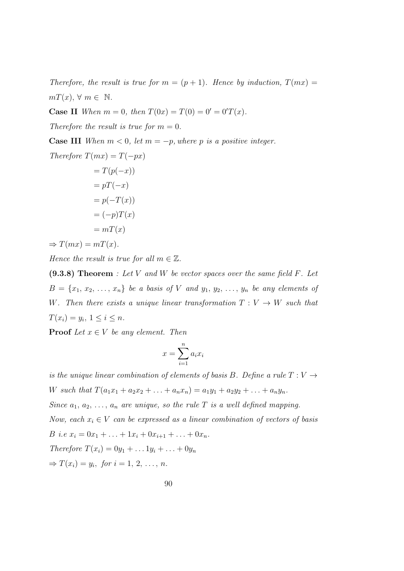Therefore, the result is true for  $m = (p + 1)$ . Hence by induction,  $T(mx) =$  $m(x), \forall m \in \mathbb{N}.$ 

**Case II** When  $m = 0$ , then  $T(0x) = T(0) = 0' = 0'T(x)$ .

Therefore the result is true for  $m = 0$ .

**Case III** When  $m < 0$ , let  $m = -p$ , where p is a positive integer.

Therefore 
$$
T(mx) = T(-px)
$$
  
 $T(x(-x))$ 

$$
= T(p(-x))
$$

$$
= pT(-x)
$$

$$
= p(-T(x))
$$

$$
= (-p)T(x)
$$

$$
= mT(x)
$$

 $\Rightarrow$   $T(mx) = mT(x)$ .

Hence the result is true for all  $m \in \mathbb{Z}$ .

 $(9.3.8)$  Theorem : Let V and W be vector spaces over the same field F. Let  $B = \{x_1, x_2, \ldots, x_n\}$  be a basis of V and  $y_1, y_2, \ldots, y_n$  be any elements of W. Then there exists a unique linear transformation  $T: V \to W$  such that  $T(x_i) = y_i, \ 1 \leq i \leq n.$ 

**Proof** Let  $x \in V$  be any element. Then

$$
x = \sum_{i=1}^{n} a_i x_i
$$

is the unique linear combination of elements of basis B. Define a rule  $T: V \rightarrow$ W such that  $T(a_1x_1 + a_2x_2 + \ldots + a_nx_n) = a_1y_1 + a_2y_2 + \ldots + a_ny_n$ . Since  $a_1, a_2, \ldots, a_n$  are unique, so the rule T is a well defined mapping. Now, each  $x_i \in V$  can be expressed as a linear combination of vectors of basis B i.e  $x_i = 0x_1 + \ldots + 1x_i + 0x_{i+1} + \ldots + 0x_n$ . Therefore  $T(x_i) = 0y_1 + ... 1y_i + ... + 0y_n$  $\Rightarrow$   $T(x_i) = y_i$ , for  $i = 1, 2, ..., n$ .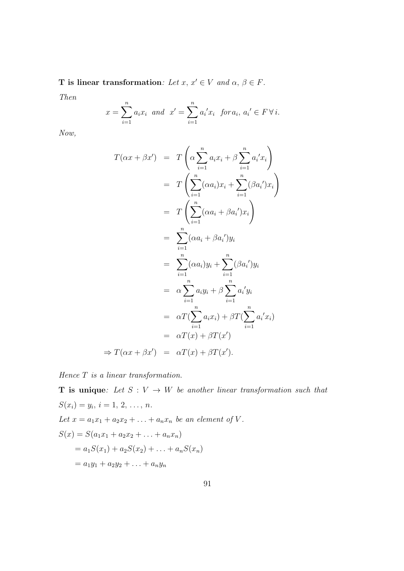T is linear transformation: Let x,  $x' \in V$  and  $\alpha, \beta \in F$ .

Then

$$
x = \sum_{i=1}^{n} a_i x_i
$$
 and  $x' = \sum_{i=1}^{n} a'_i x_i$  for  $a_i, a'_i \in F \forall i$ .

Now,

$$
T(\alpha x + \beta x') = T\left(\alpha \sum_{i=1}^{n} a_i x_i + \beta \sum_{i=1}^{n} a_i' x_i\right)
$$
  
\n
$$
= T\left(\sum_{i=1}^{n} (\alpha a_i) x_i + \sum_{i=1}^{n} (\beta a_i') x_i\right)
$$
  
\n
$$
= T\left(\sum_{i=1}^{n} (\alpha a_i + \beta a_i') x_i\right)
$$
  
\n
$$
= \sum_{i=1}^{n} (\alpha a_i + \beta a_i') y_i
$$
  
\n
$$
= \sum_{i=1}^{n} (\alpha a_i) y_i + \sum_{i=1}^{n} (\beta a_i') y_i
$$
  
\n
$$
= \alpha \sum_{i=1}^{n} a_i y_i + \beta \sum_{i=1}^{n} a_i' y_i
$$
  
\n
$$
= \alpha T(\sum_{i=1}^{n} a_i x_i) + \beta T(\sum_{i=1}^{n} a_i' x_i)
$$
  
\n
$$
= \alpha T(x) + \beta T(x')
$$
  
\n
$$
\Rightarrow T(\alpha x + \beta x') = \alpha T(x) + \beta T(x').
$$

Hence T is a linear transformation.

**T** is unique: Let  $S: V \to W$  be another linear transformation such that  $S(x_i) = y_i, i = 1, 2, ..., n.$ Let  $x = a_1x_1 + a_2x_2 + ... + a_nx_n$  be an element of V.  $S(x) = S(a_1x_1 + a_2x_2 + \ldots + a_nx_n)$  $= a_1S(x_1) + a_2S(x_2) + \ldots + a_nS(x_n)$  $= a_1y_1 + a_2y_2 + \ldots + a_ny_n$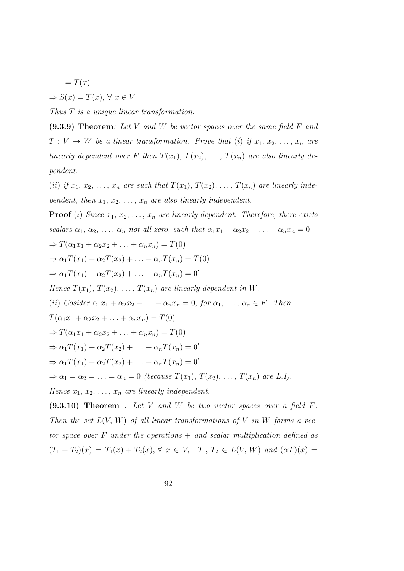$$
=T(x)
$$

 $\Rightarrow S(x) = T(x), \forall x \in V$ 

Thus T is a unique linear transformation.

 $(9.3.9)$  Theorem: Let V and W be vector spaces over the same field F and  $T: V \to W$  be a linear transformation. Prove that (i) if  $x_1, x_2, \ldots, x_n$  are linearly dependent over F then  $T(x_1), T(x_2), \ldots, T(x_n)$  are also linearly dependent.

(ii) if  $x_1, x_2, \ldots, x_n$  are such that  $T(x_1), T(x_2), \ldots, T(x_n)$  are linearly independent, then  $x_1, x_2, \ldots, x_n$  are also linearly independent.

**Proof** (i) Since  $x_1, x_2, \ldots, x_n$  are linearly dependent. Therefore, there exists scalars  $\alpha_1, \alpha_2, \ldots, \alpha_n$  not all zero, such that  $\alpha_1 x_1 + \alpha_2 x_2 + \ldots + \alpha_n x_n = 0$  $\Rightarrow T(\alpha_1x_1+\alpha_2x_2+\ldots+\alpha_nx_n)=T(0)$  $\Rightarrow \alpha_1 T(x_1) + \alpha_2 T(x_2) + \ldots + \alpha_n T(x_n) = T(0)$  $\Rightarrow \alpha_1 T(x_1) + \alpha_2 T(x_2) + \ldots + \alpha_n T(x_n) = 0'$ Hence  $T(x_1), T(x_2), \ldots, T(x_n)$  are linearly dependent in W. (ii) Cosider  $\alpha_1 x_1 + \alpha_2 x_2 + \ldots + \alpha_n x_n = 0$ , for  $\alpha_1, \ldots, \alpha_n \in F$ . Then  $T(\alpha_1x_1 + \alpha_2x_2 + \ldots + \alpha_nx_n) = T(0)$  $\Rightarrow T(\alpha_1x_1+\alpha_2x_2+\ldots+\alpha_nx_n)=T(0)$  $\Rightarrow \alpha_1 T(x_1) + \alpha_2 T(x_2) + \ldots + \alpha_n T(x_n) = 0'$  $\Rightarrow \alpha_1 T(x_1) + \alpha_2 T(x_2) + \ldots + \alpha_n T(x_n) = 0'$  $\Rightarrow \alpha_1 = \alpha_2 = \ldots = \alpha_n = 0$  (because  $T(x_1), T(x_2), \ldots, T(x_n)$  are L.I). Hence  $x_1, x_2, \ldots, x_n$  are linearly independent.

 $(9.3.10)$  Theorem : Let V and W be two vector spaces over a field F. Then the set  $L(V, W)$  of all linear transformations of V in W forms a vector space over F under the operations  $+$  and scalar multiplication defined as  $(T_1 + T_2)(x) = T_1(x) + T_2(x), \forall x \in V, T_1, T_2 \in L(V, W)$  and  $(\alpha T)(x) =$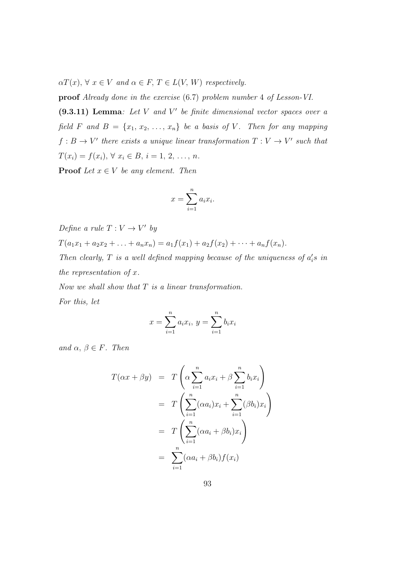$\alpha T(x), \forall x \in V$  and  $\alpha \in F, T \in L(V, W)$  respectively.

proof Already done in the exercise (6.7) problem number 4 of Lesson-VI.

 $(9.3.11)$  Lemma: Let V and V' be finite dimensional vector spaces over a field F and  $B = \{x_1, x_2, \ldots, x_n\}$  be a basis of V. Then for any mapping  $f: B \to V'$  there exists a unique linear transformation  $T: V \to V'$  such that  $T(x_i) = f(x_i), \forall x_i \in B, i = 1, 2, ..., n.$ 

**Proof** Let  $x \in V$  be any element. Then

$$
x = \sum_{i=1}^{n} a_i x_i.
$$

Define a rule  $T: V \to V'$  by  $T(a_1x_1 + a_2x_2 + \ldots + a_nx_n) = a_1f(x_1) + a_2f(x_2) + \cdots + a_nf(x_n).$ Then clearly,  $T$  is a well defined mapping because of the uniqueness of  $a_i$ 's in the representation of  $x$ .

Now we shall show that  $T$  is a linear transformation. For this, let

$$
x = \sum_{i=1}^{n} a_i x_i, \ y = \sum_{i=1}^{n} b_i x_i
$$

and  $\alpha, \beta \in F$ . Then

$$
T(\alpha x + \beta y) = T\left(\alpha \sum_{i=1}^{n} a_i x_i + \beta \sum_{i=1}^{n} b_i x_i\right)
$$
  
= 
$$
T\left(\sum_{i=1}^{n} (\alpha a_i) x_i + \sum_{i=1}^{n} (\beta b_i) x_i\right)
$$
  
= 
$$
T\left(\sum_{i=1}^{n} (\alpha a_i + \beta b_i) x_i\right)
$$
  
= 
$$
\sum_{i=1}^{n} (\alpha a_i + \beta b_i) f(x_i)
$$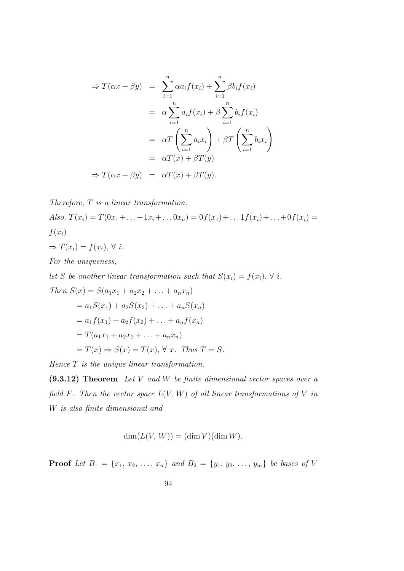$$
\Rightarrow T(\alpha x + \beta y) = \sum_{i=1}^{n} \alpha a_i f(x_i) + \sum_{i=1}^{n} \beta b_i f(x_i)
$$
  

$$
= \alpha \sum_{i=1}^{n} a_i f(x_i) + \beta \sum_{i=1}^{n} b_i f(x_i)
$$
  

$$
= \alpha T \left( \sum_{i=1}^{n} a_i x_i \right) + \beta T \left( \sum_{i=1}^{n} b_i x_i \right)
$$
  

$$
= \alpha T(x) + \beta T(y)
$$
  

$$
\Rightarrow T(\alpha x + \beta y) = \alpha T(x) + \beta T(y).
$$

Therefore, T is a linear transformation.

Also, 
$$
T(x_i) = T(0x_1 + \ldots + 1x_i + \ldots 0x_n) = 0f(x_1) + \ldots 1f(x_i) + \ldots + 0f(x_i) =
$$
  
\n $f(x_i)$   
\n $\Rightarrow T(x_i) = f(x_i), \forall i.$   
\nFor the uniqueness

For the uniqueness,

let S be another linear transformation such that  $S(x_i) = f(x_i)$ ,  $\forall i$ . Then  $S(x) = S(a_1x_1 + a_2x_2 + \ldots + a_nx_n)$  $= a_1S(x_1) + a_2S(x_2) + \ldots + a_nS(x_n)$  $= a_1 f(x_1) + a_2 f(x_2) + \ldots + a_n f(x_n)$  $= T(a_1x_1 + a_2x_2 + \ldots + a_nx_n)$  $=T(x) \Rightarrow S(x) = T(x), \forall x$ . Thus  $T = S$ .

Hence  $T$  is the unique linear transformation.

 $(9.3.12)$  Theorem Let V and W be finite dimensional vector spaces over a field F. Then the vector space  $L(V, W)$  of all linear transformations of V in W is also finite dimensional and

$$
\dim(L(V, W)) = (\dim V)(\dim W).
$$

**Proof** Let  $B_1 = \{x_1, x_2, ..., x_n\}$  and  $B_2 = \{y_1, y_2, ..., y_m\}$  be bases of V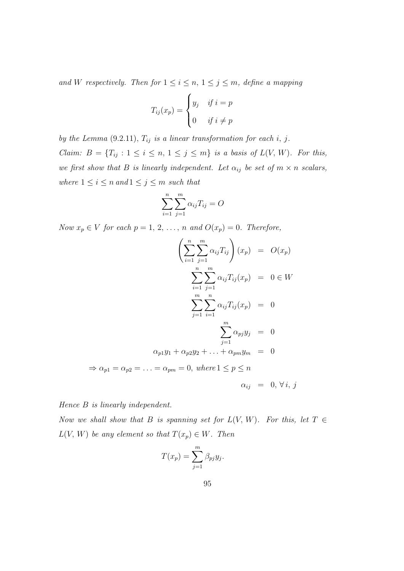and W respectively. Then for  $1 \leq i \leq n, 1 \leq j \leq m$ , define a mapping

$$
T_{ij}(x_p) = \begin{cases} y_j & \text{if } i = p \\ 0 & \text{if } i \neq p \end{cases}
$$

by the Lemma  $(9.2.11)$ ,  $T_{ij}$  is a linear transformation for each i, j. *Claim:*  $B = \{T_{ij} : 1 \le i \le n, 1 \le j \le m\}$  is a basis of  $L(V, W)$ . For this, we first show that B is linearly independent. Let  $\alpha_{ij}$  be set of  $m \times n$  scalars, where  $1 \leq i \leq n$  and  $1 \leq j \leq m$  such that

$$
\sum_{i=1}^{n} \sum_{j=1}^{m} \alpha_{ij} T_{ij} = O
$$

Now  $x_p \in V$  for each  $p = 1, 2, ..., n$  and  $O(x_p) = 0$ . Therefore,

$$
\left(\sum_{i=1}^{n} \sum_{j=1}^{m} \alpha_{ij} T_{ij}\right)(x_p) = O(x_p)
$$

$$
\sum_{i=1}^{n} \sum_{j=1}^{m} \alpha_{ij} T_{ij}(x_p) = 0 \in W
$$

$$
\sum_{j=1}^{m} \sum_{i=1}^{n} \alpha_{ij} T_{ij}(x_p) = 0
$$

$$
\sum_{j=1}^{m} \alpha_{pj} y_j = 0
$$

$$
\alpha_{p1} y_1 + \alpha_{p2} y_2 + \ldots + \alpha_{pm} y_m = 0
$$

$$
\Rightarrow \alpha_{p1} = \alpha_{p2} = \ldots = \alpha_{pm} = 0, \text{ where } 1 \leq p \leq n
$$

$$
\alpha_{ij} = 0, \forall i, j
$$

Hence B is linearly independent.

Now we shall show that B is spanning set for  $L(V, W)$ . For this, let  $T \in$  $L(V, W)$  be any element so that  $T(x_p) \in W$ . Then

$$
T(x_p) = \sum_{j=1}^m \beta_{pj} y_j.
$$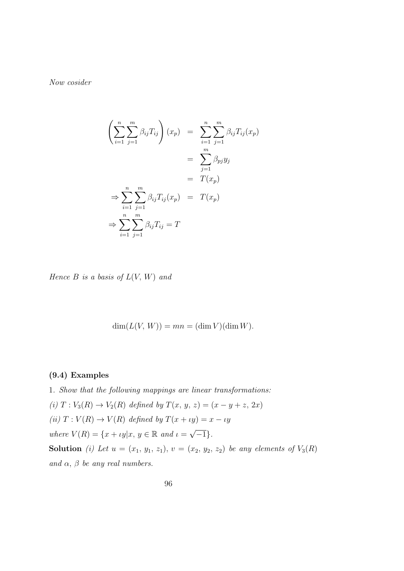Now cosider

$$
\left(\sum_{i=1}^{n} \sum_{j=1}^{m} \beta_{ij} T_{ij}\right) (x_p) = \sum_{i=1}^{n} \sum_{j=1}^{m} \beta_{ij} T_{ij} (x_p)
$$

$$
= \sum_{j=1}^{m} \beta_{pj} y_j
$$

$$
= T(x_p)
$$

$$
\Rightarrow \sum_{i=1}^{n} \sum_{j=1}^{m} \beta_{ij} T_{ij} (x_p) = T(x_p)
$$

$$
\Rightarrow \sum_{i=1}^{n} \sum_{j=1}^{m} \beta_{ij} T_{ij} = T
$$

Hence  $B$  is a basis of  $L(V, W)$  and

$$
\dim(L(V, W)) = mn = (\dim V)(\dim W).
$$

# (9.4) Examples

1. Show that the following mappings are linear transformations: (i)  $T: V_3(R) \to V_2(R)$  defined by  $T(x, y, z) = (x - y + z, 2x)$ (ii)  $T: V(R) \to V(R)$  defined by  $T(x + \iota y) = x - \iota y$ where  $V(R) = \{x + \iota y | x, y \in \mathbb{R} \text{ and } \iota = \sqrt{\iota}$  $\overline{-1}\}$ . Solution (i) Let  $u = (x_1, y_1, z_1), v = (x_2, y_2, z_2)$  be any elements of  $V_3(R)$ and  $\alpha$ ,  $\beta$  be any real numbers.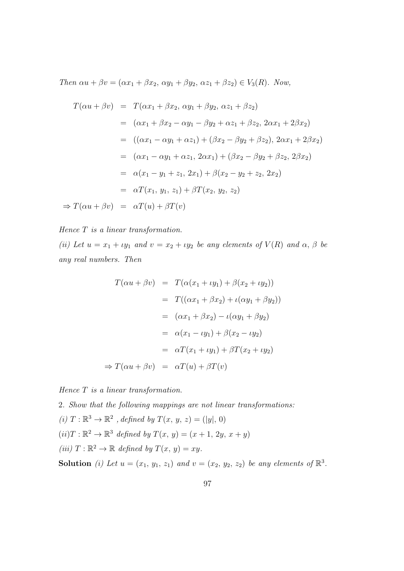Then  $\alpha u + \beta v = (\alpha x_1 + \beta x_2, \, \alpha y_1 + \beta y_2, \, \alpha z_1 + \beta z_2) \in V_3(R)$ . Now,

$$
T(\alpha u + \beta v) = T(\alpha x_1 + \beta x_2, \alpha y_1 + \beta y_2, \alpha z_1 + \beta z_2)
$$
  
\n
$$
= (\alpha x_1 + \beta x_2 - \alpha y_1 - \beta y_2 + \alpha z_1 + \beta z_2, 2\alpha x_1 + 2\beta x_2)
$$
  
\n
$$
= ((\alpha x_1 - \alpha y_1 + \alpha z_1) + (\beta x_2 - \beta y_2 + \beta z_2), 2\alpha x_1 + 2\beta x_2)
$$
  
\n
$$
= (\alpha x_1 - \alpha y_1 + \alpha z_1, 2\alpha x_1) + (\beta x_2 - \beta y_2 + \beta z_2, 2\beta x_2)
$$
  
\n
$$
= \alpha (x_1 - y_1 + z_1, 2x_1) + \beta (x_2 - y_2 + z_2, 2x_2)
$$
  
\n
$$
= \alpha T(x_1, y_1, z_1) + \beta T(x_2, y_2, z_2)
$$
  
\n
$$
\Rightarrow T(\alpha u + \beta v) = \alpha T(u) + \beta T(v)
$$

# Hence T is a linear transformation.

(ii) Let  $u = x_1 + \iota y_1$  and  $v = x_2 + \iota y_2$  be any elements of  $V(R)$  and  $\alpha$ ,  $\beta$  be any real numbers. Then

$$
T(\alpha u + \beta v) = T(\alpha(x_1 + \iota y_1) + \beta(x_2 + \iota y_2))
$$
  

$$
= T((\alpha x_1 + \beta x_2) + \iota(\alpha y_1 + \beta y_2))
$$
  

$$
= (\alpha x_1 + \beta x_2) - \iota(\alpha y_1 + \beta y_2)
$$
  

$$
= \alpha(x_1 - \iota y_1) + \beta(x_2 - \iota y_2)
$$
  

$$
= \alpha T(x_1 + \iota y_1) + \beta T(x_2 + \iota y_2)
$$
  

$$
\Rightarrow T(\alpha u + \beta v) = \alpha T(u) + \beta T(v)
$$

Hence T is a linear transformation.

2. Show that the following mappings are not linear transformations: (i)  $T : \mathbb{R}^3 \to \mathbb{R}^2$ , defined by  $T(x, y, z) = (|y|, 0)$  $(ii) T : \mathbb{R}^2 \to \mathbb{R}^3$  defined by  $T(x, y) = (x + 1, 2y, x + y)$ (iii)  $T : \mathbb{R}^2 \to \mathbb{R}$  defined by  $T(x, y) = xy$ .

**Solution** (i) Let  $u = (x_1, y_1, z_1)$  and  $v = (x_2, y_2, z_2)$  be any elements of  $\mathbb{R}^3$ .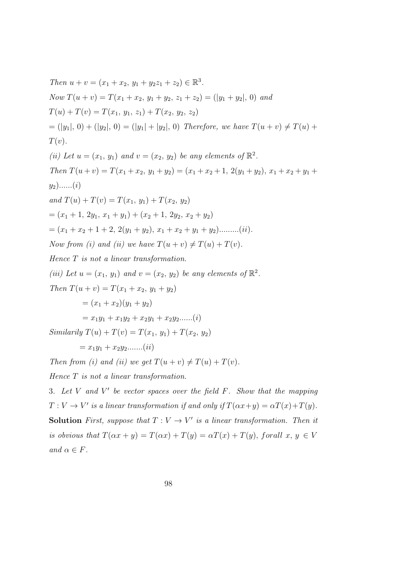Then  $u + v = (x_1 + x_2, y_1 + y_2z_1 + z_2) \in \mathbb{R}^3$ . Now  $T(u + v) = T(x_1 + x_2, y_1 + y_2, z_1 + z_2) = (|y_1 + y_2|, 0)$  and  $T(u) + T(v) = T(x_1, y_1, z_1) + T(x_2, y_2, z_2)$  $= (|y_1|, 0) + (|y_2|, 0) = (|y_1| + |y_2|, 0)$  Therefore, we have  $T(u + v) \neq T(u) +$  $T(v).$ (ii) Let  $u = (x_1, y_1)$  and  $v = (x_2, y_2)$  be any elements of  $\mathbb{R}^2$ . Then  $T(u + v) = T(x_1 + x_2, y_1 + y_2) = (x_1 + x_2 + 1, 2(y_1 + y_2), x_1 + x_2 + y_1 + y_2)$  $y_2)$ ......(*i*) and  $T(u) + T(v) = T(x_1, y_1) + T(x_2, y_2)$  $=(x_1+1, 2y_1, x_1+y_1)+(x_2+1, 2y_2, x_2+y_2)$  $=(x_1+x_2+1+2, 2(y_1+y_2), x_1+x_2+y_1+y_2)$ .........(*ii*). Now from (i) and (ii) we have  $T(u + v) \neq T(u) + T(v)$ . Hence T is not a linear transformation. (iii) Let  $u = (x_1, y_1)$  and  $v = (x_2, y_2)$  be any elements of  $\mathbb{R}^2$ . Then  $T(u + v) = T(x_1 + x_2, y_1 + y_2)$  $=(x_1+x_2)(y_1+y_2)$  $= x_1y_1 + x_1y_2 + x_2y_1 + x_2y_2$ ......(*i*) Similarily  $T(u) + T(v) = T(x_1, y_1) + T(x_2, y_2)$  $= x_1y_1 + x_2y_2 \ldots (ii)$ Then from (i) and (ii) we get  $T(u + v) \neq T(u) + T(v)$ . Hence T is not a linear transformation. 3. Let  $V$  and  $V'$  be vector spaces over the field  $F$ . Show that the mapping  $T: V \to V'$  is a linear transformation if and only if  $T(\alpha x + y) = \alpha T(x) + T(y)$ .

**Solution** First, suppose that  $T: V \to V'$  is a linear transformation. Then it is obvious that  $T(\alpha x + y) = T(\alpha x) + T(y) = \alpha T(x) + T(y)$ , forall  $x, y \in V$ and  $\alpha \in F$ .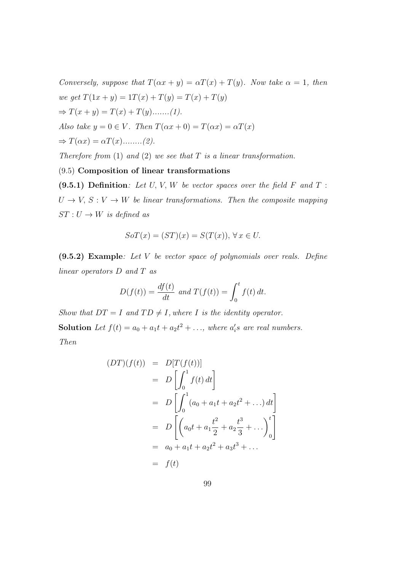Conversely, suppose that  $T(\alpha x + y) = \alpha T(x) + T(y)$ . Now take  $\alpha = 1$ , then we get  $T(1x + y) = 1T(x) + T(y) = T(x) + T(y)$  $\Rightarrow T(x + y) = T(x) + T(y)$ .......(1). Also take  $y = 0 \in V$ . Then  $T(\alpha x + 0) = T(\alpha x) = \alpha T(x)$  $\Rightarrow$   $T(\alpha x) = \alpha T(x)$ .........(2).

Therefore from  $(1)$  and  $(2)$  we see that  $T$  is a linear transformation.

# (9.5) Composition of linear transformations

(9.5.1) Definition: Let  $U, V, W$  be vector spaces over the field  $F$  and  $T$ :  $U \rightarrow V, S: V \rightarrow W$  be linear transformations. Then the composite mapping  $ST: U \rightarrow W$  is defined as

$$
SoT(x) = (ST)(x) = S(T(x)), \forall x \in U.
$$

 $(9.5.2)$  Example: Let V be vector space of polynomials over reals. Define linear operators D and T as

$$
D(f(t)) = \frac{df(t)}{dt} \text{ and } T(f(t)) = \int_0^t f(t) dt.
$$

Show that  $DT = I$  and  $TD \neq I$ , where I is the identity operator.

**Solution** Let  $f(t) = a_0 + a_1t + a_2t^2 + \ldots$ , where  $a_i$ 's are real numbers. Then

$$
(DT)(f(t)) = D[T(f(t))]
$$
  
=  $D\left[\int_0^1 f(t) dt\right]$   
=  $D\left[\int_0^1 (a_0 + a_1 t + a_2 t^2 + ...) dt\right]$   
=  $D\left[\left(a_0 t + a_1 \frac{t^2}{2} + a_2 \frac{t^3}{3} + ...\right)_0^t\right]$   
=  $a_0 + a_1 t + a_2 t^2 + a_3 t^3 + ...$   
=  $f(t)$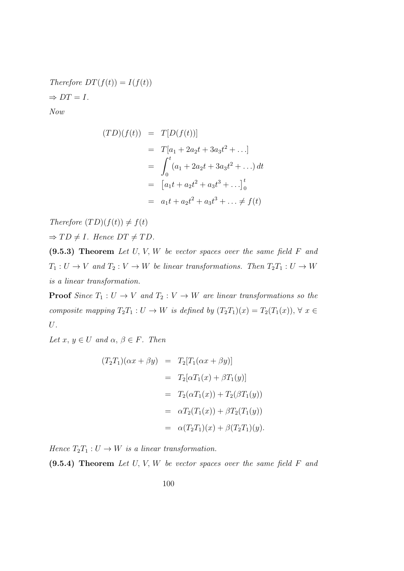Therefore  $DT(f(t)) = I(f(t))$  $\Rightarrow DT=I.$ 

Now

$$
(TD)(f(t)) = T[D(f(t))]
$$
  
=  $T[a_1 + 2a_2t + 3a_3t^2 + ...]$   
=  $\int_0^t (a_1 + 2a_2t + 3a_3t^2 + ...) dt$   
=  $[a_1t + a_2t^2 + a_3t^3 + ...]$ <sup>t</sup><sub>0</sub>  
=  $a_1t + a_2t^2 + a_3t^3 + ... \neq f(t)$ 

Therefore  $(TD)(f(t)) \neq f(t)$  $\Rightarrow TD \neq I$ . Hence  $DT \neq TD$ .

 $(9.5.3)$  Theorem Let U, V, W be vector spaces over the same field F and  $T_1: U \to V$  and  $T_2: V \to W$  be linear transformations. Then  $T_2T_1: U \to W$ is a linear transformation.

**Proof** Since  $T_1: U \to V$  and  $T_2: V \to W$  are linear transformations so the composite mapping  $T_2T_1: U \to W$  is defined by  $(T_2T_1)(x) = T_2(T_1(x)), \forall x \in$ U.

Let  $x, y \in U$  and  $\alpha, \beta \in F$ . Then

$$
(T_2T_1)(\alpha x + \beta y) = T_2[T_1(\alpha x + \beta y)]
$$
  
=  $T_2[\alpha T_1(x) + \beta T_1(y)]$   
=  $T_2(\alpha T_1(x)) + T_2(\beta T_1(y))$   
=  $\alpha T_2(T_1(x)) + \beta T_2(T_1(y))$   
=  $\alpha (T_2T_1)(x) + \beta (T_2T_1)(y).$ 

Hence  $T_2T_1: U \to W$  is a linear transformation.

 $(9.5.4)$  Theorem Let U, V, W be vector spaces over the same field F and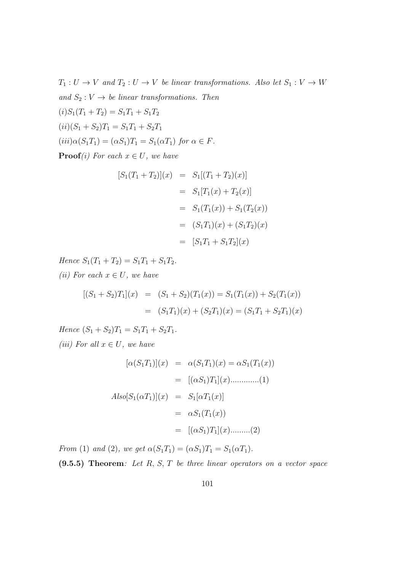$T_1: U \to V$  and  $T_2: U \to V$  be linear transformations. Also let  $S_1: V \to W$ and  $S_2 : V \to be$  linear transformations. Then  $(i)S_1(T_1+T_2)=S_1T_1+S_1T_2$  $(ii)(S_1 + S_2)T_1 = S_1T_1 + S_2T_1$  $(iii)\alpha(S_1T_1) = (\alpha S_1)T_1 = S_1(\alpha T_1)$  for  $\alpha \in F$ .

**Proof**(i) For each  $x \in U$ , we have

$$
[S_1(T_1 + T_2)](x) = S_1[(T_1 + T_2)(x)]
$$
  
=  $S_1[T_1(x) + T_2(x)]$   
=  $S_1(T_1(x)) + S_1(T_2(x))$   
=  $(S_1T_1)(x) + (S_1T_2)(x)$   
=  $[S_1T_1 + S_1T_2](x)$ 

Hence  $S_1(T_1 + T_2) = S_1T_1 + S_1T_2$ . (ii) For each  $x \in U$ , we have

$$
[(S_1 + S_2)T_1](x) = (S_1 + S_2)(T_1(x)) = S_1(T_1(x)) + S_2(T_1(x))
$$
  
= (S\_1T\_1)(x) + (S\_2T\_1)(x) = (S\_1T\_1 + S\_2T\_1)(x)

Hence  $(S_1 + S_2)T_1 = S_1T_1 + S_2T_1$ . (iii) For all  $x \in U$ , we have

$$
[\alpha(S_1T_1)](x) = \alpha(S_1T_1)(x) = \alpha S_1(T_1(x))
$$
  
= 
$$
[(\alpha S_1)T_1](x) \dots \dots \dots (1)
$$
  
Also 
$$
[S_1(\alpha T_1)](x) = S_1[\alpha T_1(x)]
$$
  
= 
$$
\alpha S_1(T_1(x))
$$
  
= 
$$
[(\alpha S_1)T_1](x) \dots \dots (2)
$$

From (1) and (2), we get  $\alpha(S_1T_1) = (\alpha S_1)T_1 = S_1(\alpha T_1)$ .

 $(9.5.5)$  Theorem: Let R, S, T be three linear operators on a vector space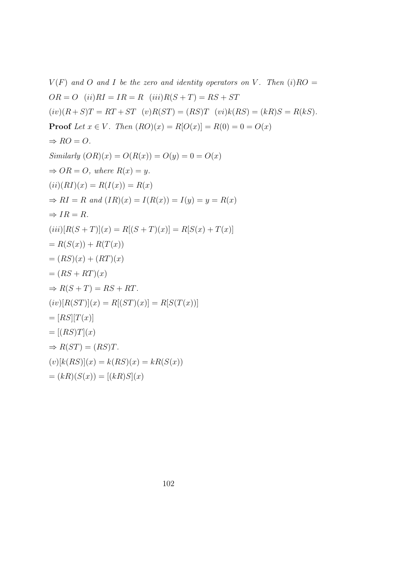$V(F)$  and O and I be the zero and identity operators on V. Then  $(i)RO =$  $OR = O$   $(ii)RI = IR = R$   $(iii)R(S+T) = RS + ST$  $(iv)(R + S)T = RT + ST$   $(v)R(ST) = (RS)T$   $(vi)k(RS) = (kR)S = R(kS)$ . **Proof** Let  $x \in V$ . Then  $(RO)(x) = R[O(x)] = R(0) = 0 = O(x)$  $\Rightarrow RO = O.$ Similarly  $(OR)(x) = O(R(x)) = O(y) = 0 = O(x)$  $\Rightarrow$  OR = O, where R(x) = y.  $(ii)(RI)(x) = R(I(x)) = R(x)$  $\Rightarrow RI = R$  and  $(IR)(x) = I(R(x)) = I(y) = y = R(x)$  $\Rightarrow IR = R$ .  $(iii)[R(S+T)](x) = R[(S+T)(x)] = R[S(x) + T(x)]$  $= R(S(x)) + R(T(x))$  $=(RS)(x) + (RT)(x)$  $=(RS + RT)(x)$  $\Rightarrow R(S+T) = RS + RT.$  $(iv)[R(ST)](x) = R[(ST)(x)] = R[S(T(x))]$  $=$   $[RS][T(x)]$  $= [(RS)T](x)$  $\Rightarrow R(ST) = (RS)T.$  $(v)[k(RS)](x) = k(RS)(x) = kR(S(x))$  $=(kR)(S(x)) = [(kR)S](x)$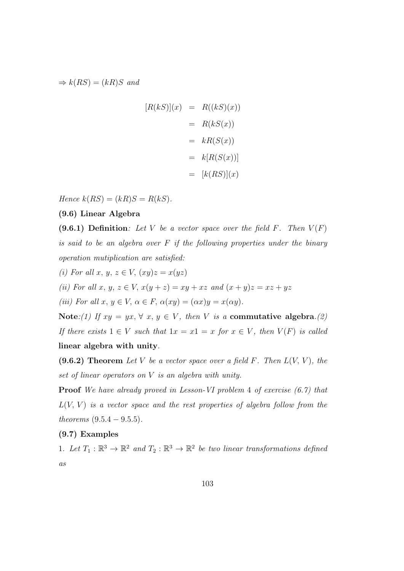$\Rightarrow k(RS) = (kR)S$  and

$$
[R(kS)](x) = R((kS)(x))
$$

$$
= R(kS(x))
$$

$$
= kR(S(x))
$$

$$
= k[R(S(x))]
$$

$$
= [k(RS)](x)
$$

Hence  $k(RS) = (kR)S = R(kS)$ .

# (9.6) Linear Algebra

(9.6.1) Definition: Let V be a vector space over the field F. Then  $V(F)$ is said to be an algebra over  $F$  if the following properties under the binary operation mutiplication are satisfied:

(i) For all x, y,  $z \in V$ ,  $(xy)z = x(yz)$ 

(ii) For all x, y,  $z \in V$ ,  $x(y + z) = xy + xz$  and  $(x + y)z = xz + yz$ 

(iii) For all  $x, y \in V$ ,  $\alpha \in F$ ,  $\alpha(xy) = (\alpha x)y = x(\alpha y)$ .

Note:(1) If  $xy = yx, \forall x, y \in V$ , then V is a commutative algebra.(2) If there exists  $1 \in V$  such that  $1x = x1 = x$  for  $x \in V$ , then  $V(F)$  is called linear algebra with unity.

(9.6.2) Theorem Let V be a vector space over a field F. Then  $L(V, V)$ , the set of linear operators on V is an algebra with unity.

Proof We have already proved in Lesson-VI problem 4 of exercise (6.7) that  $L(V, V)$  is a vector space and the rest properties of algebra follow from the theorems  $(9.5.4 - 9.5.5)$ .

# (9.7) Examples

1. Let  $T_1 : \mathbb{R}^3 \to \mathbb{R}^2$  and  $T_2 : \mathbb{R}^3 \to \mathbb{R}^2$  be two linear transformations defined as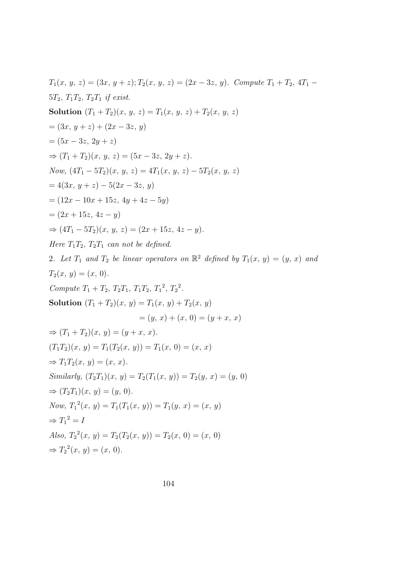$$
T_1(x, y, z) = (3x, y + z); T_2(x, y, z) = (2x - 3z, y). Compute T_1 + T_2, 4T_1 - 5T_2, T_1T_2, T_2T_1 if exist.\nSolution  $(T_1 + T_2)(x, y, z) = T_1(x, y, z) + T_2(x, y, z)$   
\n $= (3x, y + z) + (2x - 3z, y)$   
\n $= (5x - 3z, 2y + z)$   
\n $\Rightarrow (T_1 + T_2)(x, y, z) = (5x - 3z, 2y + z).$   
\nNow,  $(4T_1 - 5T_2)(x, y, z) = 4T_1(x, y, z) - 5T_2(x, y, z)$   
\n $= 4(3x, y + z) - 5(2x - 3z, y)$   
\n $= (12x - 10x + 15z, 4y + 4z - 5y)$   
\n $= (2x + 15z, 4z - y)$   
\n $\Rightarrow (4T_1 - 5T_2)(x, y, z) = (2x + 15z, 4z - y).$   
\nHere  $T_1T_2, T_2T_1$  can not be defined.  
\n2. Let  $T_1$  and  $T_2$  be linear operators on  $\mathbb{R}^2$  defined by  $T_1(x, y) = (y, x)$  and  
\n $T_2(x, y) = (x, 0).$   
\nCompute  $T_1 + T_2, T_2T_1, T_1T_2, T_1^2, T_2^2.$   
\nSolution  $(T_1 + T_2)(x, y) = T_1(x, y) + T_2(x, y)$   
\n $= (y, x) + (x, 0) = (y + x, x)$   
\n $\Rightarrow (T_1 + T_2)(x, y) = (y + x, x).$   
\n $\Rightarrow (T_1 + T_2)(x, y) = (y + x, x).$   
\nSimilarly,  $(T_2T_1)(x, y) = T_1(x, 0) = (x, x)$   
\nSimilarly,  $(T_2T_1)(x, y) = T_2(T_1(x, y)) = T_2(y, x) = (y, 0)$   
\n $\Rightarrow (T_2T$
$$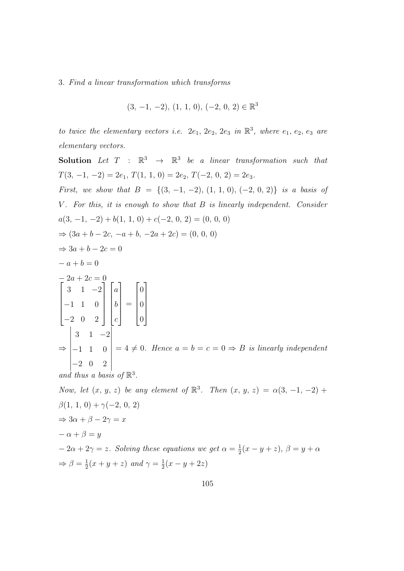#### 3. Find a linear transformation which transforms

$$
(3, -1, -2), (1, 1, 0), (-2, 0, 2) \in \mathbb{R}^3
$$

to twice the elementary vectors i.e.  $2e_1$ ,  $2e_2$ ,  $2e_3$  in  $\mathbb{R}^3$ , where  $e_1$ ,  $e_2$ ,  $e_3$  are elementary vectors.

**Solution** Let  $T : \mathbb{R}^3 \rightarrow \mathbb{R}^3$  be a linear transformation such that  $T(3, -1, -2) = 2e_1, T(1, 1, 0) = 2e_2, T(-2, 0, 2) = 2e_3.$ First, we show that  $B = \{(3, -1, -2), (1, 1, 0), (-2, 0, 2)\}\$ is a basis of V. For this, it is enough to show that B is linearly independent. Consider  $a(3, -1, -2) + b(1, 1, 0) + c(-2, 0, 2) = (0, 0, 0)$  $\Rightarrow (3a + b - 2c, -a + b, -2a + 2c) = (0, 0, 0)$  $\Rightarrow 3a + b - 2c = 0$  $- a + b = 0$  $\begin{bmatrix} -2a + 2c = 0 \\ 3 & 1 \end{bmatrix}$  $\begin{array}{c} \begin{array}{c} \begin{array}{c} \end{array} \\ \begin{array}{c} \end{array} \end{array} \end{array}$ 3 1 −2 −1 1 0 −2 0 2 1  $\begin{array}{c} \n\vdots \\
\vdots \\
\vdots\n\end{array}$  $\sqrt{ }$  $\begin{array}{c} \hline \end{array}$ a b c 1  $\begin{array}{c} \n\vdots \\
\vdots \\
\vdots\n\end{array}$ =  $\sqrt{ }$  $\begin{array}{c} \begin{array}{c} \begin{array}{c} \end{array} \\ \begin{array}{c} \end{array} \end{array} \end{array}$ 0 0 0 1  $\begin{array}{c} \n\end{array}$ ⇒  $\overline{\phantom{a}}$  $\begin{vmatrix} 3 & 1 & -1 \\ -1 & 1 & 0 \end{vmatrix}$  $\begin{vmatrix} -2 & 0 & 2 \end{vmatrix}$  $3 \quad 1 \quad -2$   $= 4 \neq 0$ . Hence  $a = b = c = 0 \Rightarrow B$  is linearly independent and thus a basis of  $\mathbb{R}^3$ . Now, let  $(x, y, z)$  be any element of  $\mathbb{R}^3$ . Then  $(x, y, z) = \alpha(3, -1, -2)$  +  $\beta(1, 1, 0) + \gamma(-2, 0, 2)$ 

$$
\Rightarrow 3\alpha + \beta - 2\gamma = x
$$
  
\n
$$
-\alpha + \beta = y
$$
  
\n
$$
-2\alpha + 2\gamma = z.
$$
 Solving these equations we get  $\alpha = \frac{1}{2}(x - y + z), \beta = y + \alpha$   
\n
$$
\Rightarrow \beta = \frac{1}{2}(x + y + z) \text{ and } \gamma = \frac{1}{2}(x - y + 2z)
$$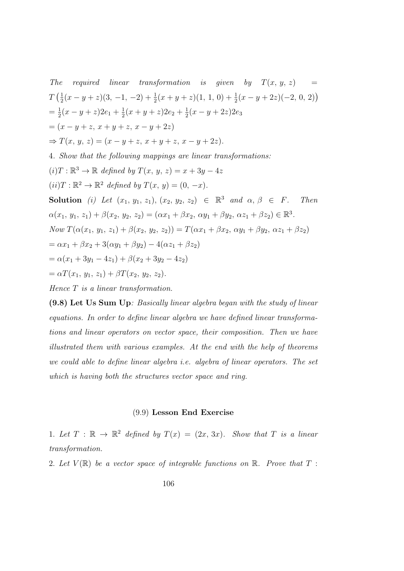The required linear transformation is given by  $T(x, y, z)$  $T\left(\frac{1}{2}\right)$  $\frac{1}{2}(x-y+z)(3, -1, -2) + \frac{1}{2}(x+y+z)(1, 1, 0) + \frac{1}{2}(x-y+2z)(-2, 0, 2)$  $=\frac{1}{2}$  $\frac{1}{2}(x-y+z)2e_1+\frac{1}{2}$  $\frac{1}{2}(x+y+z)2e_2+\frac{1}{2}$  $\frac{1}{2}(x-y+2z)2e_3$  $=(x - y + z, x + y + z, x - y + 2z)$  $\Rightarrow$  T(x, y, z) = (x - y + z, x + y + z, x - y + 2z). 4. Show that the following mappings are linear transformations:  $(i) T : \mathbb{R}^3 \to \mathbb{R}$  defined by  $T(x, y, z) = x + 3y - 4z$  $(ii) T : \mathbb{R}^2 \to \mathbb{R}^2$  defined by  $T(x, y) = (0, -x)$ . **Solution** (i) Let  $(x_1, y_1, z_1), (x_2, y_2, z_2) \in \mathbb{R}^3$  and  $\alpha, \beta \in F$ . Then  $\alpha(x_1, y_1, z_1) + \beta(x_2, y_2, z_2) = (\alpha x_1 + \beta x_2, \, \alpha y_1 + \beta y_2, \, \alpha z_1 + \beta z_2) \in \mathbb{R}^3.$ Now  $T(\alpha(x_1, y_1, z_1) + \beta(x_2, y_2, z_2)) = T(\alpha x_1 + \beta x_2, \alpha y_1 + \beta y_2, \alpha z_1 + \beta z_2)$  $= \alpha x_1 + \beta x_2 + 3(\alpha y_1 + \beta y_2) - 4(\alpha z_1 + \beta z_2)$  $= \alpha(x_1 + 3y_1 - 4z_1) + \beta(x_2 + 3y_2 - 4z_2)$  $=\alpha T(x_1, y_1, z_1) + \beta T(x_2, y_2, z_2).$ Hence T is a linear transformation.

(9.8) Let Us Sum Up: Basically linear algebra began with the study of linear equations. In order to define linear algebra we have defined linear transformations and linear operators on vector space, their composition. Then we have illustrated them with various examples. At the end with the help of theorems we could able to define linear algebra i.e. algebra of linear operators. The set which is having both the structures vector space and ring.

# (9.9) Lesson End Exercise

1. Let  $T : \mathbb{R} \to \mathbb{R}^2$  defined by  $T(x) = (2x, 3x)$ . Show that T is a linear transformation.

2. Let  $V(\mathbb{R})$  be a vector space of integrable functions on  $\mathbb{R}$ . Prove that  $T$ :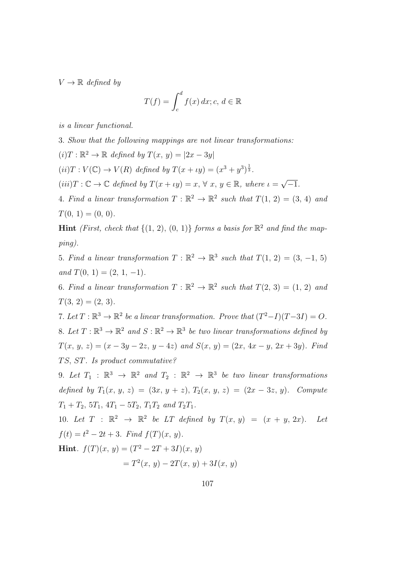$V \to \mathbb{R}$  defined by

$$
T(f) = \int_{c}^{d} f(x) dx; c, d \in \mathbb{R}
$$

is a linear functional.

3. Show that the following mappings are not linear transformations:

 $(i) T : \mathbb{R}^2 \to \mathbb{R}$  defined by  $T(x, y) = |2x - 3y|$ 

 $(ii) T: V(\mathbb{C}) \rightarrow V(R)$  defined by  $T(x + \iota y) = (x^3 + y^3)^{\frac{1}{3}}$ .

 $(iii)T : \mathbb{C} \to \mathbb{C}$  defined by  $T(x + \iota y) = x, \forall x, y \in \mathbb{R}$ , where  $\iota = \sqrt{\iota}$  $^{\prime}-1.$ 

4. Find a linear transformation  $T : \mathbb{R}^2 \to \mathbb{R}^2$  such that  $T(1, 2) = (3, 4)$  and  $T(0, 1) = (0, 0).$ 

**Hint** (First, check that  $\{(1, 2), (0, 1)\}$  forms a basis for  $\mathbb{R}^2$  and find the mapping).

5. Find a linear transformation  $T : \mathbb{R}^2 \to \mathbb{R}^3$  such that  $T(1, 2) = (3, -1, 5)$ and  $T(0, 1) = (2, 1, -1)$ .

6. Find a linear transformation  $T : \mathbb{R}^2 \to \mathbb{R}^2$  such that  $T(2, 3) = (1, 2)$  and  $T(3, 2) = (2, 3).$ 

7. Let  $T: \mathbb{R}^3 \to \mathbb{R}^2$  be a linear transformation. Prove that  $(T^2-I)(T-3I) = O$ . 8. Let  $T : \mathbb{R}^3 \to \mathbb{R}^2$  and  $S : \mathbb{R}^2 \to \mathbb{R}^3$  be two linear transformations defined by  $T(x, y, z) = (x - 3y - 2z, y - 4z)$  and  $S(x, y) = (2x, 4x - y, 2x + 3y)$ . Find TS, ST. Is product commutative?

9. Let  $T_1$  :  $\mathbb{R}^3 \to \mathbb{R}^2$  and  $T_2$  :  $\mathbb{R}^2 \to \mathbb{R}^3$  be two linear transformations defined by  $T_1(x, y, z) = (3x, y + z), T_2(x, y, z) = (2x - 3z, y)$ . Compute  $T_1 + T_2$ ,  $5T_1$ ,  $4T_1 - 5T_2$ ,  $T_1T_2$  and  $T_2T_1$ .

10. Let  $T : \mathbb{R}^2 \to \mathbb{R}^2$  be LT defined by  $T(x, y) = (x + y, 2x)$ . Let  $f(t) = t^2 - 2t + 3$ . Find  $f(T)(x, y)$ . **Hint.**  $f(T)(x, y) = (T^2 - 2T + 3I)(x, y)$  $=T^2(x, y) - 2T(x, y) + 3I(x, y)$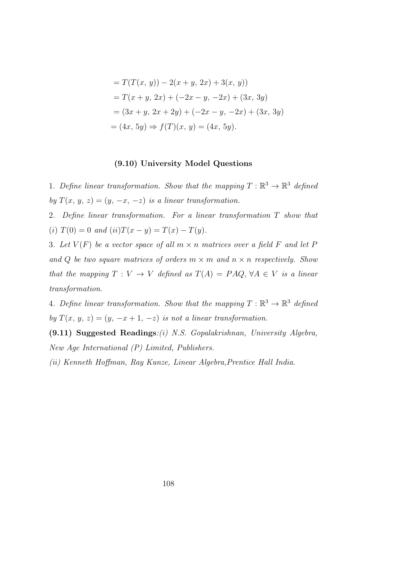$$
= T(T(x, y)) - 2(x + y, 2x) + 3(x, y))
$$
  
=  $T(x + y, 2x) + (-2x - y, -2x) + (3x, 3y)$   
=  $(3x + y, 2x + 2y) + (-2x - y, -2x) + (3x, 3y)$   
=  $(4x, 5y) \Rightarrow f(T)(x, y) = (4x, 5y).$ 

# (9.10) University Model Questions

1. Define linear transformation. Show that the mapping  $T : \mathbb{R}^3 \to \mathbb{R}^3$  defined by  $T(x, y, z) = (y, -x, -z)$  is a linear transformation.

2. Define linear transformation. For a linear transformation T show that (i)  $T(0) = 0$  and  $(ii)T(x - y) = T(x) - T(y)$ .

3. Let  $V(F)$  be a vector space of all  $m \times n$  matrices over a field F and let P and Q be two square matrices of orders  $m \times m$  and  $n \times n$  respectively. Show that the mapping  $T: V \to V$  defined as  $T(A) = PAQ$ ,  $\forall A \in V$  is a linear transformation.

4. Define linear transformation. Show that the mapping  $T : \mathbb{R}^3 \to \mathbb{R}^3$  defined by  $T(x, y, z) = (y, -x + 1, -z)$  is not a linear transformation.

(9.11) Suggested Readings:(i) N.S. Gopalakrishnan, University Algebra, New Age International (P) Limited, Publishers.

(ii) Kenneth Hoffman, Ray Kunze, Linear Algebra,Prentice Hall India.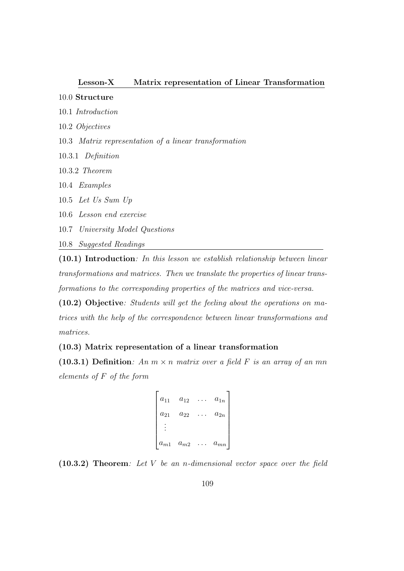### Lesson-X Matrix representation of Linear Transformation

## 10.0 Structure

- 10.1 Introduction
- 10.2 Objectives
- 10.3 Matrix representation of a linear transformation
- 10.3.1 Definition
- 10.3.2 Theorem
- 10.4 Examples
- 10.5 Let Us Sum Up
- 10.6 Lesson end exercise
- 10.7 University Model Questions
- 10.8 Suggested Readings

(10.1) Introduction: In this lesson we establish relationship between linear transformations and matrices. Then we translate the properties of linear transformations to the corresponding properties of the matrices and vice-versa.

(10.2) Objective: Students will get the feeling about the operations on matrices with the help of the correspondence between linear transformations and matrices.

## (10.3) Matrix representation of a linear transformation

(10.3.1) Definition: An  $m \times n$  matrix over a field F is an array of an mn elements of F of the form

```
\sqrt{ }\begin{array}{c} \begin{array}{c} \begin{array}{c} \end{array} \\ \begin{array}{c} \end{array} \end{array} \end{array}a_{11} a_{12} ... a_{1n}a_{21} \quad a_{22} \quad \ldots \quad a_{2n}.
.
.
     a_{m1} a_{m2} ... a_{mn}1
```
(10.3.2) Theorem: Let V be an n-dimensional vector space over the field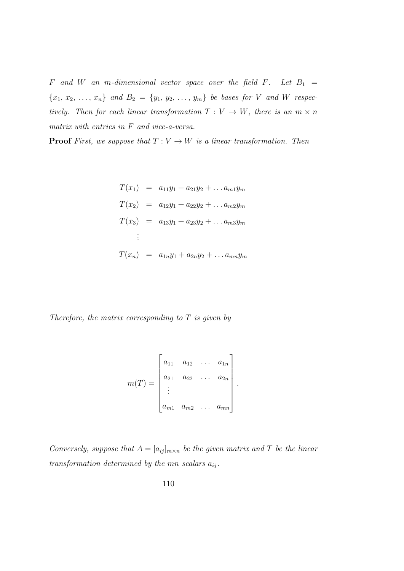$F$  and  $W$  an m-dimensional vector space over the field  $F$ . Let  $B_1$  =  ${x_1, x_2, ..., x_n}$  and  $B_2 = {y_1, y_2, ..., y_m}$  be bases for V and W respectively. Then for each linear transformation  $T: V \to W$ , there is an  $m \times n$ matrix with entries in F and vice-a-versa.

**Proof** First, we suppose that  $T: V \to W$  is a linear transformation. Then

$$
T(x_1) = a_{11}y_1 + a_{21}y_2 + \dots a_{m1}y_m
$$
  
\n
$$
T(x_2) = a_{12}y_1 + a_{22}y_2 + \dots a_{m2}y_m
$$
  
\n
$$
T(x_3) = a_{13}y_1 + a_{23}y_2 + \dots a_{m3}y_m
$$
  
\n:  
\n:  
\n
$$
T(x_n) = a_{1n}y_1 + a_{2n}y_2 + \dots a_{mn}y_m
$$

Therefore, the matrix corresponding to  $T$  is given by

$$
m(T) = \begin{bmatrix} a_{11} & a_{12} & \dots & a_{1n} \\ a_{21} & a_{22} & \dots & a_{2n} \\ \vdots & \vdots & \ddots & \vdots \\ a_{m1} & a_{m2} & \dots & a_{mn} \end{bmatrix}.
$$

Conversely, suppose that  $A = [a_{ij}]_{m \times n}$  be the given matrix and T be the linear transformation determined by the mn scalars  $a_{ij}$ .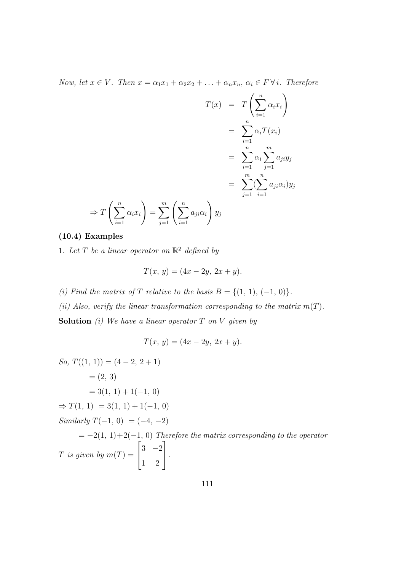Now, let  $x \in V$ . Then  $x = \alpha_1 x_1 + \alpha_2 x_2 + \ldots + \alpha_n x_n, \, \alpha_i \in F \forall i$ . Therefore

$$
T(x) = T\left(\sum_{i=1}^{n} \alpha_i x_i\right)
$$
  

$$
= \sum_{i=1}^{n} \alpha_i T(x_i)
$$
  

$$
= \sum_{i=1}^{n} \alpha_i \sum_{j=1}^{m} a_{ji} y_j
$$
  

$$
= \sum_{j=1}^{m} \left(\sum_{i=1}^{n} a_{ji} \alpha_i\right) y_j
$$
  

$$
\Rightarrow T\left(\sum_{i=1}^{n} \alpha_i x_i\right) = \sum_{j=1}^{m} \left(\sum_{i=1}^{n} a_{ji} \alpha_i\right) y_j
$$

# (10.4) Examples

1. Let T be a linear operator on  $\mathbb{R}^2$  defined by

$$
T(x, y) = (4x - 2y, 2x + y).
$$

(i) Find the matrix of T relative to the basis  $B = \{(1, 1), (-1, 0)\}.$ 

(ii) Also, verify the linear transformation corresponding to the matrix  $m(T)$ .

**Solution** (i) We have a linear operator  $T$  on  $V$  given by

$$
T(x, y) = (4x - 2y, 2x + y).
$$

So, 
$$
T((1, 1)) = (4 - 2, 2 + 1)
$$
  
\n $= (2, 3)$   
\n $= 3(1, 1) + 1(-1, 0)$   
\n $\Rightarrow T(1, 1) = 3(1, 1) + 1(-1, 0)$   
\nSimilarly  $T(-1, 0) = (-4, -2)$   
\n $= -2(1, 1) + 2(-1, 0)$  Therefore the matrix corresponding to the operator  
\nT is given by  $m(T) = \begin{bmatrix} 3 & -2 \\ 1 & 2 \end{bmatrix}$ .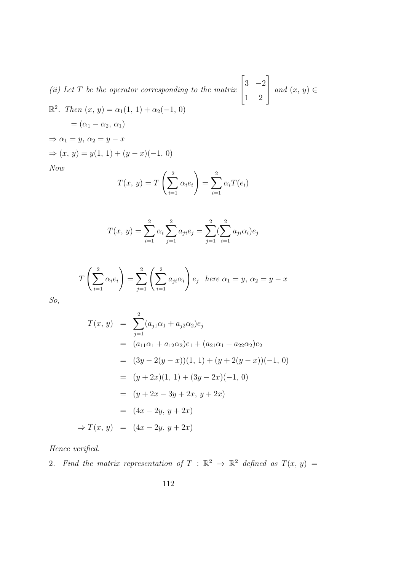(ii) Let  $T$  be the operator corresponding to the matrix  $\sqrt{ }$  $\overline{\phantom{a}}$ 3 −2 1 2 1 | and  $(x, y) \in$  $\mathbb{R}^2$ . Then  $(x, y) = \alpha_1(1, 1) + \alpha_2(-1, 0)$  $=(\alpha_1 - \alpha_2, \alpha_1)$  $\Rightarrow \alpha_1 = y, \, \alpha_2 = y - x$  $⇒ (x, y) = y(1, 1) + (y - x)(-1, 0)$ Now 2 2

$$
T(x, y) = T\left(\sum_{i=1}^{2} \alpha_i e_i\right) = \sum_{i=1}^{2} \alpha_i T(e_i)
$$

$$
T(x, y) = \sum_{i=1}^{2} \alpha_i \sum_{j=1}^{2} a_{ji} e_j = \sum_{j=1}^{2} \sum_{i=1}^{2} a_{ji} \alpha_i e_j
$$

$$
T\left(\sum_{i=1}^{2} \alpha_i e_i\right) = \sum_{j=1}^{2} \left(\sum_{i=1}^{2} a_{ji} \alpha_i\right) e_j \text{ here } \alpha_1 = y, \ \alpha_2 = y - x
$$

So,

$$
T(x, y) = \sum_{j=1}^{2} (a_{j1}\alpha_1 + a_{j2}\alpha_2)e_j
$$
  
=  $(a_{11}\alpha_1 + a_{12}\alpha_2)e_1 + (a_{21}\alpha_1 + a_{22}\alpha_2)e_2$   
=  $(3y - 2(y - x))(1, 1) + (y + 2(y - x))(-1, 0)$   
=  $(y + 2x)(1, 1) + (3y - 2x)(-1, 0)$   
=  $(y + 2x - 3y + 2x, y + 2x)$   
=  $(4x - 2y, y + 2x)$   
 $\Rightarrow T(x, y) = (4x - 2y, y + 2x)$ 

Hence verified.

2. Find the matrix representation of  $T : \mathbb{R}^2 \to \mathbb{R}^2$  defined as  $T(x, y) =$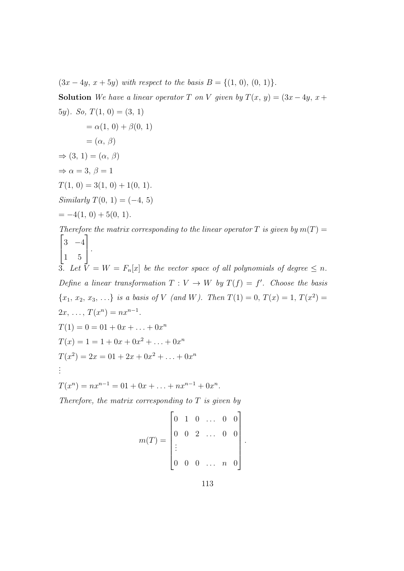$(3x - 4y, x + 5y)$  with respect to the basis  $B = \{(1, 0), (0, 1)\}.$ 

Solution We have a linear operator T on V given by  $T(x, y) = (3x - 4y, x +$ 5y). So,  $T(1, 0) = (3, 1)$  $= \alpha(1, 0) + \beta(0, 1)$  $= (\alpha, \beta)$  $\Rightarrow$  (3, 1) = ( $\alpha$ ,  $\beta$ )  $\Rightarrow \alpha = 3, \beta = 1$  $T(1, 0) = 3(1, 0) + 1(0, 1).$ Similarly  $T(0, 1) = (-4, 5)$  $= -4(1, 0) + 5(0, 1).$ Therefore the matrix corresponding to the linear operator T is given by  $m(T) =$  $\sqrt{ }$  $\overline{\phantom{a}}$ 3 −4 1 5 1  $\vert \cdot$ 

3. Let  $\overline{V} = W = F_n[x]$  be the vector space of all polynomials of degree  $\leq n$ . Define a linear transformation  $T: V \to W$  by  $T(f) = f'$ . Choose the basis  ${x_1, x_2, x_3, ...}$  is a basis of V (and W). Then  $T(1) = 0, T(x) = 1, T(x^2) =$  $2x, \ldots, T(x^n) = nx^{n-1}.$  $T(1) = 0 = 01 + 0x + \ldots + 0x^{n}$  $T(x) = 1 = 1 + 0x + 0x^2 + \ldots + 0x^n$ 

$$
T(x^2) = 2x = 01 + 2x + 0x^2 + \dots + 0x^n
$$
  
...

 $T(x^n) = nx^{n-1} = 01 + 0x + ... + nx^{n-1} + 0x^n.$ 

Therefore, the matrix corresponding to  $T$  is given by

$$
m(T) = \begin{bmatrix} 0 & 1 & 0 & \dots & 0 & 0 \\ 0 & 0 & 2 & \dots & 0 & 0 \\ \vdots & & & & \\ 0 & 0 & 0 & \dots & n & 0 \end{bmatrix}
$$

.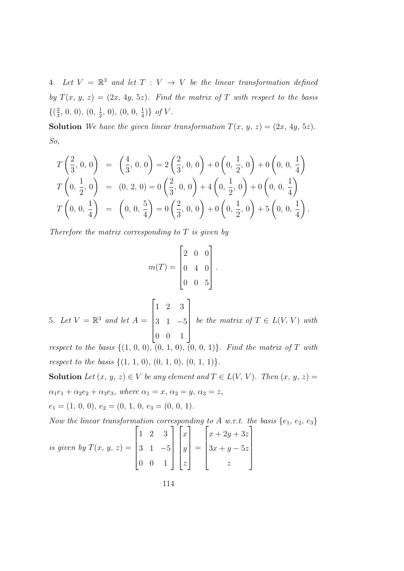4. Let  $V = \mathbb{R}^3$  and let  $T : V \to V$  be the linear transformation defined by  $T(x, y, z) = (2x, 4y, 5z)$ . Find the matrix of T with respect to the basis  $\{\left(\frac{2}{3}\right)$  $\frac{2}{3}$ , 0, 0),  $(0, \frac{1}{2})$  $\frac{1}{2}$ , 0), (0, 0,  $\frac{1}{4}$  $\frac{1}{4}$ } of V.

**Solution** We have the given linear transformation  $T(x, y, z) = (2x, 4y, 5z)$ . So,

$$
T\left(\frac{2}{3}, 0, 0\right) = \left(\frac{4}{3}, 0, 0\right) = 2\left(\frac{2}{3}, 0, 0\right) + 0\left(0, \frac{1}{2}, 0\right) + 0\left(0, 0, \frac{1}{4}\right)
$$
  

$$
T\left(0, \frac{1}{2}, 0\right) = (0, 2, 0) = 0\left(\frac{2}{3}, 0, 0\right) + 4\left(0, \frac{1}{2}, 0\right) + 0\left(0, 0, \frac{1}{4}\right)
$$
  

$$
T\left(0, 0, \frac{1}{4}\right) = \left(0, 0, \frac{5}{4}\right) = 0\left(\frac{2}{3}, 0, 0\right) + 0\left(0, \frac{1}{2}, 0\right) + 5\left(0, 0, \frac{1}{4}\right).
$$

Therefore the matrix corresponding to  $T$  is given by

$$
m(T) = \begin{bmatrix} 2 & 0 & 0 \\ 0 & 4 & 0 \\ 0 & 0 & 5 \end{bmatrix}.
$$

5. Let  $V = \mathbb{R}^3$  and let  $A =$  $\sqrt{ }$  $\begin{array}{c} \begin{array}{c} \begin{array}{c} \end{array} \\ \begin{array}{c} \end{array} \end{array} \end{array}$ 1 2 3 3 1 −5 0 0 1 1  $\begin{array}{c} \n\downarrow \\
\downarrow\n\end{array}$ be the matrix of  $T \in L(V, V)$  with

respect to the basis  $\{(1, 0, 0), (0, 1, 0), (0, 0, 1)\}$ . Find the matrix of T with respect to the basis  $\{(1, 1, 0), (0, 1, 0), (0, 1, 1)\}.$ 

Solution Let  $(x, y, z) \in V$  be any element and  $T \in L(V, V)$ . Then  $(x, y, z) =$  $\alpha_1e_1 + \alpha_2e_2 + \alpha_3e_3$ , where  $\alpha_1 = x$ ,  $\alpha_2 = y$ ,  $\alpha_3 = z$ ,

 $e_1 = (1, 0, 0), e_2 = (0, 1, 0, e_3 = (0, 0, 1).$ 

Now the linear transformation corresponding to A w.r.t. the basis  $\{e_1, e_2, e_3\}$ 

is given by 
$$
T(x, y, z) = \begin{bmatrix} 1 & 2 & 3 \\ 3 & 1 & -5 \\ 0 & 0 & 1 \end{bmatrix} \begin{bmatrix} x \\ y \\ z \end{bmatrix} = \begin{bmatrix} x + 2y + 3z \\ 3x + y - 5z \\ z \end{bmatrix}
$$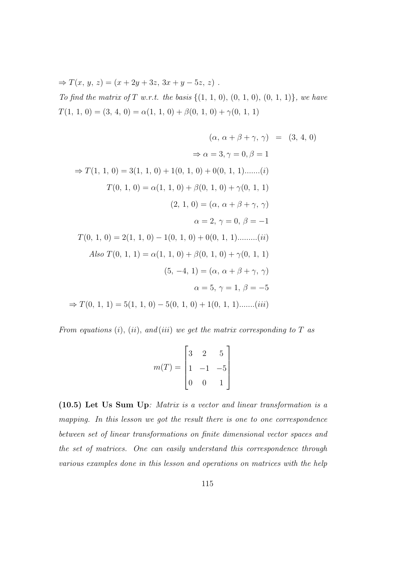$\Rightarrow$  T(x, y, z) = (x + 2y + 3z, 3x + y - 5z, z). To find the matrix of  $T$  w.r.t. the basis  $\{(1, 1, 0), (0, 1, 0), (0, 1, 1)\}$ , we have  $T(1, 1, 0) = (3, 4, 0) = \alpha(1, 1, 0) + \beta(0, 1, 0) + \gamma(0, 1, 1)$ 

$$
(\alpha, \alpha + \beta + \gamma, \gamma) = (3, 4, 0)
$$
  
\n
$$
\Rightarrow \alpha = 3, \gamma = 0, \beta = 1
$$
  
\n
$$
\Rightarrow T(1, 1, 0) = 3(1, 1, 0) + 1(0, 1, 0) + 0(0, 1, 1)......(i)
$$
  
\n
$$
T(0, 1, 0) = \alpha(1, 1, 0) + \beta(0, 1, 0) + \gamma(0, 1, 1)
$$
  
\n
$$
(2, 1, 0) = (\alpha, \alpha + \beta + \gamma, \gamma)
$$
  
\n
$$
\alpha = 2, \gamma = 0, \beta = -1
$$
  
\n
$$
T(0, 1, 0) = 2(1, 1, 0) - 1(0, 1, 0) + 0(0, 1, 1)......(ii)
$$
  
\nAlso  $T(0, 1, 1) = \alpha(1, 1, 0) + \beta(0, 1, 0) + \gamma(0, 1, 1)$   
\n
$$
(5, -4, 1) = (\alpha, \alpha + \beta + \gamma, \gamma)
$$
  
\n
$$
\alpha = 5, \gamma = 1, \beta = -5
$$
  
\n
$$
\Rightarrow T(0, 1, 1) = 5(1, 1, 0) - 5(0, 1, 0) + 1(0, 1, 1)......(iii)
$$

From equations (i), (ii), and (iii) we get the matrix corresponding to T as

$$
m(T) = \begin{bmatrix} 3 & 2 & 5 \\ 1 & -1 & -5 \\ 0 & 0 & 1 \end{bmatrix}
$$

(10.5) Let Us Sum Up: Matrix is a vector and linear transformation is a mapping. In this lesson we got the result there is one to one correspondence between set of linear transformations on finite dimensional vector spaces and the set of matrices. One can easily understand this correspondence through various examples done in this lesson and operations on matrices with the help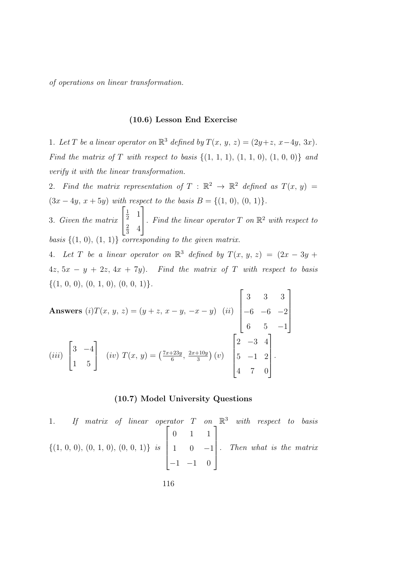of operations on linear transformation.

#### (10.6) Lesson End Exercise

1. Let T be a linear operator on  $\mathbb{R}^3$  defined by  $T(x, y, z) = (2y + z, x - 4y, 3x)$ . Find the matrix of T with respect to basis  $\{(1, 1, 1), (1, 1, 0), (1, 0, 0)\}$  and verify it with the linear transformation.

2. Find the matrix representation of  $T : \mathbb{R}^2 \to \mathbb{R}^2$  defined as  $T(x, y) =$  $(3x - 4y, x + 5y)$  with respect to the basis  $B = \{(1, 0), (0, 1)\}.$  $\sqrt{ }$ 1 1

3. Given the matrix  $\overline{\phantom{a}}$  $rac{1}{2}$  1 2  $rac{2}{3}$  4 . Find the linear operator  $T$  on  $\mathbb{R}^2$  with respect to basis  $\{(1, 0), (1, 1)\}$  corresponding to the given matrix.

4. Let T be a linear operator on  $\mathbb{R}^3$  defined by  $T(x, y, z) = (2x - 3y + 1)$  $4z, 5x - y + 2z, 4x + 7y$ . Find the matrix of T with respect to basis  $\{(1, 0, 0), (0, 1, 0), (0, 0, 1)\}.$  $\Gamma$ 1

Answers (i) 
$$
T(x, y, z) = (y + z, x - y, -x - y)
$$
 (ii)  $\begin{bmatrix} 3 & 3 & 3 \\ -6 & -6 & -2 \\ 6 & 5 & -1 \end{bmatrix}$   
(iii)  $\begin{bmatrix} 3 & -4 \\ 1 & 5 \end{bmatrix}$  (iv)  $T(x, y) = (\frac{7x + 23y}{6}, \frac{2x + 10y}{3})(v)$   $\begin{bmatrix} 2 & -3 & 4 \\ 5 & -1 & 2 \\ 4 & 7 & 0 \end{bmatrix}$ .

#### (10.7) Model University Questions

1. If matrix of linear operator T on 
$$
\mathbb{R}^3
$$
 with respect to basis  
\n $\{(1, 0, 0), (0, 1, 0), (0, 0, 1)\}$  is  $\begin{bmatrix} 0 & 1 & 1 \\ 1 & 0 & -1 \\ -1 & -1 & 0 \end{bmatrix}$ . Then what is the matrix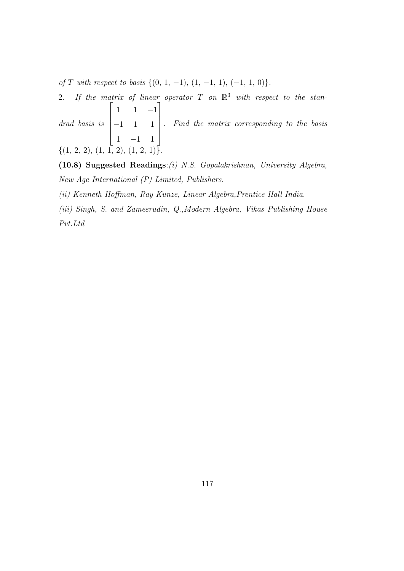of T with respect to basis  $\{(0, 1, -1), (1, -1, 1), (-1, 1, 0)\}.$ 

2. If the matrix of linear operator T on  $\mathbb{R}^3$  with respect to the standrad basis is  $\sqrt{ }$  $\begin{array}{c} \begin{array}{c} \begin{array}{c} \end{array} \\ \begin{array}{c} \end{array} \end{array} \end{array}$ 1 1 −1 −1 1 1 1 −1 1 1  $\begin{array}{c} \n\end{array}$ . Find the matrix corresponding to the basis  $\{(1, 2, 2), (1, 1, 2), (1, 2, 1)\}.$ 

(10.8) Suggested Readings:(i) N.S. Gopalakrishnan, University Algebra, New Age International (P) Limited, Publishers.

(ii) Kenneth Hoffman, Ray Kunze, Linear Algebra,Prentice Hall India.

(iii) Singh, S. and Zameerudin, Q.,Modern Algebra, Vikas Publishing House Pvt.Ltd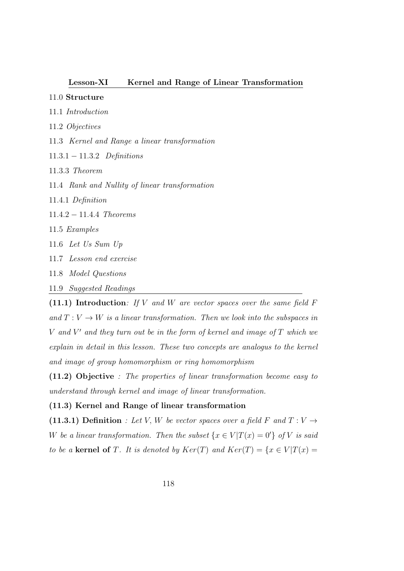## Lesson-XI Kernel and Range of Linear Transformation

## 11.0 Structure

- 11.1 Introduction
- 11.2 Objectives
- 11.3 Kernel and Range a linear transformation
- 11.3.1 − 11.3.2 Definitions
- 11.3.3 Theorem
- 11.4 Rank and Nullity of linear transformation
- 11.4.1 Definition
- 11.4.2 − 11.4.4 Theorems
- 11.5 Examples
- 11.6 Let Us Sum Up
- 11.7 Lesson end exercise
- 11.8 Model Questions
- 11.9 Suggested Readings

(11.1) Introduction: If V and W are vector spaces over the same field  $F$ and  $T: V \to W$  is a linear transformation. Then we look into the subspaces in  $V$  and  $V'$  and they turn out be in the form of kernel and image of  $T$  which we explain in detail in this lesson. These two concepts are analogus to the kernel and image of group homomorphism or ring homomorphism

(11.2) Objective : The properties of linear transformation become easy to understand through kernel and image of linear transformation.

#### (11.3) Kernel and Range of linear transformation

(11.3.1) Definition : Let V, W be vector spaces over a field F and  $T: V \rightarrow$ W be a linear transformation. Then the subset  $\{x \in V | T(x) = 0'\}$  of V is said to be a kernel of T. It is denoted by  $Ker(T)$  and  $Ker(T) = \{x \in V | T(x) =$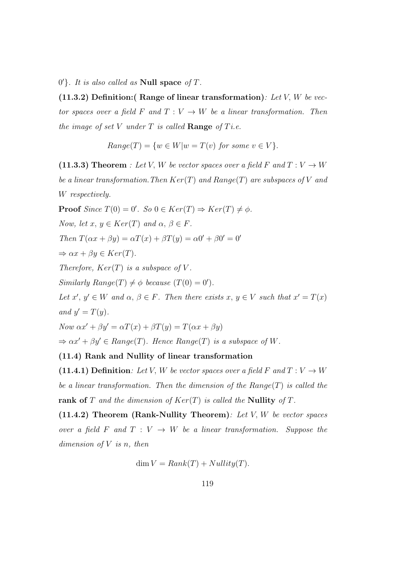$0'$ . It is also called as **Null space** of T.

(11.3.2) Definition: (Range of linear transformation): Let V, W be vector spaces over a field F and  $T: V \to W$  be a linear transformation. Then the image of set V under  $T$  is called **Range** of Ti.e.

$$
Range(T) = \{w \in W | w = T(v) \text{ for some } v \in V\}.
$$

(11.3.3) Theorem : Let V, W be vector spaces over a field F and  $T: V \to W$ be a linear transformation. Then  $Ker(T)$  and  $Range(T)$  are subspaces of V and W respectively.

**Proof** Since  $T(0) = 0'$ . So  $0 \in Ker(T) \Rightarrow Ker(T) \neq \phi$ . Now, let  $x, y \in Ker(T)$  and  $\alpha, \beta \in F$ . Then  $T(\alpha x + \beta y) = \alpha T(x) + \beta T(y) = \alpha 0' + \beta 0' = 0'$  $\Rightarrow \alpha x + \beta y \in Ker(T).$ Therefore,  $Ker(T)$  is a subspace of V. Similarly  $Range(T) \neq \phi$  because  $(T(0) = 0')$ .

Let  $x', y' \in W$  and  $\alpha, \beta \in F$ . Then there exists  $x, y \in V$  such that  $x' = T(x)$ and  $y' = T(y)$ .

Now  $\alpha x' + \beta y' = \alpha T(x) + \beta T(y) = T(\alpha x + \beta y)$ 

 $\Rightarrow \alpha x' + \beta y' \in Range(T)$ . Hence Range(T) is a subspace of W.

## (11.4) Rank and Nullity of linear transformation

(11.4.1) Definition: Let V, W be vector spaces over a field F and  $T: V \to W$ be a linear transformation. Then the dimension of the  $Range(T)$  is called the rank of T and the dimension of  $Ker(T)$  is called the Nullity of T.

 $(11.4.2)$  Theorem (Rank-Nullity Theorem): Let V, W be vector spaces over a field F and  $T: V \to W$  be a linear transformation. Suppose the dimension of  $V$  is n, then

$$
\dim V = Rank(T) + Nullity(T).
$$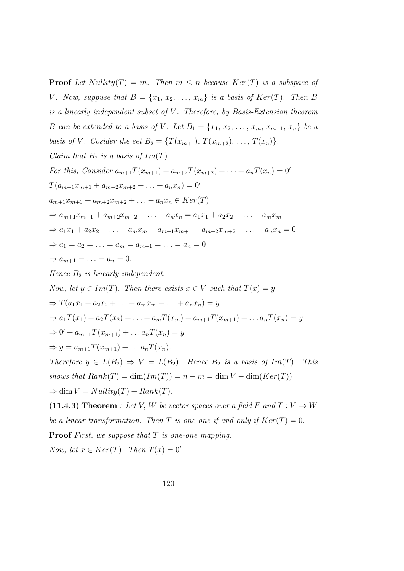**Proof** Let Nullity(T) = m. Then  $m \leq n$  because  $Ker(T)$  is a subspace of V. Now, suppuse that  $B = \{x_1, x_2, \ldots, x_m\}$  is a basis of  $Ker(T)$ . Then B is a linearly independent subset of  $V$ . Therefore, by Basis-Extension theorem B can be extended to a basis of V. Let  $B_1 = \{x_1, x_2, \ldots, x_m, x_{m+1}, x_n\}$  be a basis of V. Cosider the set  $B_2 = \{T(x_{m+1}), T(x_{m+2}), \ldots, T(x_n)\}.$ Claim that  $B_2$  is a basis of  $Im(T)$ . For this, Consider  $a_{m+1}T(x_{m+1}) + a_{m+2}T(x_{m+2}) + \cdots + a_nT(x_n) = 0'$  $T(a_{m+1}x_{m+1} + a_{m+2}x_{m+2} + \ldots + a_nx_n) = 0'$  $a_{m+1}x_{m+1} + a_{m+2}x_{m+2} + \ldots + a_nx_n \in Ker(T)$  $\Rightarrow a_{m+1}x_{m+1} + a_{m+2}x_{m+2} + \ldots + a_nx_n = a_1x_1 + a_2x_2 + \ldots + a_mx_m$  $\Rightarrow a_1x_1 + a_2x_2 + \ldots + a_mx_m - a_{m+1}x_{m+1} - a_{m+2}x_{m+2} - \ldots + a_nx_n = 0$  $\Rightarrow a_1 = a_2 = \ldots = a_m = a_{m+1} = \ldots = a_n = 0$  $\Rightarrow a_{m+1} = \ldots = a_n = 0.$ Hence  $B_2$  is linearly independent. Now, let  $y \in Im(T)$ . Then there exists  $x \in V$  such that  $T(x) = y$  $\Rightarrow T(a_1x_1 + a_2x_2 + \ldots + a_mx_m + \ldots + a_nx_n) = y$  $\Rightarrow a_1T(x_1)+a_2T(x_2)+\ldots+a_mT(x_m)+a_{m+1}T(x_{m+1})+\ldots a_nT(x_n)=y$  $\Rightarrow 0' + a_{m+1}T(x_{m+1}) + \dots a_nT(x_n) = y$  $\Rightarrow y = a_{m+1}T(x_{m+1}) + \dots a_nT(x_n).$ Therefore  $y \in L(B_2) \Rightarrow V = L(B_2)$ . Hence  $B_2$  is a basis of  $Im(T)$ . This shows that  $Rank(T) = \dim(Im(T)) = n - m = \dim V - \dim(Ker(T))$  $\Rightarrow$  dim  $V = Nullity(T) + Rank(T)$ . (11.4.3) Theorem : Let V, W be vector spaces over a field F and  $T: V \to W$ be a linear transformation. Then T is one-one if and only if  $Ker(T) = 0$ .

**Proof** First, we suppose that  $T$  is one-one mapping.

Now, let  $x \in Ker(T)$ . Then  $T(x) = 0'$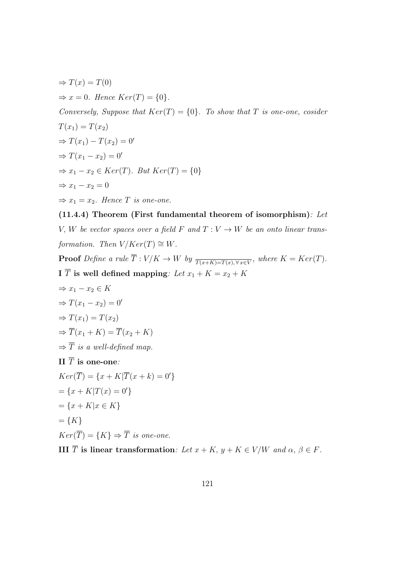$\Rightarrow$   $T(x) = T(0)$  $\Rightarrow x = 0$ . Hence  $Ker(T) = \{0\}.$ Conversely, Suppose that  $Ker(T) = \{0\}$ . To show that T is one-one, cosider  $T(x_1) = T(x_2)$  $\Rightarrow T(x_1) - T(x_2) = 0'$  $\Rightarrow T(x_1 - x_2) = 0'$  $\Rightarrow x_1 - x_2 \in Ker(T)$ . But  $Ker(T) = \{0\}$  $\Rightarrow$   $x_1 - x_2 = 0$  $\Rightarrow x_1 = x_2$ . Hence T is one-one.

(11.4.4) Theorem (First fundamental theorem of isomorphism): Let V, W be vector spaces over a field F and  $T: V \to W$  be an onto linear transformation. Then  $V/Ker(T) \cong W$ .

**Proof** Define a rule  $T: V/K \to W$  by  $\overline{T(x+K)=T(x), \forall x \in V}$ , where  $K=Ker(T)$ . I  $\overline{T}$  is well defined mapping: Let  $x_1 + K = x_2 + K$ 

$$
\Rightarrow x_1 - x_2 \in K
$$
  
\n
$$
\Rightarrow T(x_1 - x_2) = 0'
$$
  
\n
$$
\Rightarrow T(x_1) = T(x_2)
$$
  
\n
$$
\Rightarrow \overline{T}(x_1 + K) = \overline{T}(x_2 + K)
$$
  
\n
$$
\Rightarrow \overline{T} \text{ is a well-defined map.}
$$
  
\nII  $\overline{T}$  is one-one:  
\n
$$
Ker(\overline{T}) = \{x + K | \overline{T}(x + k) = 0'\}
$$
  
\n
$$
= \{x + K | T(x) = 0'\}
$$
  
\n
$$
= \{x + K | x \in K\}
$$
  
\n
$$
= \{K\}
$$
  
\n
$$
Ker(\overline{T}) = \{K\} \Rightarrow \overline{T} \text{ is one-one.}
$$
  
\nIII  $\overline{T}$  is linear transformation: Let  $x + K$ ,  $y + K \in V/W$  and  $\alpha$ ,  $\beta \in F$ .

121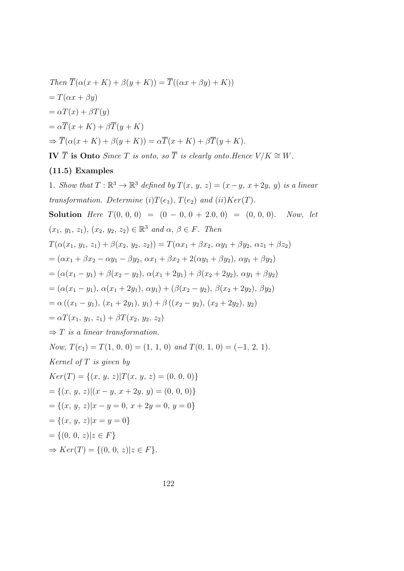Then 
$$
\overline{T}(\alpha(x+K) + \beta(y+K)) = \overline{T}((\alpha x + \beta y) + K))
$$
  
\n $= T(\alpha x + \beta y)$   
\n $= \alpha T(x) + \beta T(y)$   
\n $= \alpha \overline{T}(x+K) + \beta \overline{T}(y+K)$   
\n $\Rightarrow \overline{T}(\alpha(x+K) + \beta(y+K)) = \alpha \overline{T}(x+K) + \beta \overline{T}(y+K).$ 

IV  $\overline{T}$  is Onto Since T is onto, so T is clearly onto.Hence  $V/K \cong W$ .

## (11.5) Examples

1. Show that  $T: \mathbb{R}^3 \to \mathbb{R}^3$  defined by  $T(x, y, z) = (x - y, x + 2y, y)$  is a linear transformation. Determine (i) $T(e_1)$ ,  $T(e_2)$  and (ii) $Ker(T)$ . Solution Here  $T(0, 0, 0) = (0 - 0, 0 + 2.0, 0) = (0, 0, 0)$ . Now, let  $(x_1, y_1, z_1), (x_2, y_2, z_2) \in \mathbb{R}^3$  and  $\alpha, \beta \in F$ . Then  $T(\alpha(x_1, y_1, z_1) + \beta(x_2, y_2, z_2)) = T(\alpha x_1 + \beta x_2, \alpha y_1 + \beta y_2, \alpha z_1 + \beta z_2)$  $= (\alpha x_1 + \beta x_2 - \alpha y_1 - \beta y_2, \, \alpha x_1 + \beta x_2 + 2(\alpha y_1 + \beta y_2), \, \alpha y_1 + \beta y_2)$  $=(\alpha(x_1-y_1)+\beta(x_2-y_2), \alpha(x_1+2y_1)+\beta(x_2+2y_2), \alpha y_1+\beta y_2)$  $=(\alpha(x_1-y_1), \alpha(x_1+2y_1), \alpha y_1)+(\beta(x_2-y_2), \beta(x_2+2y_2), \beta y_2)$  $=\alpha ((x_1 - y_1), (x_1 + 2y_1), y_1) + \beta ((x_2 - y_2), (x_2 + 2y_2), y_2)$  $=\alpha T(x_1, y_1, z_1) + \beta T(x_2, y_2, z_2)$  $\Rightarrow$  T is a linear transformation. Now,  $T(e_1) = T(1, 0, 0) = (1, 1, 0)$  and  $T(0, 1, 0) = (-1, 2, 1)$ . Kernel of  $T$  is given by  $Ker(T) = \{(x, y, z)|T(x, y, z) = (0, 0, 0)\}\$  $=\{(x, y, z)|(x - y, x + 2y, y) = (0, 0, 0)\}\$  $=\{(x, y, z)|x - y = 0, x + 2y = 0, y = 0\}$  $=\{(x, y, z)|x=y=0\}$  $=\{(0, 0, z)|z \in F\}$  $\Rightarrow Ker(T) = \{(0, 0, z) | z \in F\}.$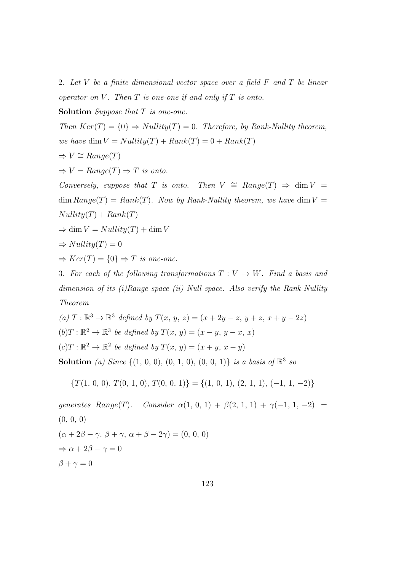2. Let V be a finite dimensional vector space over a field  $F$  and  $T$  be linear operator on V. Then  $T$  is one-one if and only if  $T$  is onto.

Solution Suppose that  $T$  is one-one.

Then  $Ker(T) = \{0\} \Rightarrow Nullity(T) = 0$ . Therefore, by Rank-Nullity theorem, we have dim  $V = Nullity(T) + Rank(T) = 0 + Rank(T)$  $\Rightarrow V \cong Range(T)$ 

 $\Rightarrow V = Range(T) \Rightarrow T$  is onto.

Conversely, suppose that T is onto. Then  $V \cong Range(T) \Rightarrow \dim V =$  $\dim Range(T) = Rank(T)$ . Now by Rank-Nullity theorem, we have  $\dim V =$  $Nullity(T) + Rank(T)$ 

$$
\Rightarrow \dim V = Nullity(T) + \dim V
$$

 $\Rightarrow Nullity(T) = 0$ 

 $\Rightarrow Ker(T) = \{0\} \Rightarrow T \text{ is one-one}.$ 

3. For each of the following transformations  $T: V \to W$ . Find a basis and dimension of its  $(i)$  Range space  $(ii)$  Null space. Also verify the Rank-Nullity Theorem

\n- (a) 
$$
T : \mathbb{R}^3 \to \mathbb{R}^3
$$
 defined by  $T(x, y, z) = (x + 2y - z, y + z, x + y - 2z)$
\n- (b)  $T : \mathbb{R}^2 \to \mathbb{R}^3$  be defined by  $T(x, y) = (x - y, y - x, x)$
\n- (c)  $T : \mathbb{R}^2 \to \mathbb{R}^2$  be defined by  $T(x, y) = (x + y, x - y)$
\n
\nSolution (a) Since  $\{(1, 0, 0), (0, 1, 0), (0, 0, 1)\}$  is a basis of  $\mathbb{R}^3$  so

$$
\{T(1,\, 0,\, 0),\, T(0,\, 1,\, 0),\, T(0,\, 0,\, 1)\}=\{(1,\, 0,\, 1),\, (2,\, 1,\, 1),\, (-1,\, 1,\, -2)\}
$$

generates Range(T). Consider  $\alpha(1, 0, 1) + \beta(2, 1, 1) + \gamma(-1, 1, -2) =$ (0, 0, 0)  $(\alpha + 2\beta - \gamma, \beta + \gamma, \alpha + \beta - 2\gamma) = (0, 0, 0)$  $\Rightarrow \alpha + 2\beta - \gamma = 0$  $\beta + \gamma = 0$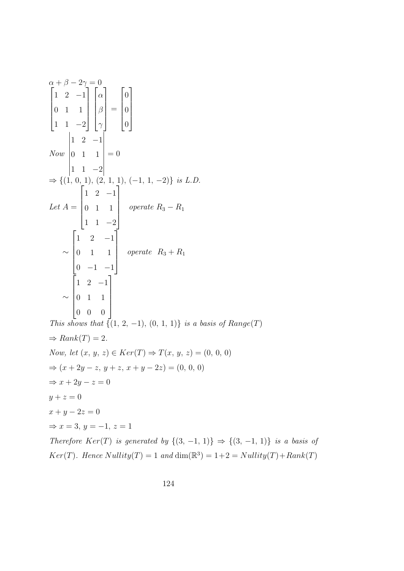$\alpha + \beta - 2\gamma = 0$  $\sqrt{ }$  1 2 −1 0 1 1 1 1 −2 1  $\sqrt{ }$  $\begin{array}{|c|c|} \hline \quad \quad & \quad \quad & \quad \quad \\ \hline \quad \quad & \quad \quad & \quad \quad \\ \hline \quad \quad & \quad \quad & \quad \quad \\ \hline \end{array}$  $\alpha$ β  $\gamma$ 1 =  $\sqrt{ }$  0 0 0 1 Now 1 2 −1 0 1 1 1 1 −2  $= 0$  $\Rightarrow \{(1, 0, 1), (2, 1, 1), (-1, 1, -2)\}\$ is L.D. Let  $A =$  $\sqrt{ }$  $\begin{array}{c} \begin{array}{c} \begin{array}{c} \end{array} \\ \begin{array}{c} \end{array} \end{array} \end{array}$ 1 2 −1 0 1 1 1 1 −2 1  $\begin{array}{c} \n\end{array}$  $operatorname{p}$   $R_3 - R_1$ ∼  $\sqrt{ }$  $\begin{array}{c} \hline \end{array}$ 1 2 −1 0 1 1  $0 -1 -1$ 1  $\begin{array}{c} \n\end{array}$ operate  $R_3 + R_1$ ∼  $\sqrt{ }$  $\begin{array}{c} \begin{array}{c} \begin{array}{c} \end{array} \end{array} \end{array}$ 1 2 −1 0 1 1 0 0 0 1  $\begin{array}{c} \n\downarrow \\
\downarrow\n\end{array}$ This shows that  $\{ (1, 2, -1), (0, 1, 1) \}$  is a basis of Range(T)  $\Rightarrow Rank(T) = 2.$ Now, let  $(x, y, z) \in Ker(T) \Rightarrow T(x, y, z) = (0, 0, 0)$  $\Rightarrow$   $(x+2y-z, y+z, x+y-2z) = (0, 0, 0)$  $\Rightarrow$   $x + 2y - z = 0$  $y + z = 0$  $x + y - 2z = 0$  $\Rightarrow$   $x = 3$ ,  $y = -1$ ,  $z = 1$ Therefore  $Ker(T)$  is generated by  $\{(3, -1, 1)\}\Rightarrow \{(3, -1, 1)\}\$ is a basis of  $Ker(T)$ . Hence  $Nullity(T) = 1$  and  $dim(\mathbb{R}^3) = 1 + 2 = Nullity(T) + Rank(T)$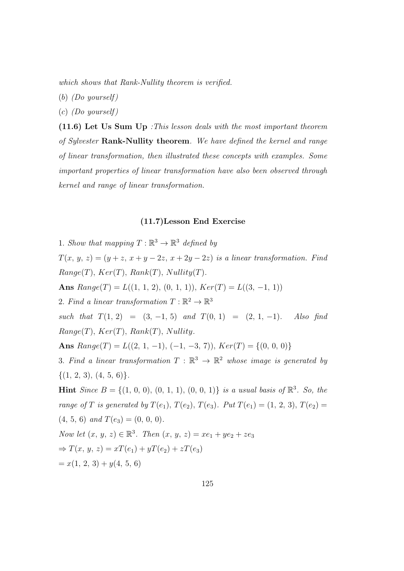which shows that Rank-Nullity theorem is verified.

 $(b)$  (Do yourself)

 $(c)$  (Do yourself)

(11.6) Let Us Sum Up :This lesson deals with the most important theorem of Sylvester Rank-Nullity theorem. We have defined the kernel and range of linear transformation, then illustrated these concepts with examples. Some important properties of linear transformation have also been observed through kernel and range of linear transformation.

## (11.7)Lesson End Exercise

1. Show that mapping  $T : \mathbb{R}^3 \to \mathbb{R}^3$  defined by  $T(x, y, z) = (y + z, x + y - 2z, x + 2y - 2z)$  is a linear transformation. Find  $Range(T), Ker(T), Rank(T), Nullity(T).$ Ans  $Range(T) = L((1, 1, 2), (0, 1, 1)), Ker(T) = L((3, -1, 1))$ 2. Find a linear transformation  $T : \mathbb{R}^2 \to \mathbb{R}^3$ such that  $T(1, 2) = (3, -1, 5)$  and  $T(0, 1) = (2, 1, -1)$ . Also find  $Range(T), Ker(T), Rank(T), Nullity.$ Ans  $Range(T) = L((2, 1, -1), (-1, -3, 7)), Ker(T) = \{(0, 0, 0)\}\$ 3. Find a linear transformation  $T : \mathbb{R}^3 \to \mathbb{R}^2$  whose image is generated by  $\{(1, 2, 3), (4, 5, 6)\}.$ **Hint** Since  $B = \{(1, 0, 0), (0, 1, 1), (0, 0, 1)\}$  is a usual basis of  $\mathbb{R}^3$ . So, the range of T is generated by  $T(e_1)$ ,  $T(e_2)$ ,  $T(e_3)$ . Put  $T(e_1) = (1, 2, 3)$ ,  $T(e_2) =$  $(4, 5, 6)$  and  $T(e_3) = (0, 0, 0)$ . Now let  $(x, y, z) \in \mathbb{R}^3$ . Then  $(x, y, z) = xe_1 + ye_2 + ze_3$  $\Rightarrow T(x, y, z) = xT(e_1) + yT(e_2) + zT(e_3)$  $= x(1, 2, 3) + y(4, 5, 6)$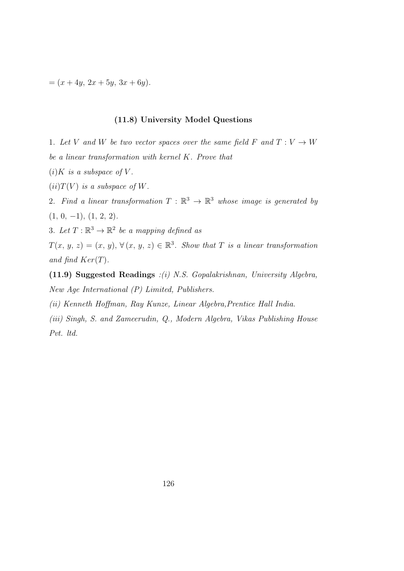$=(x+4y, 2x+5y, 3x+6y).$ 

#### (11.8) University Model Questions

1. Let V and W be two vector spaces over the same field F and  $T: V \to W$ be a linear transformation with kernel K. Prove that

- $(i)$ K is a subspace of V.
- $(ii) T(V)$  is a subspace of W.
- 2. Find a linear transformation  $T : \mathbb{R}^3 \to \mathbb{R}^3$  whose image is generated by  $(1, 0, -1), (1, 2, 2).$
- 3. Let  $T: \mathbb{R}^3 \to \mathbb{R}^2$  be a mapping defined as

 $T(x, y, z) = (x, y), \forall (x, y, z) \in \mathbb{R}^3$ . Show that T is a linear transformation and find  $Ker(T)$ .

(11.9) Suggested Readings :(i) N.S. Gopalakrishnan, University Algebra, New Age International (P) Limited, Publishers.

(ii) Kenneth Hoffman, Ray Kunze, Linear Algebra,Prentice Hall India.

(iii) Singh, S. and Zameerudin, Q., Modern Algebra, Vikas Publishing House Pvt. ltd.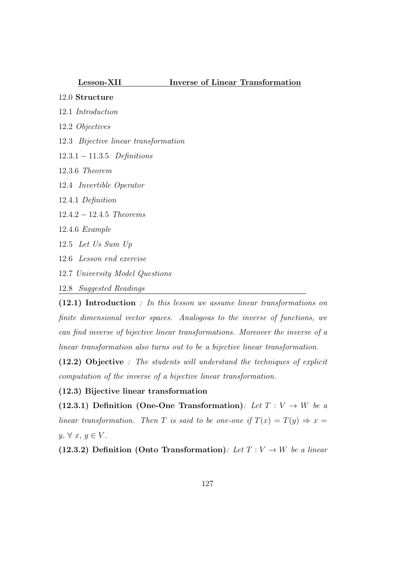### Lesson-XII Inverse of Linear Transformation

## 12.0 Structure

- 12.1 Introduction
- 12.2 Objectives
- 12.3 Bijective linear transformation
- 12.3.1 − 11.3.5 Definitions
- 12.3.6 Theorem
- 12.4 Invertible Operator
- 12.4.1 Definition
- 12.4.2 − 12.4.5 Theorems
- 12.4.6 Example
- 12.5 Let Us Sum Up
- 12.6 Lesson end exercise
- 12.7 University Model Questions
- 12.8 Suggested Readings

(12.1) Introduction : In this lesson we assume linear transformations on finite dimensional vector spaces. Analogous to the inverse of functions, we can find inverse of bijective linear transformations. Moreover the inverse of a linear transformation also turns out to be a bijective linear transformation.

(12.2) Objective : The students will understand the techniques of explicit computation of the inverse of a bijective linear transformation.

#### (12.3) Bijective linear transformation

(12.3.1) Definition (One-One Transformation): Let  $T: V \rightarrow W$  be a linear transformation. Then T is said to be one-one if  $T(x) = T(y) \Rightarrow x =$  $y, \forall x, y \in V$ .

(12.3.2) Definition (Onto Transformation): Let  $T: V \to W$  be a linear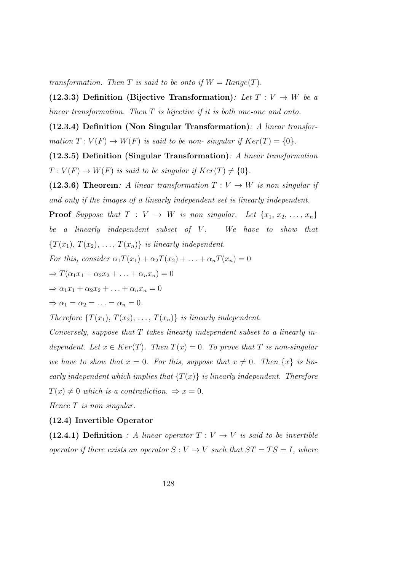transformation. Then T is said to be onto if  $W = Range(T)$ .

(12.3.3) Definition (Bijective Transformation): Let  $T: V \to W$  be a linear transformation. Then T is bijective if it is both one-one and onto.

 $(12.3.4)$  Definition (Non Singular Transformation): A linear transformation  $T: V(F) \to W(F)$  is said to be non-singular if  $Ker(T) = \{0\}.$ 

(12.3.5) Definition (Singular Transformation): A linear transformation  $T: V(F) \to W(F)$  is said to be singular if  $Ker(T) \neq \{0\}.$ 

(12.3.6) Theorem: A linear transformation  $T: V \rightarrow W$  is non singular if and only if the images of a linearly independent set is linearly independent.

**Proof** Suppose that  $T : V \rightarrow W$  is non singular. Let  $\{x_1, x_2, \ldots, x_n\}$ be a linearly independent subset of  $V$ . We have to show that  ${T(x_1), T(x_2), \ldots, T(x_n)}$  is linearly independent.

For this, consider  $\alpha_1 T(x_1) + \alpha_2 T(x_2) + \ldots + \alpha_n T(x_n) = 0$ 

$$
\Rightarrow T(\alpha_1x_1 + \alpha_2x_2 + \ldots + \alpha_nx_n) = 0
$$

$$
\Rightarrow \alpha_1 x_1 + \alpha_2 x_2 + \ldots + \alpha_n x_n = 0
$$

$$
\Rightarrow \alpha_1 = \alpha_2 = \ldots = \alpha_n = 0.
$$

Therefore  $\{T(x_1), T(x_2), \ldots, T(x_n)\}\$ is linearly independent.

Conversely, suppose that T takes linearly independent subset to a linearly independent. Let  $x \in Ker(T)$ . Then  $T(x) = 0$ . To prove that T is non-singular we have to show that  $x = 0$ . For this, suppose that  $x \neq 0$ . Then  $\{x\}$  is linearly independent which implies that  $\{T(x)\}\$ is linearly independent. Therefore  $T(x) \neq 0$  which is a contradiction.  $\Rightarrow x = 0$ .

Hence  $T$  is non singular.

#### (12.4) Invertible Operator

(12.4.1) Definition : A linear operator  $T: V \rightarrow V$  is said to be invertible operator if there exists an operator  $S: V \to V$  such that  $ST = TS = I$ , where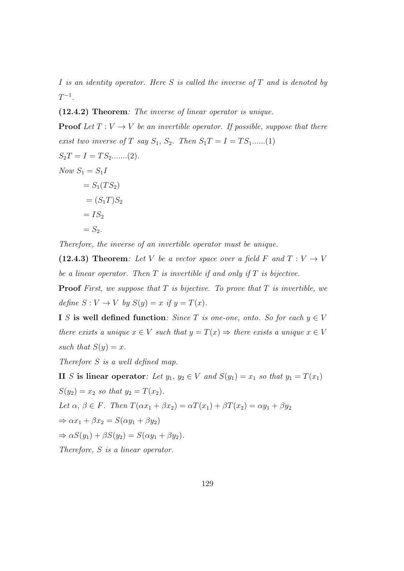I is an identity operator. Here S is called the inverse of  $T$  and is denoted by  $T^{-1}$ .

(12.4.2) Theorem: The inverse of linear operator is unique.

**Proof** Let  $T: V \to V$  be an invertible operator. If possible, suppose that there exist two inverse of T say  $S_1$ ,  $S_2$ . Then  $S_1T = I = TS_1$ ......(1)  $S_2T = I = TS_2$ .......(2). Now  $S_1 = S_1 I$  $= S_1(T S_2)$  $=(S_1T)S_2$  $= IS<sub>2</sub>$  $= S_2$ .

Therefore, the inverse of an invertible operator must be unique.

(12.4.3) Theorem: Let V be a vector space over a field F and  $T: V \to V$ be a linear operator. Then  $T$  is invertible if and only if  $T$  is bijective.

**Proof** First, we suppose that  $T$  is bijective. To prove that  $T$  is invertible, we define  $S: V \to V$  by  $S(y) = x$  if  $y = T(x)$ .

I S is well defined function: Since T is one-one, onto. So for each  $y \in V$ there exixts a unique  $x \in V$  such that  $y = T(x) \Rightarrow$  there exists a unique  $x \in V$ such that  $S(y) = x$ .

Therefore S is a well defined map.

II S is linear operator: Let  $y_1, y_2 \in V$  and  $S(y_1) = x_1$  so that  $y_1 = T(x_1)$  $S(y_2) = x_2$  so that  $y_2 = T(x_2)$ . Let  $\alpha, \beta \in F$ . Then  $T(\alpha x_1 + \beta x_2) = \alpha T(x_1) + \beta T(x_2) = \alpha y_1 + \beta y_2$  $\Rightarrow \alpha x_1 + \beta x_2 = S(\alpha y_1 + \beta y_2)$  $\Rightarrow \alpha S(y_1) + \beta S(y_2) = S(\alpha y_1 + \beta y_2).$ Therefore, S is a linear operator.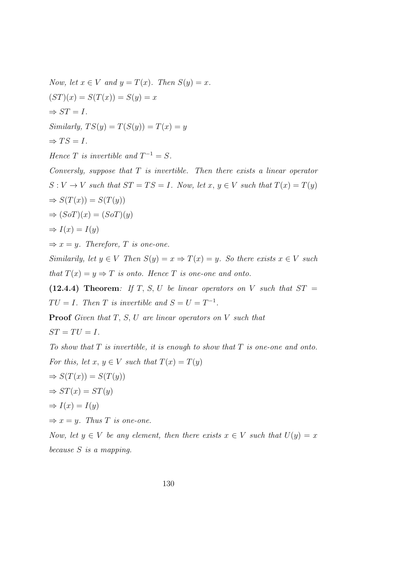Now, let  $x \in V$  and  $y = T(x)$ . Then  $S(y) = x$ .  $(ST)(x) = S(T(x)) = S(y) = x$  $\Rightarrow ST = I$ .  $Similarly, TS(y) = T(S(y)) = T(x) = y$  $\Rightarrow TS = I.$ Hence T is invertible and  $T^{-1} = S$ . Conversly, suppose that  $T$  is invertible. Then there exists a linear operator  $S: V \to V$  such that  $ST = TS = I$ . Now, let  $x, y \in V$  such that  $T(x) = T(y)$  $\Rightarrow S(T(x)) = S(T(y))$  $\Rightarrow (SoT)(x) = (SoT)(y)$  $\Rightarrow I(x) = I(y)$  $\Rightarrow x = y$ . Therefore, T is one-one. Similarily, let  $y \in V$  Then  $S(y) = x \Rightarrow T(x) = y$ . So there exists  $x \in V$  such that  $T(x) = y \Rightarrow T$  is onto. Hence T is one-one and onto. (12.4.4) Theorem: If T, S, U be linear operators on V such that  $ST =$  $TU = I$ . Then T is invertible and  $S = U = T^{-1}$ . **Proof** Given that  $T$ ,  $S$ ,  $U$  are linear operators on  $V$  such that  $ST = TU = I.$ To show that  $T$  is invertible, it is enough to show that  $T$  is one-one and onto. For this, let  $x, y \in V$  such that  $T(x) = T(y)$  $\Rightarrow S(T(x)) = S(T(y))$  $\Rightarrow ST(x) = ST(y)$  $\Rightarrow I(x) = I(y)$  $\Rightarrow x = y$ . Thus T is one-one. Now, let  $y \in V$  be any element, then there exists  $x \in V$  such that  $U(y) = x$ because S is a mapping.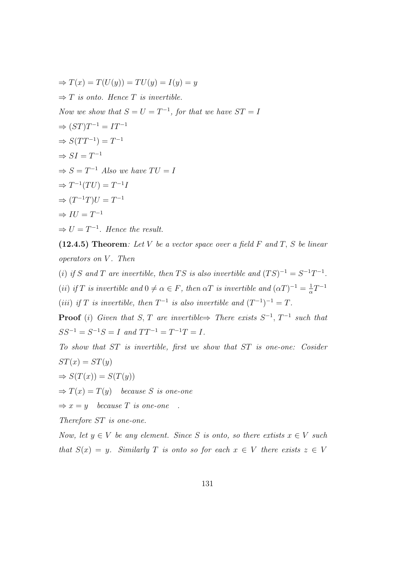$\Rightarrow T(x) = T(U(y)) = TU(y) = I(y) = y$  $\Rightarrow$  T is onto. Hence T is invertible. Now we show that  $S = U = T^{-1}$ , for that we have  $ST = I$  $\Rightarrow (ST)T^{-1} = IT^{-1}$  $\Rightarrow S(TT^{-1}) = T^{-1}$  $\Rightarrow SI = T^{-1}$  $\Rightarrow S = T^{-1}$  Also we have  $TU = I$  $\Rightarrow T^{-1}(TU) = T^{-1}I$  $\Rightarrow (T^{-1}T)U = T^{-1}$  $\Rightarrow IU = T^{-1}$  $\Rightarrow U = T^{-1}$ . Hence the result.

(12.4.5) Theorem: Let V be a vector space over a field  $F$  and  $T$ ,  $S$  be linear operators on V. Then

(i) if S and T are invertible, then TS is also invertible and  $(TS)^{-1} = S^{-1}T^{-1}$ .

(ii) if T is invertible and  $0 \neq \alpha \in F$ , then  $\alpha T$  is invertible and  $(\alpha T)^{-1} = \frac{1}{\alpha}$  $\frac{1}{\alpha}T^{-1}$ 

(iii) if T is invertible, then  $T^{-1}$  is also invertible and  $(T^{-1})^{-1} = T$ .

**Proof** (i) Given that S, T are invertible  $\Rightarrow$  There exists  $S^{-1}$ ,  $T^{-1}$  such that  $SS^{-1} = S^{-1}S = I$  and  $TT^{-1} = T^{-1}T = I$ .

To show that ST is invertible, first we show that ST is one-one: Cosider  $ST(x) = ST(y)$ 

$$
\Rightarrow S(T(x)) = S(T(y))
$$

 $\Rightarrow$  T(x) = T(y) because S is one-one

 $\Rightarrow x = y$  because T is one-one.

Therefore ST is one-one.

Now, let  $y \in V$  be any element. Since S is onto, so there extists  $x \in V$  such that  $S(x) = y$ . Similarly T is onto so for each  $x \in V$  there exists  $z \in V$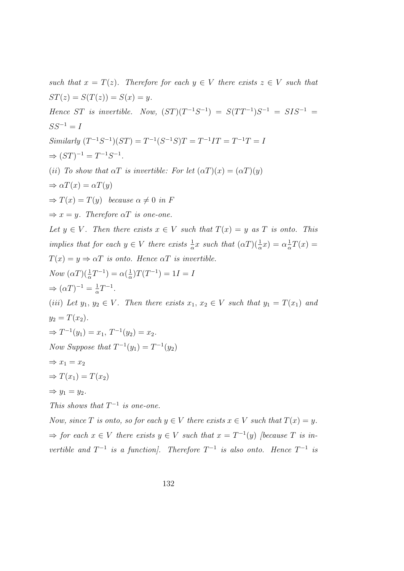such that  $x = T(z)$ . Therefore for each  $y \in V$  there exists  $z \in V$  such that  $ST(z) = S(T(z)) = S(x) = y.$ Hence ST is invertible. Now,  $(ST)(T^{-1}S^{-1}) = S(TT^{-1})S^{-1} = SIS^{-1} =$  $SS^{-1} = I$ Similarly  $(T^{-1}S^{-1})(ST) = T^{-1}(S^{-1}S)T = T^{-1}IT = T^{-1}T = I$  $\Rightarrow (ST)^{-1} = T^{-1}S^{-1}.$ (ii) To show that  $\alpha T$  is invertible: For let  $(\alpha T)(x) = (\alpha T)(y)$  $\Rightarrow \alpha T(x) = \alpha T(y)$  $\Rightarrow$  T(x) = T(y) because  $\alpha \neq 0$  in F  $\Rightarrow x = y$ . Therefore  $\alpha T$  is one-one. Let  $y \in V$ . Then there exists  $x \in V$  such that  $T(x) = y$  as T is onto. This implies that for each  $y \in V$  there exists  $\frac{1}{\alpha}x$  such that  $(\alpha T)(\frac{1}{\alpha}x) = \alpha \frac{1}{\alpha}$  $\frac{1}{\alpha}T(x) =$  $T(x) = y \Rightarrow \alpha T$  is onto. Hence  $\alpha T$  is invertible.  $Now \left(\alpha T\right)\left(\frac{1}{\alpha}T^{-1}\right) = \alpha\left(\frac{1}{\alpha}\right)$  $\frac{1}{\alpha}$ ) $T(T^{-1}) = 1I = I$  $\Rightarrow (\alpha T)^{-1} = \frac{1}{\alpha}$  $\frac{1}{\alpha}T^{-1}$ . (iii) Let  $y_1, y_2 \in V$ . Then there exists  $x_1, x_2 \in V$  such that  $y_1 = T(x_1)$  and  $y_2 = T(x_2)$ .  $\Rightarrow T^{-1}(y_1) = x_1, T^{-1}(y_2) = x_2.$ Now Suppose that  $T^{-1}(y_1) = T^{-1}(y_2)$  $\Rightarrow$   $x_1 = x_2$  $\Rightarrow$   $T(x_1) = T(x_2)$  $\Rightarrow$   $y_1 = y_2$ . This shows that  $T^{-1}$  is one-one. Now, since T is onto, so for each  $y \in V$  there exists  $x \in V$  such that  $T(x) = y$ .

 $\Rightarrow$  for each  $x \in V$  there exists  $y \in V$  such that  $x = T^{-1}(y)$  [because T is invertible and  $T^{-1}$  is a function]. Therefore  $T^{-1}$  is also onto. Hence  $T^{-1}$  is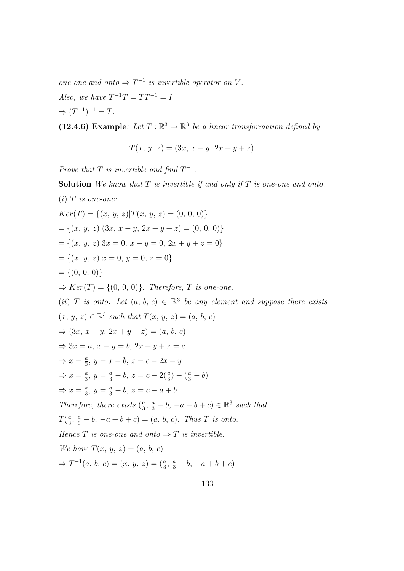one-one and onto  $\Rightarrow T^{-1}$  is invertible operator on V.

Also, we have  $T^{-1}T = TT^{-1} = I$ 

 $\Rightarrow (T^{-1})^{-1} = T.$ 

(12.4.6) Example: Let  $T : \mathbb{R}^3 \to \mathbb{R}^3$  be a linear transformation defined by

$$
T(x, y, z) = (3x, x - y, 2x + y + z).
$$

Prove that T is invertible and find  $T^{-1}$ .

**Solution** We know that  $T$  is invertible if and only if  $T$  is one-one and onto.  $(i)$  T is one-one:  $Ker(T) = \{(x, y, z)|T(x, y, z) = (0, 0, 0)\}\$  $=\{(x, y, z)|(3x, x - y, 2x + y + z) = (0, 0, 0)\}\$  $=\{(x, y, z)|3x = 0, x - y = 0, 2x + y + z = 0\}$  $=\{(x, y, z)|x = 0, y = 0, z = 0\}$  $= \{(0, 0, 0)\}\$  $\Rightarrow Ker(T) = \{(0, 0, 0)\}.$  Therefore, T is one-one. (ii) T is onto: Let  $(a, b, c) \in \mathbb{R}^3$  be any element and suppose there exists  $(x, y, z) \in \mathbb{R}^3$  such that  $T(x, y, z) = (a, b, c)$  $⇒ (3x, x - y, 2x + y + z) = (a, b, c)$  $\Rightarrow 3x = a, x - y = b, 2x + y + z = c$  $\Rightarrow x = \frac{a}{3}$  $\frac{a}{3}$ ,  $y = x - b$ ,  $z = c - 2x - y$  $\Rightarrow x = \frac{a}{3}$  $\frac{a}{3}$ ,  $y = \frac{a}{3} - b$ ,  $z = c - 2(\frac{a}{3}) - (\frac{a}{3} - b)$  $\Rightarrow x = \frac{a}{3}$  $\frac{a}{3}$ ,  $y = \frac{a}{3} - b$ ,  $z = c - a + b$ . Therefore, there exists  $(\frac{a}{3})$  $\frac{a}{3}, \frac{a}{3} - b, -a + b + c$ )  $\in \mathbb{R}^3$  such that  $T(\frac{a}{3})$  $\frac{a}{3}, \frac{a}{3} - b, -a + b + c) = (a, b, c).$  Thus T is onto. Hence T is one-one and onto  $\Rightarrow$  T is invertible. We have  $T(x, y, z) = (a, b, c)$  $\Rightarrow T^{-1}(a, b, c) = (x, y, z) = (\frac{a}{3}, \frac{a}{3} - b, -a + b + c)$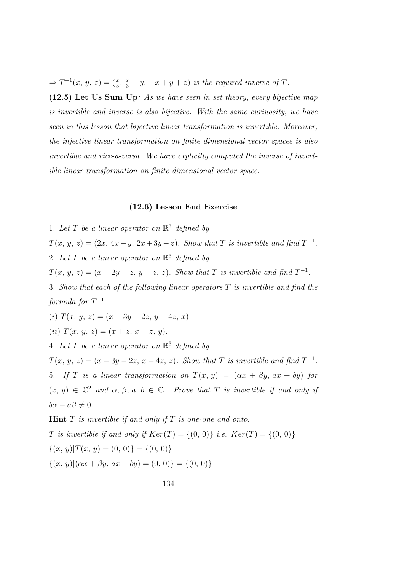$\Rightarrow T^{-1}(x, y, z) = (\frac{x}{3}, \frac{x}{3} - y, -x + y + z)$  is the required inverse of T.

(12.5) Let Us Sum Up: As we have seen in set theory, every bijective map is invertible and inverse is also bijective. With the same curiuosity, we have seen in this lesson that bijective linear transformation is invertible. Moreover, the injective linear transformation on finite dimensional vector spaces is also invertible and vice-a-versa. We have explicitly computed the inverse of invertible linear transformation on finite dimensional vector space.

## (12.6) Lesson End Exercise

1. Let T be a linear operator on  $\mathbb{R}^3$  defined by  $T(x, y, z) = (2x, 4x - y, 2x + 3y - z)$ . Show that T is invertible and find  $T^{-1}$ . 2. Let T be a linear operator on  $\mathbb{R}^3$  defined by  $T(x, y, z) = (x - 2y - z, y - z, z)$ . Show that T is invertible and find  $T^{-1}$ . 3. Show that each of the following linear operators T is invertible and find the  $formula\ for\ T^{-1}$ (i)  $T(x, y, z) = (x - 3y - 2z, y - 4z, x)$ (ii)  $T(x, y, z) = (x + z, x - z, y).$ 4. Let T be a linear operator on  $\mathbb{R}^3$  defined by  $T(x, y, z) = (x - 3y - 2z, x - 4z, z)$ . Show that T is invertible and find  $T^{-1}$ . 5. If T is a linear transformation on  $T(x, y) = (\alpha x + \beta y, ax + by)$  for  $(x, y) \in \mathbb{C}^2$  and  $\alpha, \beta, a, b \in \mathbb{C}$ . Prove that T is invertible if and only if  $b\alpha - a\beta \neq 0.$ **Hint**  $T$  is invertible if and only if  $T$  is one-one and onto.

T is invertible if and only if  $Ker(T) = \{(0, 0)\}\$ i.e.  $Ker(T) = \{(0, 0)\}\$  $\{(x, y)|T(x, y) = (0, 0)\} = \{(0, 0)\}$  $\{(x, y) | (\alpha x + \beta y, \alpha x + b y) = (0, 0)\} = \{(0, 0)\}$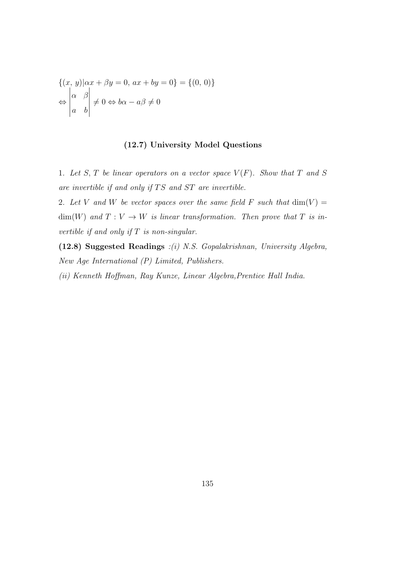$$
\{(x, y)|\alpha x + \beta y = 0, \ a x + b y = 0\} = \{(0, 0)\}\
$$

$$
\Leftrightarrow \begin{vmatrix} \alpha & \beta \\ a & b \end{vmatrix} \neq 0 \Leftrightarrow b\alpha - a\beta \neq 0
$$

## (12.7) University Model Questions

1. Let S, T be linear operators on a vector space  $V(F)$ . Show that T and S are invertible if and only if  $TS$  and  $ST$  are invertible.

2. Let V and W be vector spaces over the same field F such that  $\dim(V) =$  $\dim(W)$  and  $T: V \to W$  is linear transformation. Then prove that T is invertible if and only if  $T$  is non-singular.

(12.8) Suggested Readings :(i) N.S. Gopalakrishnan, University Algebra, New Age International (P) Limited, Publishers.

(ii) Kenneth Hoffman, Ray Kunze, Linear Algebra,Prentice Hall India.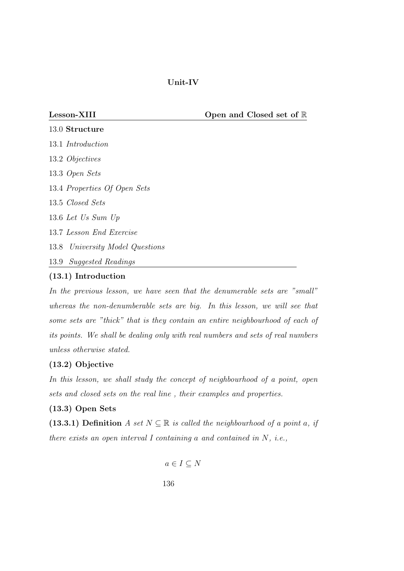Unit-IV

Lesson-XIII Open and Closed set of R

.0 Structure .1 Introduction .2 Objectives .3 Open Sets .4 Properties Of Open Sets .5 Closed Sets .6 Let Us Sum Up .7 Lesson End Exercise .8 University Model Questions .9 Suggested Readings

## (13.1) Introduction

In the previous lesson, we have seen that the denumerable sets are "small" whereas the non-denumberable sets are big. In this lesson, we will see that some sets are "thick" that is they contain an entire neighbourhood of each of its points. We shall be dealing only with real numbers and sets of real numbers unless otherwise stated.

## (13.2) Objective

In this lesson, we shall study the concept of neighbourhood of a point, open sets and closed sets on the real line , their examples and properties.

## (13.3) Open Sets

(13.3.1) Definition A set  $N \subseteq \mathbb{R}$  is called the neighbourhood of a point a, if there exists an open interval I containing a and contained in  $N$ , *i.e.*,

$$
a \in I \subseteq N
$$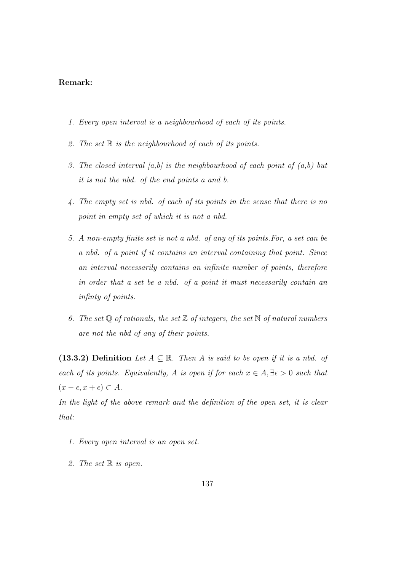### Remark:

- 1. Every open interval is a neighbourhood of each of its points.
- 2. The set  $\mathbb R$  is the neighbourhood of each of its points.
- 3. The closed interval [a,b] is the neighbourhood of each point of  $(a,b)$  but it is not the nbd. of the end points a and b.
- 4. The empty set is nbd. of each of its points in the sense that there is no point in empty set of which it is not a nbd.
- 5. A non-empty finite set is not a nbd. of any of its points.For, a set can be a nbd. of a point if it contains an interval containing that point. Since an interval necessarily contains an infinite number of points, therefore in order that a set be a nbd. of a point it must necessarily contain an infinty of points.
- 6. The set  $\mathbb Q$  of rationals, the set  $\mathbb Z$  of integers, the set  $\mathbb N$  of natural numbers are not the nbd of any of their points.

(13.3.2) Definition Let  $A \subseteq \mathbb{R}$ . Then A is said to be open if it is a nbd. of each of its points. Equivalently, A is open if for each  $x \in A$ ,  $\exists \epsilon > 0$  such that  $(x - \epsilon, x + \epsilon) \subset A$ .

In the light of the above remark and the definition of the open set, it is clear that:

- 1. Every open interval is an open set.
- 2. The set  $\mathbb R$  is open.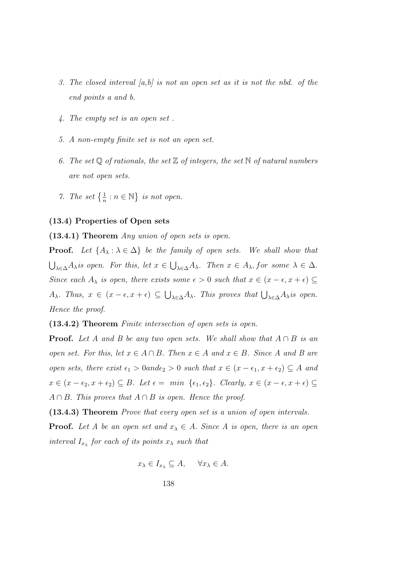- 3. The closed interval  $[a,b]$  is not an open set as it is not the nbd. of the end points a and b.
- 4. The empty set is an open set .
- 5. A non-empty finite set is not an open set.
- 6. The set  $\mathbb Q$  of rationals, the set  $\mathbb Z$  of integers, the set  $\mathbb N$  of natural numbers are not open sets.
- 7. The set  $\left\{\frac{1}{n} : n \in \mathbb{N}\right\}$  is not open.

#### (13.4) Properties of Open sets

(13.4.1) Theorem Any union of open sets is open.

**Proof.** Let  $\{A_\lambda : \lambda \in \Delta\}$  be the family of open sets. We shall show that  $\bigcup_{\lambda \in \Delta} A_{\lambda}$  is open. For this, let  $x \in \bigcup_{\lambda \in \Delta} A_{\lambda}$ . Then  $x \in A_{\lambda}$ , for some  $\lambda \in \Delta$ . Since each  $A_{\lambda}$  is open, there exists some  $\epsilon > 0$  such that  $x \in (x - \epsilon, x + \epsilon) \subseteq$  $A_{\lambda}$ . Thus,  $x \in (x - \epsilon, x + \epsilon) \subseteq \bigcup_{\lambda \in \Delta} A_{\lambda}$ . This proves that  $\bigcup_{\lambda \in \Delta} A_{\lambda}$  is open. Hence the proof.

(13.4.2) Theorem Finite intersection of open sets is open.

**Proof.** Let A and B be any two open sets. We shall show that  $A \cap B$  is an open set. For this, let  $x \in A \cap B$ . Then  $x \in A$  and  $x \in B$ . Since A and B are open sets, there exist  $\epsilon_1 > 0$ and $\epsilon_2 > 0$  such that  $x \in (x - \epsilon_1, x + \epsilon_2) \subseteq A$  and  $x \in (x - \epsilon_2, x + \epsilon_2) \subseteq B$ . Let  $\epsilon = \min \{\epsilon_1, \epsilon_2\}$ . Clearly,  $x \in (x - \epsilon, x + \epsilon) \subseteq$  $A \cap B$ . This proves that  $A \cap B$  is open. Hence the proof.

(13.4.3) Theorem Prove that every open set is a union of open intervals. **Proof.** Let A be an open set and  $x_{\lambda} \in A$ . Since A is open, there is an open

$$
x_{\lambda} \in I_{x_{\lambda}} \subseteq A, \quad \forall x_{\lambda} \in A.
$$

interval  $I_{x_{\lambda}}$  for each of its points  $x_{\lambda}$  such that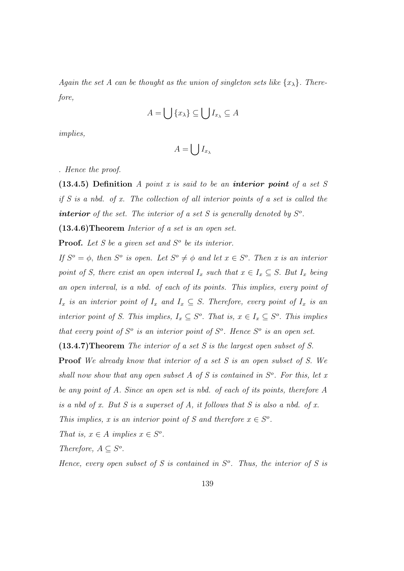Again the set A can be thought as the union of singleton sets like  $\{x_{\lambda}\}\$ . Therefore,

$$
A = \bigcup \{x_{\lambda}\} \subseteq \bigcup I_{x_{\lambda}} \subseteq A
$$

implies,

$$
A=\bigcup I_{x_{\lambda}}
$$

. Hence the proof.

(13.4.5) Definition A point x is said to be an interior point of a set  $S$ if S is a nbd. of x. The collection of all interior points of a set is called the **interior** of the set. The interior of a set S is generally denoted by  $S^o$ .

(13.4.6)Theorem Interior of a set is an open set.

**Proof.** Let S be a given set and  $S<sup>o</sup>$  be its interior.

If  $S^{\circ} = \phi$ , then  $S^{\circ}$  is open. Let  $S^{\circ} \neq \phi$  and let  $x \in S^{\circ}$ . Then x is an interior point of S, there exist an open interval  $I_x$  such that  $x \in I_x \subseteq S$ . But  $I_x$  being an open interval, is a nbd. of each of its points. This implies, every point of  $I_x$  is an interior point of  $I_x$  and  $I_x \subseteq S$ . Therefore, every point of  $I_x$  is an interior point of S. This implies,  $I_x \subseteq S^o$ . That is,  $x \in I_x \subseteq S^o$ . This implies that every point of  $S^o$  is an interior point of  $S^o$ . Hence  $S^o$  is an open set.

(13.4.7)Theorem The interior of a set S is the largest open subset of S.

Proof We already know that interior of a set S is an open subset of S. We shall now show that any open subset  $A$  of  $S$  is contained in  $S<sup>o</sup>$ . For this, let x be any point of A. Since an open set is nbd. of each of its points, therefore A is a nbd of x. But S is a superset of A, it follows that S is also a nbd. of x. This implies, x is an interior point of S and therefore  $x \in S^o$ .

That is,  $x \in A$  implies  $x \in S^o$ .

Therefore,  $A \subseteq S^o$ .

Hence, every open subset of S is contained in  $S<sup>o</sup>$ . Thus, the interior of S is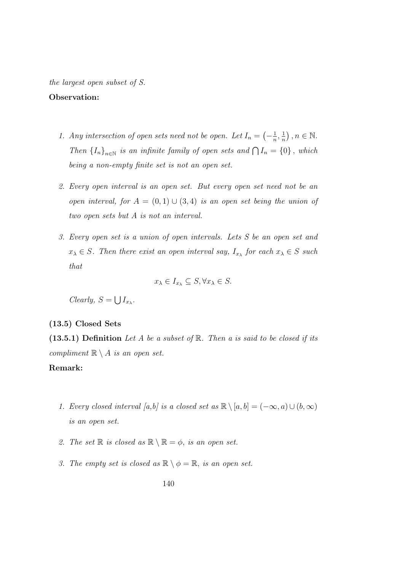the largest open subset of S.

#### Observation:

- 1. Any intersection of open sets need not be open. Let  $I_n = \left(-\frac{1}{n}\right)$  $\frac{1}{n}, \frac{1}{n}$  $\frac{1}{n}$ ,  $n \in \mathbb{N}$ . Then  ${I_n}_{n \in \mathbb{N}}$  is an infinite family of open sets and  $\bigcap I_n = \{0\}$ , which being a non-empty finite set is not an open set.
- 2. Every open interval is an open set. But every open set need not be an open interval, for  $A = (0, 1) \cup (3, 4)$  is an open set being the union of two open sets but A is not an interval.
- 3. Every open set is a union of open intervals. Lets S be an open set and  $x_{\lambda} \in S$ . Then there exist an open interval say,  $I_{x_{\lambda}}$  for each  $x_{\lambda} \in S$  such that

$$
x_{\lambda} \in I_{x_{\lambda}} \subseteq S, \forall x_{\lambda} \in S.
$$

Clearly,  $S = \bigcup I_{x_{\lambda}}$ .

## (13.5) Closed Sets

(13.5.1) Definition Let A be a subset of  $\mathbb R$ . Then a is said to be closed if its compliment  $\mathbb{R} \setminus A$  is an open set.

## Remark:

- 1. Every closed interval [a,b] is a closed set as  $\mathbb{R} \setminus [a, b] = (-\infty, a) \cup (b, \infty)$ is an open set.
- 2. The set  $\mathbb R$  is closed as  $\mathbb R \setminus \mathbb R = \phi$ , is an open set.
- 3. The empty set is closed as  $\mathbb{R} \setminus \phi = \mathbb{R}$ , is an open set.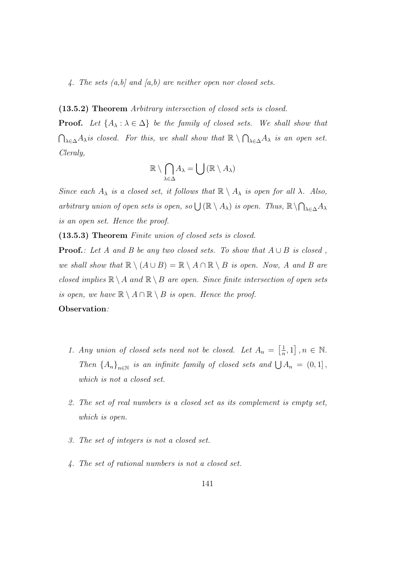4. The sets  $(a,b)$  and  $(a,b)$  are neither open nor closed sets.

(13.5.2) Theorem Arbitrary intersection of closed sets is closed.

**Proof.** Let  $\{A_{\lambda} : \lambda \in \Delta\}$  be the family of closed sets. We shall show that  $\bigcap_{\lambda \in \Delta} A_{\lambda}$  is closed. For this, we shall show that  $\mathbb{R} \setminus \bigcap_{\lambda \in \Delta} A_{\lambda}$  is an open set. Cleraly,

$$
\mathbb{R}\setminus\bigcap_{\lambda\in\Delta}A_{\lambda}=\bigcup\left(\mathbb{R}\setminus A_{\lambda}\right)
$$

Since each  $A_{\lambda}$  is a closed set, it follows that  $\mathbb{R} \setminus A_{\lambda}$  is open for all  $\lambda$ . Also, arbitrary union of open sets is open, so  $\bigcup (\mathbb{R} \setminus A_\lambda)$  is open. Thus,  $\mathbb{R} \setminus \bigcap_{\lambda \in \Delta} A_\lambda$ is an open set. Hence the proof.

(13.5.3) Theorem Finite union of closed sets is closed.

**Proof.**: Let A and B be any two closed sets. To show that  $A \cup B$  is closed, we shall show that  $\mathbb{R} \setminus (A \cup B) = \mathbb{R} \setminus A \cap \mathbb{R} \setminus B$  is open. Now, A and B are closed implies  $\mathbb{R} \setminus A$  and  $\mathbb{R} \setminus B$  are open. Since finite intersection of open sets is open, we have  $\mathbb{R} \setminus A \cap \mathbb{R} \setminus B$  is open. Hence the proof. Observation:

- 1. Any union of closed sets need not be closed. Let  $A_n = \begin{bmatrix} \frac{1}{n} \end{bmatrix}$  $\frac{1}{n}, 1], n \in \mathbb{N}.$ Then  ${A_n}_{n\in\mathbb{N}}$  is an infinite family of closed sets and  $\bigcup A_n = (0,1]$ , which is not a closed set.
- 2. The set of real numbers is a closed set as its complement is empty set, which is open.
- 3. The set of integers is not a closed set.
- 4. The set of rational numbers is not a closed set.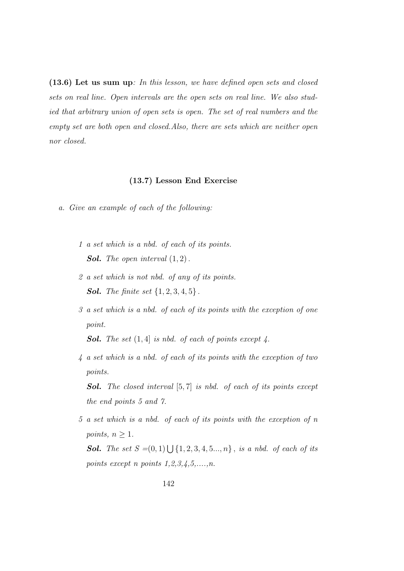(13.6) Let us sum up: In this lesson, we have defined open sets and closed sets on real line. Open intervals are the open sets on real line. We also studied that arbitrary union of open sets is open. The set of real numbers and the empty set are both open and closed.Also, there are sets which are neither open nor closed.

#### (13.7) Lesson End Exercise

- a. Give an example of each of the following:
	- 1 a set which is a nbd. of each of its points. **Sol.** The open interval  $(1, 2)$ .
	- 2 a set which is not nbd. of any of its points. **Sol.** The finite set  $\{1, 2, 3, 4, 5\}$ .
	- 3 a set which is a nbd. of each of its points with the exception of one point.

**Sol.** The set  $(1, 4)$  is nbd. of each of points except 4.

4 a set which is a nbd. of each of its points with the exception of two points.

**Sol.** The closed interval  $[5, 7]$  is nbd. of each of its points except the end points 5 and 7.

5 a set which is a nbd. of each of its points with the exception of n points,  $n \geq 1$ .

**Sol.** The set  $S = (0, 1) \bigcup \{1, 2, 3, 4, 5, \ldots, n\}$ , is a nbd. of each of its points except n points  $1, 2, 3, 4, 5, \ldots, n$ .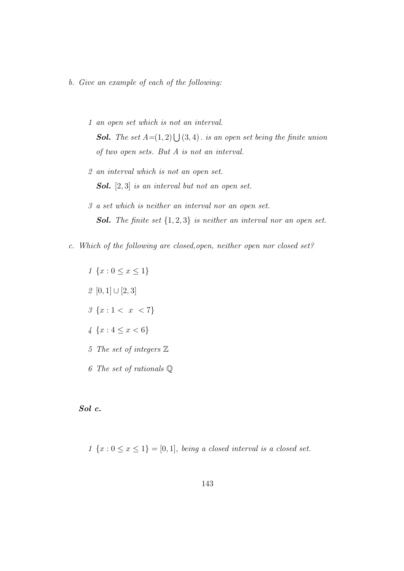- b. Give an example of each of the following:
	- 1 an open set which is not an interval. **Sol.** The set  $A=(1, 2) \bigcup (3, 4)$ . is an open set being the finite union of two open sets. But A is not an interval.
	- 2 an interval which is not an open set. **Sol.**  $[2, 3]$  is an interval but not an open set.
	- 3 a set which is neither an interval nor an open set. **Sol.** The finite set  $\{1,2,3\}$  is neither an interval nor an open set.
- c. Which of the following are closed,open, neither open nor closed set?
	- $1 \{x : 0 \le x \le 1\}$ 2 [0, 1]  $\cup$  [2, 3]  $3 \{x : 1 < x < 7\}$  $4 \{x : 4 \leq x < 6\}$ 5 The set of integers Z 6 The set of rationals Q

Sol c.

1  $\{x : 0 \le x \le 1\} = [0, 1]$ , being a closed interval is a closed set.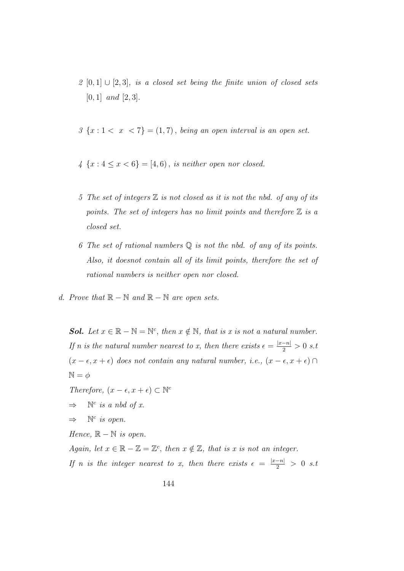- 2 [0, 1]  $\cup$  [2, 3], is a closed set being the finite union of closed sets  $[0, 1]$  and  $[2, 3]$ .
- $3 \{x: 1 < x < 7\} = (1, 7)$ , being an open interval is an open set.
- $4 \{x : 4 \le x < 6\} = [4, 6)$ , is neither open nor closed.
- 5 The set of integers  $\mathbb Z$  is not closed as it is not the nbd. of any of its points. The set of integers has no limit points and therefore  $\mathbb Z$  is a closed set.
- 6 The set of rational numbers  $\mathbb Q$  is not the nbd. of any of its points. Also, it doesnot contain all of its limit points, therefore the set of rational numbers is neither open nor closed.
- d. Prove that  $\mathbb{R} \mathbb{N}$  and  $\mathbb{R} \mathbb{N}$  are open sets.

**Sol.** Let  $x \in \mathbb{R} - \mathbb{N} = \mathbb{N}^c$ , then  $x \notin \mathbb{N}$ , that is x is not a natural number. If n is the natural number nearest to x, then there exists  $\epsilon = \frac{|x-n|}{2} > 0$  s.t  $(x - \epsilon, x + \epsilon)$  does not contain any natural number, i.e.,  $(x - \epsilon, x + \epsilon)$  $N = \phi$ Therefore,  $(x - \epsilon, x + \epsilon) \subset \mathbb{N}^c$ 

- $\Rightarrow$  N<sup>c</sup> is a nbd of x.
- $\Rightarrow$  N<sup>c</sup> is open.

Hence,  $\mathbb{R} - \mathbb{N}$  is open.

Again, let  $x \in \mathbb{R} - \mathbb{Z} = \mathbb{Z}^c$ , then  $x \notin \mathbb{Z}$ , that is x is not an integer.

If n is the integer nearest to x, then there exists  $\epsilon = \frac{|x-n|}{2} > 0$  s.t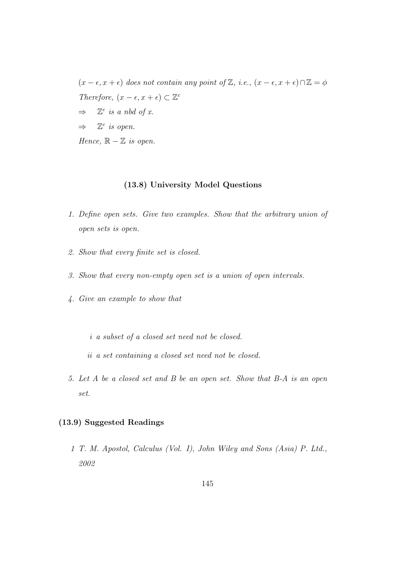$(x - \epsilon, x + \epsilon)$  does not contain any point of Z, i.e.,  $(x - \epsilon, x + \epsilon) \cap \mathbb{Z} = \phi$ Therefore,  $(x - \epsilon, x + \epsilon) \subset \mathbb{Z}^c$  $\Rightarrow$   $\mathbb{Z}^c$  is a nbd of x.  $\Rightarrow$  Z<sup>c</sup> is open. Hence,  $\mathbb{R} - \mathbb{Z}$  is open.

### (13.8) University Model Questions

- 1. Define open sets. Give two examples. Show that the arbitrary union of open sets is open.
- 2. Show that every finite set is closed.
- 3. Show that every non-empty open set is a union of open intervals.
- 4. Give an example to show that
	- i a subset of a closed set need not be closed.
	- ii a set containing a closed set need not be closed.
- 5. Let A be a closed set and B be an open set. Show that B-A is an open set.

# (13.9) Suggested Readings

1 T. M. Apostol, Calculus (Vol. I), John Wiley and Sons (Asia) P. Ltd., 2002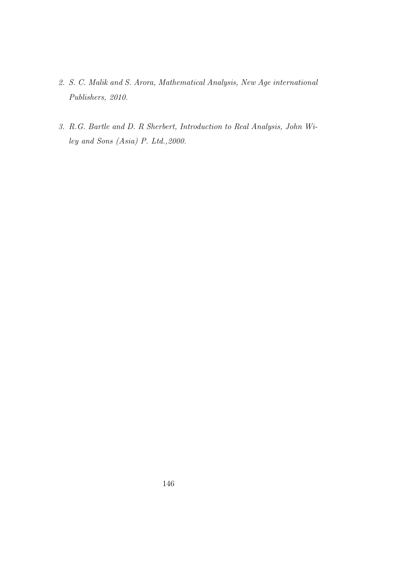- 2. S. C. Malik and S. Arora, Mathematical Analysis, New Age international Publishers, 2010.
- 3. R.G. Bartle and D. R Sherbert, Introduction to Real Analysis, John Wiley and Sons (Asia) P. Ltd.,2000.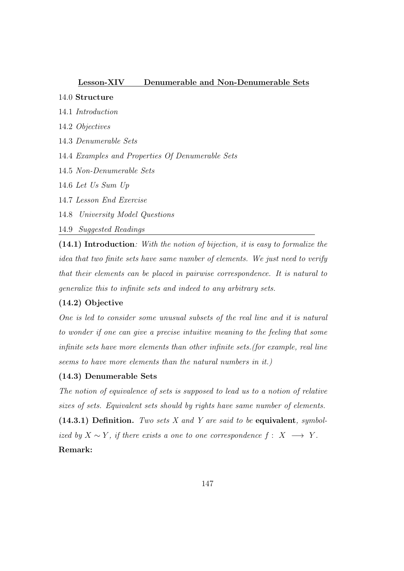#### Lesson-XIV Denumerable and Non-Denumerable Sets

## 14.0 Structure

- 14.1 Introduction
- 14.2 Objectives
- 14.3 Denumerable Sets

14.4 Examples and Properties Of Denumerable Sets

- 14.5 Non-Denumerable Sets
- 14.6 Let Us Sum Up
- 14.7 Lesson End Exercise
- 14.8 University Model Questions
- 14.9 Suggested Readings

(14.1) Introduction: With the notion of bijection, it is easy to formalize the idea that two finite sets have same number of elements. We just need to verify that their elements can be placed in pairwise correspondence. It is natural to generalize this to infinite sets and indeed to any arbitrary sets.

### (14.2) Objective

One is led to consider some unusual subsets of the real line and it is natural to wonder if one can give a precise intuitive meaning to the feeling that some infinite sets have more elements than other infinite sets.(for example, real line seems to have more elements than the natural numbers in it.)

### (14.3) Denumerable Sets

The notion of equivalence of sets is supposed to lead us to a notion of relative sizes of sets. Equivalent sets should by rights have same number of elements.  $(14.3.1)$  Definition. Two sets X and Y are said to be equivalent, symbolized by  $X \sim Y$ , if there exists a one to one correspondence  $f: X \longrightarrow Y$ . Remark: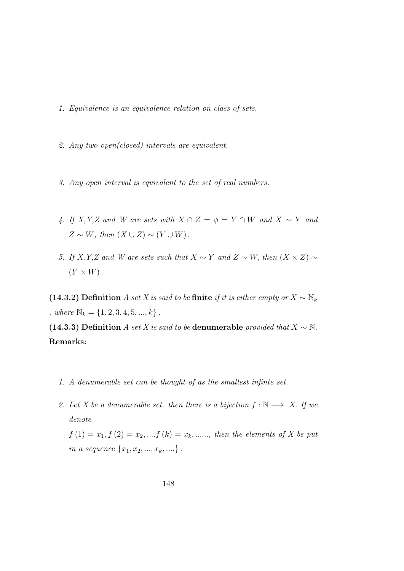- 1. Equivalence is an equivalence relation on class of sets.
- 2. Any two open(closed) intervals are equivalent.
- 3. Any open interval is equivalent to the set of real numbers.
- 4. If X, Y,Z and W are sets with  $X \cap Z = \phi = Y \cap W$  and  $X \sim Y$  and  $Z \sim W$ , then  $(X \cup Z) \sim (Y \cup W)$ .
- 5. If X, Y,Z and W are sets such that  $X \sim Y$  and  $Z \sim W$ , then  $(X \times Z) \sim$  $(Y \times W)$ .

(14.3.2) Definition A set X is said to be finite if it is either empty or  $X \sim \mathbb{N}_k$ , where  $\mathbb{N}_k = \{1, 2, 3, 4, 5, ..., k\}$ .

(14.3.3) Definition A set X is said to be denumerable provided that  $X \sim \mathbb{N}$ . Remarks:

- 1. A denumerable set can be thought of as the smallest infinte set.
- 2. Let X be a denumerable set. then there is a bijection  $f : \mathbb{N} \longrightarrow X$ . If we denote

 $f(1) = x_1, f(2) = x_2, ..., f(k) = x_k, ...,$  then the elements of X be put in a sequence  $\{x_1, x_2, ..., x_k, ... \}$ .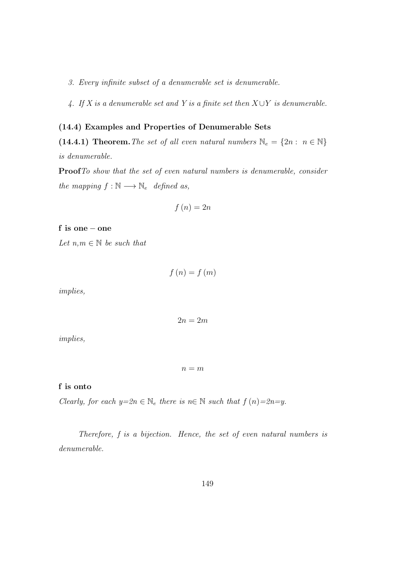3. Every infinite subset of a denumerable set is denumerable.

4. If X is a denumerable set and Y is a finite set then  $X \cup Y$  is denumerable.

# (14.4) Examples and Properties of Denumerable Sets

(14.4.1) Theorem. The set of all even natural numbers  $\mathbb{N}_e = \{2n : n \in \mathbb{N}\}\$ is denumerable.

ProofTo show that the set of even natural numbers is denumerable, consider the mapping  $f : \mathbb{N} \longrightarrow \mathbb{N}_e$  defined as,

$$
f\left(n\right)=2n
$$

f is one − one

Let  $n,m \in \mathbb{N}$  be such that

$$
f\left(n\right) = f\left(m\right)
$$

implies,

$$
2n=2m
$$

implies,

 $n = m$ 

#### f is onto

Clearly, for each  $y=\hat{x}n \in \mathbb{N}_e$  there is  $n \in \mathbb{N}$  such that  $f(n)=2n=y$ .

Therefore, f is a bijection. Hence, the set of even natural numbers is denumerable.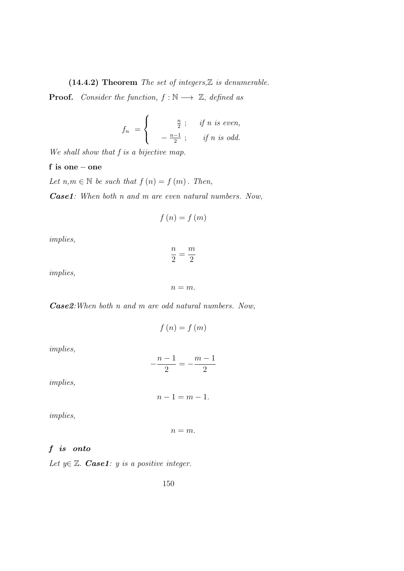(14.4.2) Theorem The set of integers, $\mathbb Z$  is denumerable.

**Proof.** Consider the function,  $f : \mathbb{N} \longrightarrow \mathbb{Z}$ , defined as

$$
f_n = \begin{cases} \frac{n}{2}; & \text{if } n \text{ is even,} \\ -\frac{n-1}{2}; & \text{if } n \text{ is odd.} \end{cases}
$$

We shall show that f is a bijective map.

#### f is one − one

Let  $n,m \in \mathbb{N}$  be such that  $f(n) = f(m)$ . Then,

Case1: When both n and m are even natural numbers. Now,

$$
f\left(n\right) = f\left(m\right)
$$

implies,

$$
\frac{n}{2}=\frac{m}{2}
$$

implies,

$$
n=m.
$$

Case2:When both n and m are odd natural numbers. Now,

$$
f(n) = f(m)
$$

implies,

$$
-\frac{n-1}{2} = -\frac{m-1}{2}
$$

implies,

$$
n-1=m-1.
$$

implies,

$$
n=m.
$$

# f is onto

Let  $y \in \mathbb{Z}$ . **Case1**: y is a positive integer.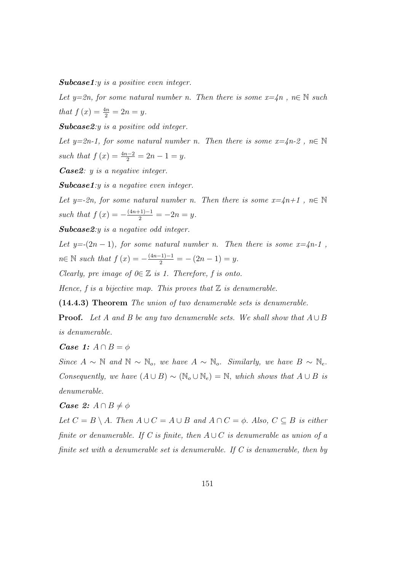Subcase1:y is a positive even integer.

Let y=2n, for some natural number n. Then there is some  $x=4n$ ,  $n \in \mathbb{N}$  such that  $f(x) = \frac{4n}{2} = 2n = y$ .

Subcase2:y is a positive odd integer.

Let y=2n-1, for some natural number n. Then there is some  $x=4n-2$ ,  $n \in \mathbb{N}$ such that  $f(x) = \frac{4n-2}{2} = 2n - 1 = y$ .

Case2: y is a negative integer.

Subcase1:y is a negative even integer.

Let y=-2n, for some natural number n. Then there is some  $x=4n+1$ ,  $n\in\mathbb{N}$ such that  $f(x) = -\frac{(4n+1)-1}{2} = -2n = y$ .

Subcase2:y is a negative odd integer.

Let  $y=(2n-1)$ , for some natural number n. Then there is some  $x=4n-1$ ,  $n \in \mathbb{N}$  such that  $f(x) = -\frac{(4n-1)-1}{2} = -(2n-1) = y$ .

Clearly, pre image of  $0 \in \mathbb{Z}$  is 1. Therefore, f is onto.

Hence,  $f$  is a bijective map. This proves that  $\mathbb Z$  is denumerable.

(14.4.3) Theorem The union of two denumerable sets is denumerable.

**Proof.** Let A and B be any two denumerable sets. We shall show that  $A \cup B$ is denumerable.

*Case 1:*  $A \cap B = \phi$ 

Since  $A \sim \mathbb{N}$  and  $\mathbb{N} \sim \mathbb{N}_o$ , we have  $A \sim \mathbb{N}_o$ . Similarly, we have  $B \sim \mathbb{N}_e$ . Consequently, we have  $(A \cup B) \sim (\mathbb{N}_o \cup \mathbb{N}_e) = \mathbb{N}$ , which shows that  $A \cup B$  is denumerable.

### *Case 2:*  $A \cap B \neq \phi$

Let  $C = B \setminus A$ . Then  $A \cup C = A \cup B$  and  $A \cap C = \phi$ . Also,  $C \subseteq B$  is either finite or denumerable. If C is finite, then  $A\cup C$  is denumerable as union of a finite set with a denumerable set is denumerable. If C is denumerable, then by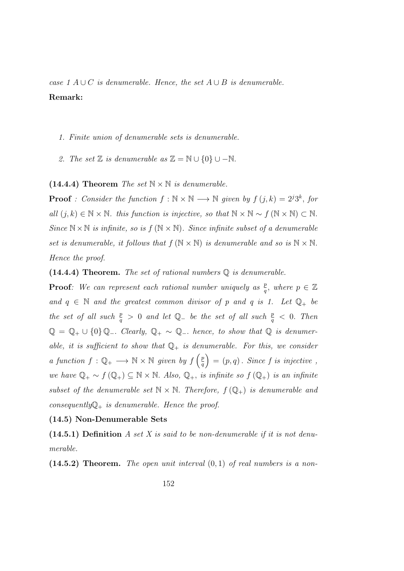case 1 A ∪ C is denumerable. Hence, the set  $A \cup B$  is denumerable. Remark:

- 1. Finite union of denumerable sets is denumerable.
- 2. The set  $\mathbb Z$  is denumerable as  $\mathbb Z = \mathbb N \cup \{0\} \cup -\mathbb N$ .

(14.4.4) Theorem The set  $\mathbb{N} \times \mathbb{N}$  is denumerable.

**Proof** : Consider the function  $f : \mathbb{N} \times \mathbb{N} \longrightarrow \mathbb{N}$  given by  $f(j,k) = 2^{j}3^{k}$ , for all  $(j, k) \in \mathbb{N} \times \mathbb{N}$ . this function is injective, so that  $\mathbb{N} \times \mathbb{N} \sim f(\mathbb{N} \times \mathbb{N}) \subset \mathbb{N}$ . Since  $\mathbb{N} \times \mathbb{N}$  is infinite, so is  $f(\mathbb{N} \times \mathbb{N})$ . Since infinite subset of a denumerable set is denumerable, it follows that  $f(N \times N)$  is denumerable and so is  $N \times N$ . Hence the proof.

(14.4.4) Theorem. The set of rational numbers  $\mathbb Q$  is denumerable.

**Proof**: We can represent each rational number uniquely as  $\frac{p}{q}$ , where  $p \in \mathbb{Z}$ and  $q \in \mathbb{N}$  and the greatest common divisor of p and q is 1. Let  $\mathbb{Q}_+$  be the set of all such  $\frac{p}{q} > 0$  and let  $\mathbb{Q}_-$  be the set of all such  $\frac{p}{q} < 0$ . Then  $\mathbb{Q} = \mathbb{Q}_+ \cup \{0\} \mathbb{Q}_-.$  Clearly,  $\mathbb{Q}_+ \sim \mathbb{Q}_-.$  hence, to show that  $\mathbb{Q}$  is denumerable, it is sufficient to show that  $\mathbb{Q}_+$  is denumerable. For this, we consider a function  $f: \mathbb{Q}_+ \longrightarrow \mathbb{N} \times \mathbb{N}$  given by  $f \left( \frac{p}{q} \right)$  $\left(\frac{p}{q}\right) = (p, q)$ . Since f is injective, we have  $\mathbb{Q}_+ \sim f(\mathbb{Q}_+) \subseteq \mathbb{N} \times \mathbb{N}$ . Also,  $\mathbb{Q}_+$ , is infinite so  $f(\mathbb{Q}_+)$  is an infinite subset of the denumerable set  $\mathbb{N} \times \mathbb{N}$ . Therefore,  $f(\mathbb{Q}_+)$  is denumerable and consequently  $\mathbb{Q}_+$  is denumerable. Hence the proof.

#### (14.5) Non-Denumerable Sets

 $(14.5.1)$  Definition A set X is said to be non-denumerable if it is not denumerable.

 $(14.5.2)$  Theorem. The open unit interval  $(0,1)$  of real numbers is a non-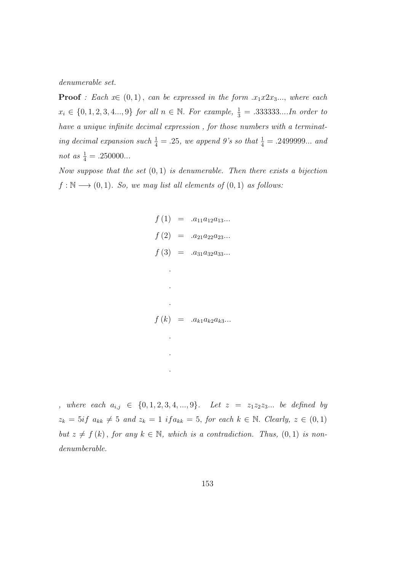denumerable set.

**Proof** : Each  $x \in (0,1)$ , can be expressed in the form  $x_1x2x_3...$ , where each  $x_i \in \{0, 1, 2, 3, 4..., 9\}$  for all  $n \in \mathbb{N}$ . For example,  $\frac{1}{3} = .333333...$  In order to have a unique infinite decimal expression , for those numbers with a terminating decimal expansion such  $\frac{1}{4} = .25$ , we append 9's so that  $\frac{1}{4} = .2499999...$  and not as  $\frac{1}{4} = .250000...$ 

Now suppose that the set  $(0, 1)$  is denumerable. Then there exists a bijection  $f : \mathbb{N} \longrightarrow (0,1)$ . So, we may list all elements of  $(0,1)$  as follows:

$$
f(1) = .a_{11}a_{12}a_{13}...
$$
  
\n
$$
f(2) = .a_{21}a_{22}a_{23}...
$$
  
\n
$$
f(3) = .a_{31}a_{32}a_{33}...
$$
  
\n
$$
\vdots
$$
  
\n
$$
f(k) = .a_{k1}a_{k2}a_{k3}...
$$

, where each  $a_{i,j}$  ∈ {0, 1, 2, 3, 4, ..., 9}. Let  $z = z_1z_2z_3...$  be defined by  $z_k = 5if \ a_{kk} \neq 5 \ and \ z_k = 1 \ if a_{kk} = 5, \ for \ each \ k \in \mathbb{N}. \ Clearly, \ z \in (0,1)$ but  $z \neq f(k)$ , for any  $k \in \mathbb{N}$ , which is a contradiction. Thus,  $(0, 1)$  is nondenumberable.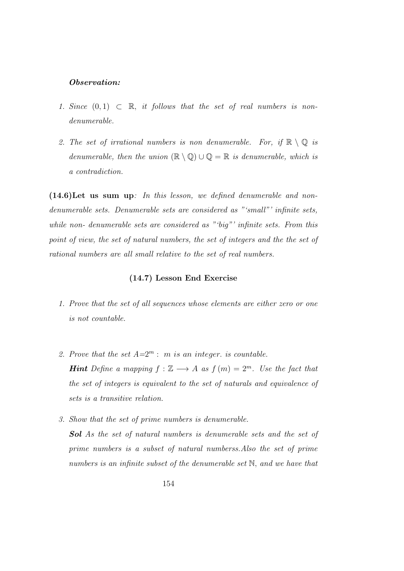#### Observation:

- 1. Since  $(0, 1) \subset \mathbb{R}$ , it follows that the set of real numbers is nondenumerable.
- 2. The set of irrational numbers is non denumerable. For, if  $\mathbb{R} \setminus \mathbb{Q}$  is denumerable, then the union  $(\mathbb{R} \setminus \mathbb{Q}) \cup \mathbb{Q} = \mathbb{R}$  is denumerable, which is a contradiction.

 $(14.6)$ Let us sum up: In this lesson, we defined denumerable and nondenumerable sets. Denumerable sets are considered as "'small"' infinite sets, while non- denumerable sets are considered as "'big"' infinite sets. From this point of view, the set of natural numbers, the set of integers and the the set of rational numbers are all small relative to the set of real numbers.

## (14.7) Lesson End Exercise

- 1. Prove that the set of all sequences whose elements are either zero or one is not countable.
- 2. Prove that the set  $A=2^m$ : m is an integer. is countable. **Hint** Define a mapping  $f : \mathbb{Z} \longrightarrow A$  as  $f(m) = 2^m$ . Use the fact that the set of integers is equivalent to the set of naturals and equivalence of sets is a transitive relation.
- 3. Show that the set of prime numbers is denumerable. Sol As the set of natural numbers is denumerable sets and the set of prime numbers is a subset of natural numberss.Also the set of prime numbers is an infinite subset of the denumerable set N, and we have that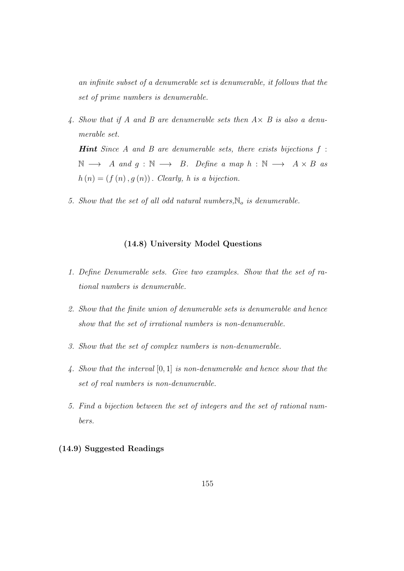an infinite subset of a denumerable set is denumerable, it follows that the set of prime numbers is denumerable.

4. Show that if A and B are denumerable sets then  $A \times B$  is also a denumerable set.

**Hint** Since A and B are denumerable sets, there exists bijections  $f$ :  $\mathbb{N} \longrightarrow A$  and  $g : \mathbb{N} \longrightarrow B$ . Define a map  $h : \mathbb{N} \longrightarrow A \times B$  as  $h(n) = (f(n), g(n))$ . Clearly, h is a bijection.

5. Show that the set of all odd natural numbers,  $\mathbb{N}_o$  is denumerable.

# (14.8) University Model Questions

- 1. Define Denumerable sets. Give two examples. Show that the set of rational numbers is denumerable.
- 2. Show that the finite union of denumerable sets is denumerable and hence show that the set of irrational numbers is non-denumerable.
- 3. Show that the set of complex numbers is non-denumerable.
- 4. Show that the interval [0, 1] is non-denumerable and hence show that the set of real numbers is non-denumerable.
- 5. Find a bijection between the set of integers and the set of rational numbers.

# (14.9) Suggested Readings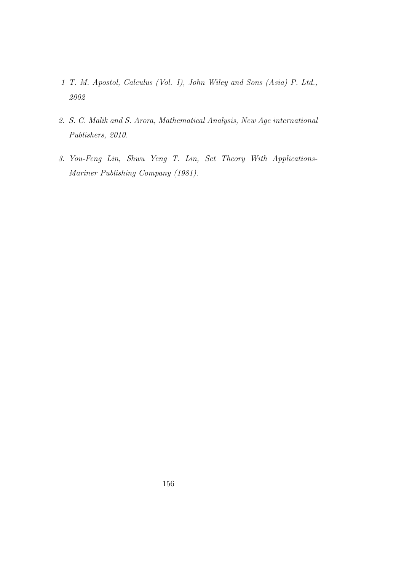- 1 T. M. Apostol, Calculus (Vol. I), John Wiley and Sons (Asia) P. Ltd., 2002
- 2. S. C. Malik and S. Arora, Mathematical Analysis, New Age international Publishers, 2010.
- 3. You-Feng Lin, Shwu Yeng T. Lin, Set Theory With Applications-Mariner Publishing Company (1981).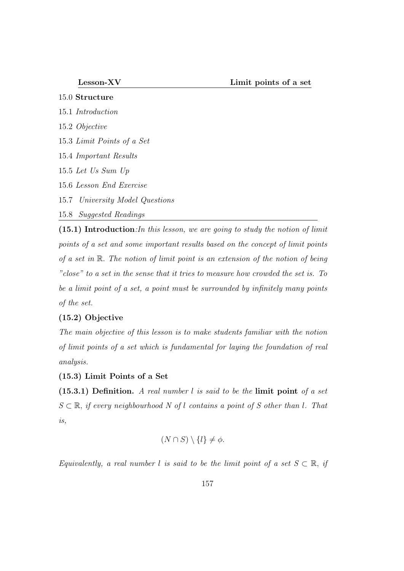- 15.0 Structure 15.1 Introduction 15.2 Objective 15.3 Limit Points of a Set 15.4 Important Results 15.5 Let Us Sum Up 15.6 Lesson End Exercise
- 
- 15.7 University Model Questions
- 15.8 Suggested Readings

(15.1) Introduction:In this lesson, we are going to study the notion of limit points of a set and some important results based on the concept of limit points of a set in R. The notion of limit point is an extension of the notion of being "close" to a set in the sense that it tries to measure how crowded the set is. To be a limit point of a set, a point must be surrounded by infinitely many points of the set.

# (15.2) Objective

The main objective of this lesson is to make students familiar with the notion of limit points of a set which is fundamental for laying the foundation of real analysis.

#### (15.3) Limit Points of a Set

 $(15.3.1)$  Definition. A real number l is said to be the limit point of a set  $S \subset \mathbb{R}$ , if every neighbourhood N of l contains a point of S other than l. That is,

$$
(N \cap S) \setminus \{l\} \neq \phi.
$$

Equivalently, a real number l is said to be the limit point of a set  $S \subset \mathbb{R}$ , if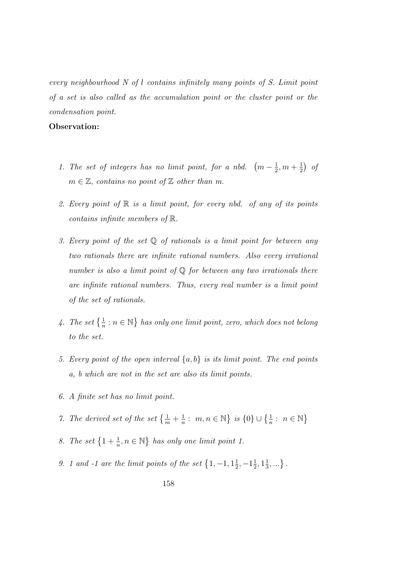every neighbourhood N of l contains infinitely many points of S. Limit point of a set is also called as the accumulation point or the cluster point or the condensation point.

#### Observation:

- 1. The set of integers has no limit point, for a nbd.  $(m-\frac{1}{2})$  $\frac{1}{2}, m + \frac{1}{2}$  $(\frac{1}{2})$  of  $m \in \mathbb{Z}$ , contains no point of  $\mathbb Z$  other than m.
- 2. Every point of  $\mathbb R$  is a limit point, for every nbd. of any of its points contains infinite members of R.
- 3. Every point of the set  $\mathbb Q$  of rationals is a limit point for between any two rationals there are infinite rational numbers. Also every irrational number is also a limit point of  $\mathbb Q$  for between any two irrationals there are infinite rational numbers. Thus, every real number is a limit point of the set of rationals.
- 4. The set  $\{\frac{1}{n} : n \in \mathbb{N}\}\$  has only one limit point, zero, which does not belong to the set.
- 5. Every point of the open interval  $\{a, b\}$  is its limit point. The end points a, b which are not in the set are also its limit points.
- 6. A finite set has no limit point.
- 7. The derived set of the set  $\{\frac{1}{m} + \frac{1}{n}\}$  $\frac{1}{n}$ :  $m, n \in \mathbb{N}$  is  $\{0\} \cup \{\frac{1}{n} : n \in \mathbb{N}\}\$
- 8. The set  $\left\{1 + \frac{1}{n}, n \in \mathbb{N}\right\}$  has only one limit point 1.
- 9. 1 and -1 are the limit points of the set  $\{1, -1, 1\}$  $\frac{1}{2}, -1\frac{1}{2}$  $\frac{1}{2}$ ,  $1\frac{1}{3}$  $\frac{1}{3},...\}$ .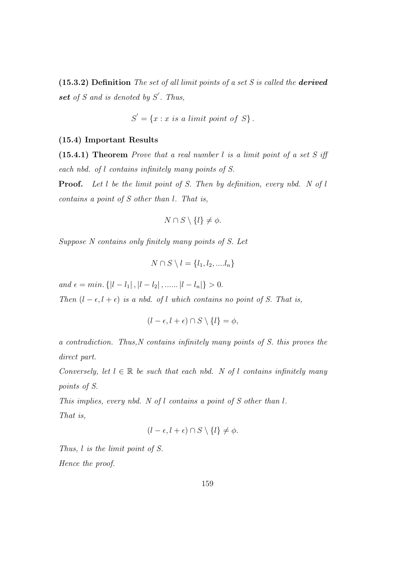(15.3.2) Definition The set of all limit points of a set S is called the derived set of  $S$  and is denoted by  $S'$ . Thus,

$$
S' = \{x : x \text{ is a limit point of } S\}.
$$

#### (15.4) Important Results

(15.4.1) Theorem Prove that a real number l is a limit point of a set S iff each nbd. of l contains infinitely many points of S.

**Proof.** Let l be the limit point of S. Then by definition, every nbd. N of l contains a point of S other than l. That is,

$$
N \cap S \setminus \{l\} \neq \phi
$$

Suppose N contains only finitely many points of S. Let

$$
N \cap S \setminus l = \{l_1, l_2, \dots l_n\}
$$

and  $\epsilon = min.$  { $|l - l_1|$ ,  $|l - l_2|$ , ......  $|l - l_n|$ } > 0.

Then  $(l - \epsilon, l + \epsilon)$  is a nbd. of l which contains no point of S. That is,

$$
(l - \epsilon, l + \epsilon) \cap S \setminus \{l\} = \phi,
$$

a contradiction. Thus,N contains infinitely many points of S. this proves the direct part.

Conversely, let  $l \in \mathbb{R}$  be such that each nbd. N of l contains infinitely many points of S.

This implies, every nbd. N of l contains a point of S other than l. That is,

$$
(l - \epsilon, l + \epsilon) \cap S \setminus \{l\} \neq \phi.
$$

Thus, l is the limit point of S. Hence the proof.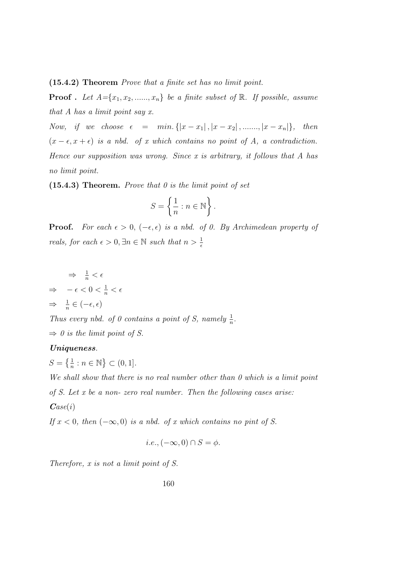(15.4.2) Theorem Prove that a finite set has no limit point.

**Proof** . Let  $A = \{x_1, x_2, \ldots, x_n\}$  be a finite subset of  $\mathbb{R}$ . If possible, assume that A has a limit point say x.

Now, if we choose  $\epsilon = \min \{ |x - x_1|, |x - x_2|, \dots, |x - x_n| \},\$  then  $(x - \epsilon, x + \epsilon)$  is a nbd. of x which contains no point of A, a contradiction. Hence our supposition was wrong. Since x is arbitrary, it follows that  $A$  has no limit point.

(15.4.3) Theorem. Prove that  $\theta$  is the limit point of set

$$
S = \left\{ \frac{1}{n} : n \in \mathbb{N} \right\}.
$$

**Proof.** For each  $\epsilon > 0$ ,  $(-\epsilon, \epsilon)$  is a nbd. of 0. By Archimedean property of reals, for each  $\epsilon > 0$ ,  $\exists n \in \mathbb{N}$  such that  $n > \frac{1}{\epsilon}$ 

$$
\Rightarrow \frac{1}{n} < \epsilon
$$
\n
$$
\Rightarrow -\epsilon < 0 < \frac{1}{n} < \epsilon
$$
\n
$$
\Rightarrow \frac{1}{n} \in (-\epsilon, \epsilon)
$$

Thus every nbd. of 0 contains a point of S, namely  $\frac{1}{n}$ .

 $\Rightarrow$  0 is the limit point of S.

#### Uniqueness.

 $S = \left\{ \frac{1}{n} : n \in \mathbb{N} \right\} \subset (0, 1].$ 

We shall show that there is no real number other than 0 which is a limit point of S. Let x be a non- zero real number. Then the following cases arise:  $\boldsymbol{Case}(i)$ 

If  $x < 0$ , then  $(-\infty, 0)$  is a nbd. of x which contains no pint of S.

$$
i.e., (-\infty, 0) \cap S = \phi.
$$

Therefore, x is not a limit point of S.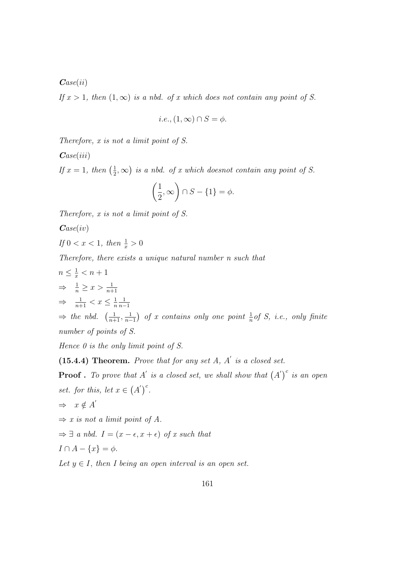$\boldsymbol{Case}(ii)$ 

If  $x > 1$ , then  $(1, \infty)$  is a nbd. of x which does not contain any point of S.

$$
i.e., (1, \infty) \cap S = \phi.
$$

Therefore, x is not a limit point of S.

 $\boldsymbol{Case}(iii)$ 

If  $x=1$ , then  $\left(\frac{1}{2}\right)$  $(\frac{1}{2}, \infty)$  is a nbd. of x which doesnot contain any point of S.

$$
\left(\frac{1}{2}, \infty\right) \cap S - \{1\} = \phi.
$$

Therefore, x is not a limit point of S.

 $\boldsymbol{Case}(iv)$ 

$$
If 0 < x < 1, then \frac{1}{x} > 0
$$

Therefore, there exists a unique natural number n such that

$$
n \leq \frac{1}{x} < n+1
$$
\n
$$
\Rightarrow \frac{1}{n} \geq x > \frac{1}{n+1}
$$
\n
$$
\Rightarrow \frac{1}{n+1} < x \leq \frac{1}{n} \frac{1}{n-1}
$$
\n
$$
\Rightarrow \text{ the } nbd. \quad \left(\frac{1}{n+1}, \frac{1}{n-1}\right) \text{ of } x \text{ contains only one point } \frac{1}{n} \text{ of } S, \text{ i.e., only finite}
$$
\n
$$
\text{number of points of } S.
$$

Hence  $\theta$  is the only limit point of  $S$ .

 $(15.4.4)$  Theorem. Prove that for any set A, A' is a closed set.

**Proof** . To prove that A' is a closed set, we shall show that  $(A')^c$  is an open set. for this, let  $x \in (A')^c$ .

$$
\Rightarrow x \notin A'
$$

 $\Rightarrow$  x is not a limit point of A.

 $\Rightarrow \exists$  a nbd.  $I = (x - \epsilon, x + \epsilon)$  of x such that

$$
I \cap A - \{x\} = \phi.
$$

Let  $y \in I$ , then I being an open interval is an open set.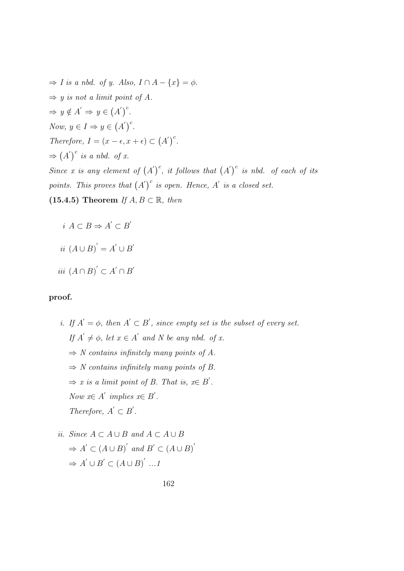$\Rightarrow$  I is a nbd. of y. Also,  $I \cap A - \{x\} = \phi$ .  $\Rightarrow$  y is not a limit point of A.  $\Rightarrow y \notin A' \Rightarrow y \in (A')^c$ . Now,  $y \in I \Rightarrow y \in (A')^c$ . Therefore,  $I = (x - \epsilon, x + \epsilon) \subset (A')^c$ .  $\Rightarrow$   $(A')^c$  is a nbd. of x. Since x is any element of  $(A')^c$ , it follows that  $(A')^c$  is nbd. of each of its points. This proves that  $(A')^c$  is open. Hence, A' is a closed set. (15.4.5) Theorem If  $A, B \subset \mathbb{R}$ , then

$$
i\ A \subset B \Rightarrow A' \subset B'
$$

$$
ii (A \cup B)' = A' \cup B
$$

 $\overline{a}$ 

 $\overline{a}$ 

$$
iii (A \cap B)' \subset A' \cap B
$$

# proof.

- i. If  $A' = \phi$ , then  $A' \subset B'$ , since empty set is the subset of every set. If  $A' \neq \emptyset$ , let  $x \in A'$  and N be any nbd. of x.  $\Rightarrow$  N contains infinitely many points of A.  $\Rightarrow$  N contains infinitely many points of B.  $\Rightarrow$  x is a limit point of B. That is, x $\in$  B'. Now  $x \in A'$  implies  $x \in B'$ . Therefore,  $A' \subset B'$ .
- ii. Since  $A \subset A \cup B$  and  $A \subset A \cup B$  $\Rightarrow A' \subset (A \cup B)'$  and  $B' \subset (A \cup B)'$  $\Rightarrow A' \cup B' \subset (A \cup B)' \dots$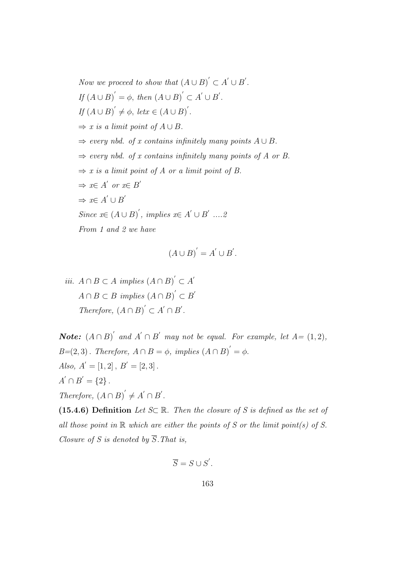Now we proceed to show that  $(A \cup B)' \subset A' \cup B'$ . If  $(A \cup B)' = \phi$ , then  $(A \cup B)' \subset A' \cup B'$ . If  $(A \cup B)' \neq \phi$ , let $x \in (A \cup B)'$ .  $\Rightarrow$  x is a limit point of  $A \cup B$ .  $\Rightarrow$  every nbd. of x contains infinitely many points  $A \cup B$ .  $\Rightarrow$  every nbd. of x contains infinitely many points of A or B.  $\Rightarrow$  x is a limit point of A or a limit point of B.  $\Rightarrow x \in A'$  or  $x \in B'$  $\Rightarrow x \in A' \cup B'$ Since  $x \in (A \cup B)^{'}$ , implies  $x \in A' \cup B'$  .....2 From 1 and 2 we have

$$
(A \cup B)' = A' \cup B'.
$$

*iii.*  $A \cap B \subset A$  *implies*  $(A \cap B)' \subset A'$  $A \cap B \subset B$  implies  $(A \cap B)^{'} \subset B'$ Therefore,  $(A \cap B)' \subset A' \cap B'$ .

**Note:**  $(A \cap B)'$  and  $A' \cap B'$  may not be equal. For example, let  $A = (1, 2)$ ,  $B=(2,3)$ . Therefore,  $A \cap B = \phi$ , implies  $(A \cap B)' = \phi$ . Also,  $A' = [1, 2], B' = [2, 3].$  $A' \cap B' = \{2\}$ . Therefore,  $(A \cap B)' \neq A' \cap B'$ .

(15.4.6) Definition Let  $S\subset \mathbb{R}$ . Then the closure of S is defined as the set of all those point in  $\mathbb R$  which are either the points of S or the limit point(s) of S. Closure of S is denoted by  $\overline{S}$ . That is,

$$
\overline{S} = S \cup S'.
$$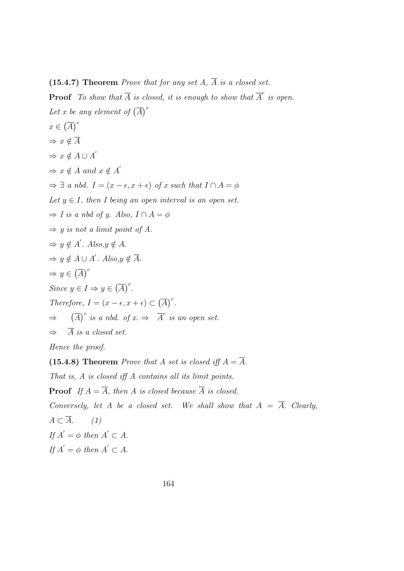# (15.4.7) Theorem Prove that for any set  $A$ ,  $\overline{A}$  is a closed set.

**Proof** To show that  $\overline{A}$  is closed, it is enough to show that  $\overline{A}^c$  is open. Let x be any element of  $\overline{(A)}^c$  $x \in (\overline{A})^c$  $\Rightarrow$   $x \notin \overline{A}$  $\Rightarrow x \notin A \cup A'$  $\Rightarrow x \notin A$  and  $x \notin A'$  $\Rightarrow \exists a \text{ nbd. } I = (x - \epsilon, x + \epsilon) \text{ of } x \text{ such that } I \cap A = \phi$ Let  $y \in I$ , then I being an open interval is an open set.  $\Rightarrow$  I is a nbd of y. Also,  $I \cap A = \phi$  $\Rightarrow$  y is not a limit point of A.  $\Rightarrow y \notin A'.$  Also,  $y \notin A$ .  $\Rightarrow y \notin A \cup A'.$  Also,  $y \notin \overline{A}.$  $\Rightarrow y \in (\overline{A})^c$ Since  $y \in I \Rightarrow y \in (\overline{A})^c$ . Therefore,  $I = (x - \epsilon, x + \epsilon) \subset (\overline{A})^c$ . ⇒  $(\overline{A})^c$  is a nbd. of  $x \Rightarrow \overline{A}^c$  is an open set.  $\Rightarrow$   $\overline{A}$  is a closed set. Hence the proof. (15.4.8) Theorem *Prove that A set is closed iff*  $A = \overline{A}$ .

That is, A is closed iff A contains all its limit points.

**Proof** If  $A = \overline{A}$ , then A is closed because  $\overline{A}$  is closed.

Conversely, let A be a closed set. We shall show that  $A = \overline{A}$ . Clearly,

 $A \subset \overline{A}$ . (1) If  $A' = \phi$  then  $A' \subset A$ . If  $A' = \phi$  then  $A' \subset A$ .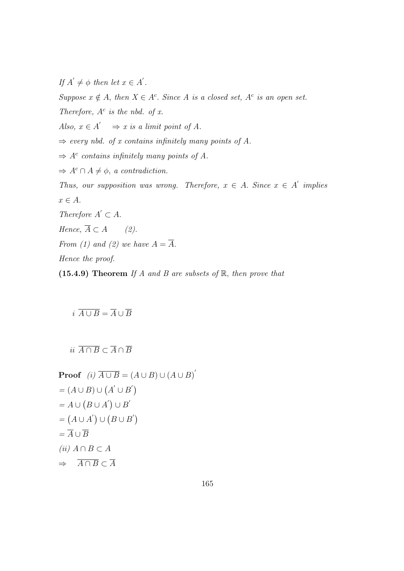If  $A' \neq \phi$  then let  $x \in A'$ .

Suppose  $x \notin A$ , then  $X \in A^c$ . Since A is a closed set,  $A^c$  is an open set. Therefore,  $A^c$  is the nbd. of x. Also,  $x \in A' \implies x$  is a limit point of A.  $\Rightarrow$  every nbd. of x contains infinitely many points of A.  $\Rightarrow$  A<sup>c</sup> contains infinitely many points of A.  $\Rightarrow A^c \cap A \neq \phi$ , a contradiction. Thus, our supposition was wrong. Therefore,  $x \in A$ . Since  $x \in A'$  implies  $x \in A$ . Therefore  $A' \subset A$ . Hence,  $\overline{A} \subset A$  (2). From (1) and (2) we have  $A = \overline{A}$ . Hence the proof. (15.4.9) Theorem If A and B are subsets of  $\mathbb{R}$ , then prove that

 $i \overline{A \cup B} = \overline{A} \cup \overline{B}$ 

ii  $\overline{A \cap B} \subset \overline{A} \cap \overline{B}$ 

Proof (i) 
$$
\overline{A \cup B} = (A \cup B) \cup (A \cup B)^{'}
$$
  
\n $= (A \cup B) \cup (A^{'} \cup B^{'} )$   
\n $= A \cup (B \cup A^{'}) \cup B^{'}$   
\n $= (A \cup A^{'}) \cup (B \cup B^{'})$   
\n $= \overline{A} \cup \overline{B}$   
\n(ii)  $A \cap B \subset A$   
\n $\Rightarrow \overline{A \cap B} \subset \overline{A}$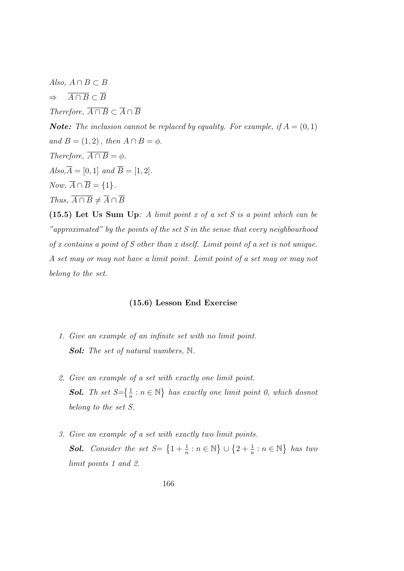Also,  $A \cap B \subset B$  $\Rightarrow \overline{A \cap B} \subset \overline{B}$ Therefore,  $\overline{A \cap B} \subset \overline{A} \cap \overline{B}$ **Note:** The inclusion cannot be replaced by equality. For example, if  $A = (0, 1)$ and  $B = (1, 2)$ , then  $A \cap B = \phi$ . Therefore,  $\overline{A \cap B} = \phi$ .  $Also, \overline{A} = [0, 1]$  and  $\overline{B} = [1, 2].$ Now,  $\overline{A} \cap \overline{B} = \{1\}$ . Thus,  $\overline{A \cap B} \neq \overline{A} \cap \overline{B}$ 

(15.5) Let Us Sum Up: A limit point x of a set S is a point which can be "approximated" by the points of the set S in the sense that every neighbourhood of x contains a point of S other than x itself. Limit point of a set is not unique. A set may or may not have a limit point. Limit point of a set may or may not belong to the set.

#### (15.6) Lesson End Exercise

- 1. Give an example of an infinite set with no limit point. Sol: The set of natural numbers, N.
- 2. Give an example of a set with exactly one limit point. **Sol.** Th set  $S = \left\{\frac{1}{n} : n \in \mathbb{N}\right\}$  has exactly one limit point 0, which dosnot belong to the set S.
- 3. Give an example of a set with exactly two limit points. **Sol.** Consider the set  $S = \left\{1 + \frac{1}{n} : n \in \mathbb{N}\right\} \cup \left\{2 + \frac{1}{n} : n \in \mathbb{N}\right\}$  has two limit points 1 and 2.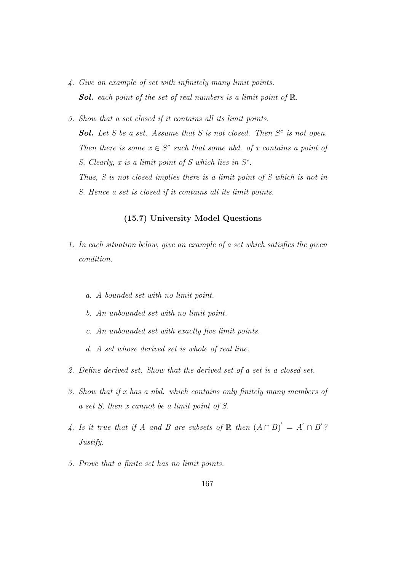- 4. Give an example of set with infinitely many limit points. **Sol.** each point of the set of real numbers is a limit point of  $\mathbb{R}$ .
- 5. Show that a set closed if it contains all its limit points. **Sol.** Let S be a set. Assume that S is not closed. Then  $S<sup>c</sup>$  is not open. Then there is some  $x \in S^c$  such that some nbd. of x contains a point of S. Clearly, x is a limit point of S which lies in  $S<sup>c</sup>$ . Thus, S is not closed implies there is a limit point of S which is not in S. Hence a set is closed if it contains all its limit points.

# (15.7) University Model Questions

- 1. In each situation below, give an example of a set which satisfies the given condition.
	- a. A bounded set with no limit point.
	- b. An unbounded set with no limit point.
	- c. An unbounded set with exactly five limit points.
	- d. A set whose derived set is whole of real line.
- 2. Define derived set. Show that the derived set of a set is a closed set.
- 3. Show that if x has a nbd. which contains only finitely many members of a set S, then x cannot be a limit point of S.
- 4. Is it true that if A and B are subsets of  $\mathbb R$  then  $(A \cap B)' = A' \cap B'$ ? Justify.
- 5. Prove that a finite set has no limit points.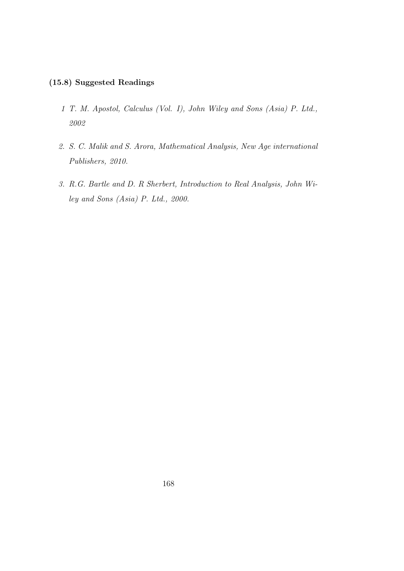# (15.8) Suggested Readings

- 1 T. M. Apostol, Calculus (Vol. I), John Wiley and Sons (Asia) P. Ltd., 2002
- 2. S. C. Malik and S. Arora, Mathematical Analysis, New Age international Publishers, 2010.
- 3. R.G. Bartle and D. R Sherbert, Introduction to Real Analysis, John Wiley and Sons (Asia) P. Ltd., 2000.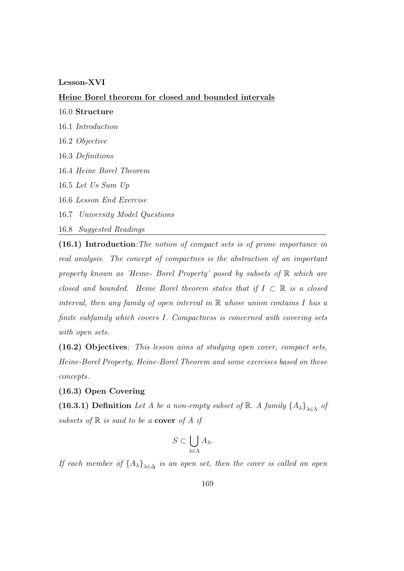#### Lesson-XVI

Heine Borel theorem for closed and bounded intervals

16.0 Structure

16.1 Introduction

16.2 Objective

16.3 Definitions

16.4 Heine Borel Theorem

16.5 Let Us Sum Up

16.6 Lesson End Exercise

16.7 University Model Questions

16.8 Suggested Readings

(16.1) Introduction:The notion of compact sets is of prime importance in real analysis. The concept of compactnes is the abstraction of an important property known as 'Heine- Borel Property' posed by subsets of R which are closed and bounded. Heine Borel theorem states that if  $I \subset \mathbb{R}$  is a closed interval, then any family of open interval in  $\mathbb R$  whose union contains I has a finite subfamily which covers I. Compactness is concerned with covering sets with open sets.

(16.2) Objectives: This lesson aims at studying open cover, compact sets, Heine-Borel Property, Heine-Borel Theorem and some exercises based on these concepts.

(16.3) Open Covering

(16.3.1) Definition Let A be a non-empty subset of  $\mathbb{R}$ . A family  $\{A_{\lambda}\}_{{\lambda \in \Lambda}}$  of subsets of  $\mathbb R$  is said to be a cover of A if

$$
S \subset \bigcup_{\lambda \in \Lambda} A_{\lambda}.
$$

If each member of  $\{A_{\lambda}\}_{{\lambda}\in\Delta}$  is an open set, then the cover is called an open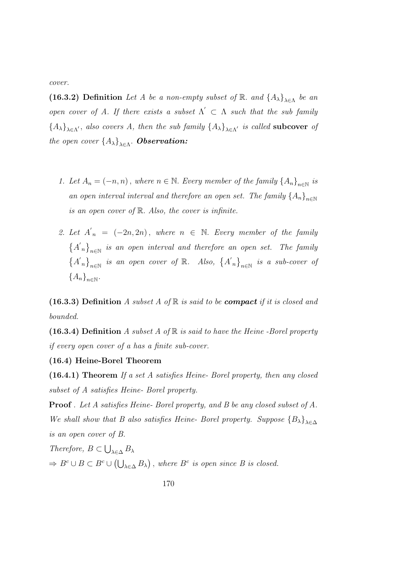cover.

(16.3.2) Definition Let A be a non-empty subset of R. and  $\{A_{\lambda}\}_{{\lambda}\in {\Lambda}}$  be an open cover of A. If there exists a subset  $\Lambda' \subset \Lambda$  such that the sub family  ${A_{\lambda}}_{\lambda \in \Lambda'}$ , also covers A, then the sub family  ${A_{\lambda}}_{\lambda \in \Lambda'}$  is called **subcover** of the open cover  $\{A_{\lambda}\}_{{\lambda}\in {\Lambda}}$ . **Observation:** 

- 1. Let  $A_n = (-n, n)$ , where  $n \in \mathbb{N}$ . Every member of the family  $\{A_n\}_{n \in \mathbb{N}}$  is an open interval interval and therefore an open set. The family  $\{A_n\}_{n\in\mathbb{N}}$ is an open cover of  $\mathbb R$ . Also, the cover is infinite.
- 2. Let  $A'_n = (-2n, 2n)$ , where  $n \in \mathbb{N}$ . Every member of the family  ${A'}_n$ <sub>n∈N</sub> is an open interval and therefore an open set. The family  $\{A'_n\}_{n\in\mathbb{N}}$  is an open cover of  $\mathbb{R}$ . Also,  $\{A'_n\}_{n\in\mathbb{N}}$  is a sub-cover of  ${A_n}_{n\in\mathbb{N}}$ .

(16.3.3) Definition A subset A of  $\mathbb R$  is said to be **compact** if it is closed and bounded.

(16.3.4) Definition A subset A of  $\mathbb R$  is said to have the Heine-Borel property if every open cover of a has a finite sub-cover.

#### (16.4) Heine-Borel Theorem

(16.4.1) Theorem If a set A satisfies Heine- Borel property, then any closed subset of A satisfies Heine- Borel property.

Proof . Let A satisfies Heine- Borel property, and B be any closed subset of A. We shall show that B also satisfies Heine- Borel property. Suppose  ${B_\lambda}_{\lambda \in \Delta}$ is an open cover of B.

Therefore,  $B \subset \bigcup_{\lambda \in \Delta} B_{\lambda}$  $\Rightarrow B^c \cup B \subset B^c \cup (\bigcup_{\lambda \in \Delta} B_{\lambda})$ , where  $B^c$  is open since B is closed.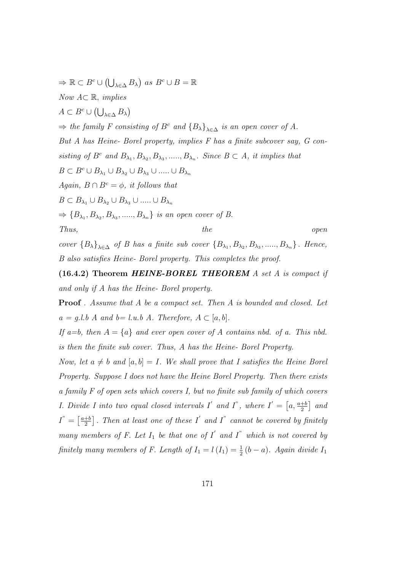$\Rightarrow \mathbb{R} \subset B^c \cup (\bigcup_{\lambda \in \Delta} B_{\lambda}) \text{ as } B^c \cup B = \mathbb{R}$ Now  $A \subseteq \mathbb{R}$ , implies  $A \subset B^c \cup (\bigcup_{\lambda \in \Delta} B_{\lambda})$  $\Rightarrow$  the family F consisting of B<sup>c</sup> and  ${B_\lambda}_{\lambda \in \Delta}$  is an open cover of A. But A has Heine- Borel property, implies F has a finite subcover say, G consisting of  $B^c$  and  $B_{\lambda_1}, B_{\lambda_2}, B_{\lambda_3}, \dots, B_{\lambda_n}$ . Since  $B \subset A$ , it implies that  $B \subset B^c \cup B_{\lambda_1} \cup B_{\lambda_2} \cup B_{\lambda_3} \cup \ldots \cup B_{\lambda_n}$ Again,  $B \cap B^c = \phi$ , it follows that  $B \subset B_{\lambda_1} \cup B_{\lambda_2} \cup B_{\lambda_3} \cup \ldots \cup B_{\lambda_n}$  $\Rightarrow$  {B<sub> $\lambda_1$ </sub>, B<sub> $\lambda_2$ </sub>, B<sub> $\lambda_3$ </sub>, ....., B<sub> $\lambda_n$ </sub>} is an open cover of B. Thus, the open cover  ${B_\lambda}_{\lambda \in \Delta}$  of B has a finite sub cover  ${B_{\lambda_1}, B_{\lambda_2}, B_{\lambda_3}, \ldots, B_{\lambda_n}}$ . Hence,

B also satisfies Heine- Borel property. This completes the proof.

 $(16.4.2)$  Theorem HEINE-BOREL THEOREM A set A is compact if and only if A has the Heine- Borel property.

**Proof** . Assume that A be a compact set. Then A is bounded and closed. Let  $a = g.l.b$  A and  $b = l.u.b$  A. Therefore,  $A \subset [a, b]$ .

If a=b, then  $A = \{a\}$  and ever open cover of A contains nbd. of a. This nbd. is then the finite sub cover. Thus, A has the Heine- Borel Property.

Now, let  $a \neq b$  and  $[a, b] = I$ . We shall prove that I satisfies the Heine Borel Property. Suppose I does not have the Heine Borel Property. Then there exists a family F of open sets which covers I, but no finite sub family of which covers *I. Divide I into two equal closed intervals I' and I", where*  $I' = \left[a, \frac{a+b}{2}\right]$  and  $I^{\prime \prime} = \left[\frac{a+b}{2}\right]$  $\left\lfloor\frac{+b}{2}\right\rfloor$ . Then at least one of these  $I'$  and  $I''$  cannot be covered by finitely many members of F. Let  $I_1$  be that one of  $I'$  and  $I''$  which is not covered by finitely many members of F. Length of  $I_1 = l(I_1) = \frac{1}{2}(b-a)$ . Again divide  $I_1$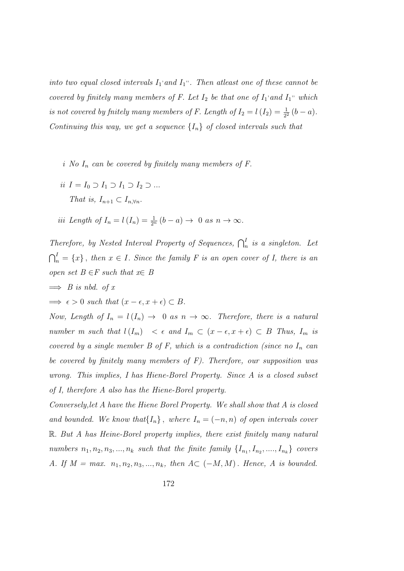into two equal closed intervals  $I_1$  and  $I_1$ ". Then atleast one of these cannot be covered by finitely many members of F. Let  $I_2$  be that one of  $I_1$  and  $I_1$ " which is not covered by fnitely many members of F. Length of  $I_2 = l(I_2) = \frac{1}{2^2} (b - a)$ . Continuing this way, we get a sequence  $\{I_n\}$  of closed intervals such that

- i No  $I_n$  can be covered by finitely many members of F.
- ii  $I = I_0 \supset I_1 \supset I_2 \supset ...$ That is,  $I_{n+1} \subset I_{n,\forall n}$ .

iii Length of 
$$
I_n = l(I_n) = \frac{1}{2^n} (b - a) \rightarrow 0
$$
 as  $n \rightarrow \infty$ .

Therefore, by Nested Interval Property of Sequences,  $\bigcap_{n=1}^{I}$  is a singleton. Let  $\bigcap_{n=1}^{I}$  = {x}, then  $x \in I$ . Since the family F is an open cover of I, there is an open set  $B \in F$  such that  $x \in B$ 

- $\implies$  B is nbd. of x
- $\implies \epsilon > 0$  such that  $(x \epsilon, x + \epsilon) \subset B$ .

Now, Length of  $I_n = l(I_n) \rightarrow 0$  as  $n \rightarrow \infty$ . Therefore, there is a natural number m such that  $l(I_m) < \epsilon$  and  $I_m \subset (x - \epsilon, x + \epsilon) \subset B$  Thus,  $I_m$  is covered by a single member  $B$  of  $F$ , which is a contradiction (since no  $I_n$  can be covered by finitely many members of F). Therefore, our supposition was wrong. This implies, I has Hiene-Borel Property. Since A is a closed subset of I, therefore A also has the Hiene-Borel property.

Conversely,let A have the Hiene Borel Property. We shall show that A is closed and bounded. We know that  $\{I_n\}$ , where  $I_n = (-n, n)$  of open intervals cover R. But A has Heine-Borel property implies, there exist finitely many natural numbers  $n_1, n_2, n_3, \ldots, n_k$  such that the finite family  $\{I_{n_1}, I_{n_2}, \ldots, I_{n_k}\}$  covers A. If  $M = max$ .  $n_1, n_2, n_3, ..., n_k$ , then  $A \subset (-M, M)$ . Hence, A is bounded.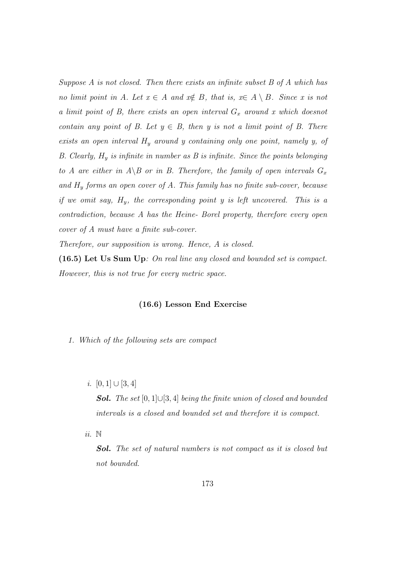Suppose A is not closed. Then there exists an infinite subset B of A which has no limit point in A. Let  $x \in A$  and  $x \notin B$ , that is,  $x \in A \setminus B$ . Since x is not a limit point of B, there exists an open interval  $G_x$  around x which doesnot contain any point of B. Let  $y \in B$ , then y is not a limit point of B. There exists an open interval  $H_y$  around y containing only one point, namely y, of B. Clearly,  $H_y$  is infinite in number as B is infinite. Since the points belonging to A are either in  $A \ B$  or in B. Therefore, the family of open intervals  $G_x$ and  $H_y$  forms an open cover of A. This family has no finite sub-cover, because if we omit say,  $H_y$ , the corresponding point y is left uncovered. This is a contradiction, because A has the Heine- Borel property, therefore every open cover of A must have a finite sub-cover.

Therefore, our supposition is wrong. Hence, A is closed.

(16.5) Let Us Sum Up: On real line any closed and bounded set is compact. However, this is not true for every metric space.

#### (16.6) Lesson End Exercise

1. Which of the following sets are compact

i.  $[0, 1] \cup [3, 4]$ 

**Sol.** The set  $[0,1] \cup [3,4]$  being the finite union of closed and bounded intervals is a closed and bounded set and therefore it is compact.

ii. N

Sol. The set of natural numbers is not compact as it is closed but not bounded.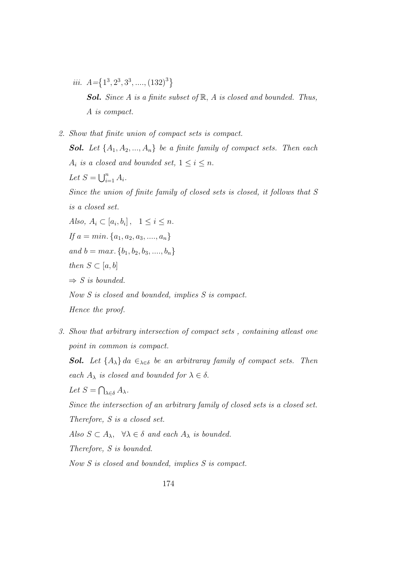- iii.  $A = \{1^3, 2^3, 3^3, \ldots, (132)^3\}$ **Sol.** Since A is a finite subset of  $\mathbb{R}$ , A is closed and bounded. Thus, A is compact.
- 2. Show that finite union of compact sets is compact. **Sol.** Let  $\{A_1, A_2, ..., A_n\}$  be a finite family of compact sets. Then each  $A_i$  is a closed and bounded set,  $1 \leq i \leq n$ . Let  $S = \bigcup_{i=1}^n A_i$ . Since the union of finite family of closed sets is closed, it follows that S is a closed set. Also,  $A_i \subset [a_i, b_i], \quad 1 \leq i \leq n.$ If  $a = min$ ,  $\{a_1, a_2, a_3, \ldots, a_n\}$ and  $b = max$ . { $b_1, b_2, b_3, \ldots, b_n$ } then  $S \subset [a, b]$  $\Rightarrow$  S is bounded. Now S is closed and bounded, implies S is compact. Hence the proof.
- 3. Show that arbitrary intersection of compact sets , containing atleast one point in common is compact.

**Sol.** Let  $\{A_{\lambda}\}\$ da  $\in_{\lambda \in \delta}$  be an arbitraray family of compact sets. Then each  $A_{\lambda}$  is closed and bounded for  $\lambda \in \delta$ .

Let  $S = \bigcap_{\lambda \in \delta} A_{\lambda}$ .

Since the intersection of an arbitrary family of closed sets is a closed set.

Therefore, S is a closed set.

Also  $S \subset A_{\lambda}$ ,  $\forall \lambda \in \delta$  and each  $A_{\lambda}$  is bounded.

Therefore, S is bounded.

Now S is closed and bounded, implies S is compact.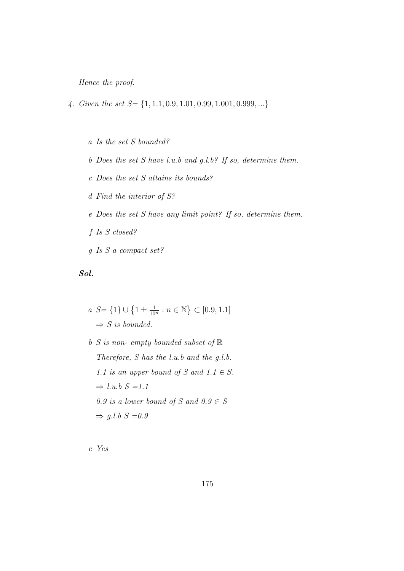Hence the proof.

- 4. Given the set  $S = \{1, 1.1, 0.9, 1.01, 0.99, 1.001, 0.999, ...\}$ 
	- a Is the set S bounded?
	- b Does the set S have l.u.b and g.l.b? If so, determine them.
	- c Does the set S attains its bounds?
	- d Find the interior of S?
	- e Does the set S have any limit point? If so, determine them.
	- f Is S closed?
	- g Is S a compact set?

# Sol.

$$
a \ S = \{1\} \cup \{1 \pm \frac{1}{10^n} : n \in \mathbb{N}\} \subset [0.9, 1.1]
$$

$$
\Rightarrow S \ is \ bounded.
$$

 $b S$  is non-empty bounded subset of  $\mathbb R$ Therefore, S has the l.u.b and the g.l.b. 1.1 is an upper bound of S and  $1.1 \in S$ .  $\Rightarrow$  l.u.b  $S = 1.1$ 0.9 is a lower bound of S and  $0.9 \in S$  $\Rightarrow$  g.l.b  $S = 0.9$ 

c Yes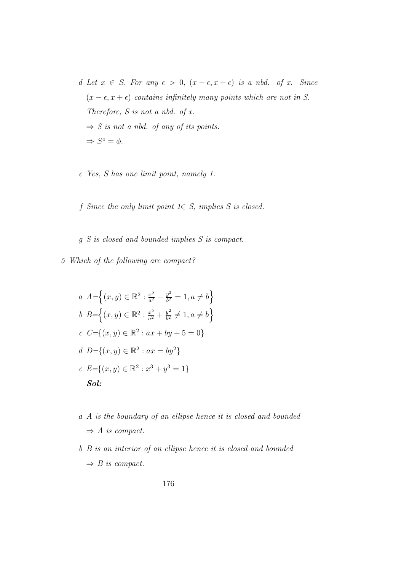- d Let  $x \in S$ . For any  $\epsilon > 0$ ,  $(x \epsilon, x + \epsilon)$  is a nbd. of x. Since  $(x - \epsilon, x + \epsilon)$  contains infinitely many points which are not in S. Therefore,  $S$  is not a nbd. of  $x$ .  $\Rightarrow$  S is not a nbd. of any of its points.  $\Rightarrow S^o = \phi.$
- e Yes, S has one limit point, namely 1.
- f Since the only limit point  $1 \in S$ , implies S is closed.
- g S is closed and bounded implies S is compact.
- 5 Which of the following are compact?

$$
a A = \left\{ (x, y) \in \mathbb{R}^2 : \frac{x^2}{a^2} + \frac{y^2}{b^2} = 1, a \neq b \right\}
$$
  
\n
$$
b B = \left\{ (x, y) \in \mathbb{R}^2 : \frac{x^2}{a^2} + \frac{y^2}{b^2} \neq 1, a \neq b \right\}
$$
  
\n
$$
c C = \left\{ (x, y) \in \mathbb{R}^2 : ax + by + 5 = 0 \right\}
$$
  
\n
$$
d D = \left\{ (x, y) \in \mathbb{R}^2 : ax = by^2 \right\}
$$
  
\n
$$
e E = \left\{ (x, y) \in \mathbb{R}^2 : x^3 + y^3 = 1 \right\}
$$
  
\n**Sol:**

- a A is the boundary of an ellipse hence it is closed and bounded  $\Rightarrow$  A is compact.
- b B is an interior of an ellipse hence it is closed and bounded  $\Rightarrow B$  is compact.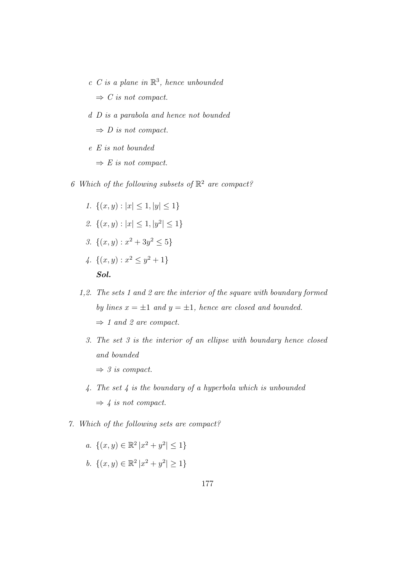$c$  C is a plane in  $\mathbb{R}^3$ , hence unbounded

 $\Rightarrow$  C is not compact.

d D is a parabola and hence not bounded

 $\Rightarrow$  D is not compact.

- e E is not bounded
	- $\Rightarrow E$  is not compact.
- 6 Which of the following subsets of  $\mathbb{R}^2$  are compact?
	- 1.  $\{(x, y) : |x| \leq 1, |y| \leq 1\}$
	- 2.  $\{(x,y): |x| \leq 1, |y^2| \leq 1\}$
	- 3.  $\{(x, y) : x^2 + 3y^2 \leq 5\}$
	- 4.  $\{(x,y): x^2 \leq y^2 + 1\}$ Sol.
	- 1,2. The sets 1 and 2 are the interior of the square with boundary formed by lines  $x = \pm 1$  and  $y = \pm 1$ , hence are closed and bounded.  $\Rightarrow$  1 and 2 are compact.
		- 3. The set 3 is the interior of an ellipse with boundary hence closed and bounded
			- $\Rightarrow$  3 is compact.
		- 4. The set 4 is the boundary of a hyperbola which is unbounded  $\Rightarrow$  4 is not compact.
- 7. Which of the following sets are compact?

a. 
$$
\{(x, y) \in \mathbb{R}^2 | x^2 + y^2 | \le 1 \}
$$
  
b.  $\{(x, y) \in \mathbb{R}^2 | x^2 + y^2 | \ge 1 \}$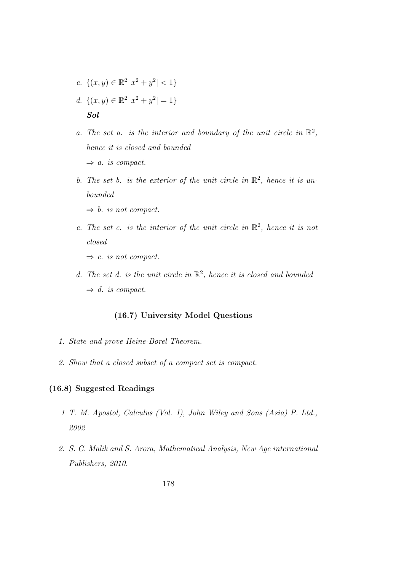- c.  $\{(x, y) \in \mathbb{R}^2 \mid x^2 + y^2 \leq 1\}$
- d.  $\{(x, y) \in \mathbb{R}^2 \mid x^2 + y^2 = 1\}$ Sol
- a. The set a. is the interior and boundary of the unit circle in  $\mathbb{R}^2$ , hence it is closed and bounded  $\Rightarrow$  a. is compact.
- b. The set b. is the exterior of the unit circle in  $\mathbb{R}^2$ , hence it is unbounded
	- $\Rightarrow b$ . is not compact.
- c. The set c. is the interior of the unit circle in  $\mathbb{R}^2$ , hence it is not closed
	- $\Rightarrow$  c. is not compact.
- d. The set d. is the unit circle in  $\mathbb{R}^2$ , hence it is closed and bounded  $\Rightarrow$  d. is compact.

# (16.7) University Model Questions

- 1. State and prove Heine-Borel Theorem.
- 2. Show that a closed subset of a compact set is compact.

# (16.8) Suggested Readings

- 1 T. M. Apostol, Calculus (Vol. I), John Wiley and Sons (Asia) P. Ltd., 2002
- 2. S. C. Malik and S. Arora, Mathematical Analysis, New Age international Publishers, 2010.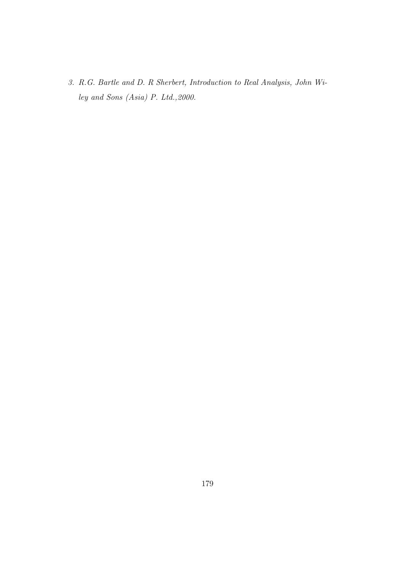3. R.G. Bartle and D. R Sherbert, Introduction to Real Analysis, John Wiley and Sons (Asia) P. Ltd.,2000.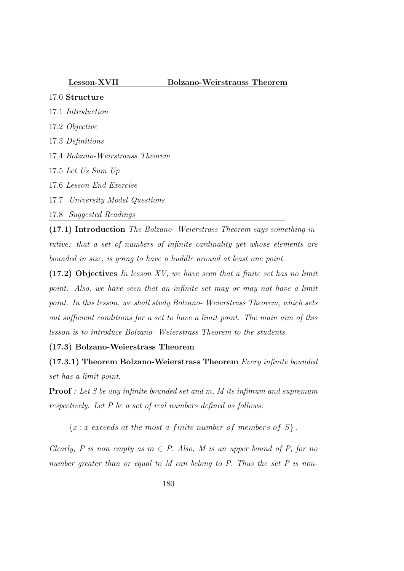# Lesson-XVII Bolzano-Weirstrauss Theorem

- 17.0 Structure 17.1 Introduction 17.2 Objective
- 17.3 Definitions
- 17.4 Bolzano-Weirstrauss Theorem
- 17.5 Let Us Sum Up
- 17.6 Lesson End Exercise
- 17.7 University Model Questions
- 17.8 Suggested Readings

(17.1) Introduction The Bolzano- Weierstrass Theorem says something intutive: that a set of numbers of infinite cardinality yet whose elements are bounded in size, is going to have a huddle around at least one point.

 $(17.2)$  Objectives In lesson XV, we have seen that a finite set has no limit point. Also, we have seen that an infinite set may or may not have a limit point. In this lesson, we shall study Bolzano- Weierstrass Theorem, which sets out sufficient conditions for a set to have a limit point. The main aim of this lesson is to introduce Bolzano- Weierstrass Theorem to the students.

# (17.3) Bolzano-Weierstrass Theorem

(17.3.1) Theorem Bolzano-Weierstrass Theorem Every infinite bounded set has a limit point.

**Proof**: Let S be any infinite bounded set and m, M its infimum and supremum respectively. Let P be a set of real numbers defined as follows:

 ${x : x \text{ exceeds at the most a finite number of members of } S}.$ 

Clearly, P is non empty as  $m \in P$ . Also, M is an upper bound of P, for no number greater than or equal to M can belong to P. Thus the set P is non-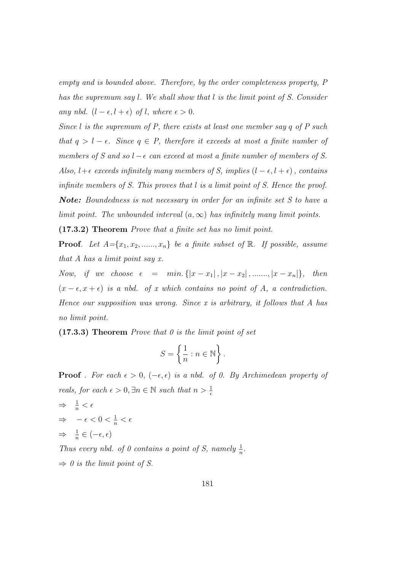empty and is bounded above. Therefore, by the order completeness property, P has the supremum say l. We shall show that l is the limit point of S. Consider any nbd.  $(l - \epsilon, l + \epsilon)$  of l, where  $\epsilon > 0$ .

Since  $l$  is the supremum of  $P$ , there exists at least one member say  $q$  of  $P$  such that  $q > l - \epsilon$ . Since  $q \in P$ , therefore it exceeds at most a finite number of members of S and so  $l - \epsilon$  can exceed at most a finite number of members of S. Also,  $l + \epsilon$  exceeds infinitely many members of S, implies  $(l - \epsilon, l + \epsilon)$ , contains infinite members of S. This proves that l is a limit point of S. Hence the proof. Note: Boundedness is not necessary in order for an infinite set S to have a limit point. The unbounded interval  $(a, \infty)$  has infinitely many limit points.

(17.3.2) Theorem Prove that a finite set has no limit point.

**Proof.** Let  $A = \{x_1, x_2, \ldots, x_n\}$  be a finite subset of  $\mathbb{R}$ . If possible, assume that A has a limit point say x.

Now, if we choose  $\epsilon = \min \{ |x - x_1|, |x - x_2|, \dots, |x - x_n| \},\$  then  $(x - \epsilon, x + \epsilon)$  is a nbd. of x which contains no point of A, a contradiction. Hence our supposition was wrong. Since  $x$  is arbitrary, it follows that  $A$  has no limit point.

 $(17.3.3)$  Theorem *Prove that 0 is the limit point of set* 

$$
S = \left\{ \frac{1}{n} : n \in \mathbb{N} \right\}.
$$

**Proof** . For each  $\epsilon > 0$ ,  $(-\epsilon, \epsilon)$  is a nbd. of 0. By Archimedean property of reals, for each  $\epsilon > 0$ ,  $\exists n \in \mathbb{N}$  such that  $n > \frac{1}{\epsilon}$ 

 $\Rightarrow \frac{1}{n} < \epsilon$  $\Rightarrow$   $-\epsilon < 0 < \frac{1}{n} < \epsilon$  $\Rightarrow \frac{1}{n} \in (-\epsilon, \epsilon)$ 

Thus every nbd. of 0 contains a point of S, namely  $\frac{1}{n}$ .  $\Rightarrow$  0 is the limit point of S.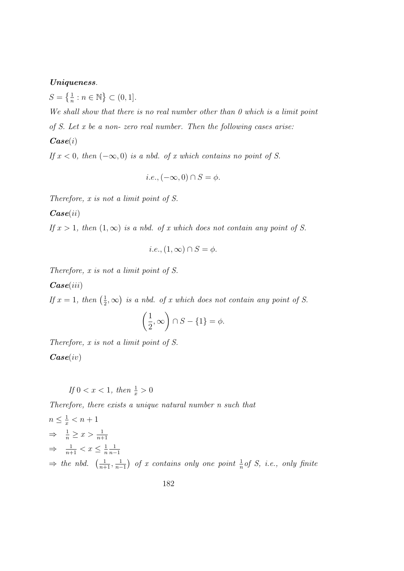# Uniqueness.

 $S = \left\{ \frac{1}{n} : n \in \mathbb{N} \right\} \subset (0, 1].$ 

We shall show that there is no real number other than 0 which is a limit point of S. Let x be a non- zero real number. Then the following cases arise:

 $\boldsymbol{Case}(i)$ 

If  $x < 0$ , then  $(-\infty, 0)$  is a nbd. of x which contains no point of S.

$$
i.e., (-\infty, 0) \cap S = \phi.
$$

Therefore, x is not a limit point of S.

 $\boldsymbol{Case}(ii)$ 

If  $x > 1$ , then  $(1, \infty)$  is a nbd. of x which does not contain any point of S.

$$
i.e., (1, \infty) \cap S = \phi.
$$

Therefore, x is not a limit point of S.

 $\boldsymbol{Case}(iii)$ 

If  $x=1$ , then  $\left(\frac{1}{2}\right)$  $(\frac{1}{2}, \infty)$  is a nbd. of x which does not contain any point of S.

$$
\left(\frac{1}{2}, \infty\right) \cap S - \{1\} = \phi.
$$

Therefore, x is not a limit point of S.  $\boldsymbol{Case}(iv)$ 

If  $0 < x < 1$ , then  $\frac{1}{x} > 0$ 

Therefore, there exists a unique natural number n such that

$$
n \leq \frac{1}{x} < n + 1
$$
\n
$$
\Rightarrow \frac{1}{n} \geq x > \frac{1}{n+1}
$$
\n
$$
\Rightarrow \frac{1}{n+1} < x \leq \frac{1}{n} \frac{1}{n-1}
$$
\n
$$
\Rightarrow \text{ the nbd. } \left(\frac{1}{n+1}, \frac{1}{n-1}\right) \text{ of } x \text{ contains only one point } \frac{1}{n} \text{ of } S, \text{ i.e., only finite}
$$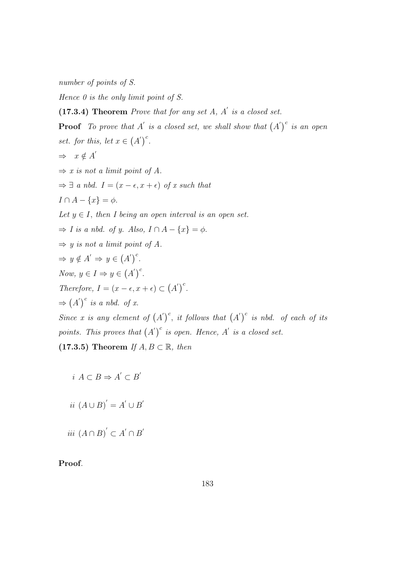number of points of S.

Hence  $\theta$  is the only limit point of S.

 $(17.3.4)$  Theorem Prove that for any set A, A' is a closed set.

**Proof** To prove that A' is a closed set, we shall show that  $(A')^c$  is an open set. for this, let  $x \in (A')^c$ .  $\Rightarrow x \notin A'$  $\Rightarrow$  x is not a limit point of A.  $\Rightarrow \exists$  a nbd.  $I = (x - \epsilon, x + \epsilon)$  of x such that  $I \cap A - \{x\} = \phi.$ Let  $y \in I$ , then I being an open interval is an open set.  $\Rightarrow$  I is a nbd. of y. Also,  $I \cap A - \{x\} = \phi$ .  $\Rightarrow$  y is not a limit point of A.  $\Rightarrow y \notin A' \Rightarrow y \in (A')^c$ . Now,  $y \in I \Rightarrow y \in (A')^c$ . Therefore,  $I = (x - \epsilon, x + \epsilon) \subset (A')^c$ .  $\Rightarrow$   $(A')^c$  is a nbd. of x. Since x is any element of  $(A')^c$ , it follows that  $(A')^c$  is nbd. of each of its points. This proves that  $(A')^c$  is open. Hence, A' is a closed set. (17.3.5) Theorem If  $A, B \subset \mathbb{R}$ , then

$$
i\ A\subset B \Rightarrow A^{'}\subset B^{'}
$$

$$
ii (A \cup B)' = A' \cup B'
$$

*iii*  $(A ∩ B)' ⊂ A' ∩ B'$ 

Proof.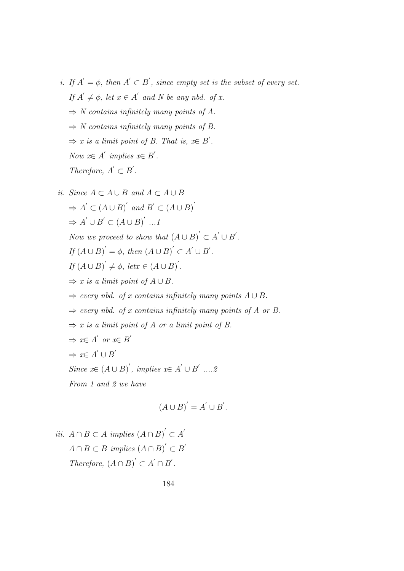i. If  $A' = \phi$ , then  $A' \subset B'$ , since empty set is the subset of every set. If  $A' \neq \emptyset$ , let  $x \in A'$  and N be any nbd. of x.  $\Rightarrow$  N contains infinitely many points of A.  $\Rightarrow$  N contains infinitely many points of B.  $\Rightarrow$  x is a limit point of B. That is,  $x \in B'$ . Now  $x \in A'$  implies  $x \in B'$ . Therefore,  $A' \subset B'$ . ii. Since  $A \subset A \cup B$  and  $A \subset A \cup B$ 

$$
d. Since A \subset A \cup D' and B' \subset (A \cup B)'
$$
  
\n⇒ A' ∪ B' ∑ (A ∪ B)' ...1  
\nNow we proceed to show that  $(A ∪ B)' ∂ A' ∪ B'$ .  
\nIf  $(A ∪ B)' = \phi$ , then  $(A ∪ B)' ∂ A' ∪ B'$ .  
\nIf  $(A ∪ B)' \neq \phi$ , let  $x ∈ (A ∪ B)'$ .  
\n⇒ x is a limit point of A ∪ B.  
\n⇒ every nbd. of x contains infinitely many points A ∪ B.  
\n⇒ every nbd. of x contains infinitely many points of A or B.  
\n⇒ x is a limit point of A or a limit point of B.  
\n⇒  $x ∈ A' or x ∈ B'$   
\n⇒  $x ∈ A' ∪ B'$   
\nSince  $x ∈ (A ∪ B)'$ , implies  $x ∈ A' ∪ B' ... 2$   
\nFrom 1 and 2 we have  
\n
$$
(A ∪ B)' = A' ∪ B'.
$$

*iii.*  $A \cap B \subset A$  *implies*  $(A \cap B)' \subset A'$  $A \cap B \subset B$  implies  $(A \cap B)^{'} \subset B'$ Therefore,  $(A \cap B)' \subset A' \cap B'$ .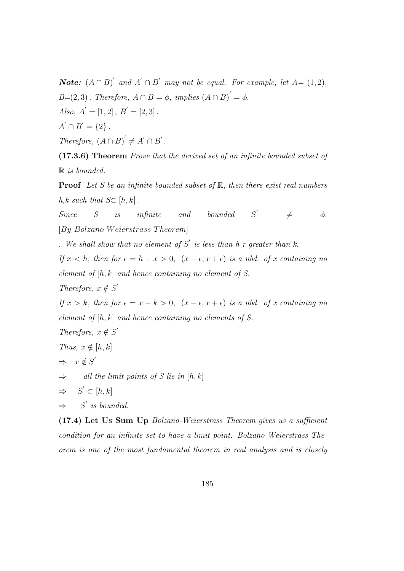**Note:**  $(A \cap B)'$  and  $A' \cap B'$  may not be equal. For example, let  $A = (1, 2)$ ,  $B=(2,3)$ . Therefore,  $A \cap B = \phi$ , implies  $(A \cap B)' = \phi$ . Also,  $A' = [1, 2], B' = [2, 3].$  $A' \cap B' = \{2\}$ . Therefore,  $(A \cap B)' \neq A' \cap B'$ .

(17.3.6) Theorem Prove that the derived set of an infinite bounded subset of R is bounded.

**Proof** Let S be an infinite bounded subset of  $\mathbb{R}$ , then there exist real numbers h,k such that  $S\subset [h, k]$ .

 $Since$   $S$  is infinite and bounded  $S'$  $\neq$   $\phi$ .  $[B<sub>y</sub> Bolzano Weierstrass Theorem]$ 

. We shall show that no element of  $S'$  is less than h r greater than k.

If  $x < h$ , then for  $\epsilon = h - x > 0$ ,  $(x - \epsilon, x + \epsilon)$  is a nbd. of x containing no element of  $[h, k]$  and hence containing no element of S.

Therefore,  $x \notin S'$ 

If  $x > k$ , then for  $\epsilon = x - k > 0$ ,  $(x - \epsilon, x + \epsilon)$  is a nbd. of x containing no element of  $[h, k]$  and hence containing no elements of S.

Therefore,  $x \notin S'$ Thus,  $x \notin [h, k]$  $\Rightarrow x \notin S'$  $\Rightarrow$  all the limit points of S lie in [h, k]  $\Rightarrow$  $\prime \subset [h,k]$  $\Rightarrow$  $\prime$  is bounded.

(17.4) Let Us Sum Up Bolzano-Weierstrass Theorem gives us a sufficient condition for an infinite set to have a limit point. Bolzano-Weierstrass Theorem is one of the most fundamental theorem in real analysis and is closely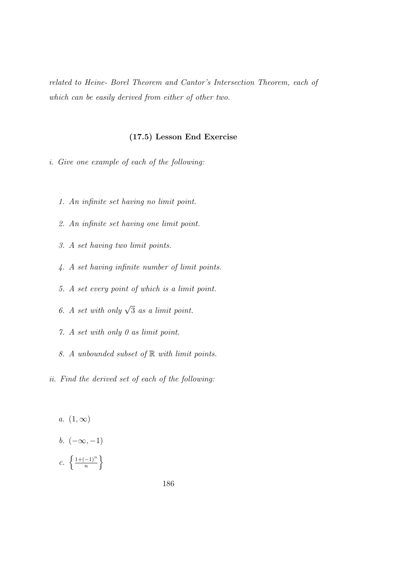related to Heine- Borel Theorem and Cantor's Intersection Theorem, each of which can be easily derived from either of other two.

## (17.5) Lesson End Exercise

i. Give one example of each of the following:

- 1. An infinite set having no limit point.
- 2. An infinite set having one limit point.
- 3. A set having two limit points.
- 4. A set having infinite number of limit points.
- 5. A set every point of which is a limit point.
- 6. A set with only  $\sqrt{3}$  as a limit point.
- 7. A set with only 0 as limit point.
- 8. A unbounded subset of R with limit points.
- ii. Find the derived set of each of the following:
	- a.  $(1, \infty)$ b.  $(-\infty, -1)$ c.  $\left\{\frac{1+(-1)^n}{n}\right\}$  $\frac{(-1)^n}{n}$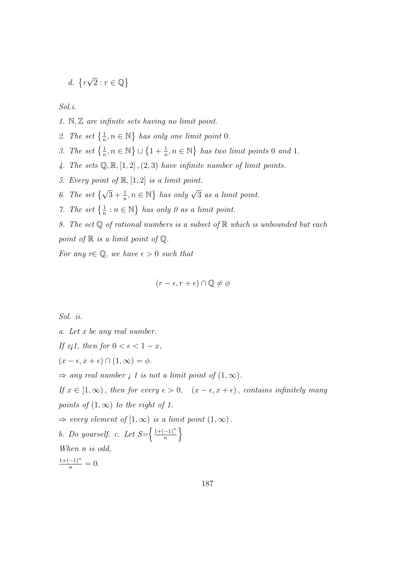$$
d. \ \{r\sqrt{2} : r \in \mathbb{Q}\}\
$$

Sol.i.

1. N, Z are infinite sets having no limit point.

- 2. The set  $\{\frac{1}{n}, n \in \mathbb{N}\}\$  has only one limit point 0.
- 3. The set  $\left\{\frac{1}{n}, n \in \mathbb{N}\right\} \cup \left\{1 + \frac{1}{n}, n \in \mathbb{N}\right\}$  has two limit points 0 and 1.
- 4. The sets  $\mathbb{Q}, \mathbb{R}, [1, 2], (2, 3)$  have infinite number of limit points.
- 5. Every point of  $\mathbb{R}, [1, 2]$  is a limit point.
- 6. The set  $\{\sqrt{3} + \frac{1}{n}, n \in \mathbb{N}\}\$  has only  $\sqrt{3}$  as a limit point.
- 7. The set  $\{\frac{1}{n} : n \in \mathbb{N}\}\$  has only 0 as a limit point.
- 8. The set  $\mathbb Q$  of rational numbers is a subset of  $\mathbb R$  which is unbounded but each

point of  $\mathbb R$  is a limit point of  $\mathbb Q$ .

For any  $r \in \mathbb{Q}$ , we have  $\epsilon > 0$  such that

$$
(r - \epsilon, r + \epsilon) \cap \mathbb{Q} \neq \phi
$$

Sol. ii.

a. Let x be any real number. If  $xj1$ , then for  $0 < \epsilon < 1 - x$ ,  $(x - \epsilon, x + \epsilon) \cap (1, \infty) = \phi.$  $\Rightarrow$  any real number *i* 1 is not a limit point of  $(1, \infty)$ . If  $x \in [1,\infty)$ , then for every  $\epsilon > 0$ ,  $(x - \epsilon, x + \epsilon)$ , contains infinitely many points of  $(1, \infty)$  to the right of 1.  $\Rightarrow$  every element of  $[1,\infty)$  is a limit point  $(1,\infty)$ . b. Do yourself. c. Let  $S=\left\{\frac{1+(-1)^n}{n}\right\}$  $\frac{-1)^n}{n}$ When n is odd,  $\frac{1+(-1)^n}{n} = 0.$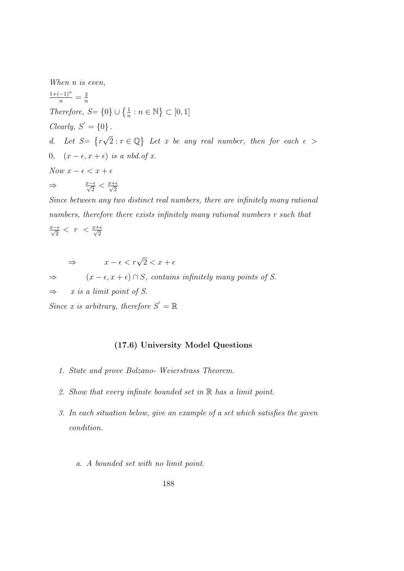When *n* is even,

 $\frac{1+(-1)^n}{n} = \frac{2}{n}$ n Therefore,  $S = \{0\} \cup \{\frac{1}{n} : n \in \mathbb{N}\} \subset [0, 1]$ Clearly,  $S' = \{0\}$ . d. Let  $S = \{r$  $\sqrt{2}: r \in \mathbb{Q}$  Let x be any real number, then for each  $\epsilon >$ 0,  $(x - \epsilon, x + \epsilon)$  is a nbd.of x. Now  $x - \epsilon < x + \epsilon$  $\Rightarrow \frac{x-\epsilon}{\sqrt{2}} < \frac{x+\epsilon}{\sqrt{2}}$ 2

Since between any two distinct real numbers, there are infinitely many rational numbers, therefore there exists infinitely many rational numbers r such that

$$
\tfrac{x-\epsilon}{\sqrt{2}}<\ r\ <\tfrac{x+\epsilon}{\sqrt{2}}
$$

 $\Rightarrow$   $x - \epsilon < r\sqrt{2} < x + \epsilon$ 

 $\Rightarrow$   $(x - \epsilon, x + \epsilon) \cap S$ , contains infinitely many points of S.

 $\Rightarrow$  x is a limit point of S.

Since x is arbitrary, therefore  $S' = \mathbb{R}$ 

# (17.6) University Model Questions

- 1. State and prove Bolzano- Weierstrass Theorem.
- 2. Show that every infinite bounded set in  $\mathbb R$  has a limit point.
- 3. In each situation below, give an example of a set which satisfies the given condition.
	- a. A bounded set with no limit point.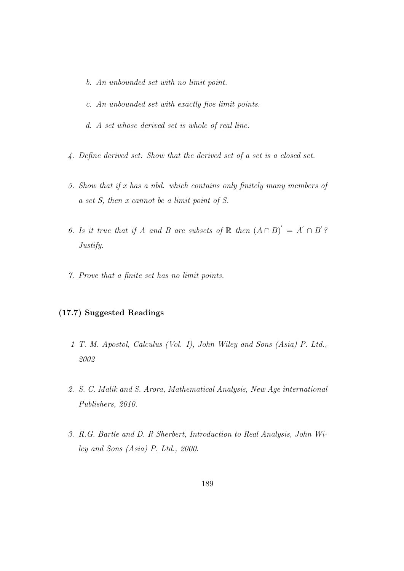- b. An unbounded set with no limit point.
- c. An unbounded set with exactly five limit points.
- d. A set whose derived set is whole of real line.
- 4. Define derived set. Show that the derived set of a set is a closed set.
- 5. Show that if x has a nbd. which contains only finitely many members of a set S, then x cannot be a limit point of S.
- 6. Is it true that if A and B are subsets of  $\mathbb R$  then  $(A \cap B)' = A' \cap B'$ ? Justify.
- 7. Prove that a finite set has no limit points.

# (17.7) Suggested Readings

- 1 T. M. Apostol, Calculus (Vol. I), John Wiley and Sons (Asia) P. Ltd., 2002
- 2. S. C. Malik and S. Arora, Mathematical Analysis, New Age international Publishers, 2010.
- 3. R.G. Bartle and D. R Sherbert, Introduction to Real Analysis, John Wiley and Sons (Asia) P. Ltd., 2000.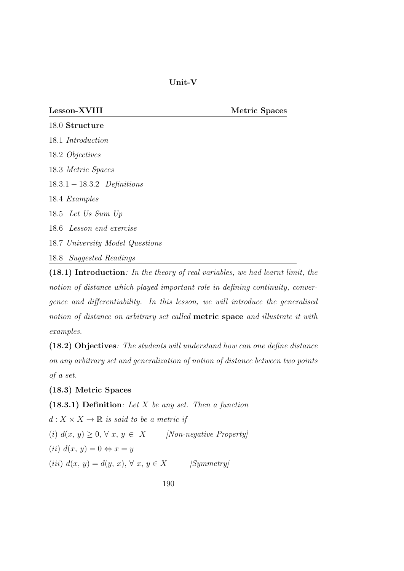Unit-V

Lesson-XVIII Metric Spaces

.0 Structure .1 Introduction .2 Objectives .3 Metric Spaces .3.1 − 18.3.2 Definitions .4 Examples .5 Let Us Sum Up .6 Lesson end exercise .7 University Model Questions .8 Suggested Readings

(18.1) Introduction: In the theory of real variables, we had learnt limit, the notion of distance which played important role in defining continuity, convergence and differentiability. In this lesson, we will introduce the generalised notion of distance on arbitrary set called metric space and illustrate it with examples.

(18.2) Objectives: The students will understand how can one define distance on any arbitrary set and generalization of notion of distance between two points of a set.

(18.3) Metric Spaces

(18.3.1) Definition: Let  $X$  be any set. Then a function

 $d: X \times X \to \mathbb{R}$  is said to be a metric if (i)  $d(x, y) \geq 0, \forall x, y \in X$  [Non-negative Property] (ii)  $d(x, y) = 0 \Leftrightarrow x = y$ (iii)  $d(x, y) = d(y, x), \forall x, y \in X$  [Symmetry]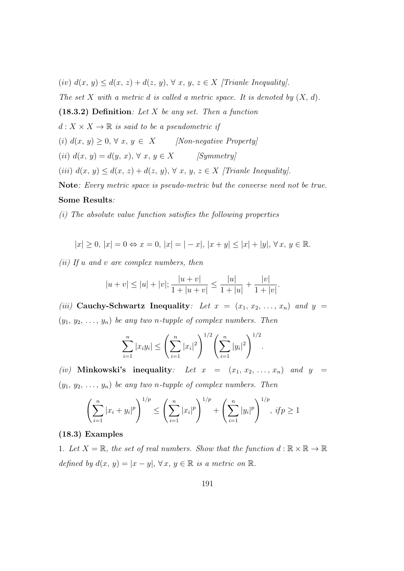(iv)  $d(x, y) \leq d(x, z) + d(z, y), \forall x, y, z \in X$  [Trianle Inequality].

The set X with a metric d is called a metric space. It is denoted by  $(X, d)$ .

(18.3.2) Definition: Let X be any set. Then a function

 $d: X \times X \to \mathbb{R}$  is said to be a pseudometric if

(i)  $d(x, y) \geq 0, \forall x, y \in X$  [Non-negative Property]

(ii)  $d(x, y) = d(y, x), \forall x, y \in X$  [Symmetry]

(iii)  $d(x, y) \leq d(x, z) + d(z, y), \forall x, y, z \in X$  [Trianle Inequality].

Note: Every metric space is pseudo-metric but the converse need not be true.

#### Some Results:

(i) The absolute value function satisfies the following properties

$$
|x| \ge 0, |x| = 0 \Leftrightarrow x = 0, |x| = |-x|, |x + y| \le |x| + |y|, \forall x, y \in \mathbb{R}.
$$

(ii) If  $u$  and  $v$  are complex numbers, then

$$
|u + v| \le |u| + |v|; \frac{|u + v|}{1 + |u + v|} \le \frac{|u|}{1 + |u|} + \frac{|v|}{1 + |v|}.
$$

(iii) Cauchy-Schwartz Inequality: Let  $x = (x_1, x_2, \ldots, x_n)$  and  $y =$  $(y_1, y_2, \ldots, y_n)$  be any two n-tupple of complex numbers. Then

$$
\sum_{i=1}^n |x_i y_i| \leq \left(\sum_{i=1}^n |x_i|^2\right)^{1/2} \left(\sum_{i=1}^n |y_i|^2\right)^{1/2}.
$$

(iv) Minkowski's inequality: Let  $x = (x_1, x_2, \ldots, x_n)$  and  $y =$  $(y_1, y_2, \ldots, y_n)$  be any two n-tupple of complex numbers. Then

$$
\left(\sum_{i=1}^n |x_i + y_i|^p\right)^{1/p} \le \left(\sum_{i=1}^n |x_i|^p\right)^{1/p} + \left(\sum_{i=1}^n |y_i|^p\right)^{1/p}, \text{ if } p \ge 1
$$

## (18.3) Examples

1. Let  $X = \mathbb{R}$ , the set of real numbers. Show that the function  $d : \mathbb{R} \times \mathbb{R} \to \mathbb{R}$ defined by  $d(x, y) = |x - y|, \forall x, y \in \mathbb{R}$  is a metric on  $\mathbb{R}$ .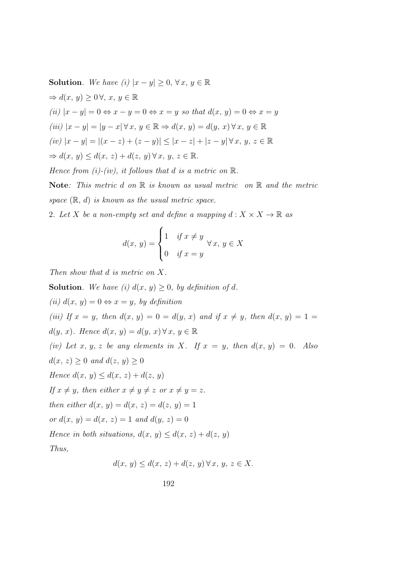Solution. We have (i)  $|x-y| \geq 0, \forall x, y \in \mathbb{R}$  $\Rightarrow d(x, y) \geq 0 \forall, x, y \in \mathbb{R}$ (ii)  $|x-y|=0 \Leftrightarrow x-y=0 \Leftrightarrow x=y$  so that  $d(x, y)=0 \Leftrightarrow x=y$ (iii)  $|x - y| = |y - x| \forall x, y \in \mathbb{R} \Rightarrow d(x, y) = d(y, x) \forall x, y \in \mathbb{R}$  $(iv)$  |x − y| = |(x − z) + (z − y)| ≤ |x − z| + |z − y| ∀ x, y, z ∈ ℝ  $\Rightarrow d(x, y) \leq d(x, z) + d(z, y) \forall x, y, z \in \mathbb{R}.$ Hence from (i)-(iv), it follows that d is a metric on  $\mathbb{R}$ . **Note:** This metric d on  $\mathbb R$  is known as usual metric on  $\mathbb R$  and the metric

space  $(\mathbb{R}, d)$  is known as the usual metric space.

2. Let X be a non-empty set and define a mapping  $d: X \times X \to \mathbb{R}$  as

$$
d(x, y) = \begin{cases} 1 & \text{if } x \neq y \\ 0 & \text{if } x = y \end{cases} \forall x, y \in X
$$

Then show that d is metric on X.

**Solution.** We have (i)  $d(x, y) \geq 0$ , by definition of d. (ii)  $d(x, y) = 0 \Leftrightarrow x = y$ , by definition (iii) If  $x = y$ , then  $d(x, y) = 0 = d(y, x)$  and if  $x \neq y$ , then  $d(x, y) = 1 =$  $d(y, x)$ . Hence  $d(x, y) = d(y, x) \forall x, y \in \mathbb{R}$ (iv) Let x, y, z be any elements in X. If  $x = y$ , then  $d(x, y) = 0$ . Also  $d(x, z) \geq 0$  and  $d(z, y) \geq 0$ Hence  $d(x, y) \leq d(x, z) + d(z, y)$ If  $x \neq y$ , then either  $x \neq y \neq z$  or  $x \neq y = z$ . then either  $d(x, y) = d(x, z) = d(z, y) = 1$ or  $d(x, y) = d(x, z) = 1$  and  $d(y, z) = 0$ Hence in both situations,  $d(x, y) \leq d(x, z) + d(z, y)$ Thus,

$$
d(x, y) \le d(x, z) + d(z, y) \forall x, y, z \in X.
$$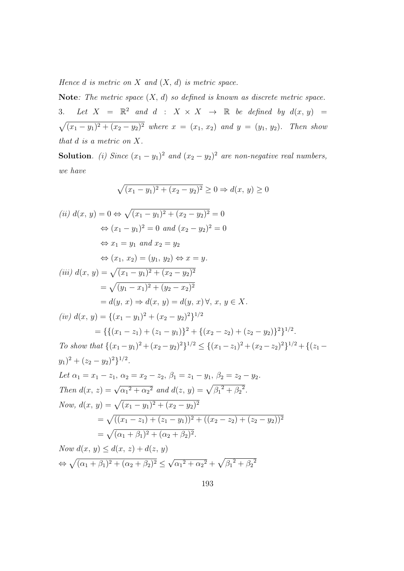Hence  $d$  is metric on  $X$  and  $(X, d)$  is metric space.

Note: The metric space  $(X, d)$  so defined is known as discrete metric space. 3. Let  $X = \mathbb{R}^2$  and  $d : X \times X \rightarrow \mathbb{R}$  be defined by  $d(x, y) =$  $\sqrt{(x_1-y_1)^2+(x_2-y_2)^2}$  where  $x=(x_1, x_2)$  and  $y=(y_1, y_2)$ . Then show that d is a metric on X.

**Solution**. (i) Since  $(x_1 - y_1)^2$  and  $(x_2 - y_2)^2$  are non-negative real numbers, we have

$$
\sqrt{(x_1 - y_1)^2 + (x_2 - y_2)^2} \ge 0 \Rightarrow d(x, y) \ge 0
$$

(ii) 
$$
d(x, y) = 0 \Leftrightarrow \sqrt{(x_1 - y_1)^2 + (x_2 - y_2)^2} = 0
$$
  
\n $\Leftrightarrow (x_1 - y_1)^2 = 0$  and  $(x_2 - y_2)^2 = 0$   
\n $\Leftrightarrow x_1 = y_1$  and  $x_2 = y_2$   
\n $\Leftrightarrow (x_1, x_2) = (y_1, y_2) \Leftrightarrow x = y$ .  
\n(iii)  $d(x, y) = \sqrt{(x_1 - y_1)^2 + (x_2 - y_2)^2}$   
\n $= \sqrt{(y_1 - x_1)^2 + (y_2 - x_2)^2}$   
\n $= d(y, x) \Rightarrow d(x, y) = d(y, x) \forall$ ,  $x, y \in X$ .  
\n(iv)  $d(x, y) = \{(x_1 - y_1)^2 + (x_2 - y_2)^2\}^{1/2}$   
\n $= \{\{(x_1 - z_1) + (z_1 - y_1)\}^2 + \{(x_2 - z_2) + (z_2 - y_2)\}^2\}^{1/2}$ .  
\nTo show that  $\{(x_1 - y_1)^2 + (x_2 - y_2)^2\}^{1/2} \le \{(x_1 - z_1)^2 + (x_2 - z_2)^2\}^{1/2} + \{(z_1 - y_1)^2 + (z_2 - y_2)^2\}^{1/2}$ .  
\nLet  $\alpha_1 = x_1 - z_1$ ,  $\alpha_2 = x_2 - z_2$ ,  $\beta_1 = z_1 - y_1$ ,  $\beta_2 = z_2 - y_2$ .  
\nThen  $d(x, z) = \sqrt{\alpha_1^2 + \alpha_2^2}$  and  $d(z, y) = \sqrt{\beta_1^2 + \beta_2^2}$ .  
\nNow,  $d(x, y) = \sqrt{(x_1 - y_1)^2 + (x_2 - y_2)^2}$   
\n $= \sqrt{((x_1 - z_1) + (z_1 - y_1))^2 + ((x_2 - z_2) + (z_2 - y_2))^2}$   
\n $= \sqrt{(x_1 + \beta_1)^2 + (\alpha_2 + \beta_2)^2}$ .  
\nNow  $d(x, y) \leq d(x, z)$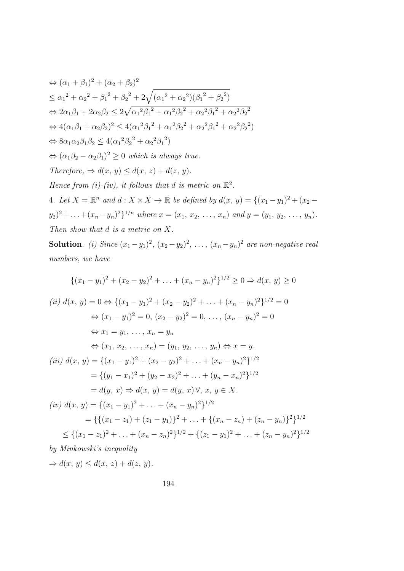$$
\Leftrightarrow (\alpha_1 + \beta_1)^2 + (\alpha_2 + \beta_2)^2
$$
  
\n
$$
\leq \alpha_1^2 + \alpha_2^2 + \beta_1^2 + \beta_2^2 + 2\sqrt{(\alpha_1^2 + \alpha_2^2)(\beta_1^2 + \beta_2^2)}
$$
  
\n
$$
\Leftrightarrow 2\alpha_1\beta_1 + 2\alpha_2\beta_2 \leq 2\sqrt{\alpha_1^2\beta_1^2 + \alpha_1^2\beta_2^2 + \alpha_2^2\beta_1^2 + \alpha_2^2\beta_2^2}
$$
  
\n
$$
\Leftrightarrow 4(\alpha_1\beta_1 + \alpha_2\beta_2)^2 \leq 4(\alpha_1^2\beta_1^2 + \alpha_1^2\beta_2^2 + \alpha_2^2\beta_1^2 + \alpha_2^2\beta_2^2)
$$
  
\n
$$
\Leftrightarrow 8\alpha_1\alpha_2\beta_1\beta_2 \leq 4(\alpha_1^2\beta_2^2 + \alpha_2^2\beta_1^2)
$$
  
\n
$$
\Leftrightarrow (\alpha_1\beta_2 - \alpha_2\beta_1)^2 \geq 0 \text{ which is always true.}
$$
  
\nTherefore,  $\Rightarrow d(x, y) \leq d(x, z) + d(z, y)$ .  
\nHence from (i)-(iv), it follows that d is metric on  $\mathbb{R}^2$ .  
\n4. Let  $X = \mathbb{R}^n$  and  $d: X \times X \to \mathbb{R}$  be defined by  $d(x, y) = \{(x_1 - y_1)^2 + (x_2 - y_2)^2 + ... + (x_n - y_n)^2\}^{1/n}$  where  $x = (x_1, x_2, ..., x_n)$  and  $y = (y_1, y_2, ..., y_n)$ .  
\nThen show that d is a metric on X.

**Solution**. (i) Since  $(x_1-y_1)^2$ ,  $(x_2-y_2)^2$ , ...,  $(x_n-y_n)^2$  are non-negative real numbers, we have

$$
\{(x_1 - y_1)^2 + (x_2 - y_2)^2 + \dots + (x_n - y_n)^2\}^{1/2} \ge 0 \Rightarrow d(x, y) \ge 0
$$
  
\n(ii)  $d(x, y) = 0 \Leftrightarrow \{(x_1 - y_1)^2 + (x_2 - y_2)^2 + \dots + (x_n - y_n)^2\}^{1/2} = 0$   
\n $\Leftrightarrow (x_1 - y_1)^2 = 0, (x_2 - y_2)^2 = 0, \dots, (x_n - y_n)^2 = 0$   
\n $\Leftrightarrow x_1 = y_1, \dots, x_n = y_n$   
\n $\Leftrightarrow (x_1, x_2, \dots, x_n) = (y_1, y_2, \dots, y_n) \Leftrightarrow x = y.$   
\n(iii)  $d(x, y) = \{(x_1 - y_1)^2 + (x_2 - y_2)^2 + \dots + (x_n - y_n)^2\}^{1/2}$   
\n $= \{(y_1 - x_1)^2 + (y_2 - x_2)^2 + \dots + (y_n - x_n)^2\}^{1/2}$   
\n $= d(y, x) \Rightarrow d(x, y) = d(y, x) \forall, x, y \in X.$   
\n(iv)  $d(x, y) = \{(x_1 - y_1)^2 + \dots + (x_n - y_n)^2\}^{1/2}$   
\n $= \{\{(x_1 - z_1) + (z_1 - y_1)\}^2 + \dots + \{(x_n - z_n) + (z_n - y_n)\}^2\}^{1/2}$   
\n $\leq \{(x_1 - z_1)^2 + \dots + (x_n - z_n)^2\}^{1/2} + \{(z_1 - y_1)^2 + \dots + (z_n - y_n)^2\}^{1/2}$   
\nby Minkowski's inequality  
\n $\Rightarrow d(x, y) \le d(x, z) + d(z, y).$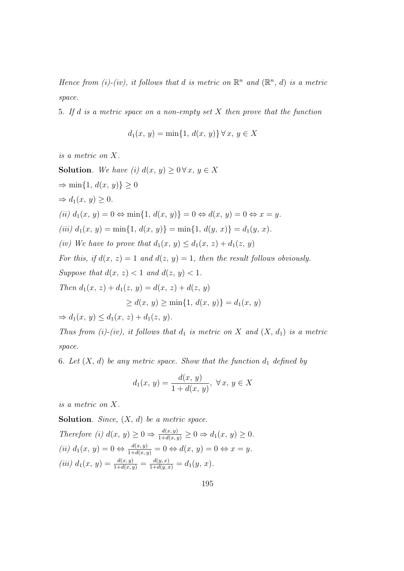Hence from (i)-(iv), it follows that d is metric on  $\mathbb{R}^n$  and  $(\mathbb{R}^n, d)$  is a metric space.

5. If d is a metric space on a non-empty set X then prove that the function

$$
d_1(x, y) = \min\{1, d(x, y)\} \,\forall x, y \in X
$$

is a metric on X.

**Solution**. We have (i)  $d(x, y) \geq 0 \forall x, y \in X$  $\Rightarrow$  min{1,  $d(x, y)$ }  $\geq 0$  $\Rightarrow d_1(x, y) > 0.$ (ii)  $d_1(x, y) = 0 \Leftrightarrow \min\{1, d(x, y)\} = 0 \Leftrightarrow d(x, y) = 0 \Leftrightarrow x = y$ . (iii)  $d_1(x, y) = \min\{1, d(x, y)\} = \min\{1, d(y, x)\} = d_1(y, x)$ . (iv) We have to prove that  $d_1(x, y) \leq d_1(x, z) + d_1(z, y)$ For this, if  $d(x, z) = 1$  and  $d(z, y) = 1$ , then the result follows obviously. Suppose that  $d(x, z) < 1$  and  $d(z, y) < 1$ . Then  $d_1(x, z) + d_1(z, y) = d(x, z) + d(z, y)$  $> d(x, y) > \min\{1, d(x, y)\} = d_1(x, y)$  $\Rightarrow d_1(x, y) \leq d_1(x, z) + d_1(z, y).$ 

Thus from (i)-(iv), it follows that  $d_1$  is metric on X and  $(X, d_1)$  is a metric space.

6. Let  $(X, d)$  be any metric space. Show that the function  $d_1$  defined by

$$
d_1(x, y) = \frac{d(x, y)}{1 + d(x, y)}, \ \forall x, y \in X
$$

is a metric on X.

**Solution.** Since,  $(X, d)$  be a metric space. Therefore (i)  $d(x, y) \geq 0 \Rightarrow \frac{d(x, y)}{1 + d(x, y)} \geq 0 \Rightarrow d_1(x, y) \geq 0.$ (ii)  $d_1(x, y) = 0 \Leftrightarrow \frac{d(x, y)}{1 + d(x, y)} = 0 \Leftrightarrow d(x, y) = 0 \Leftrightarrow x = y.$ (iii)  $d_1(x, y) = \frac{d(x, y)}{1 + d(x, y)} = \frac{d(y, x)}{1 + d(y, x)} = d_1(y, x)$ .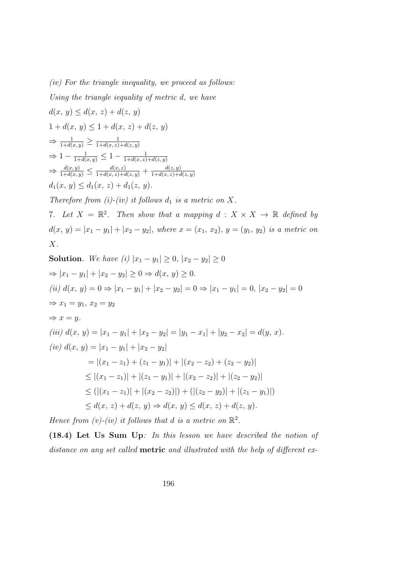$(iv)$  For the triangle inequality, we proceed as follows:

Using the triangle iequality of metric d, we have

$$
d(x, y) \le d(x, z) + d(z, y)
$$
  
\n
$$
1 + d(x, y) \le 1 + d(x, z) + d(z, y)
$$
  
\n
$$
\Rightarrow \frac{1}{1 + d(x, y)} \ge \frac{1}{1 + d(x, z) + d(z, y)}
$$
  
\n
$$
\Rightarrow 1 - \frac{1}{1 + d(x, y)} \le 1 - \frac{1}{1 + d(x, z) + d(z, y)}
$$
  
\n
$$
\Rightarrow \frac{d(x, y)}{1 + d(x, y)} \le \frac{d(x, z)}{1 + d(x, z) + d(z, y)} + \frac{d(z, y)}{1 + d(x, z) + d(z, y)}
$$
  
\n
$$
d_1(x, y) \le d_1(x, z) + d_1(z, y).
$$
  
\nTherefore from (i)-(iv) it follows  $d_1$  is a metric on X.  
\n7. Let  $X = \mathbb{R}^2$ . Then show that a mapping  $d : X \times X \to \mathbb{R}$  defined by  
\n
$$
d(x, y) = |x_1 - y_1| + |x_2 - y_2|, \text{ where } x = (x_1, x_2), y = (y_1, y_2) \text{ is a metric on } X
$$

$$
X.
$$

Solution. We have (i) 
$$
|x_1 - y_1| \ge 0
$$
,  $|x_2 - y_2| \ge 0$   
\n $\Rightarrow |x_1 - y_1| + |x_2 - y_2| \ge 0 \Rightarrow d(x, y) \ge 0$ .  
\n(ii)  $d(x, y) = 0 \Rightarrow |x_1 - y_1| + |x_2 - y_2| = 0 \Rightarrow |x_1 - y_1| = 0$ ,  $|x_2 - y_2| = 0$   
\n $\Rightarrow x_1 = y_1, x_2 = y_2$   
\n $\Rightarrow x = y$ .  
\n(iii)  $d(x, y) = |x_1 - y_1| + |x_2 - y_2| = |y_1 - x_1| + |y_2 - x_2| = d(y, x)$ .  
\n(iv)  $d(x, y) = |x_1 - y_1| + |x_2 - y_2|$   
\n $= |(x_1 - z_1) + (z_1 - y_1)| + |(x_2 - z_2) + (z_2 - y_2)|$   
\n $\le |(x_1 - z_1)| + |(z_1 - y_1)| + |(x_2 - z_2)| + |(z_2 - y_2)|$   
\n $\le (|(x_1 - z_1)| + |(x_2 - z_2)|) + (|(z_2 - y_2)| + |(z_1 - y_1)|)$   
\n $\le d(x, z) + d(z, y) \Rightarrow d(x, y) \le d(x, z) + d(z, y)$ .

Hence from (v)-(iv) it follows that d is a metric on  $\mathbb{R}^2$ .

(18.4) Let Us Sum Up: In this lesson we have described the notion of distance on any set called **metric** and illustrated with the help of different ex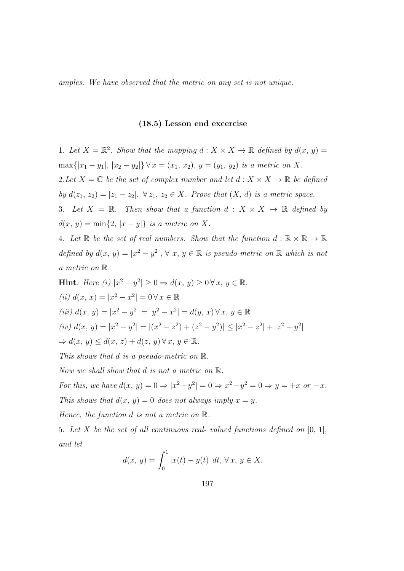amples. We have observed that the metric on any set is not unique.

#### (18.5) Lesson end excercise

1. Let  $X = \mathbb{R}^2$ . Show that the mapping  $d : X \times X \to \mathbb{R}$  defined by  $d(x, y) =$ max{|x<sub>1</sub> − y<sub>1</sub>|, |x<sub>2</sub> − y<sub>2</sub>|} ∀ x = (x<sub>1</sub>, x<sub>2</sub>), y = (y<sub>1</sub>, y<sub>2</sub>) is a metric on X. 2. Let  $X = \mathbb{C}$  be the set of complex number and let  $d : X \times X \to \mathbb{R}$  be defined by  $d(z_1, z_2) = |z_1 - z_2|, \forall z_1, z_2 \in X$ . Prove that  $(X, d)$  is a metric space. 3. Let  $X = \mathbb{R}$ . Then show that a function  $d : X \times X \to \mathbb{R}$  defined by  $d(x, y) = \min\{2, |x - y|\}$  is a metric on X. 4. Let  $\mathbb R$  be the set of real numbers. Show that the function  $d : \mathbb R \times \mathbb R \to \mathbb R$ defined by  $d(x, y) = |x^2 - y^2|, \forall x, y \in \mathbb{R}$  is pseudo-metric on  $\mathbb{R}$  which is not a metric on R. Hint: Here (i)  $|x^2 - y^2| \ge 0 \Rightarrow d(x, y) \ge 0 \forall x, y \in \mathbb{R}$ . (*ii*)  $d(x, x) = |x^2 - x^2| = 0 \forall x \in \mathbb{R}$ (iii)  $d(x, y) = |x^2 - y^2| = |y^2 - x^2| = d(y, x) \forall x, y \in \mathbb{R}$ (iv)  $d(x, y) = |x^2 - y^2| = |(x^2 - z^2) + (z^2 - y^2)| \le |x^2 - z^2| + |z^2 - y^2|$ 

 $\Rightarrow d(x, y) \leq d(x, z) + d(z, y) \forall x, y \in \mathbb{R}.$ 

This shows that d is a pseudo-metric on  $\mathbb{R}$ .

Now we shall show that d is not a metric on R.

For this, we have  $d(x, y) = 0 \Rightarrow |x^2 - y^2| = 0 \Rightarrow x^2 - y^2 = 0 \Rightarrow y = +x$  or  $-x$ . This shows that  $d(x, y) = 0$  does not always imply  $x = y$ .

Hence, the function d is not a metric on R.

5. Let X be the set of all continuous real-valued functions defined on  $[0, 1]$ , and let

$$
d(x, y) = \int_0^1 |x(t) - y(t)| dt, \,\forall x, y \in X.
$$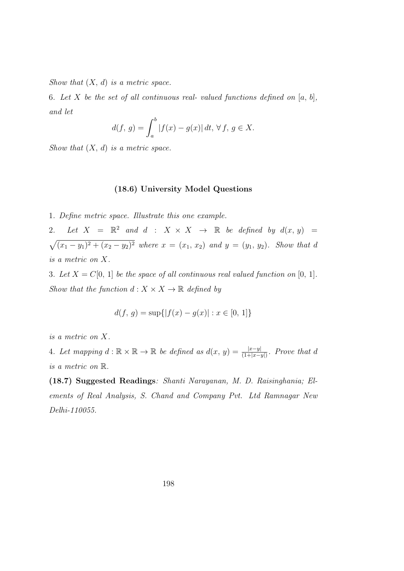Show that  $(X, d)$  is a metric space.

6. Let X be the set of all continuous real-valued functions defined on  $[a, b]$ , and let

$$
d(f, g) = \int_{a}^{b} |f(x) - g(x)| dt, \,\forall \, f, \, g \in X.
$$

Show that  $(X, d)$  is a metric space.

## (18.6) University Model Questions

1. Define metric space. Illustrate this one example.

2. Let  $X = \mathbb{R}^2$  and  $d : X \times X \to \mathbb{R}$  be defined by  $d(x, y) =$  $\sqrt{(x_1-y_1)^2+(x_2-y_2)^2}$  where  $x=(x_1, x_2)$  and  $y=(y_1, y_2)$ . Show that d is a metric on X.

3. Let  $X = C[0, 1]$  be the space of all continuous real valued function on  $[0, 1]$ . Show that the function  $d: X \times X \to \mathbb{R}$  defined by

$$
d(f, g) = \sup\{|f(x) - g(x)| : x \in [0, 1]\}
$$

is a metric on X.

4. Let mapping  $d : \mathbb{R} \times \mathbb{R} \to \mathbb{R}$  be defined as  $d(x, y) = \frac{|x-y|}{(1+|x-y|)}$ . Prove that d is a metric on R.

(18.7) Suggested Readings: Shanti Narayanan, M. D. Raisinghania; Elements of Real Analysis, S. Chand and Company Pvt. Ltd Ramnagar New Delhi-110055.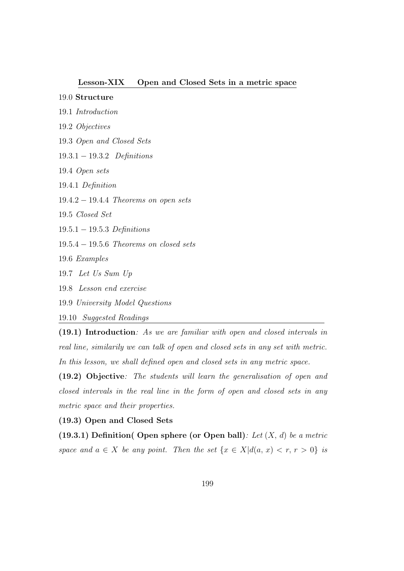#### Lesson-XIX Open and Closed Sets in a metric space

## .0 Structure

- .1 Introduction
- .2 Objectives
- .3 Open and Closed Sets
- .3.1 − 19.3.2 Definitions
- .4 Open sets
- .4.1 Definition
- .4.2 − 19.4.4 Theorems on open sets
- .5 Closed Set
- .5.1 − 19.5.3 Definitions
- .5.4 − 19.5.6 Theorems on closed sets
- .6 Examples
- .7 Let Us Sum Up
- .8 Lesson end exercise
- .9 University Model Questions
- .10 Suggested Readings

(19.1) Introduction: As we are familiar with open and closed intervals in real line, similarily we can talk of open and closed sets in any set with metric. In this lesson, we shall defined open and closed sets in any metric space.

(19.2) Objective: The students will learn the generalisation of open and closed intervals in the real line in the form of open and closed sets in any metric space and their properties.

(19.3) Open and Closed Sets

(19.3.1) Definition( Open sphere (or Open ball): Let  $(X, d)$  be a metric space and  $a \in X$  be any point. Then the set  $\{x \in X | d(a, x) < r, r > 0\}$  is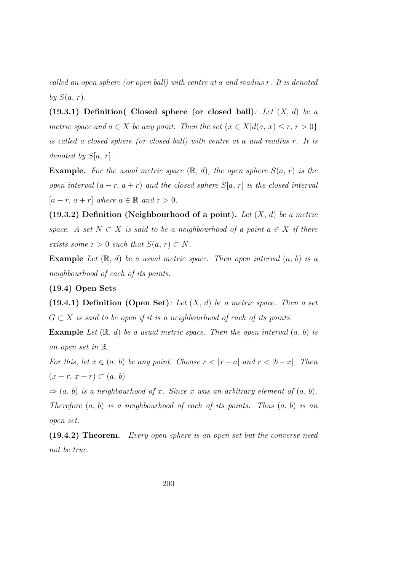called an open sphere (or open ball) with centre at a and readius r. It is denoted by  $S(a, r)$ .

(19.3.1) Definition( Closed sphere (or closed ball): Let  $(X, d)$  be a metric space and  $a \in X$  be any point. Then the set  $\{x \in X | d(a, x) \le r, r > 0\}$ is called a closed sphere (or closed ball) with centre at a and readius r. It is denoted by  $S[a, r]$ .

**Example.** For the usual metric space  $(\mathbb{R}, d)$ , the open sphere  $S(a, r)$  is the open interval  $(a - r, a + r)$  and the closed sphere  $S[a, r]$  is the closed interval  $[a - r, a + r]$  where  $a \in \mathbb{R}$  and  $r > 0$ .

(19.3.2) Definition (Neighbourhood of a point). Let  $(X, d)$  be a metric space. A set  $N \subset X$  is said to be a neighbourhood of a point  $a \in X$  if there exists some  $r > 0$  such that  $S(a, r) \subset N$ .

**Example** Let  $(\mathbb{R}, d)$  be a usual metric space. Then open interval  $(a, b)$  is a neighbourhood of each of its points.

## (19.4) Open Sets

(19.4.1) Definition (Open Set): Let  $(X, d)$  be a metric space. Then a set  $G \subset X$  is said to be open if it is a neighbourhood of each of its points.

**Example** Let  $(\mathbb{R}, d)$  be a usual metric space. Then the open interval  $(a, b)$  is an open set in R.

For this, let  $x \in (a, b)$  be any point. Choose  $r < |x - a|$  and  $r < |b - x|$ . Then  $(x - r, x + r) \subset (a, b)$ 

 $\Rightarrow$   $(a, b)$  is a neighbourhood of x. Since x was an arbitrary element of  $(a, b)$ . Therefore  $(a, b)$  is a neighbourhood of each of its points. Thus  $(a, b)$  is an open set.

(19.4.2) Theorem. Every open sphere is an open set but the converse need not be true.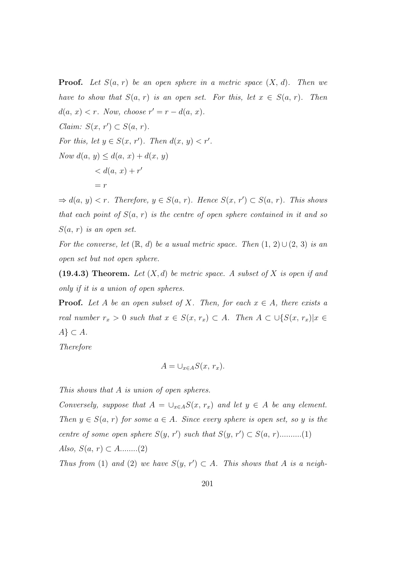**Proof.** Let  $S(a, r)$  be an open sphere in a metric space  $(X, d)$ . Then we have to show that  $S(a, r)$  is an open set. For this, let  $x \in S(a, r)$ . Then  $d(a, x) < r$ . Now, choose  $r' = r - d(a, x)$ . Claim:  $S(x, r') \subset S(a, r)$ . For this, let  $y \in S(x, r')$ . Then  $d(x, y) < r'$ . Now  $d(a, y) \leq d(a, x) + d(x, y)$  $d(a, x) + r'$  $= r$ 

 $\Rightarrow d(a, y) < r$ . Therefore,  $y \in S(a, r)$ . Hence  $S(x, r') \subset S(a, r)$ . This shows that each point of  $S(a, r)$  is the centre of open sphere contained in it and so  $S(a, r)$  is an open set.

For the converse, let  $(\mathbb{R}, d)$  be a usual metric space. Then  $(1, 2) \cup (2, 3)$  is an open set but not open sphere.

(19.4.3) Theorem. Let  $(X, d)$  be metric space. A subset of X is open if and only if it is a union of open spheres.

**Proof.** Let A be an open subset of X. Then, for each  $x \in A$ , there exists a real number  $r_x > 0$  such that  $x \in S(x, r_x) \subset A$ . Then  $A \subset \bigcup \{S(x, r_x) | x \in A\}$  $A\} \subset A$ .

Therefore

$$
A = \bigcup_{x \in A} S(x, r_x).
$$

This shows that A is union of open spheres.

Conversely, suppose that  $A = \bigcup_{x \in A} S(x, r_x)$  and let  $y \in A$  be any element. Then  $y \in S(a, r)$  for some  $a \in A$ . Since every sphere is open set, so y is the centre of some open sphere  $S(y, r')$  such that  $S(y, r') \subset S(a, r)$ ..........(1) Also,  $S(a, r) \subset A$ ........(2)

Thus from (1) and (2) we have  $S(y, r') \subset A$ . This shows that A is a neigh-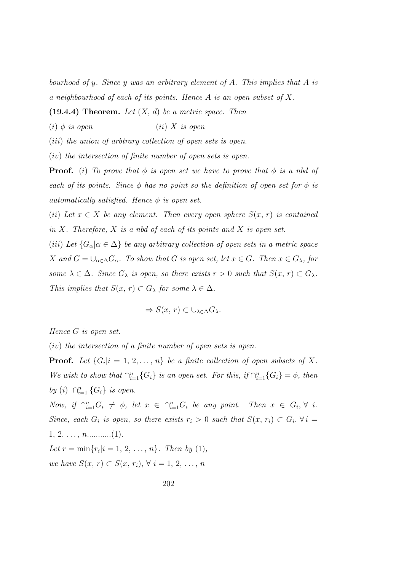bourhood of y. Since y was an arbitrary element of A. This implies that A is a neighbourhood of each of its points. Hence A is an open subset of X.

(19.4.4) Theorem. Let  $(X, d)$  be a metric space. Then

(i)  $\phi$  is open (ii) X is open

(*iii*) the union of arbtrary collection of open sets is open.

(iv) the intersection of finite number of open sets is open.

**Proof.** (i) To prove that  $\phi$  is open set we have to prove that  $\phi$  is a nbd of each of its points. Since  $\phi$  has no point so the definition of open set for  $\phi$  is automatically satisfied. Hence  $\phi$  is open set.

(ii) Let  $x \in X$  be any element. Then every open sphere  $S(x, r)$  is contained in X. Therefore, X is a nbd of each of its points and X is open set.

(iii) Let  ${G_{\alpha}|\alpha \in \Delta}$  be any arbitrary collection of open sets in a metric space X and  $G = \bigcup_{\alpha \in \Delta} G_{\alpha}$ . To show that G is open set, let  $x \in G$ . Then  $x \in G_{\lambda}$ , for some  $\lambda \in \Delta$ . Since  $G_{\lambda}$  is open, so there exists  $r > 0$  such that  $S(x, r) \subset G_{\lambda}$ . This implies that  $S(x, r) \subset G_\lambda$  for some  $\lambda \in \Delta$ .

$$
\Rightarrow S(x, r) \subset \cup_{\lambda \in \Delta} G_{\lambda}.
$$

Hence G is open set.

(iv) the intersection of a finite number of open sets is open.

**Proof.** Let  $\{G_i | i = 1, 2, ..., n\}$  be a finite collection of open subsets of X. We wish to show that  $\bigcap_{i=1}^n \{G_i\}$  is an open set. For this, if  $\bigcap_{i=1}^n \{G_i\} = \emptyset$ , then by (i)  $\bigcap_{i=1}^n \{G_i\}$  is open.

Now, if  $\bigcap_{i=1}^n G_i \neq \emptyset$ , let  $x \in \bigcap_{i=1}^n G_i$  be any point. Then  $x \in G_i$ ,  $\forall i$ . Since, each  $G_i$  is open, so there exists  $r_i > 0$  such that  $S(x, r_i) \subset G_i$ ,  $\forall i =$  $1, 2, \ldots, n \ldots (1).$ Let  $r = \min\{r_i | i = 1, 2, ..., n\}$ . Then by (1),

we have  $S(x, r) \subset S(x, r_i)$ ,  $\forall i = 1, 2, \ldots, n$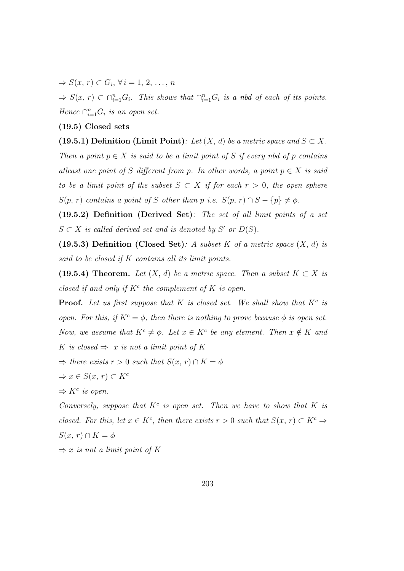$\Rightarrow S(x, r) \subset G_i, \forall i = 1, 2, \ldots, n$ 

 $\Rightarrow S(x, r) \subset \bigcap_{i=1}^n G_i$ . This shows that  $\bigcap_{i=1}^n G_i$  is a nbd of each of its points. Hence  $\bigcap_{i=1}^n G_i$  is an open set.

## (19.5) Closed sets

(19.5.1) Definition (Limit Point): Let  $(X, d)$  be a metric space and  $S \subset X$ . Then a point  $p \in X$  is said to be a limit point of S if every nbd of p contains atleast one point of S different from p. In other words, a point  $p \in X$  is said to be a limit point of the subset  $S \subset X$  if for each  $r > 0$ , the open sphere  $S(p, r)$  contains a point of S other than p i.e.  $S(p, r) \cap S - \{p\} \neq \emptyset$ .

(19.5.2) Definition (Derived Set): The set of all limit points of a set  $S \subset X$  is called derived set and is denoted by S' or  $D(S)$ .

(19.5.3) Definition (Closed Set): A subset K of a metric space  $(X, d)$  is said to be closed if K contains all its limit points.

(19.5.4) Theorem. Let  $(X, d)$  be a metric space. Then a subset  $K \subset X$  is closed if and only if  $K^c$  the complement of K is open.

**Proof.** Let us first suppose that K is closed set. We shall show that  $K^c$  is open. For this, if  $K^c = \phi$ , then there is nothing to prove because  $\phi$  is open set. Now, we assume that  $K^c \neq \phi$ . Let  $x \in K^c$  be any element. Then  $x \notin K$  and K is closed  $\Rightarrow$  x is not a limit point of K

 $\Rightarrow$  there exists  $r > 0$  such that  $S(x, r) \cap K = \phi$ 

$$
\Rightarrow x \in S(x, r) \subset K^c
$$

$$
\Rightarrow K^c \text{ is open.}
$$

Conversely, suppose that  $K^c$  is open set. Then we have to show that  $K$  is closed. For this, let  $x \in K^c$ , then there exists  $r > 0$  such that  $S(x, r) \subset K^c \Rightarrow$  $S(x, r) \cap K = \phi$ 

 $\Rightarrow$  x is not a limit point of K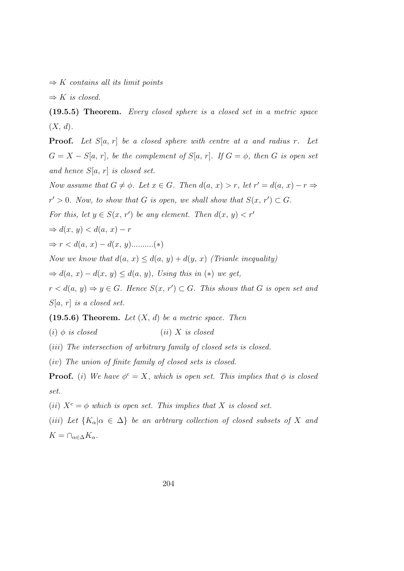$\Rightarrow$  K contains all its limit points

 $\Rightarrow K$  is closed.

(19.5.5) Theorem. Every closed sphere is a closed set in a metric space  $(X, d)$ .

**Proof.** Let  $S[a, r]$  be a closed sphere with centre at a and radius r. Let  $G = X - S[a, r]$ , be the complement of  $S[a, r]$ . If  $G = \phi$ , then G is open set and hence  $S[a, r]$  is closed set.

Now assume that  $G \neq \phi$ . Let  $x \in G$ . Then  $d(a, x) > r$ , let  $r' = d(a, x) - r \Rightarrow$  $r' > 0$ . Now, to show that G is open, we shall show that  $S(x, r') \subset G$ . For this, let  $y \in S(x, r')$  be any element. Then  $d(x, y) < r'$  $\Rightarrow d(x, y) < d(a, x) - r$  $\Rightarrow r < d(a, x) - d(x, y)$ ...........(\*) Now we know that  $d(a, x) \leq d(a, y) + d(y, x)$  (Trianle inequality)

 $\Rightarrow d(a, x) - d(x, y) \leq d(a, y)$ , Using this in (\*) we get,

 $r < d(a, y) \Rightarrow y \in G$ . Hence  $S(x, r') \subset G$ . This shows that G is open set and  $S[a, r]$  is a closed set.

#### $(19.5.6)$  Theorem. Let  $(X, d)$  be a metric space. Then

(i)  $\phi$  is closed (ii) X is closed

(iii) The intersection of arbitrary family of closed sets is closed.

(iv) The union of finite family of closed sets is closed.

**Proof.** (i) We have  $\phi^c = X$ , which is open set. This implies that  $\phi$  is closed set.

(ii)  $X^c = \phi$  which is open set. This implies that X is closed set.

(iii) Let  ${K_{\alpha}|\alpha \in \Delta}$  be an arbtrary collection of closed subsets of X and  $K = \bigcap_{\alpha \in \Delta} K_{\alpha}.$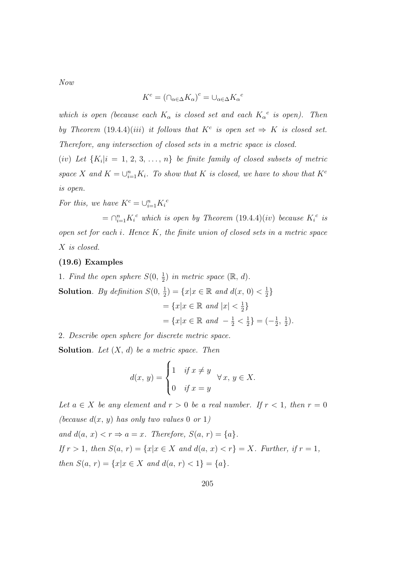Now

$$
K^c = (\cap_{\alpha \in \Delta} K_\alpha)^c = \cup_{\alpha \in \Delta} K_\alpha{}^c
$$

which is open (because each  $K_{\alpha}$  is closed set and each  $K_{\alpha}^{c}$  is open). Then by Theorem  $(19.4.4)(iii)$  it follows that  $K^c$  is open set  $\Rightarrow K$  is closed set. Therefore, any intersection of closed sets in a metric space is closed.

(iv) Let  $\{K_i | i = 1, 2, 3, \ldots, n\}$  be finite family of closed subsets of metric space X and  $K = \bigcup_{i=1}^{n} K_i$ . To show that K is closed, we have to show that  $K^c$ is open.

For this, we have  $K^c = \bigcup_{i=1}^n K_i^c$ 

 $= \bigcap_{i=1}^n K_i^c$  which is open by Theorem  $(19.4.4)(iv)$  because  $K_i^c$  is open set for each i. Hence K, the finite union of closed sets in a metric space X is closed.

### (19.6) Examples

1. Find the open sphere  $S(0, \frac{1}{2})$  $(\frac{1}{2})$  in metric space  $(\mathbb{R}, d)$ . **Solution**. By definition  $S(0, \frac{1}{2})$  $(\frac{1}{2}) = \{x | x \in \mathbb{R} \text{ and } d(x, 0) < \frac{1}{2}\}$  $rac{1}{2}$  $=\{x|x\in\mathbb{R} \text{ and } |x|<\frac{1}{2}\}$  $\frac{1}{2}$  $=\{x|x \in \mathbb{R} \text{ and } -\frac{1}{2} < \frac{1}{2}\}$  $\frac{1}{2}$ } =  $\left(-\frac{1}{2}\right)$  $\frac{1}{2}, \frac{1}{2}$  $(\frac{1}{2})$ .

2. Describe open sphere for discrete metric space.

**Solution**. Let  $(X, d)$  be a metric space. Then

$$
d(x, y) = \begin{cases} 1 & \text{if } x \neq y \\ 0 & \text{if } x = y \end{cases} \forall x, y \in X.
$$

Let  $a \in X$  be any element and  $r > 0$  be a real number. If  $r < 1$ , then  $r = 0$ (because  $d(x, y)$  has only two values 0 or 1) and  $d(a, x) < r \Rightarrow a = x$ . Therefore,  $S(a, r) = \{a\}.$ If  $r > 1$ , then  $S(a, r) = \{x | x \in X \text{ and } d(a, x) < r\} = X$ . Further, if  $r = 1$ , then  $S(a, r) = \{x | x \in X \text{ and } d(a, r) < 1\} = \{a\}.$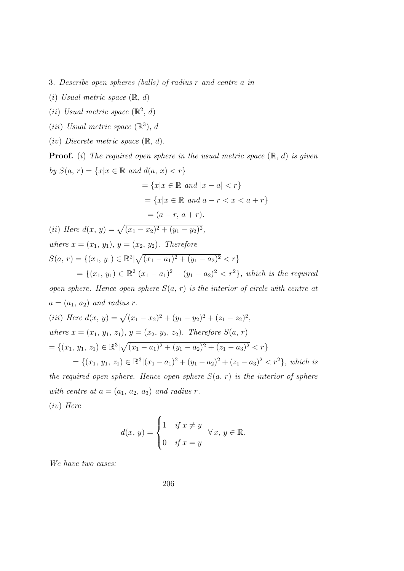3. Describe open spheres (balls) of radius r and centre a in

- (i) Usual metric space  $(\mathbb{R}, d)$
- (ii) Usual metric space  $(\mathbb{R}^2, d)$
- (*iii*) Usual metric space  $(\mathbb{R}^3)$ , d
- (iv) Discrete metric space  $(\mathbb{R}, d)$ .

**Proof.** (i) The required open sphere in the usual metric space  $(\mathbb{R}, d)$  is given by  $S(a, r) = \{x | x \in \mathbb{R} \text{ and } d(a, x) < r\}$  $=\{x|x\in\mathbb{R} \text{ and } |x-a| < r\}$  $=\{x|x\in\mathbb{R} \text{ and } a-r < x < a+r\}$  $=(a - r, a + r).$ (*ii*) Here  $d(x, y) = \sqrt{(x_1 - x_2)^2 + (y_1 - y_2)^2}$ , where  $x = (x_1, y_1), y = (x_2, y_2)$ . Therefore  $S(a, r) = \{(x_1, y_1) \in \mathbb{R}^2 | \sqrt{(x_1 - a_1)^2 + (y_1 - a_2)^2} < r\}$  $=\{(x_1, y_1) \in \mathbb{R}^2 | (x_1 - a_1)^2 + (y_1 - a_2)^2 < r^2\},\,$  which is the required open sphere. Hence open sphere  $S(a, r)$  is the interior of circle with centre at  $a = (a_1, a_2)$  and radius r.

(iii) Here 
$$
d(x, y) = \sqrt{(x_1 - x_2)^2 + (y_1 - y_2)^2 + (z_1 - z_2)^2}
$$
,  
\nwhere  $x = (x_1, y_1, z_1), y = (x_2, y_2, z_2)$ . Therefore  $S(a, r)$   
\n $= \{(x_1, y_1, z_1) \in \mathbb{R}^3 | \sqrt{(x_1 - a_1)^2 + (y_1 - a_2)^2 + (z_1 - a_3)^2} < r \}$   
\n $= \{(x_1, y_1, z_1) \in \mathbb{R}^3 | (x_1 - a_1)^2 + (y_1 - a_2)^2 + (z_1 - a_3)^2 < r^2 \}$ , which is  
\nthe required open sphere. Hence open sphere  $S(a, r)$  is the interior of sphere  
\nwith centre at  $a = (a_1, a_2, a_3)$  and radius r.

(iv) Here

$$
d(x, y) = \begin{cases} 1 & \text{if } x \neq y \\ 0 & \text{if } x = y \end{cases} \forall x, y \in \mathbb{R}.
$$

We have two cases: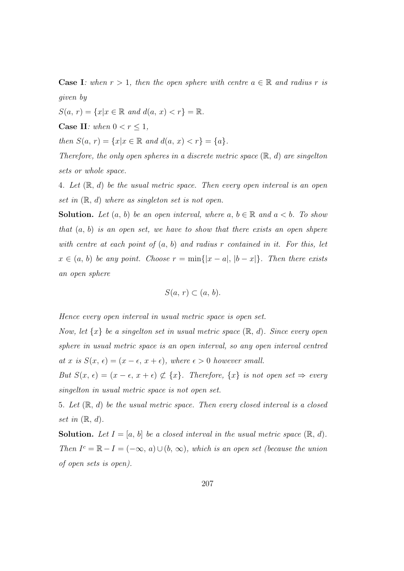**Case I:** when  $r > 1$ , then the open sphere with centre  $a \in \mathbb{R}$  and radius r is given by

 $S(a, r) = \{x | x \in \mathbb{R} \text{ and } d(a, x) < r\} = \mathbb{R}.$ 

Case II: when  $0 < r \leq 1$ ,

then  $S(a, r) = \{x | x \in \mathbb{R} \text{ and } d(a, x) < r\} = \{a\}.$ 

Therefore, the only open spheres in a discrete metric space  $(\mathbb{R}, d)$  are singelton sets or whole space.

4. Let  $(\mathbb{R}, d)$  be the usual metric space. Then every open interval is an open set in  $(\mathbb{R}, d)$  where as singleton set is not open.

**Solution.** Let  $(a, b)$  be an open interval, where  $a, b \in \mathbb{R}$  and  $a < b$ . To show that  $(a, b)$  is an open set, we have to show that there exists an open shpere with centre at each point of  $(a, b)$  and radius r contained in it. For this, let  $x \in (a, b)$  be any point. Choose  $r = \min\{|x - a|, |b - x|\}$ . Then there exists an open sphere

$$
S(a, r) \subset (a, b).
$$

Hence every open interval in usual metric space is open set.

Now, let  $\{x\}$  be a singelton set in usual metric space  $(\mathbb{R}, d)$ . Since every open sphere in usual metric space is an open interval, so any open interval centred at x is  $S(x, \epsilon) = (x - \epsilon, x + \epsilon)$ , where  $\epsilon > 0$  however small.

But  $S(x, \epsilon) = (x - \epsilon, x + \epsilon) \not\subset \{x\}$ . Therefore,  $\{x\}$  is not open set  $\Rightarrow$  every singelton in usual metric space is not open set.

5. Let  $(\mathbb{R}, d)$  be the usual metric space. Then every closed interval is a closed set in  $(\mathbb{R}, d)$ .

**Solution.** Let  $I = [a, b]$  be a closed interval in the usual metric space  $(\mathbb{R}, d)$ . Then  $I^c = \mathbb{R} - I = (-\infty, a) \cup (b, \infty)$ , which is an open set (because the union of open sets is open).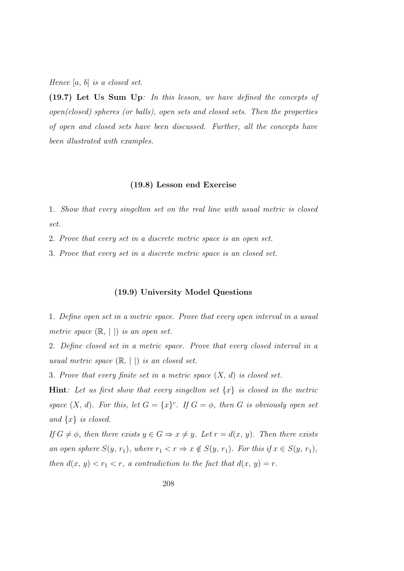Hence  $[a, b]$  is a closed set.

(19.7) Let Us Sum Up: In this lesson, we have defined the concepts of open(closed) spheres (or balls), open sets and closed sets. Then the properties of open and closed sets have been discussed. Further, all the concepts have been illustrated with examples.

#### (19.8) Lesson end Exercise

1. Show that every singelton set on the real line with usual metric is closed set.

2. Prove that every set in a discrete metric space is an open set.

3. Prove that every set in a discrete metric space is an closed set.

## (19.9) University Model Questions

1. Define open set in a metric space. Prove that every open interval in a usual metric space  $(\mathbb{R}, | \cdot |)$  is an open set.

2. Define closed set in a metric space. Prove that every closed interval in a usual metric space  $(\mathbb{R}, ||)$  is an closed set.

3. Prove that every finite set in a metric space  $(X, d)$  is closed set.

**Hint**: Let us first show that every singelton set  $\{x\}$  is closed in the metric space  $(X, d)$ . For this, let  $G = \{x\}^c$ . If  $G = \phi$ , then G is obviously open set and  $\{x\}$  is closed.

If  $G \neq \phi$ , then there exists  $y \in G \Rightarrow x \neq y$ . Let  $r = d(x, y)$ . Then there exists an open sphere  $S(y, r_1)$ , where  $r_1 < r \Rightarrow x \notin S(y, r_1)$ . For this if  $x \in S(y, r_1)$ , then  $d(x, y) < r_1 < r$ , a contradiction to the fact that  $d(x, y) = r$ .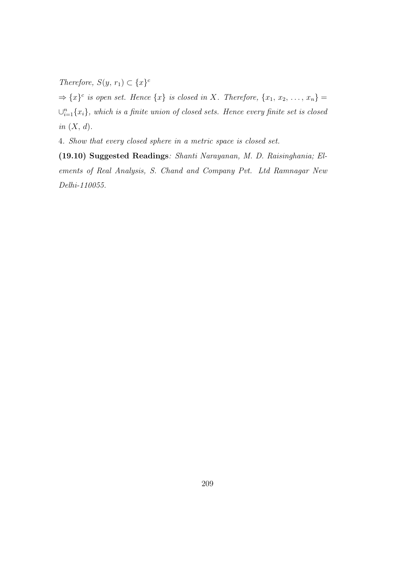Therefore,  $S(y, r_1) \subset \{x\}^c$ 

 $\Rightarrow$  { $x$ }<sup>c</sup> is open set. Hence { $x$ } is closed in X. Therefore, { $x_1, x_2, ..., x_n$ } =  $\cup_{i=1}^n \{x_i\}$ , which is a finite union of closed sets. Hence every finite set is closed in  $(X, d)$ .

4. Show that every closed sphere in a metric space is closed set.

(19.10) Suggested Readings: Shanti Narayanan, M. D. Raisinghania; Elements of Real Analysis, S. Chand and Company Pvt. Ltd Ramnagar New Delhi-110055.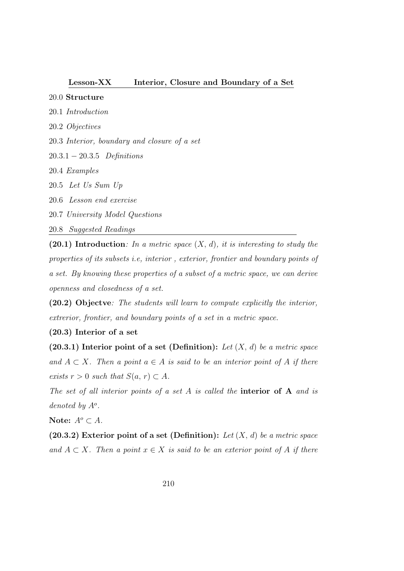## Lesson-XX Interior, Closure and Boundary of a Set

# 20.0 Structure

- 20.1 Introduction
- 20.2 Objectives
- 20.3 Interior, boundary and closure of a set
- 20.3.1 − 20.3.5 Definitions
- 20.4 Examples
- 20.5 Let Us Sum Up
- 20.6 Lesson end exercise
- 20.7 University Model Questions
- 20.8 Suggested Readings

(20.1) Introduction: In a metric space  $(X, d)$ , it is interesting to study the properties of its subsets i.e, interior , exterior, frontier and boundary points of a set. By knowing these properties of a subset of a metric space, we can derive openness and closedness of a set.

(20.2) Objectve: The students will learn to compute explicitly the interior, extrerior, frontier, and boundary points of a set in a metric space.

# (20.3) Interior of a set

(20.3.1) Interior point of a set (Definition): Let  $(X, d)$  be a metric space and  $A \subset X$ . Then a point  $a \in A$  is said to be an interior point of A if there exists  $r > 0$  such that  $S(a, r) \subset A$ .

The set of all interior points of a set  $A$  is called the **interior of A** and is denoted by  $A^o$ .

Note:  $A^o \subset A$ .

(20.3.2) Exterior point of a set (Definition): Let  $(X, d)$  be a metric space and  $A \subset X$ . Then a point  $x \in X$  is said to be an exterior point of A if there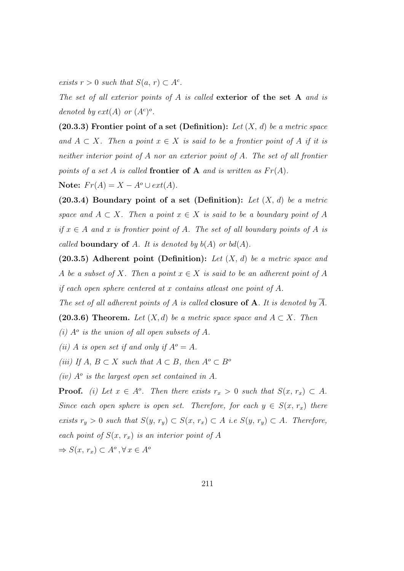exists  $r > 0$  such that  $S(a, r) \subset A^c$ .

The set of all exterior points of A is called exterior of the set A and is denoted by  $ext(A)$  or  $(A<sup>c</sup>)<sup>o</sup>$ .

(20.3.3) Frontier point of a set (Definition): Let  $(X, d)$  be a metric space and  $A \subset X$ . Then a point  $x \in X$  is said to be a frontier point of A if it is neither interior point of A nor an exterior point of A. The set of all frontier points of a set A is called frontier of A and is written as  $Fr(A)$ .

Note:  $Fr(A) = X - A^{\circ} \cup ext(A)$ .

(20.3.4) Boundary point of a set (Definition): Let  $(X, d)$  be a metric space and  $A \subset X$ . Then a point  $x \in X$  is said to be a boundary point of A if  $x \in A$  and x is frontier point of A. The set of all boundary points of A is called **boundary of** A. It is denoted by  $b(A)$  or  $bd(A)$ .

(20.3.5) Adherent point (Definition): Let  $(X, d)$  be a metric space and A be a subset of X. Then a point  $x \in X$  is said to be an adherent point of A if each open sphere centered at x contains atleast one point of A.

The set of all adherent points of A is called **closure of A**. It is denoted by  $\overline{A}$ .

(20.3.6) Theorem. Let  $(X, d)$  be a metric space space and  $A \subset X$ . Then

(i)  $A^o$  is the union of all open subsets of A.

(ii) A is open set if and only if  $A^o = A$ .

(iii) If  $A, B \subset X$  such that  $A \subset B$ , then  $A^o \subset B^o$ 

(iv)  $A^o$  is the largest open set contained in A.

**Proof.** (i) Let  $x \in A^o$ . Then there exists  $r_x > 0$  such that  $S(x, r_x) \subset A$ . Since each open sphere is open set. Therefore, for each  $y \in S(x, r_x)$  there exists  $r_y > 0$  such that  $S(y, r_y) \subset S(x, r_x) \subset A$  i.e  $S(y, r_y) \subset A$ . Therefore, each point of  $S(x, r_x)$  is an interior point of A  $\Rightarrow S(x, r_x) \subset A^o, \forall x \in A^o$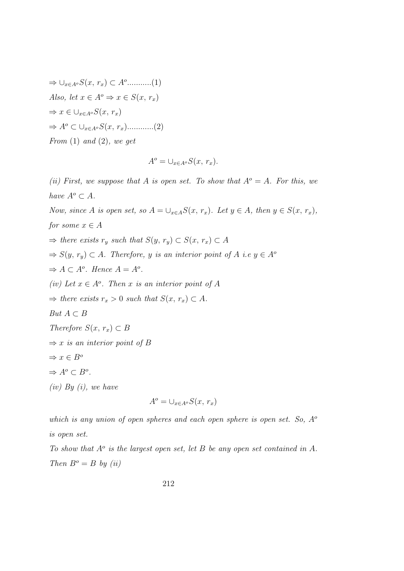$$
\Rightarrow \cup_{x \in A^o} S(x, r_x) \subset A^o \dots \dots \dots (1)
$$
  
Also, let  $x \in A^o \Rightarrow x \in S(x, r_x)$   

$$
\Rightarrow x \in \cup_{x \in A^o} S(x, r_x)
$$
  

$$
\Rightarrow A^o \subset \cup_{x \in A^o} S(x, r_x) \dots \dots \dots (2)
$$
  
From (1) and (2), we get

$$
A^o = \bigcup_{x \in A^o} S(x, r_x).
$$

(ii) First, we suppose that A is open set. To show that  $A^{\circ} = A$ . For this, we have  $A^o \subset A$ . Now, since A is open set, so  $A = \bigcup_{x \in A} S(x, r_x)$ . Let  $y \in A$ , then  $y \in S(x, r_x)$ , for some  $x \in A$  $\Rightarrow$  there exists  $r_y$  such that  $S(y, r_y) \subset S(x, r_x) \subset A$  $\Rightarrow S(y, r_y) \subset A$ . Therefore, y is an interior point of A i.e  $y \in A^{\circ}$  $\Rightarrow A \subset A^o$ . Hence  $A = A^o$ . (iv) Let  $x \in A^o$ . Then x is an interior point of A  $\Rightarrow$  there exists  $r_x > 0$  such that  $S(x, r_x) \subset A$ . But  $A \subset B$ Therefore  $S(x, r_x) \subset B$  $\Rightarrow$  x is an interior point of B  $\Rightarrow x \in B^o$  $\Rightarrow A^o \subset B^o$ .  $(iv)$  By  $(i)$ , we have  $A^o = \bigcup_{x \in A^o} S(x, r_x)$ 

which is any union of open spheres and each open sphere is open set. So, 
$$
A^{\circ}
$$
 is open set.

To show that  $A^o$  is the largest open set, let B be any open set contained in A. Then  $B^o = B$  by (ii)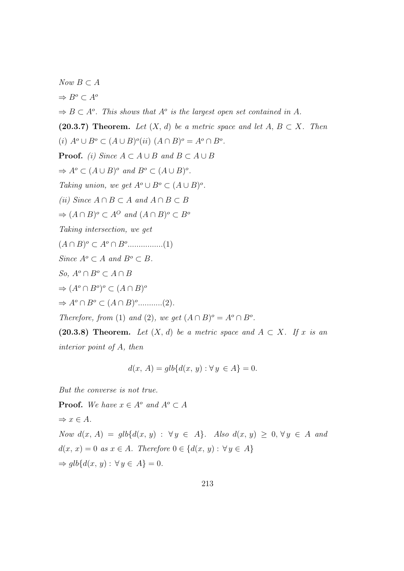$Now B ⊂ A$  $\Rightarrow B^o \subset A^o$  $\Rightarrow B \subset A^o$ . This shows that  $A^o$  is the largest open set contained in A. (20.3.7) Theorem. Let  $(X, d)$  be a metric space and let  $A, B \subset X$ . Then (i)  $A^o \cup B^o \subset (A \cup B)^o(ii)$   $(A \cap B)^o = A^o \cap B^o$ . **Proof.** (i) Since  $A \subset A \cup B$  and  $B \subset A \cup B$  $\Rightarrow A^o \subset (A \cup B)^o$  and  $B^o \subset (A \cup B)^o$ . Taking union, we get  $A^o \cup B^o \subset (A \cup B)^o$ . (ii) Since  $A \cap B \subset A$  and  $A \cap B \subset B$  $\Rightarrow (A \cap B)^o \subset A^O$  and  $(A \cap B)^o \subset B^o$ Taking intersection, we get  $(A \cap B)^{o} \subset A^{o} \cap B^{o}$ ................(1) Since  $A^o \subset A$  and  $B^o \subset B$ . So,  $A^o \cap B^o \subset A \cap B$  $\Rightarrow (A^o \cap B^o)^o \subset (A \cap B)^o$  $\Rightarrow A^o \cap B^o \subset (A \cap B)^o$ ...........(2). Therefore, from (1) and (2), we get  $(A \cap B)^{\circ} = A^{\circ} \cap B^{\circ}$ . (20.3.8) Theorem. Let  $(X, d)$  be a metric space and  $A \subset X$ . If x is an

interior point of A, then

$$
d(x, A) = glb\{d(x, y) : \forall y \in A\} = 0.
$$

But the converse is not true.

**Proof.** We have  $x \in A^{\circ}$  and  $A^{\circ} \subset A$  $\Rightarrow x \in A$ . Now  $d(x, A) = q l b \{ d(x, y) : \forall y \in A \}$ . Also  $d(x, y) > 0, \forall y \in A$  and  $d(x, x) = 0$  as  $x \in A$ . Therefore  $0 \in \{d(x, y) : \forall y \in A\}$  $\Rightarrow$  qlb{d(x, y) :  $\forall y \in A$ } = 0.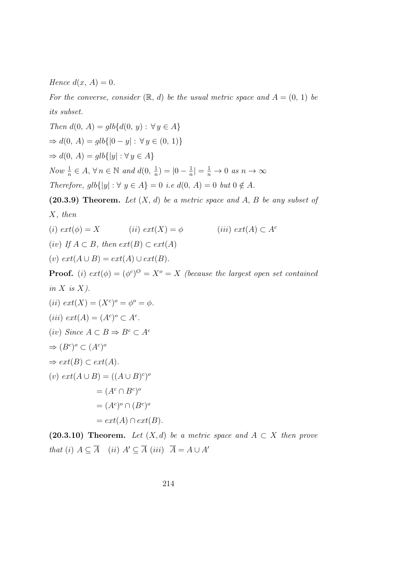Hence  $d(x, A) = 0$ .

For the converse, consider  $(\mathbb{R}, d)$  be the usual metric space and  $A = (0, 1)$  be its subset.

Then 
$$
d(0, A) = glb\{d(0, y) : \forall y \in A\}
$$
\n $\Rightarrow d(0, A) = glb\{|0 - y| : \forall y \in (0, 1)\}$ \n $\Rightarrow d(0, A) = glb\{|y| : \forall y \in A\}$ \n\nNow  $\frac{1}{n} \in A$ ,  $\forall n \in \mathbb{N}$  and  $d(0, \frac{1}{n}) = |0 - \frac{1}{n}| = \frac{1}{n} \to 0$  as  $n \to \infty$ \n\nTherefore,  $glb\{|y| : \forall y \in A\} = 0$  i.e  $d(0, A) = 0$  but  $0 \notin A$ .

(20.3.9) Theorem. Let  $(X, d)$  be a metric space and A, B be any subset of X, then

$$
(i) \; ext(\phi) = X \qquad \qquad (ii) \; ext(X) = \phi \qquad \qquad (iii) \; ext(A) \subset A^c
$$

(iv) If  $A \subset B$ , then  $ext(B) \subset ext(A)$ 

(v)  $ext(A \cup B) = ext(A) \cup ext(B)$ .

**Proof.** (i)  $ext(\phi) = (\phi^c)^O = X^o = X$  (because the largest open set contained in  $X$  is  $X$ ).

(ii) 
$$
ext(X) = (X^c)^o = \phi^o = \phi
$$
.  
\n(iii)  $ext(A) = (A^c)^o \subset A^c$ .  
\n(iv) Since  $A \subset B \Rightarrow B^c \subset A^c$   
\n $\Rightarrow (B^c)^o \subset (A^c)^o$   
\n $\Rightarrow ext(B) \subset ext(A)$ .  
\n(v)  $ext(A \cup B) = ((A \cup B)^c)^o$   
\n $= (A^c \cap B^c)^o$   
\n $= ext(A) \cap ext(B)$ .

(20.3.10) Theorem. Let  $(X,d)$  be a metric space and  $A \subset X$  then prove that (i)  $A \subseteq \overline{A}$  (ii)  $A' \subseteq \overline{A}$  (iii)  $\overline{A} = A \cup A'$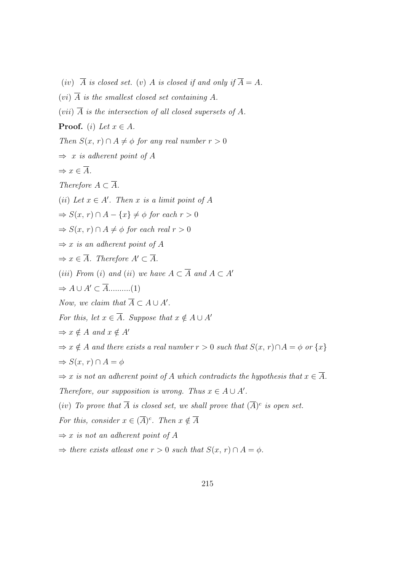- (iv)  $\overline{A}$  is closed set. (v) A is closed if and only if  $\overline{A} = A$ .
- $(vi)$   $\overline{A}$  is the smallest closed set containing A.
- (vii)  $\overline{A}$  is the intersection of all closed supersets of A.

**Proof.** (i) Let  $x \in A$ .

Then  $S(x, r) \cap A \neq \phi$  for any real number  $r > 0$ 

 $\Rightarrow$  x is adherent point of A

$$
\Rightarrow x \in \overline{A}.
$$

Therefore  $A \subset \overline{A}$ .

(ii) Let  $x \in A'$ . Then x is a limit point of A

$$
\Rightarrow S(x, r) \cap A - \{x\} \neq \phi \text{ for each } r > 0
$$

 $\Rightarrow S(x, r) \cap A \neq \emptyset$  for each real  $r > 0$ 

- $\Rightarrow$  x is an adherent point of A
- $\Rightarrow x \in \overline{A}$ . Therefore  $A' \subset \overline{A}$ .
- (iii) From (i) and (ii) we have  $A \subset \overline{A}$  and  $A \subset A'$
- $\Rightarrow A \cup A' \subset \overline{A}$ ...........(1)
- Now, we claim that  $\overline{A} \subset A \cup A'$ .
- For this, let  $x \in \overline{A}$ . Suppose that  $x \notin A \cup A'$

$$
\Rightarrow x \notin A \text{ and } x \notin A'
$$

 $\Rightarrow x \notin A$  and there exists a real number  $r > 0$  such that  $S(x, r) \cap A = \phi$  or  $\{x\}$  $\Rightarrow S(x, r) \cap A = \phi$ 

- $\Rightarrow$  x is not an adherent point of A which contradicts the hypothesis that  $x \in \overline{A}$ .
- Therefore, our supposition is wrong. Thus  $x \in A \cup A'$ .
- (iv) To prove that  $\overline{A}$  is closed set, we shall prove that  $(\overline{A})^c$  is open set.

For this, consider  $x \in (\overline{A})^c$ . Then  $x \notin \overline{A}$ 

- $\Rightarrow$  x is not an adherent point of A
- $\Rightarrow$  there exists at least one  $r > 0$  such that  $S(x, r) \cap A = \phi$ .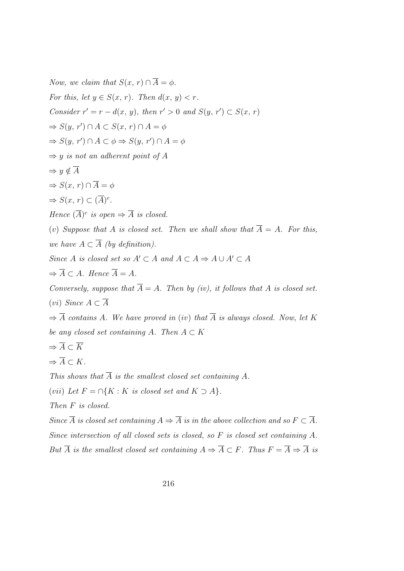Now, we claim that  $S(x, r) \cap \overline{A} = \phi$ . For this, let  $y \in S(x, r)$ . Then  $d(x, y) < r$ . Consider  $r' = r - d(x, y)$ , then  $r' > 0$  and  $S(y, r') \subset S(x, r)$  $\Rightarrow S(y, r') \cap A \subset S(x, r) \cap A = \phi$  $\Rightarrow S(y, r') \cap A \subset \phi \Rightarrow S(y, r') \cap A = \phi$  $\Rightarrow$  y is not an adherent point of A  $\Rightarrow y \notin \overline{A}$  $\Rightarrow S(x, r) \cap \overline{A} = \phi$  $\Rightarrow S(x, r) \subset (\overline{A})^c$ . Hence  $(\overline{A})^c$  is open  $\Rightarrow \overline{A}$  is closed. (v) Suppose that A is closed set. Then we shall show that  $\overline{A} = A$ . For this, we have  $A \subset \overline{A}$  (by definition). Since A is closed set so  $A' \subset A$  and  $A \subset A \Rightarrow A \cup A' \subset A$  $\Rightarrow \overline{A} \subset A$ . Hence  $\overline{A} = A$ . Conversely, suppose that  $\overline{A} = A$ . Then by (iv), it follows that A is closed set. (vi) Since  $A \subset \overline{A}$  $\Rightarrow$   $\overline{A}$  contains A. We have proved in (iv) that  $\overline{A}$  is always closed. Now, let K be any closed set containing A. Then  $A \subset K$  $\Rightarrow \overline{A} \subset \overline{K}$  $\Rightarrow \overline{A} \subset K.$ This shows that  $\overline{A}$  is the smallest closed set containing A. (vii) Let  $F = \bigcap \{K : K \text{ is closed set and } K \supseteq A\}.$ Then F is closed.

Since  $\overline{A}$  is closed set containing  $A \Rightarrow \overline{A}$  is in the above collection and so  $F \subset \overline{A}$ . Since intersection of all closed sets is closed, so F is closed set containing A. But  $\overline{A}$  is the smallest closed set containing  $A \Rightarrow \overline{A} \subset F$ . Thus  $F = \overline{A} \Rightarrow \overline{A}$  is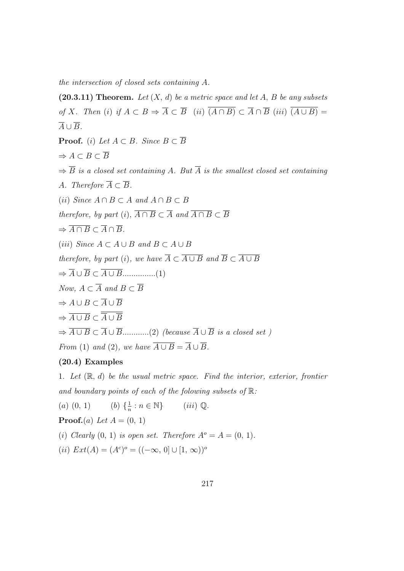the intersection of closed sets containing A.

(20.3.11) Theorem. Let  $(X, d)$  be a metric space and let A, B be any subsets of X. Then (i) if  $A \subset B \Rightarrow \overline{A} \subset \overline{B}$  (ii)  $\overline{(A \cap B)} \subset \overline{A} \cap \overline{B}$  (iii)  $\overline{(A \cup B)} =$  $\overline{A} \cup \overline{B}$ . **Proof.** (i) Let  $A \subset B$ . Since  $B \subset \overline{B}$  $\Rightarrow A \subset B \subset \overline{B}$  $\Rightarrow$   $\overline{B}$  is a closed set containing A. But  $\overline{A}$  is the smallest closed set containing A. Therefore  $\overline{A} \subset \overline{B}$ . (ii) Since  $A \cap B \subset A$  and  $A \cap B \subset B$ therefore, by part (i),  $\overline{A \cap B} \subset \overline{A}$  and  $\overline{A \cap B} \subset \overline{B}$  $\Rightarrow \overline{A \cap B} \subset \overline{A} \cap \overline{B}.$ (iii) Since  $A \subset A \cup B$  and  $B \subset A \cup B$ therefore, by part (i), we have  $\overline{A} \subset \overline{A \cup B}$  and  $\overline{B} \subset \overline{A \cup B}$ ⇒ A ∪ B ⊂ A ∪ B...............(1) Now,  $A \subset \overline{A}$  and  $B \subset \overline{B}$  $\Rightarrow A \cup B \subset \overline{A} \cup \overline{B}$  $\Rightarrow \overline{A \cup B} \subset \overline{\overline{A} \cup \overline{B}}$  $\Rightarrow \overline{A \cup B} \subset \overline{A} \cup \overline{B}$ .............(2) (because  $\overline{A} \cup \overline{B}$  is a closed set) From (1) and (2), we have  $\overline{A \cup B} = \overline{A} \cup \overline{B}$ .

# (20.4) Examples

1. Let  $(\mathbb{R}, d)$  be the usual metric space. Find the interior, exterior, frontier and boundary points of each of the folowing subsets of  $\mathbb{R}$ :

 $(a)$   $(0, 1)$ 1  $\frac{1}{n} : n \in \mathbb{N}$  (iii)  $\mathbb{Q}$ .

**Proof.** $(a)$  Let  $A = (0, 1)$ 

(i) Clearly  $(0, 1)$  is open set. Therefore  $A^{\circ} = A = (0, 1)$ .

(*ii*)  $Ext(A) = (A^c)^o = ((-\infty, 0] \cup [1, \infty))^o$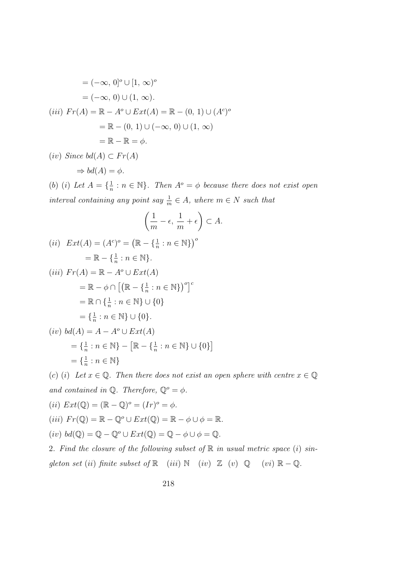$$
= (-\infty, 0]^o \cup [1, \infty)^o
$$

$$
= (-\infty, 0) \cup (1, \infty).
$$
  
(iii) 
$$
Fr(A) = \mathbb{R} - A^o \cup Ext(A) = \mathbb{R} - (0, 1) \cup (A^c)^o
$$

$$
= \mathbb{R} - (0, 1) \cup (-\infty, 0) \cup (1, \infty)
$$

$$
= \mathbb{R} - \mathbb{R} = \phi.
$$

(iv) Since  $bd(A) \subset Fr(A)$ 

$$
\Rightarrow bd(A) = \phi.
$$

(b) (i) Let  $A = \{\frac{1}{n}\}$  $\frac{1}{n}$ :  $n \in \mathbb{N}$ . Then  $A^o = \phi$  because there does not exist open interval containing any point say  $\frac{1}{m} \in A$ , where  $m \in N$  such that

$$
\left(\frac{1}{m}-\epsilon,\,\frac{1}{m}+\epsilon\right)\subset A.
$$

$$
(ii) \quad Ext(A) = (A^c)^o = (\mathbb{R} - \{\frac{1}{n} : n \in \mathbb{N}\})^o
$$

$$
= \mathbb{R} - \{\frac{1}{n} : n \in \mathbb{N}\}.
$$

$$
(iii) \quad Fr(A) = \mathbb{R} - A^o \cup Ext(A)
$$

$$
= \mathbb{R} - \phi \cap \left[ (\mathbb{R} - \{\frac{1}{n} : n \in \mathbb{N}\})^o \right]^c
$$

$$
= \mathbb{R} \cap \{\frac{1}{n} : n \in \mathbb{N}\} \cup \{0\}
$$

$$
= \{\frac{1}{n} : n \in \mathbb{N}\} \cup \{0\}.
$$

$$
(iv) \quad bd(A) = A - A^o \cup Ext(A)
$$

$$
= \left\{ \frac{1}{n} : n \in \mathbb{N} \right\} - \left[ \mathbb{R} - \left\{ \frac{1}{n} : n \in \mathbb{N} \right\} \cup \{0\} \right]
$$
  
=  $\left\{ \frac{1}{n} : n \in \mathbb{N} \right\}$ 

(c) (i) Let  $x \in \mathbb{Q}$ . Then there does not exist an open sphere with centre  $x \in \mathbb{Q}$ and contained in  $\mathbb{Q}$ . Therefore,  $\mathbb{Q}^o = \phi$ . (ii)  $Ext(\mathbb{Q}) = (\mathbb{R} - \mathbb{Q})^{\circ} = (Ir)^{\circ} = \phi.$ (iii)  $Fr(\mathbb{Q}) = \mathbb{R} - \mathbb{Q}^o \cup Ext(\mathbb{Q}) = \mathbb{R} - \phi \cup \phi = \mathbb{R}.$ (iv)  $bd(\mathbb{Q}) = \mathbb{Q} - \mathbb{Q}^{\circ} \cup Ext(\mathbb{Q}) = \mathbb{Q} - \phi \cup \phi = \mathbb{Q}.$ 2. Find the closure of the following subset of  $\mathbb R$  in usual metric space (i) sin-

gleton set (ii) finite subset of  $\mathbb R$  (iii)  $\mathbb N$  (iv)  $\mathbb Z$  (v)  $\mathbb Q$  (vi)  $\mathbb R - \mathbb Q$ .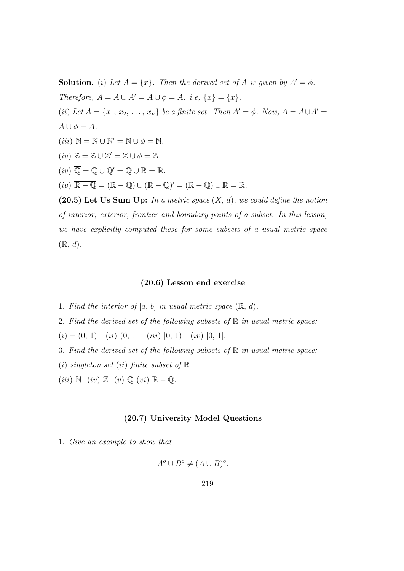**Solution.** (i) Let  $A = \{x\}$ . Then the derived set of A is given by  $A' = \phi$ . Therefore,  $\overline{A} = A \cup A' = A \cup \phi = A$ . i.e,  $\overline{\{x\}} = \{x\}.$ (ii) Let  $A = \{x_1, x_2, \ldots, x_n\}$  be a finite set. Then  $A' = \phi$ . Now,  $\overline{A} = A \cup A' = \overline{A}$  $A \cup \phi = A$ .  $(iii) \ \overline{\mathbb{N}} = \mathbb{N} \cup \mathbb{N}' = \mathbb{N} \cup \phi = \mathbb{N}.$  $(iv) \overline{\mathbb{Z}} = \mathbb{Z} \cup \mathbb{Z}' = \mathbb{Z} \cup \phi = \mathbb{Z}.$  $(iv) \overline{\mathbb{Q}} = \mathbb{Q} \cup \mathbb{Q}' = \mathbb{Q} \cup \mathbb{R} = \mathbb{R}.$  $(iv) \overline{\mathbb{R} - \mathbb{Q}} = (\mathbb{R} - \mathbb{Q}) \cup (\mathbb{R} - \mathbb{Q})' = (\mathbb{R} - \mathbb{Q}) \cup \mathbb{R} = \mathbb{R}.$ (20.5) Let Us Sum Up: In a metric space  $(X, d)$ , we could define the notion

of interior, exterior, frontier and boundary points of a subset. In this lesson, we have explicitly computed these for some subsets of a usual metric space  $(\mathbb{R}, d).$ 

#### (20.6) Lesson end exercise

- 1. Find the interior of  $[a, b]$  in usual metric space  $(\mathbb{R}, d)$ .
- 2. Find the derived set of the following subsets of  $\mathbb R$  in usual metric space:
- $(i) = (0, 1)$   $(ii) (0, 1)$   $(iii) [0, 1)$   $(iv) [0, 1].$
- 3. Find the derived set of the following subsets of  $\mathbb R$  in usual metric space:
- (i) singleton set (ii) finite subset of  $\mathbb R$
- (iii)  $\mathbb{N}$  (iv)  $\mathbb{Z}$  (v)  $\mathbb{Q}$  (vi)  $\mathbb{R} \mathbb{Q}$ .

#### (20.7) University Model Questions

1. Give an example to show that

$$
A^o \cup B^o \neq (A \cup B)^o.
$$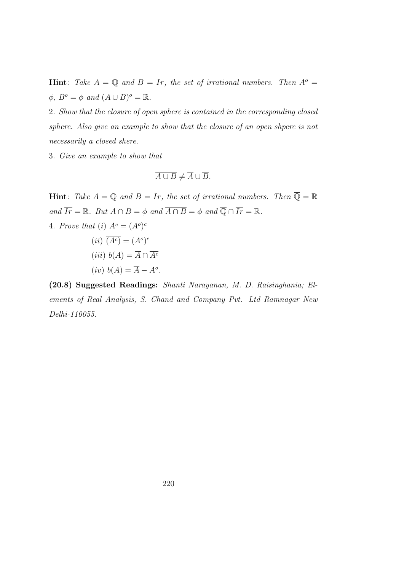**Hint**: Take  $A = \mathbb{Q}$  and  $B = Ir$ , the set of irrational numbers. Then  $A^{\circ} =$  $\phi, B^o = \phi \text{ and } (A \cup B)^o = \mathbb{R}.$ 

2. Show that the closure of open sphere is contained in the corresponding closed sphere. Also give an example to show that the closure of an open shpere is not necessarily a closed shere.

3. Give an example to show that

$$
\overline{A \cup B} \neq \overline{A} \cup \overline{B}.
$$

**Hint**: Take  $A = \mathbb{Q}$  and  $B = Ir$ , the set of irrational numbers. Then  $\overline{\mathbb{Q}} = \mathbb{R}$ and  $\overline{Ir} = \mathbb{R}$ . But  $A \cap B = \phi$  and  $\overline{A \cap B} = \phi$  and  $\overline{\mathbb{Q}} \cap \overline{Ir} = \mathbb{R}$ . 4. Prove that (i)  $\overline{A^c} = (A^o)^c$  $(ii)$   $\overline{(A^c)} = (A^o)^c$ (iii)  $b(A) = \overline{A} \cap \overline{A^c}$  $(iv) b(A) = \overline{A} - A^o.$ 

(20.8) Suggested Readings: Shanti Narayanan, M. D. Raisinghania; Elements of Real Analysis, S. Chand and Company Pvt. Ltd Ramnagar New Delhi-110055.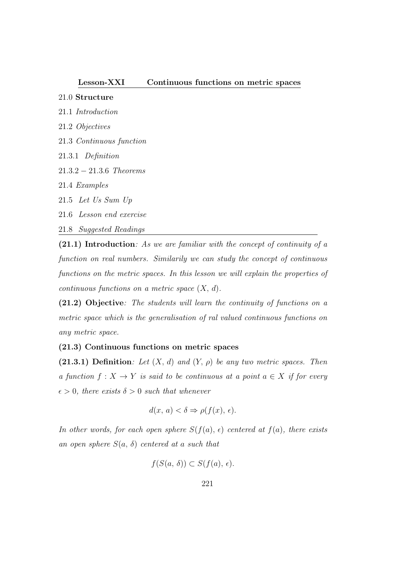#### Lesson-XXI Continuous functions on metric spaces

### 21.0 Structure

- 21.1 Introduction
- 21.2 Objectives
- 21.3 Continuous function
- 21.3.1 Definition
- 21.3.2 − 21.3.6 Theorems
- 21.4 Examples
- 21.5 Let Us Sum Up
- 21.6 Lesson end exercise
- 21.8 Suggested Readings

(21.1) Introduction: As we are familiar with the concept of continuity of a function on real numbers. Similarily we can study the concept of continuous functions on the metric spaces. In this lesson we will explain the properties of continuous functions on a metric space  $(X, d)$ .

(21.2) Objective: The students will learn the continuity of functions on a metric space which is the generalisation of ral valued continuous functions on any metric space.

# (21.3) Continuous functions on metric spaces

(21.3.1) Definition: Let  $(X, d)$  and  $(Y, \rho)$  be any two metric spaces. Then a function  $f: X \to Y$  is said to be continuous at a point  $a \in X$  if for every  $\epsilon > 0$ , there exists  $\delta > 0$  such that whenever

$$
d(x, a) < \delta \Rightarrow \rho(f(x), \epsilon).
$$

In other words, for each open sphere  $S(f(a), \epsilon)$  centered at  $f(a)$ , there exists an open sphere  $S(a, \delta)$  centered at a such that

$$
f(S(a, \delta)) \subset S(f(a), \epsilon).
$$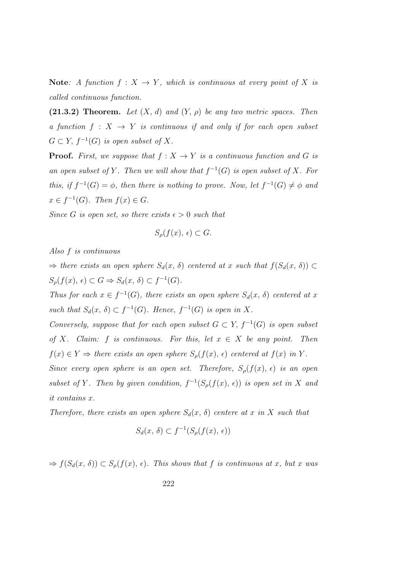Note: A function  $f: X \to Y$ , which is continuous at every point of X is called continuous function.

(21.3.2) Theorem. Let  $(X, d)$  and  $(Y, \rho)$  be any two metric spaces. Then a function  $f : X \rightarrow Y$  is continuous if and only if for each open subset  $G \subset Y$ ,  $f^{-1}(G)$  is open subset of X.

**Proof.** First, we suppose that  $f : X \to Y$  is a continuous function and G is an open subset of Y. Then we will show that  $f^{-1}(G)$  is open subset of X. For this, if  $f^{-1}(G) = \phi$ , then there is nothing to prove. Now, let  $f^{-1}(G) \neq \phi$  and  $x \in f^{-1}(G)$ . Then  $f(x) \in G$ .

Since G is open set, so there exists  $\epsilon > 0$  such that

$$
S_{\rho}(f(x), \epsilon) \subset G.
$$

Also f is continuous

 $\Rightarrow$  there exists an open sphere  $S_d(x, \delta)$  centered at x such that  $f(S_d(x, \delta)) \subset$  $S_{\rho}(f(x), \epsilon) \subset G \Rightarrow S_d(x, \delta) \subset f^{-1}(G).$ 

Thus for each  $x \in f^{-1}(G)$ , there exists an open sphere  $S_d(x, \delta)$  centered at x such that  $S_d(x, \delta) \subset f^{-1}(G)$ . Hence,  $f^{-1}(G)$  is open in X.

Conversely, suppose that for each open subset  $G \subset Y$ ,  $f^{-1}(G)$  is open subset of X. Claim: f is continuous. For this, let  $x \in X$  be any point. Then  $f(x) \in Y \Rightarrow$  there exists an open sphere  $S_{\rho}(f(x), \epsilon)$  centered at  $f(x)$  in Y.

Since every open sphere is an open set. Therefore,  $S_{\rho}(f(x), \epsilon)$  is an open subset of Y. Then by given condition,  $f^{-1}(S_\rho(f(x), \epsilon))$  is open set in X and it contains x.

Therefore, there exists an open sphere  $S_d(x, \delta)$  centere at x in X such that

$$
S_d(x, \delta) \subset f^{-1}(S_\rho(f(x), \epsilon))
$$

 $\Rightarrow f(S_d(x, \delta)) \subset S_\rho(f(x), \epsilon)$ . This shows that f is continuous at x, but x was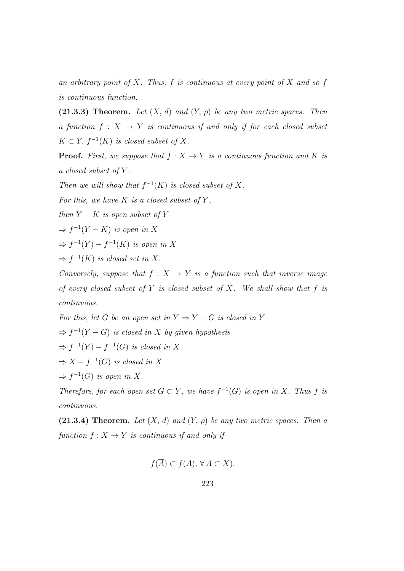an arbitrary point of X. Thus,  $f$  is continuous at every point of X and so  $f$ is continuous function.

(21.3.3) Theorem. Let  $(X, d)$  and  $(Y, \rho)$  be any two metric spaces. Then a function  $f: X \to Y$  is continuous if and only if for each closed subset  $K \subset Y$ ,  $f^{-1}(K)$  is closed subset of X.

**Proof.** First, we suppose that  $f : X \to Y$  is a continuous function and K is a closed subset of Y .

Then we will show that  $f^{-1}(K)$  is closed subset of X.

For this, we have  $K$  is a closed subset of  $Y$ ,

then  $Y - K$  is open subset of Y

 $\Rightarrow f^{-1}(Y - K)$  is open in X

 $\Rightarrow f^{-1}(Y) - f^{-1}(K)$  is open in X

 $\Rightarrow f^{-1}(K)$  is closed set in X.

Conversely, suppose that  $f : X \to Y$  is a function such that inverse image of every closed subset of Y is closed subset of X. We shall show that  $f$  is continuous.

For this, let G be an open set in  $Y \Rightarrow Y - G$  is closed in Y  $\Rightarrow f^{-1}(Y - G)$  is closed in X by given hypothesis  $\Rightarrow f^{-1}(Y) - f^{-1}(G)$  is closed in X  $\Rightarrow X - f^{-1}(G)$  is closed in X

 $\Rightarrow f^{-1}(G)$  is open in X.

Therefore, for each open set  $G \subset Y$ , we have  $f^{-1}(G)$  is open in X. Thus f is continuous.

(21.3.4) Theorem. Let  $(X, d)$  and  $(Y, \rho)$  be any two metric spaces. Then a function  $f: X \to Y$  is continuous if and only if

$$
f(\overline{A}) \subset \overline{f(A)}, \,\forall A \subset X).
$$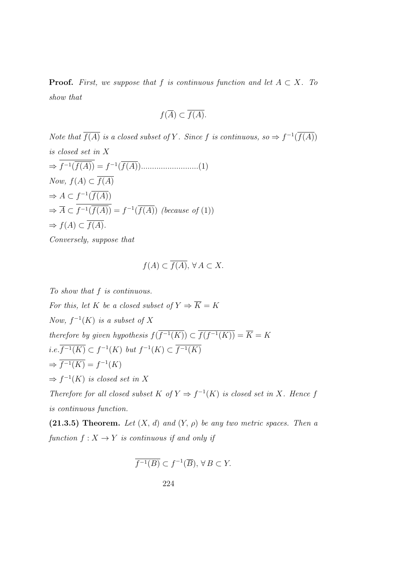**Proof.** First, we suppose that f is continuous function and let  $A \subset X$ . To show that

$$
f(\overline{A}) \subset \overline{f(A)}.
$$

Note that  $\overline{f(A)}$  is a closed subset of Y. Since f is continuous, so  $\Rightarrow f^{-1}(\overline{f(A)})$ is closed set in X ⇒ f −1 (f(A)) = f −1 (f(A))..........................(1) Now,  $f(A) \subset \overline{f(A)}$  $\Rightarrow A \subset f^{-1}(\overline{f(A)})$  $\Rightarrow \overline{A} \subset f^{-1}(\overline{f(A)}) = f^{-1}(\overline{f(A)})$  (because of (1))  $\Rightarrow f(A) \subset \overline{f(A)}.$ Conversely, suppose that

$$
f(A) \subset \overline{f(A)}, \,\forall A \subset X.
$$

To show that f is continuous. For this, let K be a closed subset of  $Y \Rightarrow \overline{K} = K$ Now,  $f^{-1}(K)$  is a subset of X therefore by given hypothesis  $f(f^{-1}(K)) \subset f(f^{-1}(K)) = \overline{K} = K$ *i.e.*  $\overline{f^{-1}(K)}$  ⊂  $f^{-1}(K)$  *but*  $f^{-1}(K)$  ⊂  $\overline{f^{-1}(K)}$  $\Rightarrow \overline{f^{-1}(K)} = f^{-1}(K)$  $\Rightarrow f^{-1}(K)$  is closed set in X

Therefore for all closed subset K of  $Y \Rightarrow f^{-1}(K)$  is closed set in X. Hence f is continuous function.

(21.3.5) Theorem. Let  $(X, d)$  and  $(Y, \rho)$  be any two metric spaces. Then a function  $f: X \to Y$  is continuous if and only if

$$
\overline{f^{-1}(B)} \subset f^{-1}(\overline{B}), \,\forall\, B \subset Y.
$$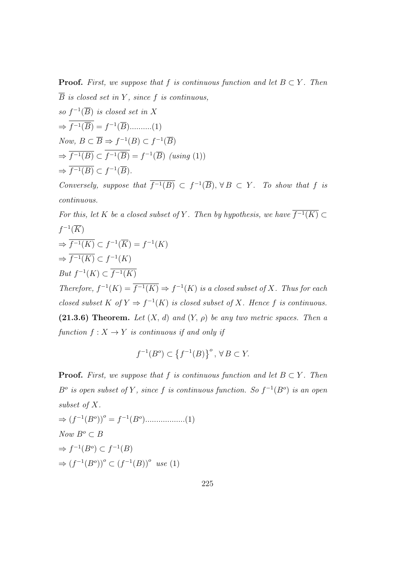**Proof.** First, we suppose that f is continuous function and let  $B \subset Y$ . Then  $\overline{B}$  is closed set in Y, since f is continuous,

so 
$$
f^{-1}(\overline{B})
$$
 is closed set in X  
\n $\Rightarrow \overline{f^{-1}(\overline{B})} = f^{-1}(\overline{B})$ ........(1)  
\nNow,  $B \subset \overline{B} \Rightarrow f^{-1}(B) \subset f^{-1}(\overline{B})$   
\n $\Rightarrow \overline{f^{-1}(B)} \subset \overline{f^{-1}(\overline{B})} = f^{-1}(\overline{B})$  (using (1))  
\n $\Rightarrow \overline{f^{-1}(B)} \subset f^{-1}(\overline{B})$ .

Conversely, suppose that  $\overline{f^{-1}(B)} \subset f^{-1}(\overline{B})$ ,  $\forall B \subset Y$ . To show that f is continuous.

For this, let K be a closed subset of Y. Then by hypothesis, we have  $f^{-1}(K) \subset$  $f^{-1}(\overline{K})$  $\Rightarrow \overline{f^{-1}(K)} \subset f^{-1}(\overline{K}) = f^{-1}(K)$  $\Rightarrow \overline{f^{-1}(K)} \subset f^{-1}(K)$ But  $f^{-1}(K) \subset \overline{f^{-1}(K)}$ Therefore,  $f^{-1}(K) = \overline{f^{-1}(K)} \Rightarrow f^{-1}(K)$  is a closed subset of X. Thus for each closed subset K of  $Y \Rightarrow f^{-1}(K)$  is closed subset of X. Hence f is continuous. (21.3.6) Theorem. Let  $(X, d)$  and  $(Y, \rho)$  be any two metric spaces. Then a

function  $f: X \to Y$  is continuous if and only if

$$
f^{-1}(B^o) \subset \left\{ f^{-1}(B) \right\}^o, \, \forall \, B \subset Y.
$$

**Proof.** First, we suppose that f is continuous function and let  $B \subset Y$ . Then  $B^o$  is open subset of Y, since f is continuous function. So  $f^{-1}(B^o)$  is an open subset of X.

$$
\Rightarrow (f^{-1}(B^o))^o = f^{-1}(B^o) \dots \dots \dots \dots \dots (1)
$$
  
\nNow  $B^o \subset B$   
\n
$$
\Rightarrow f^{-1}(B^o) \subset f^{-1}(B)
$$
  
\n
$$
\Rightarrow (f^{-1}(B^o))^o \subset (f^{-1}(B))^o \text{ use (1)}
$$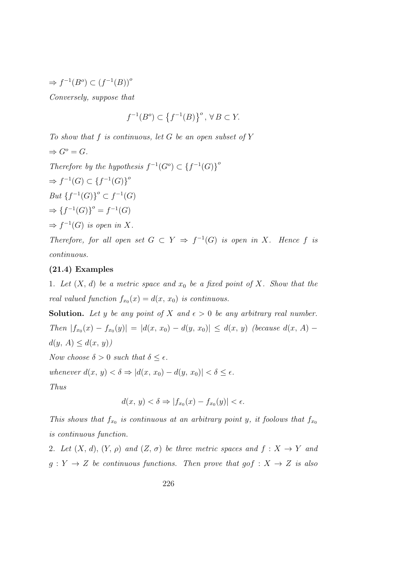$\Rightarrow f^{-1}(B^o) \subset (f^{-1}(B))^o$ Conversely, suppose that

$$
f^{-1}(B^o)\subset \left\{f^{-1}(B)\right\}^o, \,\forall\, B\subset Y.
$$

To show that  $f$  is continuous, let  $G$  be an open subset of  $Y$  $\Rightarrow G^o = G.$ Therefore by the hypothesis  $f^{-1}(G^o) \subset \{f^{-1}(G)\}^o$  $\Rightarrow f^{-1}(G) \subset \{f^{-1}(G)\}^o$ *But*  ${f^{-1}(G)}^{\circ}$  ⊂  $f^{-1}(G)$  $\Rightarrow$  { $f^{-1}(G)$ }<sup>o</sup> =  $f^{-1}(G)$  $\Rightarrow f^{-1}(G)$  is open in X. Therefore, for all open set  $G \subset Y \Rightarrow f^{-1}(G)$  is open in X. Hence f is

continuous.

### (21.4) Examples

1. Let  $(X, d)$  be a metric space and  $x_0$  be a fixed point of X. Show that the real valued function  $f_{x_0}(x) = d(x, x_0)$  is continuous.

**Solution.** Let y be any point of X and  $\epsilon > 0$  be any arbitrary real number. Then  $|f_{x_0}(x) - f_{x_0}(y)| = |d(x, x_0) - d(y, x_0)| \le d(x, y)$  (because  $d(x, A)$  $d(y, A) \leq d(x, y)$ 

Now choose  $\delta > 0$  such that  $\delta \leq \epsilon$ .

whenever  $d(x, y) < \delta \Rightarrow |d(x, x_0) - d(y, x_0)| < \delta \leq \epsilon$ .

Thus

$$
d(x, y) < \delta \Rightarrow |f_{x_0}(x) - f_{x_0}(y)| < \epsilon.
$$

This shows that  $f_{x_0}$  is continuous at an arbitrary point y, it foolows that  $f_{x_0}$ is continuous function.

2. Let  $(X, d), (Y, \rho)$  and  $(Z, \sigma)$  be three metric spaces and  $f : X \to Y$  and  $g: Y \to Z$  be continuous functions. Then prove that  $g \circ f: X \to Z$  is also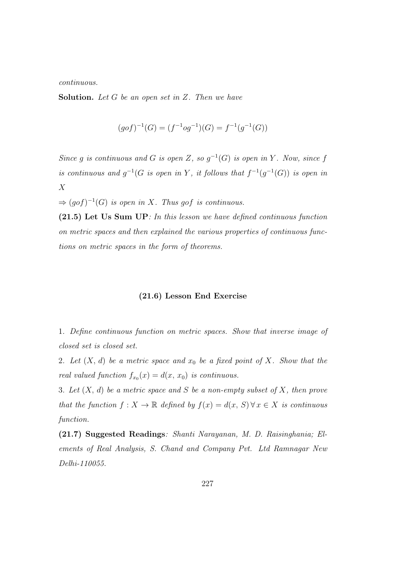continuous.

**Solution.** Let  $G$  be an open set in  $Z$ . Then we have

$$
(gof)^{-1}(G) = (f^{-1}og^{-1})(G) = f^{-1}(g^{-1}(G))
$$

Since g is continuous and G is open Z, so  $g^{-1}(G)$  is open in Y. Now, since f is continuous and  $g^{-1}(G)$  is open in Y, it follows that  $f^{-1}(g^{-1}(G))$  is open in X

 $\Rightarrow (gof)^{-1}(G)$  is open in X. Thus gof is continuous.

(21.5) Let Us Sum UP: In this lesson we have defined continuous function on metric spaces and then explained the various properties of continuous functions on metric spaces in the form of theorems.

#### (21.6) Lesson End Exercise

1. Define continuous function on metric spaces. Show that inverse image of closed set is closed set.

2. Let  $(X, d)$  be a metric space and  $x_0$  be a fixed point of X. Show that the real valued function  $f_{x_0}(x) = d(x, x_0)$  is continuous.

3. Let  $(X, d)$  be a metric space and S be a non-empty subset of X, then prove that the function  $f: X \to \mathbb{R}$  defined by  $f(x) = d(x, S) \forall x \in X$  is continuous function.

(21.7) Suggested Readings: Shanti Narayanan, M. D. Raisinghania; Elements of Real Analysis, S. Chand and Company Pvt. Ltd Ramnagar New Delhi-110055.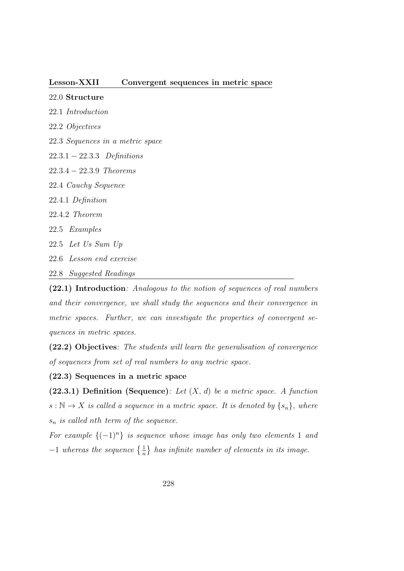#### Lesson-XXII Convergent sequences in metric space

22.0 Structure

- 22.1 Introduction
- 22.2 Objectives
- 22.3 Sequences in a metric space
- 22.3.1 − 22.3.3 Definitions
- 22.3.4 − 22.3.9 Theorems
- 22.4 Cauchy Sequence
- 22.4.1 Definition
- 22.4.2 Theorem
- 22.5 Examples
- 22.5 Let Us Sum Up
- 22.6 Lesson end exercise
- 22.8 Suggested Readings

(22.1) Introduction: Analogous to the notion of sequences of real numbers and their convergence, we shall study the sequences and their convergence in metric spaces. Further, we can investigate the properties of convergent sequences in metric spaces.

(22.2) Objectives: The students will learn the generalisation of convergence of sequences from set of real numbers to any metric space.

(22.3) Sequences in a metric space

(22.3.1) Definition (Sequence): Let  $(X, d)$  be a metric space. A function  $s : \mathbb{N} \to X$  is called a sequence in a metric space. It is denoted by  $\{s_n\}$ , where  $s_n$  is called nth term of the sequence.

For example  $\{(-1)^n\}$  is sequence whose image has only two elements 1 and  $-1$  whereas the sequence  $\{\frac{1}{n}\}$  has infinite number of elements in its image.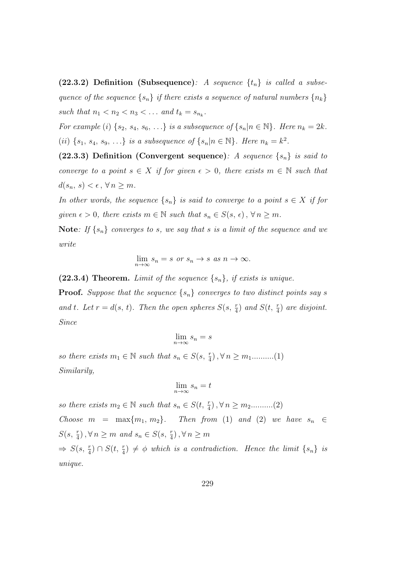(22.3.2) Definition (Subsequence): A sequence  $\{t_n\}$  is called a subsequence of the sequence  $\{s_n\}$  if there exists a sequence of natural numbers  $\{n_k\}$ such that  $n_1 < n_2 < n_3 < \dots$  and  $t_k = s_{n_k}$ .

For example (i)  $\{s_2, s_4, s_6, \ldots\}$  is a subsequence of  $\{s_n | n \in \mathbb{N}\}\$ . Here  $n_k = 2k$ . (ii)  $\{s_1, s_4, s_9, \ldots\}$  is a subsequence of  $\{s_n | n \in \mathbb{N}\}\$ . Here  $n_k = k^2$ .

(22.3.3) Definition (Convergent sequence): A sequence  $\{s_n\}$  is said to converge to a point  $s \in X$  if for given  $\epsilon > 0$ , there exists  $m \in \mathbb{N}$  such that  $d(s_n, s) < \epsilon, \forall n \geq m$ .

In other words, the sequence  $\{s_n\}$  is said to converge to a point  $s \in X$  if for given  $\epsilon > 0$ , there exists  $m \in \mathbb{N}$  such that  $s_n \in S(s, \epsilon)$ ,  $\forall n \geq m$ .

Note: If  $\{s_n\}$  converges to s, we say that s is a limit of the sequence and we write

$$
\lim_{n \to \infty} s_n = s \text{ or } s_n \to s \text{ as } n \to \infty.
$$

(22.3.4) Theorem. Limit of the sequence  $\{s_n\}$ , if exists is unique.

**Proof.** Suppose that the sequence  $\{s_n\}$  converges to two distinct points say s and t. Let  $r = d(s, t)$ . Then the open spheres  $S(s, \frac{r}{4})$  and  $S(t, \frac{r}{4})$  are disjoint. Since

$$
\lim_{n \to \infty} s_n = s
$$

so there exists  $m_1 \in \mathbb{N}$  such that  $s_n \in S(s, \frac{r}{4})$ ,  $\forall n \geq m_1$ ..........(1) Similarily,

$$
\lim_{n \to \infty} s_n = t
$$

so there exists  $m_2 \in \mathbb{N}$  such that  $s_n \in S(t, \frac{r}{4}), \forall n \geq m_2 \dots \dots \dots (2)$ Choose  $m = \max\{m_1, m_2\}$ . Then from (1) and (2) we have  $s_n \in$  $S(s, \frac{r}{4}), \forall n \geq m$  and  $s_n \in S(s, \frac{r}{4}), \forall n \geq m$ 

 $\Rightarrow S(s, \frac{r}{4}) \cap S(t, \frac{r}{4}) \neq \emptyset$  which is a contradiction. Hence the limit  $\{s_n\}$  is unique.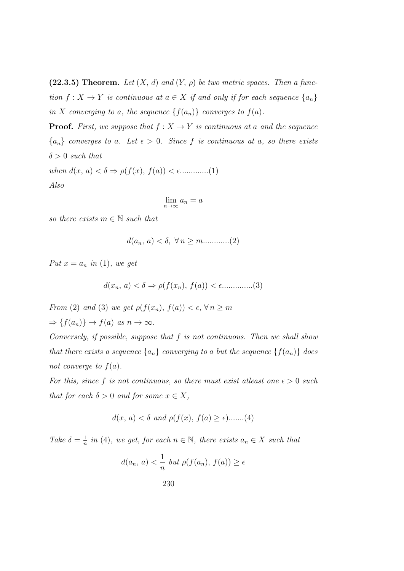(22.3.5) Theorem. Let  $(X, d)$  and  $(Y, \rho)$  be two metric spaces. Then a function  $f: X \to Y$  is continuous at  $a \in X$  if and only if for each sequence  $\{a_n\}$ in X converging to a, the sequence  $\{f(a_n)\}\$ converges to  $f(a)$ .

**Proof.** First, we suppose that  $f : X \to Y$  is continuous at a and the sequence  ${a_n}$  converges to a. Let  $\epsilon > 0$ . Since f is continuous at a, so there exists  $\delta > 0$  such that

when d(x, a) < δ ⇒ ρ(f(x), f(a)) < .............(1) Also

$$
\lim_{n \to \infty} a_n = a
$$

so there exists  $m \in \mathbb{N}$  such that

d(an, a) < δ, ∀ n ≥ m............(2)

Put  $x = a_n$  in (1), we get

d(xn, a) < δ ⇒ ρ(f(xn), f(a)) < ..............(3)

From (2) and (3) we get  $\rho(f(x_n), f(a)) < \epsilon, \forall n \ge m$  $\Rightarrow$  { $f(a_n)$ }  $\rightarrow$   $f(a)$  as  $n \rightarrow \infty$ .

Conversely, if possible, suppose that f is not continuous. Then we shall show that there exists a sequence  $\{a_n\}$  converging to a but the sequence  $\{f(a_n)\}\$  does not converge to  $f(a)$ .

For this, since f is not continuous, so there must exist at east one  $\epsilon > 0$  such that for each  $\delta > 0$  and for some  $x \in X$ ,

$$
d(x, a) < \delta \text{ and } \rho(f(x), f(a) \ge \epsilon) \dots (4)
$$

Take  $\delta = \frac{1}{n}$  $\frac{1}{n}$  in (4), we get, for each  $n \in \mathbb{N}$ , there exists  $a_n \in X$  such that

$$
d(a_n, a) < \frac{1}{n} \text{ but } \rho(f(a_n), f(a)) \ge \epsilon
$$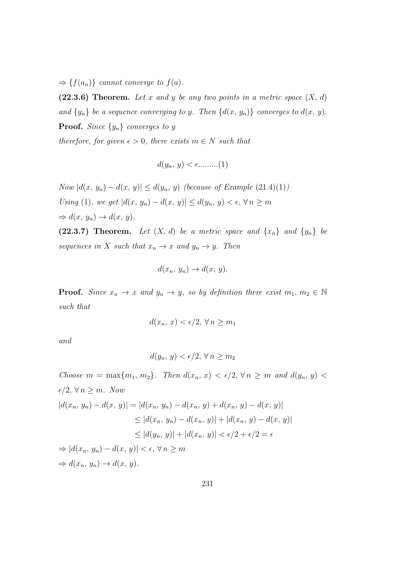$\Rightarrow$  { $f(a_n)$ } cannot converge to  $f(a)$ .

(22.3.6) Theorem. Let x and y be any two points in a metric space  $(X, d)$ and  $\{y_n\}$  be a sequence converging to y. Then  $\{d(x, y_n)\}\)$  converges to  $d(x, y)$ . **Proof.** Since  $\{y_n\}$  converges to y

therefore, for given  $\epsilon > 0$ , there exists  $m \in N$  such that

$$
d(y_n, y) < \epsilon \dots \dots \dots \dots (1)
$$

Now  $|d(x, y_n) - d(x, y)| \le d(y_n, y)$  (because of Example (21.4)(1)) Using (1), we get  $|d(x, y_n) - d(x, y)| \le d(y_n, y) < \epsilon, \forall n \ge m$  $\Rightarrow d(x, y_n) \rightarrow d(x, y).$ 

(22.3.7) Theorem. Let  $(X, d)$  be a metric space and  $\{x_n\}$  and  $\{y_n\}$  be sequences in X such that  $x_n \to x$  and  $y_n \to y$ . Then

$$
d(x_n, y_n) \to d(x, y).
$$

**Proof.** Since  $x_n \to x$  and  $y_n \to y$ , so by definition there exist  $m_1, m_2 \in \mathbb{N}$ such that

$$
d(x_n, x) < \epsilon/2, \forall n \ge m_1
$$

and

$$
d(y_n, y) < \epsilon/2, \forall n \ge m_2
$$

Choose  $m = \max\{m_1, m_2\}$ . Then  $d(x_n, x) < \epsilon/2$ ,  $\forall n \geq m$  and  $d(y_n, y)$  $\epsilon/2, \forall n \geq m.$  Now  $|d(x_n, y_n) - d(x, y)| = |d(x_n, y_n) - d(x_n, y) + d(x_n, y) - d(x, y)|$  $\leq |d(x_n, y_n) - d(x_n, y)| + |d(x_n, y) - d(x, y)|$  $\langle |d(y_n, y)| + |d(x_n, y)| < \epsilon/2 + \epsilon/2 = \epsilon$  $\Rightarrow |d(x_n, y_n) - d(x, y)| < \epsilon, \forall n \geq m$  $\Rightarrow d(x_n, y_n) \rightarrow d(x, y).$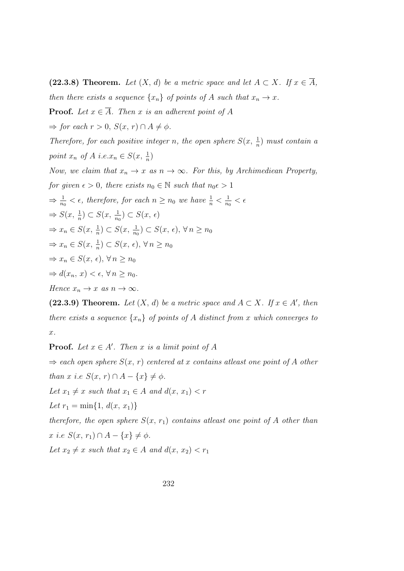(22.3.8) Theorem. Let  $(X, d)$  be a metric space and let  $A \subset X$ . If  $x \in \overline{A}$ , then there exists a sequence  $\{x_n\}$  of points of A such that  $x_n \to x$ .

**Proof.** Let  $x \in \overline{A}$ . Then x is an adherent point of A

 $\Rightarrow$  for each  $r > 0$ ,  $S(x, r) \cap A \neq \phi$ .

Therefore, for each positive integer n, the open sphere  $S(x, \frac{1}{n})$  must contain a point  $x_n$  of  $A$  i.e. $x_n \in S(x, \frac{1}{n})$ 

Now, we claim that  $x_n \to x$  as  $n \to \infty$ . For this, by Archimediean Property,

for given  $\epsilon > 0$ , there exists  $n_0 \in \mathbb{N}$  such that  $n_0 \epsilon > 1$ 

 $\Rightarrow \frac{1}{n_0} < \epsilon$ , therefore, for each  $n \geq n_0$  we have  $\frac{1}{n} < \frac{1}{n_0}$  $\frac{1}{n_0} < \epsilon$ 

$$
\Rightarrow S(x, \frac{1}{n}) \subset S(x, \frac{1}{n_0}) \subset S(x, \epsilon)
$$

$$
\Rightarrow x_n \in S(x, \frac{1}{n}) \subset S(x, \frac{1}{n_0}) \subset S(x, \epsilon), \forall n \ge n_0
$$

 $\Rightarrow x_n \in S(x, \frac{1}{n}) \subset S(x, \epsilon), \forall n \geq n_0$ 

 $\Rightarrow x_n \in S(x, \epsilon), \forall n \geq n_0$ 

$$
\Rightarrow d(x_n, x) < \epsilon, \forall n \ge n_0.
$$

Hence  $x_n \to x$  as  $n \to \infty$ .

(22.3.9) Theorem. Let  $(X, d)$  be a metric space and  $A \subset X$ . If  $x \in A'$ , then there exists a sequence  $\{x_n\}$  of points of A distinct from x which converges to x.

**Proof.** Let  $x \in A'$ . Then x is a limit point of A

 $\Rightarrow$  each open sphere  $S(x, r)$  centered at x contains at east one point of A other than x i.e  $S(x, r) \cap A - \{x\} \neq \phi$ .

Let  $x_1 \neq x$  such that  $x_1 \in A$  and  $d(x, x_1) < r$ 

Let  $r_1 = \min\{1, d(x, x_1)\}\$ 

therefore, the open sphere  $S(x, r_1)$  contains at east one point of A other than x i.e  $S(x, r_1) \cap A - \{x\} \neq \phi$ .

Let  $x_2 \neq x$  such that  $x_2 \in A$  and  $d(x, x_2) < r_1$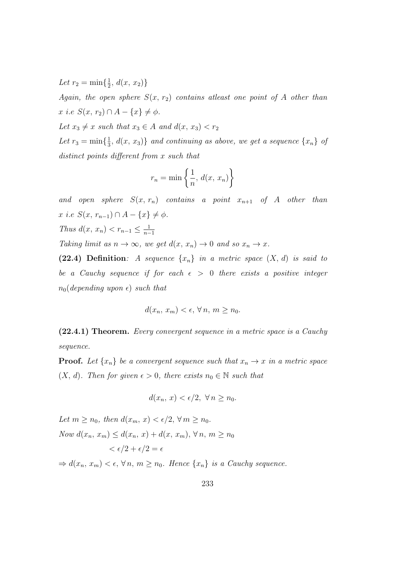Let  $r_2 = \min\{\frac{1}{2}\}$  $\frac{1}{2}$ ,  $d(x, x_2)$ 

Again, the open sphere  $S(x, r_2)$  contains at east one point of A other than x i.e  $S(x, r_2) \cap A - \{x\} \neq \phi$ .

Let  $x_3 \neq x$  such that  $x_3 \in A$  and  $d(x, x_3) < r_2$ 

Let  $r_3 = \min\{\frac{1}{3}\}$  $\frac{1}{3}$ ,  $d(x, x_3)$ } and continuing as above, we get a sequence  $\{x_n\}$  of distinct points different from x such that

$$
r_n = \min\left\{\frac{1}{n}, d(x, x_n)\right\}
$$

and open sphere  $S(x, r_n)$  contains a point  $x_{n+1}$  of A other than  $x i.e S(x, r_{n-1}) \cap A - \{x\} \neq \phi.$ Thus  $d(x, x_n) < r_{n-1} \leq \frac{1}{n-1}$  $n-1$ 

Taking limit as  $n \to \infty$ , we get  $d(x, x_n) \to 0$  and so  $x_n \to x$ .

(22.4) Definition: A sequence  $\{x_n\}$  in a metric space  $(X, d)$  is said to be a Cauchy sequence if for each  $\epsilon > 0$  there exists a positive integer  $n_0$ (depending upon  $\epsilon$ ) such that

$$
d(x_n, x_m) < \epsilon, \forall n, m \ge n_0.
$$

(22.4.1) Theorem. Every convergent sequence in a metric space is a Cauchy sequence.

**Proof.** Let  $\{x_n\}$  be a convergent sequence such that  $x_n \to x$  in a metric space  $(X, d)$ . Then for given  $\epsilon > 0$ , there exists  $n_0 \in \mathbb{N}$  such that

$$
d(x_n, x) < \epsilon/2, \ \forall \, n \ge n_0.
$$

Let  $m > n_0$ , then  $d(x_m, x) < \epsilon/2$ ,  $\forall m > n_0$ . Now  $d(x_n, x_m) \leq d(x_n, x) + d(x, x_m)$ ,  $\forall n, m \geq n_0$  $\epsilon/2 + \epsilon/2 = \epsilon$ 

 $\Rightarrow d(x_n, x_m) < \epsilon, \forall n, m \geq n_0$ . Hence  $\{x_n\}$  is a Cauchy sequence.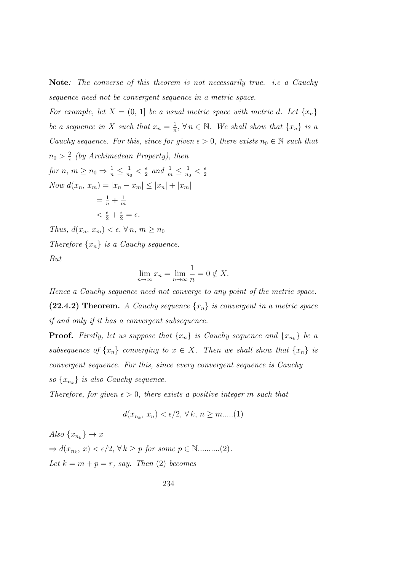Note: The converse of this theorem is not necessarily true. i.e a Cauchy sequence need not be convergent sequence in a metric space.

For example, let  $X = (0, 1]$  be a usual metric space with metric d. Let  $\{x_n\}$ be a sequence in X such that  $x_n = \frac{1}{n}$  $\frac{1}{n}, \forall n \in \mathbb{N}$ . We shall show that  $\{x_n\}$  is a Cauchy sequence. For this, since for given  $\epsilon > 0$ , there exists  $n_0 \in \mathbb{N}$  such that  $n_0 > \frac{2}{\epsilon}$  $\frac{2}{\epsilon}$  (by Archimedean Property), then for  $n, m \geq n_0 \Rightarrow \frac{1}{n} \leq \frac{1}{n_0}$  $\frac{1}{n_0} < \frac{\epsilon}{2}$  $\frac{\epsilon}{2}$  and  $\frac{1}{m} \leq \frac{1}{n_0}$  $\frac{1}{n_0} < \frac{\epsilon}{2}$ 2 Now  $d(x_n, x_m) = |x_n - x_m|$  ≤  $|x_n| + |x_m|$  $= \frac{1}{n} + \frac{1}{n}$ m  $\langle \frac{\epsilon}{2} + \frac{\epsilon}{2} = \epsilon.$ Thus,  $d(x_n, x_m) < \epsilon, \forall n, m \geq n_0$ Therefore  $\{x_n\}$  is a Cauchy sequence.

But

$$
\lim_{n \to \infty} x_n = \lim_{n \to \infty} \frac{1}{n} = 0 \notin X.
$$

Hence a Cauchy sequence need not converge to any point of the metric space. (22.4.2) Theorem. A Cauchy sequence  $\{x_n\}$  is convergent in a metric space if and only if it has a convergent subsequence.

**Proof.** Firstly, let us suppose that  $\{x_n\}$  is Cauchy sequence and  $\{x_{n_k}\}$  be a subsequence of  $\{x_n\}$  converging to  $x \in X$ . Then we shall show that  $\{x_n\}$  is convergent sequence. For this, since every convergent sequence is Cauchy so  $\{x_{n_k}\}\$ is also Cauchy sequence.

Therefore, for given  $\epsilon > 0$ , there exists a positive integer m such that

$$
d(x_{n_k}, x_n) < \epsilon/2, \forall k, n \ge m \dots (1)
$$

Also  $\{x_{n_k}\}\to x$  $\Rightarrow d(x_{n_k}, x) < \epsilon/2, \forall k \geq p \text{ for some } p \in \mathbb{N} \dots \dots \dots (2).$ Let  $k = m + p = r$ , say. Then (2) becomes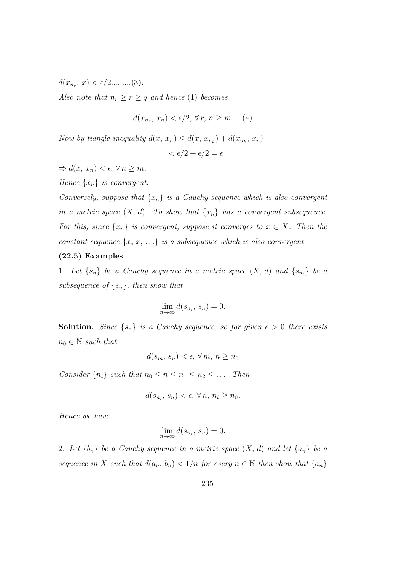$d(x_{n_r}, x) < \epsilon/2$ .........(3).

Also note that  $n_r \ge r \ge q$  and hence (1) becomes

$$
d(x_{n_r}, x_n) < \epsilon/2, \forall r, n \ge m \dots (4)
$$

Now by tiangle inequality  $d(x, x_n) \leq d(x, x_{n_k}) + d(x_{n_k}, x_n)$ 

$$
<\epsilon/2+\epsilon/2=\epsilon
$$

 $\Rightarrow d(x, x_n) < \epsilon, \forall n \geq m.$ 

Hence  $\{x_n\}$  is convergent.

Conversely, suppose that  $\{x_n\}$  is a Cauchy sequence which is also convergent in a metric space  $(X, d)$ . To show that  $\{x_n\}$  has a convergent subsequence. For this, since  $\{x_n\}$  is convergent, suppose it converges to  $x \in X$ . Then the constant sequence  $\{x, x, \ldots\}$  is a subsequence which is also convergent.

## (22.5) Examples

1. Let  $\{s_n\}$  be a Cauchy sequence in a metric space  $(X, d)$  and  $\{s_{n_i}\}\$  be a subsequence of  $\{s_n\}$ , then show that

$$
\lim_{n \to \infty} d(s_{n_i}, s_n) = 0.
$$

**Solution.** Since  $\{s_n\}$  is a Cauchy sequence, so for given  $\epsilon > 0$  there exists  $n_0 \in \mathbb{N}$  such that

$$
d(s_m, s_n) < \epsilon, \forall m, n \ge n_0
$$

Consider  $\{n_i\}$  such that  $n_0 \le n \le n_1 \le n_2 \le \dots$  Then

$$
d(s_{n_i}, s_n) < \epsilon, \forall n, n_i \ge n_0.
$$

Hence we have

$$
\lim_{n \to \infty} d(s_{n_i}, s_n) = 0.
$$

2. Let  $\{b_n\}$  be a Cauchy sequence in a metric space  $(X, d)$  and let  $\{a_n\}$  be a sequence in X such that  $d(a_n, b_n) < 1/n$  for every  $n \in \mathbb{N}$  then show that  $\{a_n\}$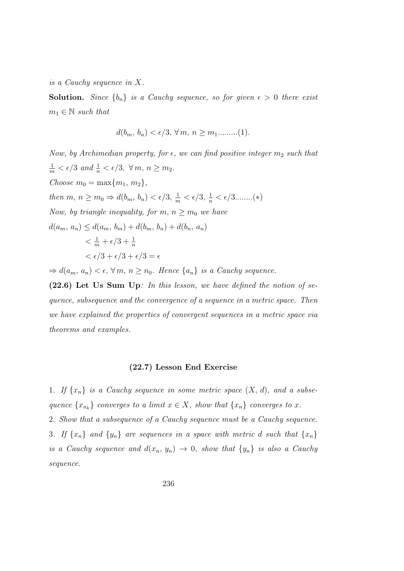is a Cauchy sequence in X.

**Solution.** Since  $\{b_n\}$  is a Cauchy sequence, so for given  $\epsilon > 0$  there exist  $m_1 \in \mathbb{N}$  such that

$$
d(b_m, b_n) < \epsilon/3, \forall m, n \ge m_1 \dots (1).
$$

Now, by Archimedian property, for  $\epsilon$ , we can find positive integer  $m_2$  such that  $\frac{1}{m} < \epsilon/3$  and  $\frac{1}{n} < \epsilon/3$ ,  $\forall m, n \ge m_2$ . Choose  $m_0 = \max\{m_1, m_2\},\$ then  $m, n \ge m_0 \Rightarrow d(b_m, b_n) < \epsilon/3, \frac{1}{m} < \epsilon/3, \frac{1}{n} < \epsilon/3 \dots (*)$ Now, by triangle inequality, for  $m, n \ge m_0$  we have  $d(a_m, a_n) \leq d(a_m, b_m) + d(b_m, b_n) + d(b_n, a_n)$  $\frac{1}{m} + \epsilon/3 + \frac{1}{n}$  $< \epsilon/3 + \epsilon/3 + \epsilon/3 = \epsilon$ 

 $\Rightarrow d(a_m, a_n) < \epsilon, \forall m, n \geq n_0$ . Hence  $\{a_n\}$  is a Cauchy sequence.

(22.6) Let Us Sum Up: In this lesson, we have defined the notion of sequence, subsequence and the convergence of a sequence in a metric space. Then we have explained the properties of convergent sequences in a metric space via theorems and examples.

## (22.7) Lesson End Exercise

1. If  $\{x_n\}$  is a Cauchy sequence in some metric space  $(X, d)$ , and a subsequence  $\{x_{n_k}\}$  converges to a limit  $x \in X$ , show that  $\{x_n\}$  converges to x. 2. Show that a subsequence of a Cauchy sequence must be a Cauchy sequence. 3. If  $\{x_n\}$  and  $\{y_n\}$  are sequences in a space with metric d such that  $\{x_n\}$ is a Cauchy sequence and  $d(x_n, y_n) \to 0$ , show that  $\{y_n\}$  is also a Cauchy sequence.